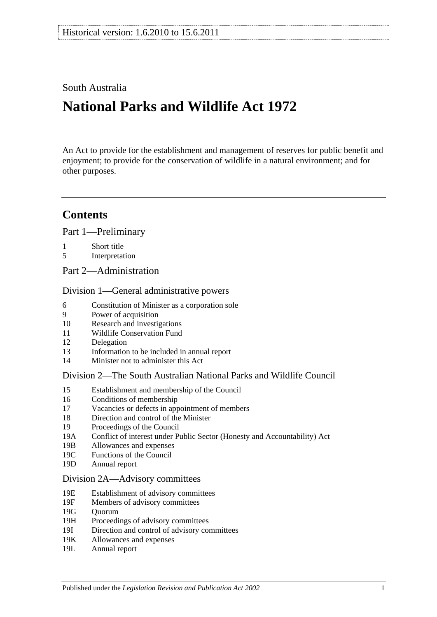# South Australia

# **National Parks and Wildlife Act 1972**

An Act to provide for the establishment and management of reserves for public benefit and enjoyment; to provide for the conservation of wildlife in a natural environment; and for other purposes.

# **Contents**

[Part 1—Preliminary](#page-6-0)

- 1 [Short title](#page-6-1)
- 5 [Interpretation](#page-6-2)
- [Part 2—Administration](#page-10-0)

#### [Division 1—General administrative powers](#page-10-1)

- 6 [Constitution of Minister as a corporation sole](#page-10-2)
- 9 [Power of acquisition](#page-10-3)
- 10 [Research and investigations](#page-10-4)
- 11 [Wildlife Conservation Fund](#page-10-5)
- 12 [Delegation](#page-11-0)
- 13 [Information to be included in annual report](#page-11-1)
- 14 [Minister not to administer this Act](#page-12-0)

#### [Division 2—The South Australian National Parks and Wildlife Council](#page-12-1)

- 15 [Establishment and membership of the Council](#page-12-2)
- 16 [Conditions of membership](#page-13-0)
- 17 [Vacancies or defects in appointment of members](#page-13-1)
- 18 [Direction and control of the Minister](#page-13-2)
- 19 [Proceedings of the Council](#page-13-3)
- 19A [Conflict of interest under Public Sector \(Honesty and Accountability\) Act](#page-14-0) 19B Allowances and expenses
- [Allowances and expenses](#page-14-1)
- 19C [Functions of the Council](#page-14-2)
- 19D [Annual report](#page-15-0)

#### [Division 2A—Advisory committees](#page-15-1)

- 19E [Establishment of advisory committees](#page-15-2)
- 19F [Members of advisory committees](#page-16-0)
- 19G [Quorum](#page-16-1)
- 19H [Proceedings of advisory committees](#page-16-2)
- 19I [Direction and control of advisory committees](#page-16-3)
- 19K [Allowances and expenses](#page-16-4)
- 19L [Annual report](#page-16-5)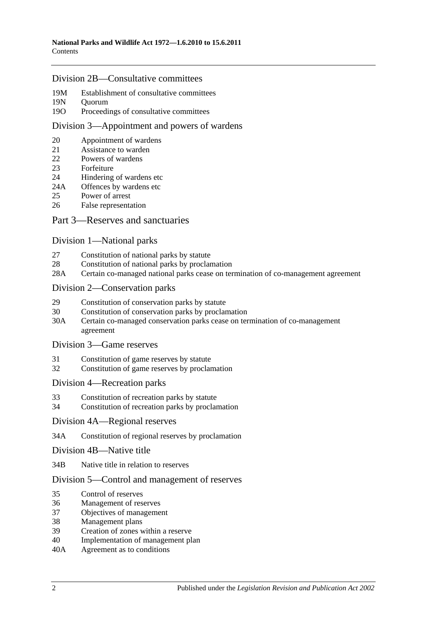#### [Division 2B—Consultative committees](#page-17-0)

- 19M [Establishment of consultative committees](#page-17-1)<br>19N Ouorum
- Ouorum
- 19O [Proceedings of consultative committees](#page-17-3)

#### [Division 3—Appointment and powers of wardens](#page-17-4)

- 20 [Appointment of wardens](#page-17-5)
- 21 [Assistance to warden](#page-18-0)
- 22 [Powers of wardens](#page-18-1)
- 23 [Forfeiture](#page-19-0)
- 24 [Hindering of wardens etc](#page-21-0)
- 24A [Offences by wardens etc](#page-21-1)
- 25 [Power of arrest](#page-21-2)<br>26 False represents
- [False representation](#page-21-3)

#### [Part 3—Reserves and sanctuaries](#page-22-0)

#### [Division 1—National parks](#page-22-1)

- 27 [Constitution of national parks by statute](#page-22-2)
- 28 [Constitution of national parks by proclamation](#page-22-3)<br>28A Certain co-managed national parks cease on ter
- [Certain co-managed national parks cease on termination of co-management agreement](#page-23-0)

#### [Division 2—Conservation parks](#page-23-1)

- 29 [Constitution of conservation parks by statute](#page-23-2)
- 30 [Constitution of conservation parks by proclamation](#page-23-3)
- 30A [Certain co-managed conservation parks cease on termination of co-management](#page-24-0)  [agreement](#page-24-0)

#### [Division 3—Game reserves](#page-24-1)

- 31 [Constitution of game reserves by statute](#page-24-2)
- 32 [Constitution of game reserves by proclamation](#page-25-0)

#### [Division 4—Recreation parks](#page-25-1)

- 33 [Constitution of recreation parks by statute](#page-25-2)
- 34 [Constitution of recreation parks by proclamation](#page-25-3)

#### [Division 4A—Regional reserves](#page-26-0)

- 34A [Constitution of regional reserves by proclamation](#page-26-1)
- [Division 4B—Native title](#page-26-2)
- 34B [Native title in relation to reserves](#page-26-3)

#### [Division 5—Control and management of reserves](#page-27-0)

- 35 [Control of reserves](#page-27-1)
- 36 [Management of reserves](#page-28-0)
- 37 [Objectives of management](#page-28-1)
- 38 [Management plans](#page-29-0)
- 39 [Creation of zones within a reserve](#page-31-0)
- 40 [Implementation of management plan](#page-31-1)
- 40A [Agreement as to conditions](#page-31-2)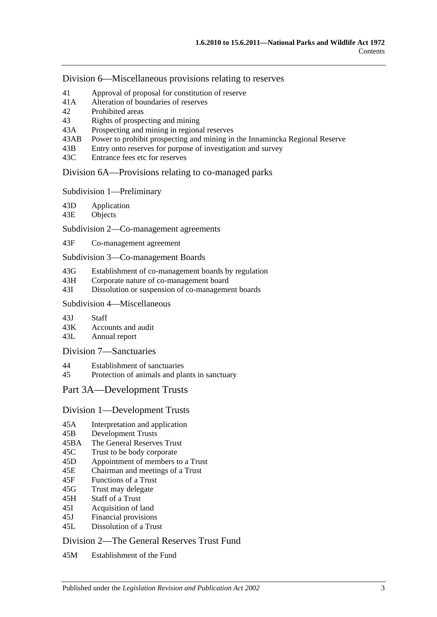[Division 6—Miscellaneous provisions relating to reserves](#page-31-3)

- 41 [Approval of proposal for constitution of reserve](#page-31-4)<br>41A Alteration of boundaries of reserves
- [Alteration of boundaries of reserves](#page-32-0)
- 42 [Prohibited areas](#page-32-1)
- 43 [Rights of prospecting and mining](#page-33-0)
- 43A [Prospecting and mining in regional reserves](#page-34-0)
- 43AB [Power to prohibit prospecting and mining in the Innamincka Regional Reserve](#page-34-1)
- 43B [Entry onto reserves for purpose of investigation and survey](#page-35-0)
- 43C [Entrance fees etc for reserves](#page-35-1)

[Division 6A—Provisions relating to co-managed parks](#page-35-2)

[Subdivision 1—Preliminary](#page-35-3)

43D [Application](#page-35-4)

43E [Objects](#page-35-5)

[Subdivision 2—Co-management agreements](#page-36-0)

43F [Co-management agreement](#page-36-1)

[Subdivision 3—Co-management Boards](#page-37-0)

- 43G [Establishment of co-management boards by regulation](#page-37-1)
- 43H [Corporate nature of co-management board](#page-38-0)
- 43I Dissolution or [suspension of co-management boards](#page-38-1)

#### [Subdivision 4—Miscellaneous](#page-39-0)

43J [Staff](#page-39-1)

43K [Accounts and audit](#page-39-2)

43L [Annual report](#page-39-3)

[Division 7—Sanctuaries](#page-40-0)

44 [Establishment of sanctuaries](#page-40-1)

45 [Protection of animals and plants in sanctuary](#page-40-2)

## [Part 3A—Development Trusts](#page-42-0)

#### [Division 1—Development Trusts](#page-42-1)

- 45A [Interpretation and application](#page-42-2)
- 45B [Development Trusts](#page-42-3)
- 45BA [The General Reserves Trust](#page-42-4)
- 45C [Trust to be body corporate](#page-42-5)
- 45D [Appointment of members to a Trust](#page-43-0)
- 45E [Chairman and meetings of a Trust](#page-43-1)
- 45F [Functions of a Trust](#page-43-2)
- 45G [Trust may delegate](#page-44-0)
- 45H [Staff of a Trust](#page-44-1)
- 45I [Acquisition of land](#page-45-0)
- 45J [Financial provisions](#page-45-1)
- 45L [Dissolution of a Trust](#page-45-2)

#### [Division 2—The General Reserves Trust Fund](#page-45-3)

45M [Establishment of the Fund](#page-45-4)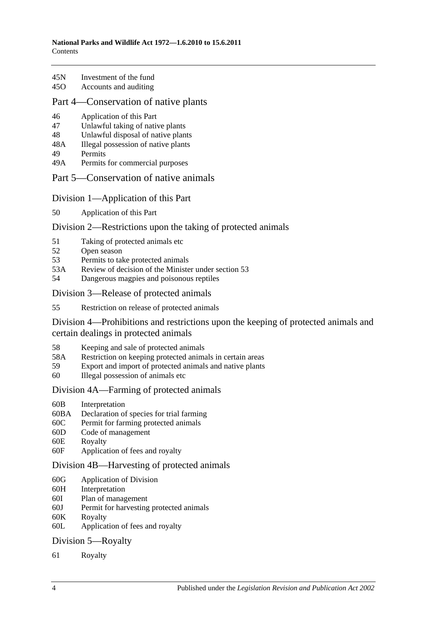| 45N | Investment of the fund            |
|-----|-----------------------------------|
| 150 | A a a annual a ann ann a bhain an |

45O [Accounts and auditing](#page-46-1)

## [Part 4—Conservation of native plants](#page-48-0)

- 46 [Application of this Part](#page-48-1)
- 47 [Unlawful taking of native plants](#page-48-2)
- 48 [Unlawful disposal of native plants](#page-49-0)
- 48A [Illegal possession of native plants](#page-49-1)
- 49 [Permits](#page-49-2)
- 49A [Permits for commercial purposes](#page-50-0)

## Part [5—Conservation of native animals](#page-52-0)

## [Division 1—Application of this Part](#page-52-1)

50 [Application of this Part](#page-52-2)

# [Division 2—Restrictions upon the taking of protected animals](#page-52-3)

- 51 [Taking of protected animals etc](#page-52-4)
- 52 [Open season](#page-52-5)
- 53 [Permits to take protected animals](#page-53-0)
- 53A [Review of decision of the Minister under section](#page-54-0) 53
- 54 [Dangerous magpies and poisonous reptiles](#page-54-1)

## [Division 3—Release of protected animals](#page-54-2)

55 [Restriction on release of protected animals](#page-54-3)

[Division 4—Prohibitions and restrictions upon the keeping of protected animals and](#page-55-0)  [certain dealings in protected animals](#page-55-0)

- 58 [Keeping and sale of protected animals](#page-55-1)
- 58A [Restriction on keeping protected animals in certain areas](#page-56-0)
- 59 [Export and import of protected animals and native plants](#page-56-1)
- 60 [Illegal possession of animals etc](#page-56-2)

## [Division 4A—Farming of protected animals](#page-57-0)

- 60B [Interpretation](#page-57-1)
- 60BA [Declaration of species for trial farming](#page-57-2)
- 60C [Permit for farming protected animals](#page-58-0)
- 60D [Code of management](#page-59-0)
- 60E [Royalty](#page-60-0)
- 60F [Application of fees and royalty](#page-60-1)

## [Division 4B—Harvesting of protected animals](#page-61-0)

- 60G [Application of Division](#page-61-1)
- 60H [Interpretation](#page-61-2)
- 60I [Plan of management](#page-61-3)
- 60J [Permit for harvesting protected animals](#page-62-0)
- 60K [Royalty](#page-63-0)
- 60L [Application of fees and royalty](#page-63-1)

## [Division 5—Royalty](#page-64-0)

61 [Royalty](#page-64-1)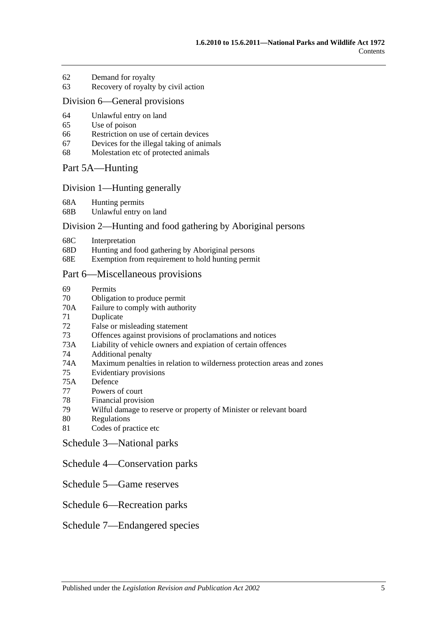- 62 [Demand for royalty](#page-64-2)
- 63 [Recovery of royalty by civil action](#page-64-3)

#### [Division 6—General provisions](#page-65-0)

- 64 [Unlawful entry on land](#page-65-1)
- 65 [Use of poison](#page-65-2)
- 66 [Restriction on use of certain devices](#page-66-0)
- 67 [Devices for the illegal taking of animals](#page-66-1)
- 68 [Molestation etc of protected animals](#page-66-2)

#### [Part 5A—Hunting](#page-68-0)

#### [Division 1—Hunting generally](#page-68-1)

68A [Hunting permits](#page-68-2)

68B [Unlawful entry on land](#page-68-3)

#### [Division 2—Hunting and food gathering by Aboriginal persons](#page-69-0)

- 68C [Interpretation](#page-69-1)
- 68D [Hunting and food gathering by Aboriginal persons](#page-69-2)
- 68E [Exemption from requirement to hold hunting permit](#page-70-0)

#### [Part 6—Miscellaneous provisions](#page-72-0)

- 69 [Permits](#page-72-1)
- 70 [Obligation to produce permit](#page-74-0)
- 70A [Failure to comply with authority](#page-74-1)
- 71 [Duplicate](#page-74-2)
- 72 [False or misleading statement](#page-75-0)
- 73 [Offences against provisions of proclamations and notices](#page-75-1)
- 73A [Liability of vehicle owners and expiation of certain offences](#page-75-2)
- 74 [Additional penalty](#page-77-0)
- 74A [Maximum penalties in relation to wilderness protection areas and zones](#page-78-0)
- 75 [Evidentiary provisions](#page-78-1)
- 75A [Defence](#page-78-2)
- 77 [Powers of court](#page-78-3)
- 78 [Financial provision](#page-79-0)
- 79 [Wilful damage to reserve or property of Minister or relevant board](#page-79-1)
- 80 [Regulations](#page-79-2)
- 81 [Codes of practice etc](#page-81-0)

[Schedule 3—National parks](#page-82-0)

#### [Schedule 4—Conservation parks](#page-82-1)

[Schedule 5—Game reserves](#page-87-0)

## [Schedule 6—Recreation parks](#page-88-0)

#### [Schedule 7—Endangered species](#page-89-0)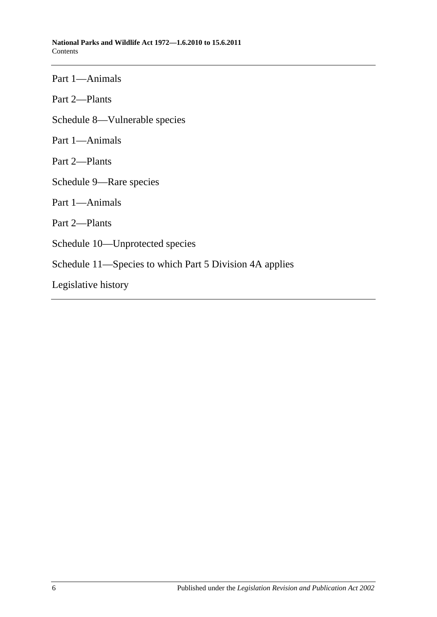Part 1—Animals Part 2—Plants [Schedule 8—Vulnerable species](#page-101-0) Part 1—Animals Part 2—Plants [Schedule 9—Rare species](#page-114-0) Part 1—Animals Part 2—Plants [Schedule 10—Unprotected species](#page-137-0) [Schedule 11—Species to which Part 5 Division 4A](#page-138-0) applies [Legislative history](#page-140-0)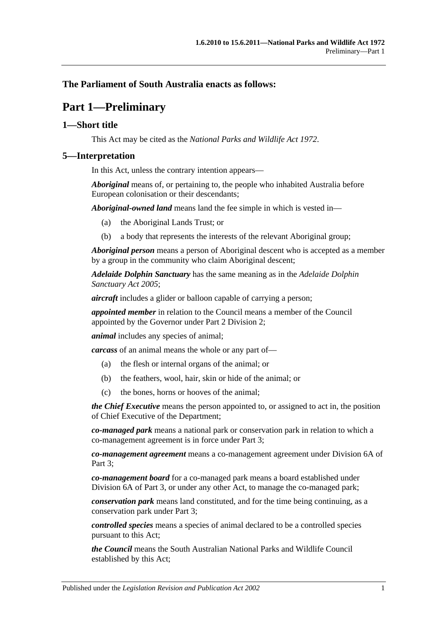## <span id="page-6-0"></span>**The Parliament of South Australia enacts as follows:**

# **Part 1—Preliminary**

## <span id="page-6-1"></span>**1—Short title**

This Act may be cited as the *National Parks and Wildlife Act 1972*.

#### <span id="page-6-2"></span>**5—Interpretation**

In this Act, unless the contrary intention appears—

*Aboriginal* means of, or pertaining to, the people who inhabited Australia before European colonisation or their descendants;

*Aboriginal-owned land* means land the fee simple in which is vested in—

- (a) the Aboriginal Lands Trust; or
- (b) a body that represents the interests of the relevant Aboriginal group;

*Aboriginal person* means a person of Aboriginal descent who is accepted as a member by a group in the community who claim Aboriginal descent;

*Adelaide Dolphin Sanctuary* has the same meaning as in the *[Adelaide Dolphin](http://www.legislation.sa.gov.au/index.aspx?action=legref&type=act&legtitle=Adelaide%20Dolphin%20Sanctuary%20Act%202005)  [Sanctuary Act](http://www.legislation.sa.gov.au/index.aspx?action=legref&type=act&legtitle=Adelaide%20Dolphin%20Sanctuary%20Act%202005) 2005*;

*aircraft* includes a glider or balloon capable of carrying a person;

*appointed member* in relation to the Council means a member of the Council appointed by the Governor under [Part 2 Division 2;](#page-12-1)

*animal* includes any species of animal;

*carcass* of an animal means the whole or any part of—

- (a) the flesh or internal organs of the animal; or
- (b) the feathers, wool, hair, skin or hide of the animal; or
- (c) the bones, horns or hooves of the animal;

*the Chief Executive* means the person appointed to, or assigned to act in, the position of Chief Executive of the Department;

*co-managed park* means a national park or conservation park in relation to which a co-management agreement is in force under [Part 3;](#page-22-0)

*co-management agreement* means a co-management agreement under [Division 6A](#page-35-2) of Part 3:

*co-management board* for a co-managed park means a board established under [Division 6A](#page-35-2) of [Part 3,](#page-22-0) or under any other Act, to manage the co-managed park;

*conservation park* means land constituted, and for the time being continuing, as a conservation park under [Part 3;](#page-22-0)

*controlled species* means a species of animal declared to be a controlled species pursuant to this Act;

*the Council* means the South Australian National Parks and Wildlife Council established by this Act;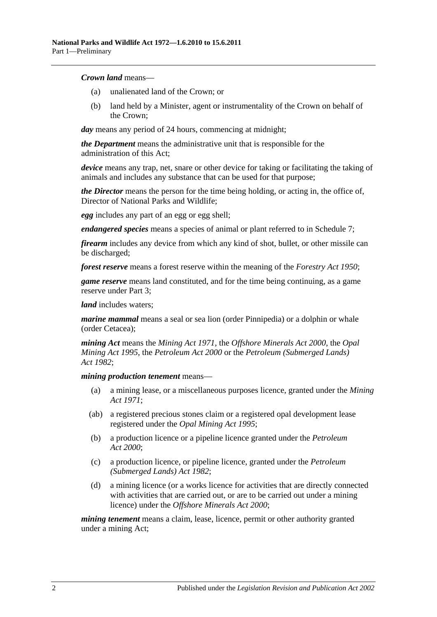#### *Crown land* means—

- (a) unalienated land of the Crown; or
- (b) land held by a Minister, agent or instrumentality of the Crown on behalf of the Crown;

*day* means any period of 24 hours, commencing at midnight;

*the Department* means the administrative unit that is responsible for the administration of this Act;

*device* means any trap, net, snare or other device for taking or facilitating the taking of animals and includes any substance that can be used for that purpose;

*the Director* means the person for the time being holding, or acting in, the office of, Director of National Parks and Wildlife;

*egg* includes any part of an egg or egg shell;

*endangered species* means a species of animal or plant referred to in [Schedule 7;](#page-89-0)

*firearm* includes any device from which any kind of shot, bullet, or other missile can be discharged;

*forest reserve* means a forest reserve within the meaning of the *[Forestry Act](http://www.legislation.sa.gov.au/index.aspx?action=legref&type=act&legtitle=Forestry%20Act%201950) 1950*;

*game reserve* means land constituted, and for the time being continuing, as a game reserve under [Part 3;](#page-22-0)

*land* includes waters;

*marine mammal* means a seal or sea lion (order Pinnipedia) or a dolphin or whale (order Cetacea);

*mining Act* means the *[Mining Act](http://www.legislation.sa.gov.au/index.aspx?action=legref&type=act&legtitle=Mining%20Act%201971) 1971*, the *[Offshore Minerals Act](http://www.legislation.sa.gov.au/index.aspx?action=legref&type=act&legtitle=Offshore%20Minerals%20Act%202000) 2000*, the *[Opal](http://www.legislation.sa.gov.au/index.aspx?action=legref&type=act&legtitle=Opal%20Mining%20Act%201995)  [Mining Act](http://www.legislation.sa.gov.au/index.aspx?action=legref&type=act&legtitle=Opal%20Mining%20Act%201995) 1995*, the *[Petroleum Act](http://www.legislation.sa.gov.au/index.aspx?action=legref&type=act&legtitle=Petroleum%20Act%202000) 2000* or the *[Petroleum \(Submerged Lands\)](http://www.legislation.sa.gov.au/index.aspx?action=legref&type=act&legtitle=Petroleum%20(Submerged%20Lands)%20Act%201982)  Act [1982](http://www.legislation.sa.gov.au/index.aspx?action=legref&type=act&legtitle=Petroleum%20(Submerged%20Lands)%20Act%201982)*;

#### *mining production tenement* means—

- (a) a mining lease, or a miscellaneous purposes licence, granted under the *[Mining](http://www.legislation.sa.gov.au/index.aspx?action=legref&type=act&legtitle=Mining%20Act%201971)  Act [1971](http://www.legislation.sa.gov.au/index.aspx?action=legref&type=act&legtitle=Mining%20Act%201971)*;
- (ab) a registered precious stones claim or a registered opal development lease registered under the *[Opal Mining Act](http://www.legislation.sa.gov.au/index.aspx?action=legref&type=act&legtitle=Opal%20Mining%20Act%201995) 1995*;
- (b) a production licence or a pipeline licence granted under the *[Petroleum](http://www.legislation.sa.gov.au/index.aspx?action=legref&type=act&legtitle=Petroleum%20Act%202000)  Act [2000](http://www.legislation.sa.gov.au/index.aspx?action=legref&type=act&legtitle=Petroleum%20Act%202000)*;
- (c) a production licence, or pipeline licence, granted under the *[Petroleum](http://www.legislation.sa.gov.au/index.aspx?action=legref&type=act&legtitle=Petroleum%20(Submerged%20Lands)%20Act%201982)  [\(Submerged Lands\) Act](http://www.legislation.sa.gov.au/index.aspx?action=legref&type=act&legtitle=Petroleum%20(Submerged%20Lands)%20Act%201982) 1982*;
- (d) a mining licence (or a works licence for activities that are directly connected with activities that are carried out, or are to be carried out under a mining licence) under the *[Offshore Minerals Act](http://www.legislation.sa.gov.au/index.aspx?action=legref&type=act&legtitle=Offshore%20Minerals%20Act%202000) 2000*;

*mining tenement* means a claim, lease, licence, permit or other authority granted under a mining Act;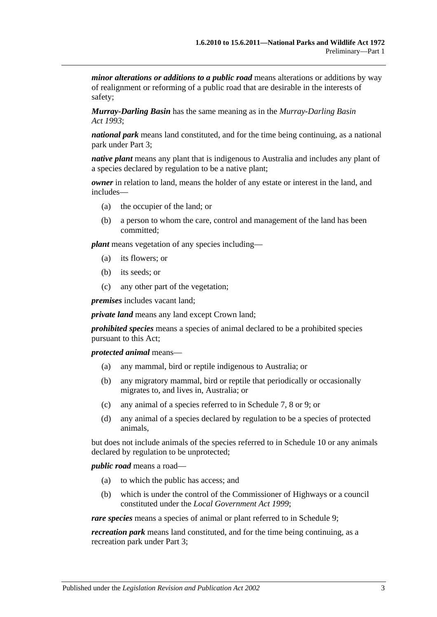*minor alterations or additions to a public road* means alterations or additions by way of realignment or reforming of a public road that are desirable in the interests of safety;

*Murray-Darling Basin* has the same meaning as in the *[Murray-Darling Basin](http://www.legislation.sa.gov.au/index.aspx?action=legref&type=act&legtitle=Murray-Darling%20Basin%20Act%201993)  Act [1993](http://www.legislation.sa.gov.au/index.aspx?action=legref&type=act&legtitle=Murray-Darling%20Basin%20Act%201993)*;

*national park* means land constituted, and for the time being continuing, as a national park under [Part 3;](#page-22-0)

*native plant* means any plant that is indigenous to Australia and includes any plant of a species declared by regulation to be a native plant;

*owner* in relation to land, means the holder of any estate or interest in the land, and includes—

- (a) the occupier of the land; or
- (b) a person to whom the care, control and management of the land has been committed;

*plant* means vegetation of any species including—

- (a) its flowers; or
- (b) its seeds; or
- (c) any other part of the vegetation;

*premises* includes vacant land;

*private land* means any land except Crown land;

*prohibited species* means a species of animal declared to be a prohibited species pursuant to this Act;

*protected animal* means—

- (a) any mammal, bird or reptile indigenous to Australia; or
- (b) any migratory mammal, bird or reptile that periodically or occasionally migrates to, and lives in, Australia; or
- (c) any animal of a species referred to in [Schedule 7,](#page-89-0) [8](#page-101-0) or [9;](#page-114-0) or
- (d) any animal of a species declared by regulation to be a species of protected animals,

but does not include animals of the species referred to in [Schedule 10](#page-137-0) or any animals declared by regulation to be unprotected;

*public road* means a road—

- (a) to which the public has access; and
- (b) which is under the control of the Commissioner of Highways or a council constituted under the *[Local Government Act](http://www.legislation.sa.gov.au/index.aspx?action=legref&type=act&legtitle=Local%20Government%20Act%201999) 1999*;

*rare species* means a species of animal or plant referred to in [Schedule 9;](#page-114-0)

*recreation park* means land constituted, and for the time being continuing, as a recreation park under [Part 3;](#page-22-0)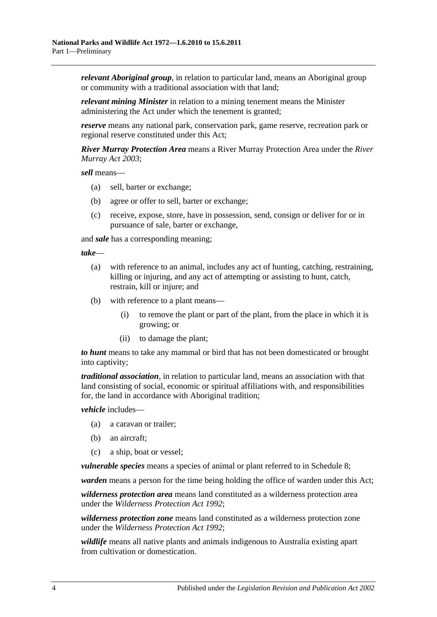*relevant Aboriginal group*, in relation to particular land, means an Aboriginal group or community with a traditional association with that land;

*relevant mining Minister* in relation to a mining tenement means the Minister administering the Act under which the tenement is granted;

*reserve* means any national park, conservation park, game reserve, recreation park or regional reserve constituted under this Act;

*River Murray Protection Area* means a River Murray Protection Area under the *[River](http://www.legislation.sa.gov.au/index.aspx?action=legref&type=act&legtitle=River%20Murray%20Act%202003)  [Murray Act](http://www.legislation.sa.gov.au/index.aspx?action=legref&type=act&legtitle=River%20Murray%20Act%202003) 2003*;

*sell* means—

- (a) sell, barter or exchange;
- (b) agree or offer to sell, barter or exchange;
- (c) receive, expose, store, have in possession, send, consign or deliver for or in pursuance of sale, barter or exchange,

and *sale* has a corresponding meaning;

*take*—

- (a) with reference to an animal, includes any act of hunting, catching, restraining, killing or injuring, and any act of attempting or assisting to hunt, catch, restrain, kill or injure; and
- (b) with reference to a plant means—
	- (i) to remove the plant or part of the plant, from the place in which it is growing; or
	- (ii) to damage the plant;

*to hunt* means to take any mammal or bird that has not been domesticated or brought into captivity;

*traditional association*, in relation to particular land, means an association with that land consisting of social, economic or spiritual affiliations with, and responsibilities for, the land in accordance with Aboriginal tradition;

*vehicle* includes—

- (a) a caravan or trailer;
- (b) an aircraft;
- (c) a ship, boat or vessel;

*vulnerable species* means a species of animal or plant referred to in [Schedule 8;](#page-101-0)

*warden* means a person for the time being holding the office of warden under this Act;

*wilderness protection area* means land constituted as a wilderness protection area under the *[Wilderness Protection Act](http://www.legislation.sa.gov.au/index.aspx?action=legref&type=act&legtitle=Wilderness%20Protection%20Act%201992) 1992*;

*wilderness protection zone* means land constituted as a wilderness protection zone under the *[Wilderness Protection Act](http://www.legislation.sa.gov.au/index.aspx?action=legref&type=act&legtitle=Wilderness%20Protection%20Act%201992) 1992*;

*wildlife* means all native plants and animals indigenous to Australia existing apart from cultivation or domestication.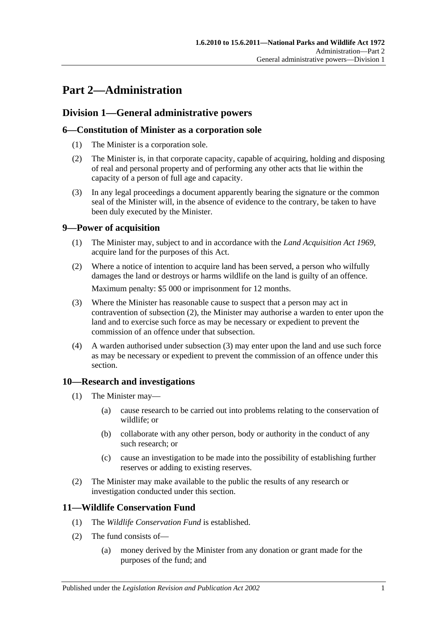# <span id="page-10-0"></span>**Part 2—Administration**

# <span id="page-10-1"></span>**Division 1—General administrative powers**

## <span id="page-10-2"></span>**6—Constitution of Minister as a corporation sole**

- (1) The Minister is a corporation sole.
- (2) The Minister is, in that corporate capacity, capable of acquiring, holding and disposing of real and personal property and of performing any other acts that lie within the capacity of a person of full age and capacity.
- (3) In any legal proceedings a document apparently bearing the signature or the common seal of the Minister will, in the absence of evidence to the contrary, be taken to have been duly executed by the Minister.

# <span id="page-10-3"></span>**9—Power of acquisition**

- (1) The Minister may, subject to and in accordance with the *[Land Acquisition Act](http://www.legislation.sa.gov.au/index.aspx?action=legref&type=act&legtitle=Land%20Acquisition%20Act%201969) 1969*, acquire land for the purposes of this Act.
- <span id="page-10-6"></span>(2) Where a notice of intention to acquire land has been served, a person who wilfully damages the land or destroys or harms wildlife on the land is guilty of an offence. Maximum penalty: \$5 000 or imprisonment for 12 months.
- <span id="page-10-7"></span>(3) Where the Minister has reasonable cause to suspect that a person may act in contravention of [subsection](#page-10-6) (2), the Minister may authorise a warden to enter upon the land and to exercise such force as may be necessary or expedient to prevent the commission of an offence under that subsection.
- (4) A warden authorised under [subsection](#page-10-7) (3) may enter upon the land and use such force as may be necessary or expedient to prevent the commission of an offence under this section.

## <span id="page-10-4"></span>**10—Research and investigations**

- (1) The Minister may—
	- (a) cause research to be carried out into problems relating to the conservation of wildlife; or
	- (b) collaborate with any other person, body or authority in the conduct of any such research; or
	- (c) cause an investigation to be made into the possibility of establishing further reserves or adding to existing reserves.
- (2) The Minister may make available to the public the results of any research or investigation conducted under this section.

## <span id="page-10-5"></span>**11—Wildlife Conservation Fund**

- (1) The *Wildlife Conservation Fund* is established.
- (2) The fund consists of—
	- (a) money derived by the Minister from any donation or grant made for the purposes of the fund; and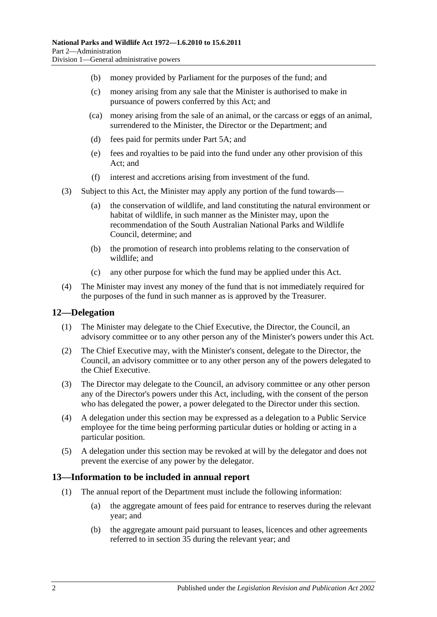- (b) money provided by Parliament for the purposes of the fund; and
- (c) money arising from any sale that the Minister is authorised to make in pursuance of powers conferred by this Act; and
- (ca) money arising from the sale of an animal, or the carcass or eggs of an animal, surrendered to the Minister, the Director or the Department; and
- (d) fees paid for permits under [Part 5A;](#page-68-0) and
- (e) fees and royalties to be paid into the fund under any other provision of this Act; and
- (f) interest and accretions arising from investment of the fund.
- (3) Subject to this Act, the Minister may apply any portion of the fund towards—
	- (a) the conservation of wildlife, and land constituting the natural environment or habitat of wildlife, in such manner as the Minister may, upon the recommendation of the South Australian National Parks and Wildlife Council, determine; and
	- (b) the promotion of research into problems relating to the conservation of wildlife; and
	- (c) any other purpose for which the fund may be applied under this Act.
- (4) The Minister may invest any money of the fund that is not immediately required for the purposes of the fund in such manner as is approved by the Treasurer.

#### <span id="page-11-0"></span>**12—Delegation**

- (1) The Minister may delegate to the Chief Executive, the Director, the Council, an advisory committee or to any other person any of the Minister's powers under this Act.
- (2) The Chief Executive may, with the Minister's consent, delegate to the Director, the Council, an advisory committee or to any other person any of the powers delegated to the Chief Executive.
- (3) The Director may delegate to the Council, an advisory committee or any other person any of the Director's powers under this Act, including, with the consent of the person who has delegated the power, a power delegated to the Director under this section.
- (4) A delegation under this section may be expressed as a delegation to a Public Service employee for the time being performing particular duties or holding or acting in a particular position.
- (5) A delegation under this section may be revoked at will by the delegator and does not prevent the exercise of any power by the delegator.

#### <span id="page-11-2"></span><span id="page-11-1"></span>**13—Information to be included in annual report**

- (1) The annual report of the Department must include the following information:
	- (a) the aggregate amount of fees paid for entrance to reserves during the relevant year; and
	- (b) the aggregate amount paid pursuant to leases, licences and other agreements referred to in [section](#page-27-1) 35 during the relevant year; and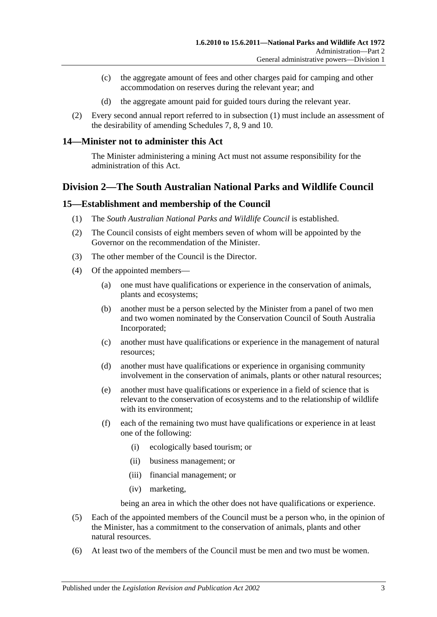- (c) the aggregate amount of fees and other charges paid for camping and other accommodation on reserves during the relevant year; and
- (d) the aggregate amount paid for guided tours during the relevant year.
- (2) Every second annual report referred to in [subsection](#page-11-2) (1) must include an assessment of the desirability of amending [Schedules 7,](#page-89-0) [8,](#page-101-0) [9](#page-114-0) and [10.](#page-137-0)

#### <span id="page-12-0"></span>**14—Minister not to administer this Act**

The Minister administering a mining Act must not assume responsibility for the administration of this Act.

# <span id="page-12-1"></span>**Division 2—The South Australian National Parks and Wildlife Council**

#### <span id="page-12-2"></span>**15—Establishment and membership of the Council**

- (1) The *South Australian National Parks and Wildlife Council* is established.
- (2) The Council consists of eight members seven of whom will be appointed by the Governor on the recommendation of the Minister.
- (3) The other member of the Council is the Director.
- (4) Of the appointed members—
	- (a) one must have qualifications or experience in the conservation of animals, plants and ecosystems;
	- (b) another must be a person selected by the Minister from a panel of two men and two women nominated by the Conservation Council of South Australia Incorporated;
	- (c) another must have qualifications or experience in the management of natural resources;
	- (d) another must have qualifications or experience in organising community involvement in the conservation of animals, plants or other natural resources;
	- (e) another must have qualifications or experience in a field of science that is relevant to the conservation of ecosystems and to the relationship of wildlife with its environment;
	- (f) each of the remaining two must have qualifications or experience in at least one of the following:
		- (i) ecologically based tourism; or
		- (ii) business management; or
		- (iii) financial management; or
		- (iv) marketing,

being an area in which the other does not have qualifications or experience.

- (5) Each of the appointed members of the Council must be a person who, in the opinion of the Minister, has a commitment to the conservation of animals, plants and other natural resources.
- (6) At least two of the members of the Council must be men and two must be women.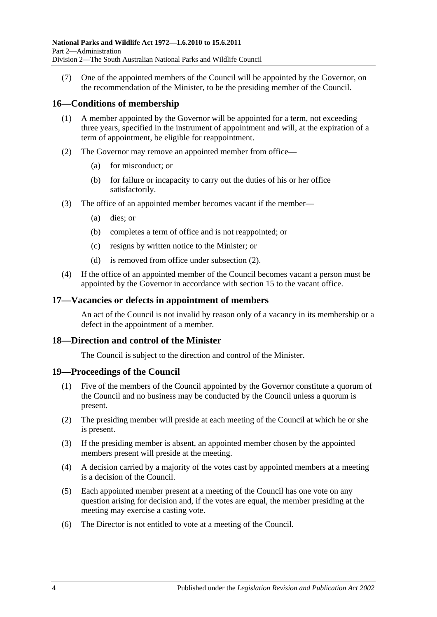(7) One of the appointed members of the Council will be appointed by the Governor, on the recommendation of the Minister, to be the presiding member of the Council.

## <span id="page-13-0"></span>**16—Conditions of membership**

- (1) A member appointed by the Governor will be appointed for a term, not exceeding three years, specified in the instrument of appointment and will, at the expiration of a term of appointment, be eligible for reappointment.
- <span id="page-13-4"></span>(2) The Governor may remove an appointed member from office—
	- (a) for misconduct; or
	- (b) for failure or incapacity to carry out the duties of his or her office satisfactorily.
- (3) The office of an appointed member becomes vacant if the member—
	- (a) dies; or
	- (b) completes a term of office and is not reappointed; or
	- (c) resigns by written notice to the Minister; or
	- (d) is removed from office under [subsection](#page-13-4) (2).
- (4) If the office of an appointed member of the Council becomes vacant a person must be appointed by the Governor in accordance with [section](#page-12-2) 15 to the vacant office.

#### <span id="page-13-1"></span>**17—Vacancies or defects in appointment of members**

An act of the Council is not invalid by reason only of a vacancy in its membership or a defect in the appointment of a member.

#### <span id="page-13-2"></span>**18—Direction and control of the Minister**

The Council is subject to the direction and control of the Minister.

#### <span id="page-13-3"></span>**19—Proceedings of the Council**

- (1) Five of the members of the Council appointed by the Governor constitute a quorum of the Council and no business may be conducted by the Council unless a quorum is present.
- (2) The presiding member will preside at each meeting of the Council at which he or she is present.
- (3) If the presiding member is absent, an appointed member chosen by the appointed members present will preside at the meeting.
- (4) A decision carried by a majority of the votes cast by appointed members at a meeting is a decision of the Council.
- (5) Each appointed member present at a meeting of the Council has one vote on any question arising for decision and, if the votes are equal, the member presiding at the meeting may exercise a casting vote.
- (6) The Director is not entitled to vote at a meeting of the Council.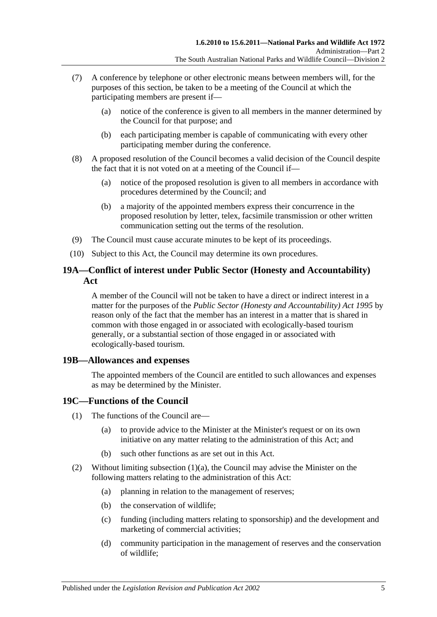- (7) A conference by telephone or other electronic means between members will, for the purposes of this section, be taken to be a meeting of the Council at which the participating members are present if—
	- (a) notice of the conference is given to all members in the manner determined by the Council for that purpose; and
	- (b) each participating member is capable of communicating with every other participating member during the conference.
- (8) A proposed resolution of the Council becomes a valid decision of the Council despite the fact that it is not voted on at a meeting of the Council if—
	- (a) notice of the proposed resolution is given to all members in accordance with procedures determined by the Council; and
	- (b) a majority of the appointed members express their concurrence in the proposed resolution by letter, telex, facsimile transmission or other written communication setting out the terms of the resolution.
- (9) The Council must cause accurate minutes to be kept of its proceedings.
- (10) Subject to this Act, the Council may determine its own procedures.

## <span id="page-14-0"></span>**19A—Conflict of interest under Public Sector (Honesty and Accountability) Act**

A member of the Council will not be taken to have a direct or indirect interest in a matter for the purposes of the *[Public Sector \(Honesty and Accountability\) Act](http://www.legislation.sa.gov.au/index.aspx?action=legref&type=act&legtitle=Public%20Sector%20(Honesty%20and%20Accountability)%20Act%201995) 1995* by reason only of the fact that the member has an interest in a matter that is shared in common with those engaged in or associated with ecologically-based tourism generally, or a substantial section of those engaged in or associated with ecologically-based tourism.

#### <span id="page-14-1"></span>**19B—Allowances and expenses**

The appointed members of the Council are entitled to such allowances and expenses as may be determined by the Minister.

## <span id="page-14-2"></span>**19C—Functions of the Council**

- <span id="page-14-3"></span>(1) The functions of the Council are—
	- (a) to provide advice to the Minister at the Minister's request or on its own initiative on any matter relating to the administration of this Act; and
	- (b) such other functions as are set out in this Act.
- (2) Without limiting [subsection](#page-14-3)  $(1)(a)$ , the Council may advise the Minister on the following matters relating to the administration of this Act:
	- (a) planning in relation to the management of reserves;
	- (b) the conservation of wildlife;
	- (c) funding (including matters relating to sponsorship) and the development and marketing of commercial activities;
	- (d) community participation in the management of reserves and the conservation of wildlife;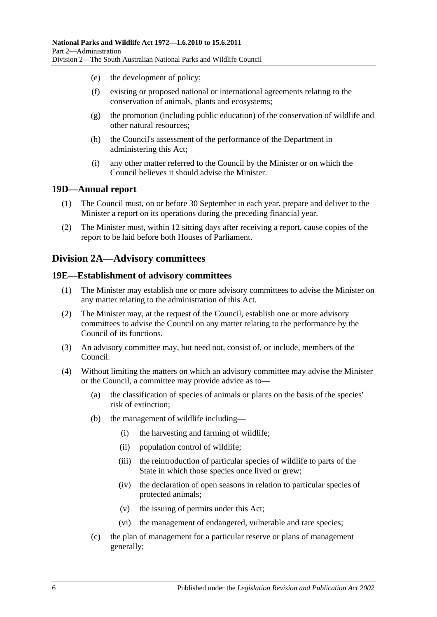- (e) the development of policy;
- (f) existing or proposed national or international agreements relating to the conservation of animals, plants and ecosystems;
- (g) the promotion (including public education) of the conservation of wildlife and other natural resources;
- (h) the Council's assessment of the performance of the Department in administering this Act;
- (i) any other matter referred to the Council by the Minister or on which the Council believes it should advise the Minister.

#### <span id="page-15-0"></span>**19D—Annual report**

- (1) The Council must, on or before 30 September in each year, prepare and deliver to the Minister a report on its operations during the preceding financial year.
- (2) The Minister must, within 12 sitting days after receiving a report, cause copies of the report to be laid before both Houses of Parliament.

## <span id="page-15-1"></span>**Division 2A—Advisory committees**

#### <span id="page-15-2"></span>**19E—Establishment of advisory committees**

- (1) The Minister may establish one or more advisory committees to advise the Minister on any matter relating to the administration of this Act.
- (2) The Minister may, at the request of the Council, establish one or more advisory committees to advise the Council on any matter relating to the performance by the Council of its functions.
- (3) An advisory committee may, but need not, consist of, or include, members of the Council.
- (4) Without limiting the matters on which an advisory committee may advise the Minister or the Council, a committee may provide advice as to—
	- (a) the classification of species of animals or plants on the basis of the species' risk of extinction;
	- (b) the management of wildlife including—
		- (i) the harvesting and farming of wildlife;
		- (ii) population control of wildlife;
		- (iii) the reintroduction of particular species of wildlife to parts of the State in which those species once lived or grew;
		- (iv) the declaration of open seasons in relation to particular species of protected animals;
		- (v) the issuing of permits under this Act;
		- (vi) the management of endangered, vulnerable and rare species;
	- (c) the plan of management for a particular reserve or plans of management generally;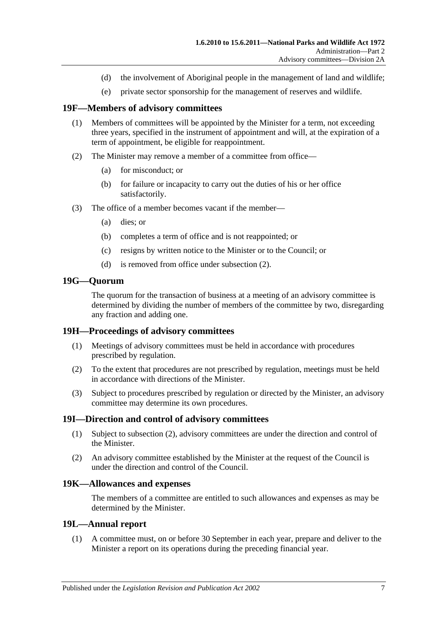- (d) the involvement of Aboriginal people in the management of land and wildlife;
- (e) private sector sponsorship for the management of reserves and wildlife.

## <span id="page-16-0"></span>**19F—Members of advisory committees**

- (1) Members of committees will be appointed by the Minister for a term, not exceeding three years, specified in the instrument of appointment and will, at the expiration of a term of appointment, be eligible for reappointment.
- <span id="page-16-6"></span>(2) The Minister may remove a member of a committee from office—
	- (a) for misconduct; or
	- (b) for failure or incapacity to carry out the duties of his or her office satisfactorily.
- (3) The office of a member becomes vacant if the member—
	- (a) dies; or
	- (b) completes a term of office and is not reappointed; or
	- (c) resigns by written notice to the Minister or to the Council; or
	- (d) is removed from office under [subsection](#page-16-6) (2).

# <span id="page-16-1"></span>**19G—Quorum**

The quorum for the transaction of business at a meeting of an advisory committee is determined by dividing the number of members of the committee by two, disregarding any fraction and adding one.

## <span id="page-16-2"></span>**19H—Proceedings of advisory committees**

- (1) Meetings of advisory committees must be held in accordance with procedures prescribed by regulation.
- (2) To the extent that procedures are not prescribed by regulation, meetings must be held in accordance with directions of the Minister.
- (3) Subject to procedures prescribed by regulation or directed by the Minister, an advisory committee may determine its own procedures.

## <span id="page-16-3"></span>**19I—Direction and control of advisory committees**

- (1) Subject to [subsection](#page-16-7) (2), advisory committees are under the direction and control of the Minister.
- <span id="page-16-7"></span>(2) An advisory committee established by the Minister at the request of the Council is under the direction and control of the Council.

## <span id="page-16-4"></span>**19K—Allowances and expenses**

The members of a committee are entitled to such allowances and expenses as may be determined by the Minister.

## <span id="page-16-8"></span><span id="page-16-5"></span>**19L—Annual report**

(1) A committee must, on or before 30 September in each year, prepare and deliver to the Minister a report on its operations during the preceding financial year.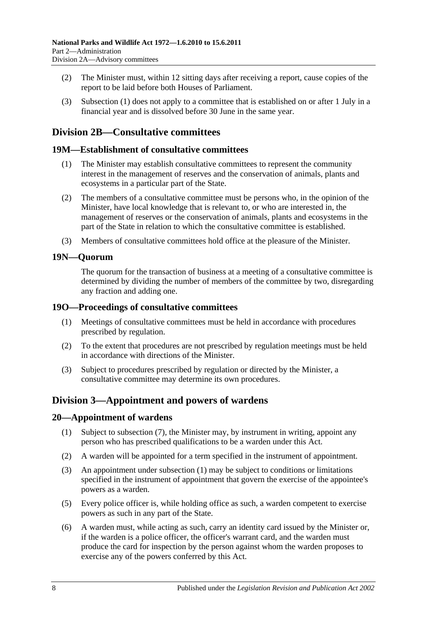- (2) The Minister must, within 12 sitting days after receiving a report, cause copies of the report to be laid before both Houses of Parliament.
- (3) [Subsection](#page-16-8) (1) does not apply to a committee that is established on or after 1 July in a financial year and is dissolved before 30 June in the same year.

# <span id="page-17-0"></span>**Division 2B—Consultative committees**

#### <span id="page-17-1"></span>**19M—Establishment of consultative committees**

- (1) The Minister may establish consultative committees to represent the community interest in the management of reserves and the conservation of animals, plants and ecosystems in a particular part of the State.
- (2) The members of a consultative committee must be persons who, in the opinion of the Minister, have local knowledge that is relevant to, or who are interested in, the management of reserves or the conservation of animals, plants and ecosystems in the part of the State in relation to which the consultative committee is established.
- (3) Members of consultative committees hold office at the pleasure of the Minister.

#### <span id="page-17-2"></span>**19N—Quorum**

The quorum for the transaction of business at a meeting of a consultative committee is determined by dividing the number of members of the committee by two, disregarding any fraction and adding one.

#### <span id="page-17-3"></span>**19O—Proceedings of consultative committees**

- (1) Meetings of consultative committees must be held in accordance with procedures prescribed by regulation.
- (2) To the extent that procedures are not prescribed by regulation meetings must be held in accordance with directions of the Minister.
- (3) Subject to procedures prescribed by regulation or directed by the Minister, a consultative committee may determine its own procedures.

# <span id="page-17-4"></span>**Division 3—Appointment and powers of wardens**

## <span id="page-17-6"></span><span id="page-17-5"></span>**20—Appointment of wardens**

- (1) Subject to [subsection](#page-18-2) (7), the Minister may, by instrument in writing, appoint any person who has prescribed qualifications to be a warden under this Act.
- (2) A warden will be appointed for a term specified in the instrument of appointment.
- (3) An appointment under [subsection](#page-17-6) (1) may be subject to conditions or limitations specified in the instrument of appointment that govern the exercise of the appointee's powers as a warden.
- (5) Every police officer is, while holding office as such, a warden competent to exercise powers as such in any part of the State.
- (6) A warden must, while acting as such, carry an identity card issued by the Minister or, if the warden is a police officer, the officer's warrant card, and the warden must produce the card for inspection by the person against whom the warden proposes to exercise any of the powers conferred by this Act.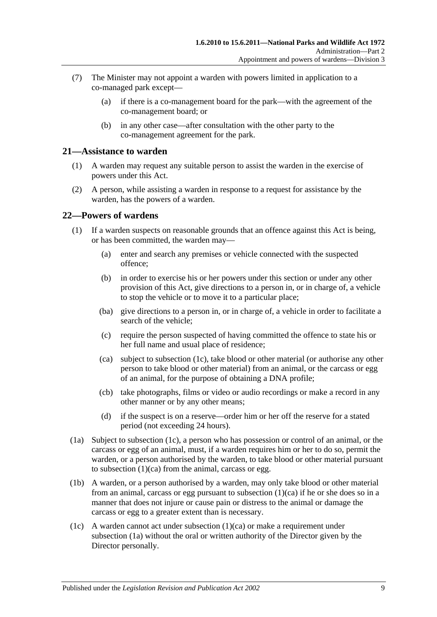- <span id="page-18-2"></span>(7) The Minister may not appoint a warden with powers limited in application to a co-managed park except—
	- (a) if there is a co-management board for the park—with the agreement of the co-management board; or
	- (b) in any other case—after consultation with the other party to the co-management agreement for the park.

#### <span id="page-18-0"></span>**21—Assistance to warden**

- (1) A warden may request any suitable person to assist the warden in the exercise of powers under this Act.
- (2) A person, while assisting a warden in response to a request for assistance by the warden, has the powers of a warden.

#### <span id="page-18-1"></span>**22—Powers of wardens**

- (1) If a warden suspects on reasonable grounds that an offence against this Act is being, or has been committed, the warden may—
	- (a) enter and search any premises or vehicle connected with the suspected offence;
	- (b) in order to exercise his or her powers under this section or under any other provision of this Act, give directions to a person in, or in charge of, a vehicle to stop the vehicle or to move it to a particular place;
	- (ba) give directions to a person in, or in charge of, a vehicle in order to facilitate a search of the vehicle;
	- (c) require the person suspected of having committed the offence to state his or her full name and usual place of residence;
	- (ca) subject to [subsection](#page-18-3) (1c), take blood or other material (or authorise any other person to take blood or other material) from an animal, or the carcass or egg of an animal, for the purpose of obtaining a DNA profile;
	- (cb) take photographs, films or video or audio recordings or make a record in any other manner or by any other means;
	- (d) if the suspect is on a reserve—order him or her off the reserve for a stated period (not exceeding 24 hours).
- <span id="page-18-5"></span><span id="page-18-4"></span>(1a) Subject to [subsection](#page-18-3) (1c), a person who has possession or control of an animal, or the carcass or egg of an animal, must, if a warden requires him or her to do so, permit the warden, or a person authorised by the warden, to take blood or other material pursuant to [subsection](#page-18-4)  $(1)(ca)$  from the animal, carcass or egg.
- (1b) A warden, or a person authorised by a warden, may only take blood or other material from an animal, carcass or egg pursuant to [subsection](#page-18-4) (1)(ca) if he or she does so in a manner that does not injure or cause pain or distress to the animal or damage the carcass or egg to a greater extent than is necessary.
- <span id="page-18-3"></span>(1c) A warden cannot act under [subsection](#page-18-4)  $(1)(ca)$  or make a requirement under [subsection](#page-18-5) (1a) without the oral or written authority of the Director given by the Director personally.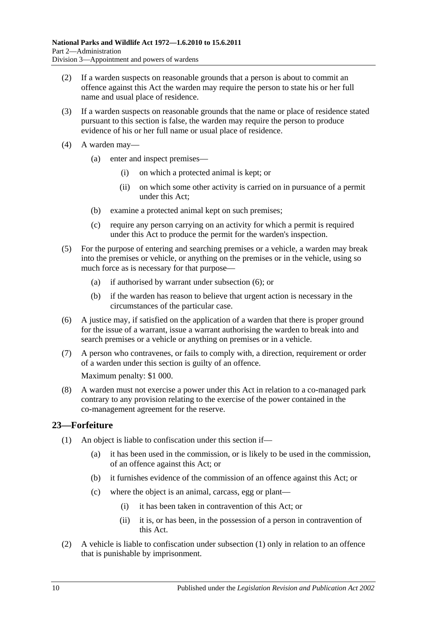- (2) If a warden suspects on reasonable grounds that a person is about to commit an offence against this Act the warden may require the person to state his or her full name and usual place of residence.
- (3) If a warden suspects on reasonable grounds that the name or place of residence stated pursuant to this section is false, the warden may require the person to produce evidence of his or her full name or usual place of residence.
- (4) A warden may—
	- (a) enter and inspect premises—
		- (i) on which a protected animal is kept; or
		- (ii) on which some other activity is carried on in pursuance of a permit under this Act;
	- (b) examine a protected animal kept on such premises;
	- (c) require any person carrying on an activity for which a permit is required under this Act to produce the permit for the warden's inspection.
- (5) For the purpose of entering and searching premises or a vehicle, a warden may break into the premises or vehicle, or anything on the premises or in the vehicle, using so much force as is necessary for that purpose—
	- (a) if authorised by warrant under [subsection](#page-19-1) (6); or
	- (b) if the warden has reason to believe that urgent action is necessary in the circumstances of the particular case.
- <span id="page-19-1"></span>(6) A justice may, if satisfied on the application of a warden that there is proper ground for the issue of a warrant, issue a warrant authorising the warden to break into and search premises or a vehicle or anything on premises or in a vehicle.
- (7) A person who contravenes, or fails to comply with, a direction, requirement or order of a warden under this section is guilty of an offence. Maximum penalty: \$1 000.
- (8) A warden must not exercise a power under this Act in relation to a co-managed park contrary to any provision relating to the exercise of the power contained in the co-management agreement for the reserve.

# <span id="page-19-2"></span><span id="page-19-0"></span>**23—Forfeiture**

- <span id="page-19-3"></span>(1) An object is liable to confiscation under this section if—
	- (a) it has been used in the commission, or is likely to be used in the commission, of an offence against this Act; or
	- (b) it furnishes evidence of the commission of an offence against this Act; or
	- (c) where the object is an animal, carcass, egg or plant—
		- (i) it has been taken in contravention of this Act; or
		- (ii) it is, or has been, in the possession of a person in contravention of this Act.
- (2) A vehicle is liable to confiscation under [subsection](#page-19-2) (1) only in relation to an offence that is punishable by imprisonment.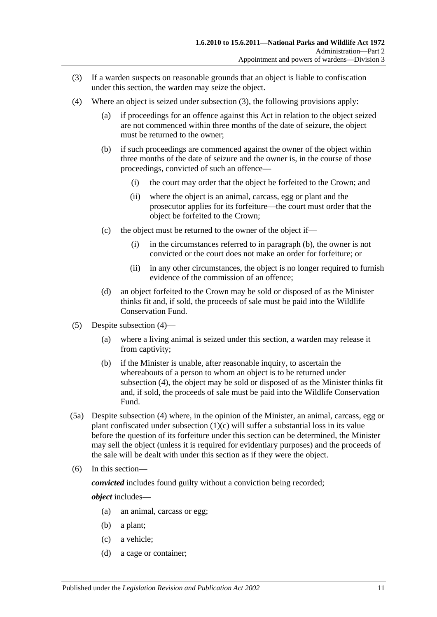- <span id="page-20-0"></span>(3) If a warden suspects on reasonable grounds that an object is liable to confiscation under this section, the warden may seize the object.
- <span id="page-20-2"></span><span id="page-20-1"></span>(4) Where an object is seized under [subsection](#page-20-0) (3), the following provisions apply:
	- (a) if proceedings for an offence against this Act in relation to the object seized are not commenced within three months of the date of seizure, the object must be returned to the owner;
	- (b) if such proceedings are commenced against the owner of the object within three months of the date of seizure and the owner is, in the course of those proceedings, convicted of such an offence—
		- (i) the court may order that the object be forfeited to the Crown; and
		- (ii) where the object is an animal, carcass, egg or plant and the prosecutor applies for its forfeiture—the court must order that the object be forfeited to the Crown;
	- (c) the object must be returned to the owner of the object if—
		- (i) in the circumstances referred to in [paragraph](#page-20-1) (b), the owner is not convicted or the court does not make an order for forfeiture; or
		- (ii) in any other circumstances, the object is no longer required to furnish evidence of the commission of an offence;
	- (d) an object forfeited to the Crown may be sold or disposed of as the Minister thinks fit and, if sold, the proceeds of sale must be paid into the Wildlife Conservation Fund.
- (5) Despite [subsection](#page-20-2) (4)—
	- (a) where a living animal is seized under this section, a warden may release it from captivity;
	- (b) if the Minister is unable, after reasonable inquiry, to ascertain the whereabouts of a person to whom an object is to be returned under [subsection](#page-20-2) (4), the object may be sold or disposed of as the Minister thinks fit and, if sold, the proceeds of sale must be paid into the Wildlife Conservation Fund.
- (5a) Despite [subsection](#page-20-2) (4) where, in the opinion of the Minister, an animal, carcass, egg or plant confiscated under [subsection](#page-19-3) (1)(c) will suffer a substantial loss in its value before the question of its forfeiture under this section can be determined, the Minister may sell the object (unless it is required for evidentiary purposes) and the proceeds of the sale will be dealt with under this section as if they were the object.
- (6) In this section—

*convicted* includes found guilty without a conviction being recorded;

*object* includes—

- (a) an animal, carcass or egg;
- (b) a plant;
- (c) a vehicle;
- (d) a cage or container;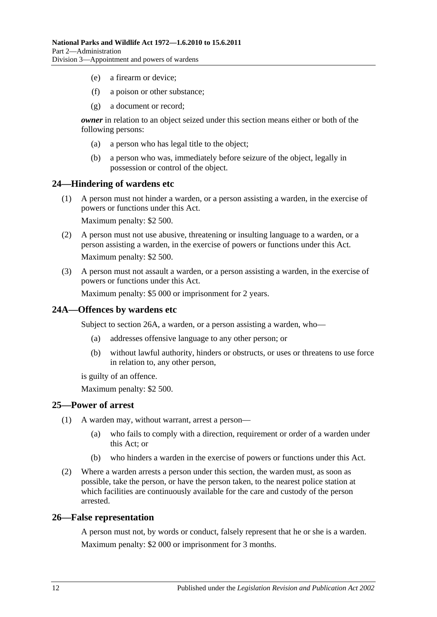- (e) a firearm or device;
- (f) a poison or other substance;
- (g) a document or record;

*owner* in relation to an object seized under this section means either or both of the following persons:

- (a) a person who has legal title to the object;
- (b) a person who was, immediately before seizure of the object, legally in possession or control of the object.

#### <span id="page-21-0"></span>**24—Hindering of wardens etc**

(1) A person must not hinder a warden, or a person assisting a warden, in the exercise of powers or functions under this Act.

Maximum penalty: \$2 500.

- (2) A person must not use abusive, threatening or insulting language to a warden, or a person assisting a warden, in the exercise of powers or functions under this Act. Maximum penalty: \$2 500.
- (3) A person must not assault a warden, or a person assisting a warden, in the exercise of powers or functions under this Act.

Maximum penalty: \$5 000 or imprisonment for 2 years.

## <span id="page-21-1"></span>**24A—Offences by wardens etc**

Subject to section 26A, a warden, or a person assisting a warden, who—

- (a) addresses offensive language to any other person; or
- (b) without lawful authority, hinders or obstructs, or uses or threatens to use force in relation to, any other person,

is guilty of an offence.

Maximum penalty: \$2 500.

#### <span id="page-21-2"></span>**25—Power of arrest**

- (1) A warden may, without warrant, arrest a person—
	- (a) who fails to comply with a direction, requirement or order of a warden under this Act; or
	- (b) who hinders a warden in the exercise of powers or functions under this Act.
- (2) Where a warden arrests a person under this section, the warden must, as soon as possible, take the person, or have the person taken, to the nearest police station at which facilities are continuously available for the care and custody of the person arrested.

#### <span id="page-21-3"></span>**26—False representation**

A person must not, by words or conduct, falsely represent that he or she is a warden. Maximum penalty: \$2 000 or imprisonment for 3 months.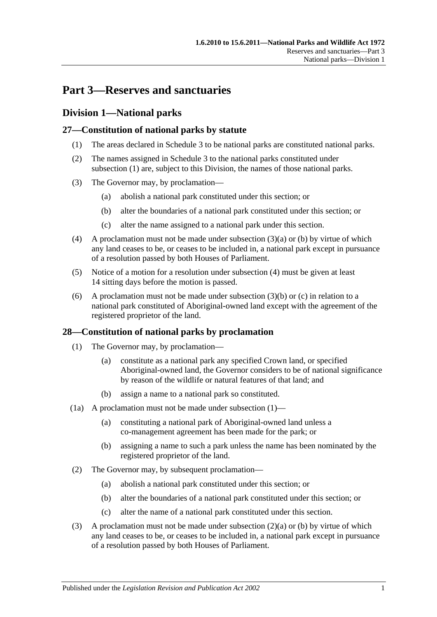# <span id="page-22-0"></span>**Part 3—Reserves and sanctuaries**

# <span id="page-22-1"></span>**Division 1—National parks**

# <span id="page-22-4"></span><span id="page-22-2"></span>**27—Constitution of national parks by statute**

- (1) The areas declared in [Schedule 3](#page-82-0) to be national parks are constituted national parks.
- (2) The names assigned in [Schedule 3](#page-82-0) to the national parks constituted under [subsection](#page-22-4) (1) are, subject to this Division, the names of those national parks.
- <span id="page-22-6"></span><span id="page-22-5"></span>(3) The Governor may, by proclamation—
	- (a) abolish a national park constituted under this section; or
	- (b) alter the boundaries of a national park constituted under this section; or
	- (c) alter the name assigned to a national park under this section.
- <span id="page-22-8"></span><span id="page-22-7"></span>(4) A proclamation must not be made under [subsection](#page-22-5)  $(3)(a)$  or [\(b\)](#page-22-6) by virtue of which any land ceases to be, or ceases to be included in, a national park except in pursuance of a resolution passed by both Houses of Parliament.
- (5) Notice of a motion for a resolution under [subsection](#page-22-7) (4) must be given at least 14 sitting days before the motion is passed.
- (6) A proclamation must not be made under [subsection](#page-22-6)  $(3)(b)$  or [\(c\)](#page-22-8) in relation to a national park constituted of Aboriginal-owned land except with the agreement of the registered proprietor of the land.

# <span id="page-22-9"></span><span id="page-22-3"></span>**28—Constitution of national parks by proclamation**

- (1) The Governor may, by proclamation—
	- (a) constitute as a national park any specified Crown land, or specified Aboriginal-owned land, the Governor considers to be of national significance by reason of the wildlife or natural features of that land; and
	- (b) assign a name to a national park so constituted.
- (1a) A proclamation must not be made under [subsection](#page-22-9)  $(1)$ 
	- (a) constituting a national park of Aboriginal-owned land unless a co-management agreement has been made for the park; or
	- (b) assigning a name to such a park unless the name has been nominated by the registered proprietor of the land.
- <span id="page-22-11"></span><span id="page-22-10"></span>(2) The Governor may, by subsequent proclamation—
	- (a) abolish a national park constituted under this section; or
	- (b) alter the boundaries of a national park constituted under this section; or
	- (c) alter the name of a national park constituted under this section.
- <span id="page-22-13"></span><span id="page-22-12"></span>(3) A proclamation must not be made under [subsection](#page-22-10)  $(2)(a)$  or [\(b\)](#page-22-11) by virtue of which any land ceases to be, or ceases to be included in, a national park except in pursuance of a resolution passed by both Houses of Parliament.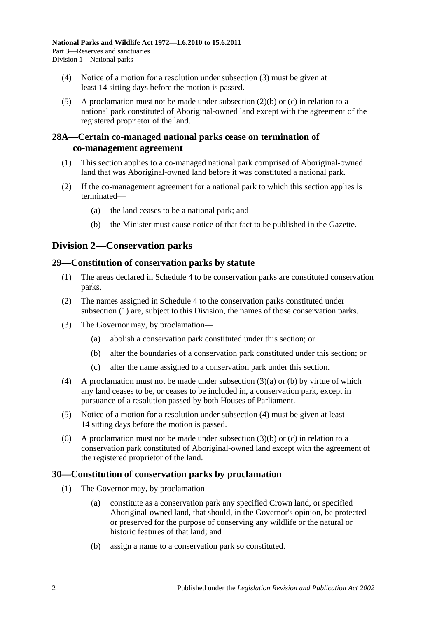- (4) Notice of a motion for a resolution under [subsection](#page-22-12) (3) must be given at least 14 sitting days before the motion is passed.
- (5) A proclamation must not be made under [subsection](#page-22-11) (2)(b) or [\(c\)](#page-22-13) in relation to a national park constituted of Aboriginal-owned land except with the agreement of the registered proprietor of the land.

## <span id="page-23-0"></span>**28A—Certain co-managed national parks cease on termination of co-management agreement**

- (1) This section applies to a co-managed national park comprised of Aboriginal-owned land that was Aboriginal-owned land before it was constituted a national park.
- (2) If the co-management agreement for a national park to which this section applies is terminated—
	- (a) the land ceases to be a national park; and
	- (b) the Minister must cause notice of that fact to be published in the Gazette.

# <span id="page-23-1"></span>**Division 2—Conservation parks**

## <span id="page-23-4"></span><span id="page-23-2"></span>**29—Constitution of conservation parks by statute**

- (1) The areas declared in [Schedule 4](#page-82-1) to be conservation parks are constituted conservation parks.
- (2) The names assigned in [Schedule 4](#page-82-1) to the conservation parks constituted under [subsection](#page-23-4) (1) are, subject to this Division, the names of those conservation parks.
- <span id="page-23-6"></span><span id="page-23-5"></span>(3) The Governor may, by proclamation—
	- (a) abolish a conservation park constituted under this section; or
	- (b) alter the boundaries of a conservation park constituted under this section; or
	- (c) alter the name assigned to a conservation park under this section.
- <span id="page-23-8"></span><span id="page-23-7"></span>(4) A proclamation must not be made under [subsection](#page-23-5) (3)(a) or [\(b\)](#page-23-6) by virtue of which any land ceases to be, or ceases to be included in, a conservation park, except in pursuance of a resolution passed by both Houses of Parliament.
- (5) Notice of a motion for a resolution under [subsection](#page-23-7) (4) must be given at least 14 sitting days before the motion is passed.
- (6) A proclamation must not be made under [subsection](#page-23-6)  $(3)(b)$  or [\(c\)](#page-23-8) in relation to a conservation park constituted of Aboriginal-owned land except with the agreement of the registered proprietor of the land.

## <span id="page-23-9"></span><span id="page-23-3"></span>**30—Constitution of conservation parks by proclamation**

- (1) The Governor may, by proclamation—
	- (a) constitute as a conservation park any specified Crown land, or specified Aboriginal-owned land, that should, in the Governor's opinion, be protected or preserved for the purpose of conserving any wildlife or the natural or historic features of that land; and
	- (b) assign a name to a conservation park so constituted.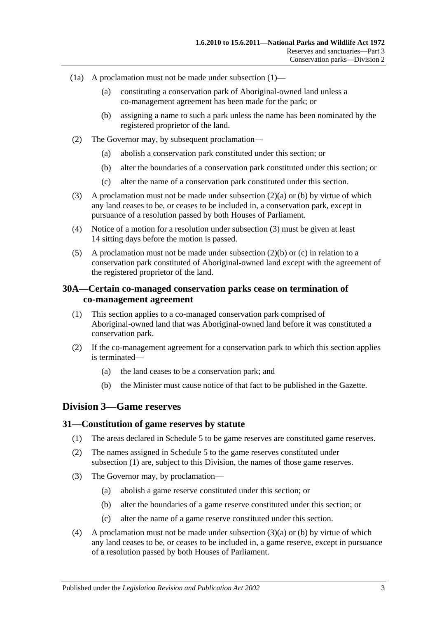- (1a) A proclamation must not be made under [subsection](#page-23-9)  $(1)$ 
	- (a) constituting a conservation park of Aboriginal-owned land unless a co-management agreement has been made for the park; or
	- (b) assigning a name to such a park unless the name has been nominated by the registered proprietor of the land.
- <span id="page-24-4"></span><span id="page-24-3"></span>(2) The Governor may, by subsequent proclamation—
	- (a) abolish a conservation park constituted under this section; or
	- (b) alter the boundaries of a conservation park constituted under this section; or
	- (c) alter the name of a conservation park constituted under this section.
- <span id="page-24-6"></span><span id="page-24-5"></span>(3) A proclamation must not be made under [subsection](#page-24-3) (2)(a) or [\(b\)](#page-24-4) by virtue of which any land ceases to be, or ceases to be included in, a conservation park, except in pursuance of a resolution passed by both Houses of Parliament.
- (4) Notice of a motion for a resolution under [subsection](#page-24-5) (3) must be given at least 14 sitting days before the motion is passed.
- (5) A proclamation must not be made under [subsection](#page-24-4)  $(2)(b)$  or [\(c\)](#page-24-6) in relation to a conservation park constituted of Aboriginal-owned land except with the agreement of the registered proprietor of the land.

## <span id="page-24-0"></span>**30A—Certain co-managed conservation parks cease on termination of co-management agreement**

- (1) This section applies to a co-managed conservation park comprised of Aboriginal-owned land that was Aboriginal-owned land before it was constituted a conservation park.
- (2) If the co-management agreement for a conservation park to which this section applies is terminated—
	- (a) the land ceases to be a conservation park; and
	- (b) the Minister must cause notice of that fact to be published in the Gazette.

## <span id="page-24-1"></span>**Division 3—Game reserves**

#### <span id="page-24-7"></span><span id="page-24-2"></span>**31—Constitution of game reserves by statute**

- (1) The areas declared in [Schedule 5](#page-87-0) to be game reserves are constituted game reserves.
- (2) The names assigned in [Schedule 5](#page-87-0) to the game reserves constituted under [subsection](#page-24-7) (1) are, subject to this Division, the names of those game reserves.
- <span id="page-24-9"></span><span id="page-24-8"></span>(3) The Governor may, by proclamation—
	- (a) abolish a game reserve constituted under this section; or
	- (b) alter the boundaries of a game reserve constituted under this section; or
	- (c) alter the name of a game reserve constituted under this section.
- <span id="page-24-10"></span>(4) A proclamation must not be made under [subsection](#page-24-8) (3)(a) or [\(b\)](#page-24-9) by virtue of which any land ceases to be, or ceases to be included in, a game reserve, except in pursuance of a resolution passed by both Houses of Parliament.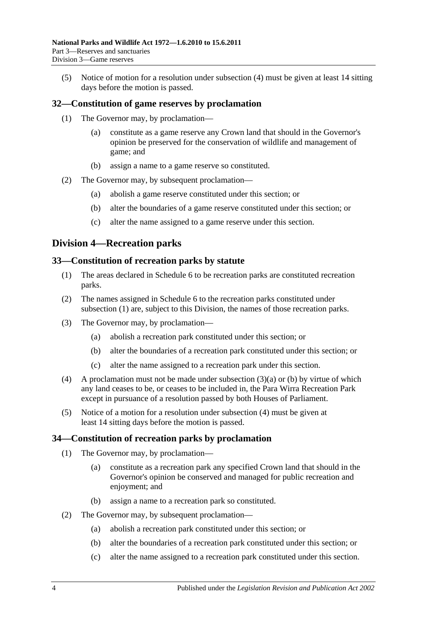(5) Notice of motion for a resolution under [subsection](#page-24-10) (4) must be given at least 14 sitting days before the motion is passed.

## <span id="page-25-0"></span>**32—Constitution of game reserves by proclamation**

- (1) The Governor may, by proclamation—
	- (a) constitute as a game reserve any Crown land that should in the Governor's opinion be preserved for the conservation of wildlife and management of game; and
	- (b) assign a name to a game reserve so constituted.
- (2) The Governor may, by subsequent proclamation—
	- (a) abolish a game reserve constituted under this section; or
	- (b) alter the boundaries of a game reserve constituted under this section; or
	- (c) alter the name assigned to a game reserve under this section.

# <span id="page-25-1"></span>**Division 4—Recreation parks**

#### <span id="page-25-4"></span><span id="page-25-2"></span>**33—Constitution of recreation parks by statute**

- (1) The areas declared in [Schedule 6](#page-88-0) to be recreation parks are constituted recreation parks.
- (2) The names assigned in [Schedule 6](#page-88-0) to the recreation parks constituted under [subsection](#page-25-4) (1) are, subject to this Division, the names of those recreation parks.
- <span id="page-25-6"></span><span id="page-25-5"></span>(3) The Governor may, by proclamation—
	- (a) abolish a recreation park constituted under this section; or
	- (b) alter the boundaries of a recreation park constituted under this section; or
	- (c) alter the name assigned to a recreation park under this section.
- <span id="page-25-7"></span>(4) A proclamation must not be made under [subsection](#page-25-5) (3)(a) or [\(b\)](#page-25-6) by virtue of which any land ceases to be, or ceases to be included in, the Para Wirra Recreation Park except in pursuance of a resolution passed by both Houses of Parliament.
- (5) Notice of a motion for a resolution under [subsection](#page-25-7) (4) must be given at least 14 sitting days before the motion is passed.

## <span id="page-25-3"></span>**34—Constitution of recreation parks by proclamation**

- (1) The Governor may, by proclamation—
	- (a) constitute as a recreation park any specified Crown land that should in the Governor's opinion be conserved and managed for public recreation and enjoyment; and
	- (b) assign a name to a recreation park so constituted.
- (2) The Governor may, by subsequent proclamation—
	- (a) abolish a recreation park constituted under this section; or
	- (b) alter the boundaries of a recreation park constituted under this section; or
	- (c) alter the name assigned to a recreation park constituted under this section.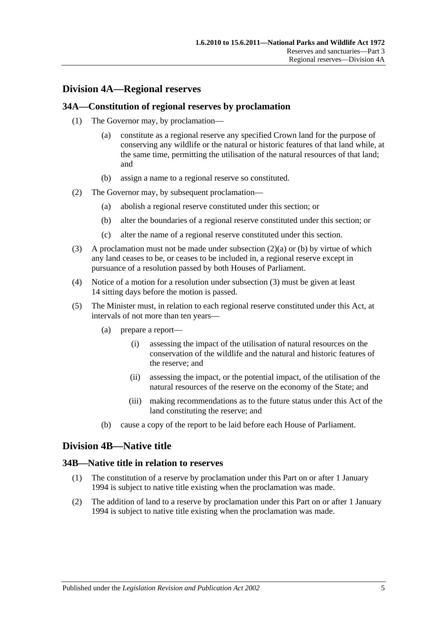# <span id="page-26-0"></span>**Division 4A—Regional reserves**

#### <span id="page-26-1"></span>**34A—Constitution of regional reserves by proclamation**

- (1) The Governor may, by proclamation—
	- (a) constitute as a regional reserve any specified Crown land for the purpose of conserving any wildlife or the natural or historic features of that land while, at the same time, permitting the utilisation of the natural resources of that land; and
	- (b) assign a name to a regional reserve so constituted.
- <span id="page-26-5"></span><span id="page-26-4"></span>(2) The Governor may, by subsequent proclamation—
	- (a) abolish a regional reserve constituted under this section; or
	- (b) alter the boundaries of a regional reserve constituted under this section; or
	- (c) alter the name of a regional reserve constituted under this section.
- <span id="page-26-6"></span>(3) A proclamation must not be made under [subsection](#page-26-4)  $(2)(a)$  or [\(b\)](#page-26-5) by virtue of which any land ceases to be, or ceases to be included in, a regional reserve except in pursuance of a resolution passed by both Houses of Parliament.
- (4) Notice of a motion for a resolution under [subsection](#page-26-6) (3) must be given at least 14 sitting days before the motion is passed.
- (5) The Minister must, in relation to each regional reserve constituted under this Act, at intervals of not more than ten years—
	- (a) prepare a report—
		- (i) assessing the impact of the utilisation of natural resources on the conservation of the wildlife and the natural and historic features of the reserve; and
		- (ii) assessing the impact, or the potential impact, of the utilisation of the natural resources of the reserve on the economy of the State; and
		- (iii) making recommendations as to the future status under this Act of the land constituting the reserve; and
	- (b) cause a copy of the report to be laid before each House of Parliament.

## <span id="page-26-2"></span>**Division 4B—Native title**

#### <span id="page-26-3"></span>**34B—Native title in relation to reserves**

- (1) The constitution of a reserve by proclamation under this Part on or after 1 January 1994 is subject to native title existing when the proclamation was made.
- (2) The addition of land to a reserve by proclamation under this Part on or after 1 January 1994 is subject to native title existing when the proclamation was made.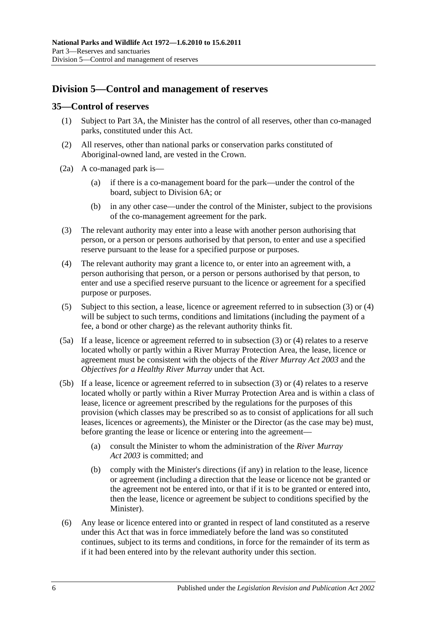# <span id="page-27-0"></span>**Division 5—Control and management of reserves**

#### <span id="page-27-1"></span>**35—Control of reserves**

- (1) Subject to [Part 3A,](#page-42-0) the Minister has the control of all reserves, other than co-managed parks, constituted under this Act.
- (2) All reserves, other than national parks or conservation parks constituted of Aboriginal-owned land, are vested in the Crown.
- (2a) A co-managed park is—
	- (a) if there is a co-management board for the park—under the control of the board, subject to [Division 6A;](#page-35-2) or
	- (b) in any other case—under the control of the Minister, subject to the provisions of the co-management agreement for the park.
- <span id="page-27-2"></span>(3) The relevant authority may enter into a lease with another person authorising that person, or a person or persons authorised by that person, to enter and use a specified reserve pursuant to the lease for a specified purpose or purposes.
- <span id="page-27-3"></span>(4) The relevant authority may grant a licence to, or enter into an agreement with, a person authorising that person, or a person or persons authorised by that person, to enter and use a specified reserve pursuant to the licence or agreement for a specified purpose or purposes.
- <span id="page-27-4"></span>(5) Subject to this section, a lease, licence or agreement referred to in [subsection](#page-27-2) (3) or [\(4\)](#page-27-3) will be subject to such terms, conditions and limitations (including the payment of a fee, a bond or other charge) as the relevant authority thinks fit.
- (5a) If a lease, licence or agreement referred to in [subsection](#page-27-2) (3) or [\(4\)](#page-27-3) relates to a reserve located wholly or partly within a River Murray Protection Area, the lease, licence or agreement must be consistent with the objects of the *[River Murray Act](http://www.legislation.sa.gov.au/index.aspx?action=legref&type=act&legtitle=River%20Murray%20Act%202003) 2003* and the *Objectives for a Healthy River Murray* under that Act.
- (5b) If a lease, licence or agreement referred to in [subsection](#page-27-2) (3) or [\(4\)](#page-27-3) relates to a reserve located wholly or partly within a River Murray Protection Area and is within a class of lease, licence or agreement prescribed by the regulations for the purposes of this provision (which classes may be prescribed so as to consist of applications for all such leases, licences or agreements), the Minister or the Director (as the case may be) must, before granting the lease or licence or entering into the agreement—
	- (a) consult the Minister to whom the administration of the *[River Murray](http://www.legislation.sa.gov.au/index.aspx?action=legref&type=act&legtitle=River%20Murray%20Act%202003)  Act [2003](http://www.legislation.sa.gov.au/index.aspx?action=legref&type=act&legtitle=River%20Murray%20Act%202003)* is committed; and
	- (b) comply with the Minister's directions (if any) in relation to the lease, licence or agreement (including a direction that the lease or licence not be granted or the agreement not be entered into, or that if it is to be granted or entered into, then the lease, licence or agreement be subject to conditions specified by the Minister).
- <span id="page-27-5"></span>(6) Any lease or licence entered into or granted in respect of land constituted as a reserve under this Act that was in force immediately before the land was so constituted continues, subject to its terms and conditions, in force for the remainder of its term as if it had been entered into by the relevant authority under this section.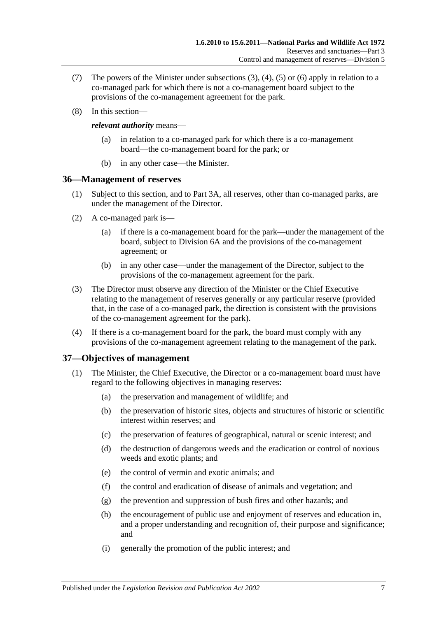- (7) The powers of the Minister under [subsections](#page-27-2) (3), [\(4\),](#page-27-3) [\(5\)](#page-27-4) or [\(6\)](#page-27-5) apply in relation to a co-managed park for which there is not a co-management board subject to the provisions of the co-management agreement for the park.
- (8) In this section—

#### *relevant authority* means—

- (a) in relation to a co-managed park for which there is a co-management board—the co-management board for the park; or
- (b) in any other case—the Minister.

## <span id="page-28-0"></span>**36—Management of reserves**

- (1) Subject to this section, and to [Part 3A,](#page-42-0) all reserves, other than co-managed parks, are under the management of the Director.
- (2) A co-managed park is—
	- (a) if there is a co-management board for the park—under the management of the board, subject to [Division 6A](#page-35-2) and the provisions of the co-management agreement; or
	- (b) in any other case—under the management of the Director, subject to the provisions of the co-management agreement for the park.
- (3) The Director must observe any direction of the Minister or the Chief Executive relating to the management of reserves generally or any particular reserve (provided that, in the case of a co-managed park, the direction is consistent with the provisions of the co-management agreement for the park).
- (4) If there is a co-management board for the park, the board must comply with any provisions of the co-management agreement relating to the management of the park.

## <span id="page-28-1"></span>**37—Objectives of management**

- (1) The Minister, the Chief Executive, the Director or a co-management board must have regard to the following objectives in managing reserves:
	- (a) the preservation and management of wildlife; and
	- (b) the preservation of historic sites, objects and structures of historic or scientific interest within reserves; and
	- (c) the preservation of features of geographical, natural or scenic interest; and
	- (d) the destruction of dangerous weeds and the eradication or control of noxious weeds and exotic plants; and
	- (e) the control of vermin and exotic animals; and
	- (f) the control and eradication of disease of animals and vegetation; and
	- (g) the prevention and suppression of bush fires and other hazards; and
	- (h) the encouragement of public use and enjoyment of reserves and education in, and a proper understanding and recognition of, their purpose and significance; and
	- (i) generally the promotion of the public interest; and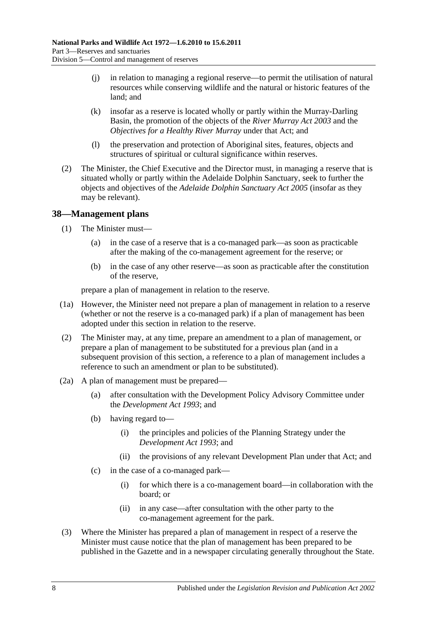- (j) in relation to managing a regional reserve—to permit the utilisation of natural resources while conserving wildlife and the natural or historic features of the land; and
- (k) insofar as a reserve is located wholly or partly within the Murray-Darling Basin, the promotion of the objects of the *[River Murray Act](http://www.legislation.sa.gov.au/index.aspx?action=legref&type=act&legtitle=River%20Murray%20Act%202003) 2003* and the *Objectives for a Healthy River Murray* under that Act; and
- (l) the preservation and protection of Aboriginal sites, features, objects and structures of spiritual or cultural significance within reserves.
- (2) The Minister, the Chief Executive and the Director must, in managing a reserve that is situated wholly or partly within the Adelaide Dolphin Sanctuary, seek to further the objects and objectives of the *[Adelaide Dolphin Sanctuary Act](http://www.legislation.sa.gov.au/index.aspx?action=legref&type=act&legtitle=Adelaide%20Dolphin%20Sanctuary%20Act%202005) 2005* (insofar as they may be relevant).

## <span id="page-29-0"></span>**38—Management plans**

- (1) The Minister must—
	- (a) in the case of a reserve that is a co-managed park—as soon as practicable after the making of the co-management agreement for the reserve; or
	- (b) in the case of any other reserve—as soon as practicable after the constitution of the reserve,

prepare a plan of management in relation to the reserve.

- (1a) However, the Minister need not prepare a plan of management in relation to a reserve (whether or not the reserve is a co-managed park) if a plan of management has been adopted under this section in relation to the reserve.
- (2) The Minister may, at any time, prepare an amendment to a plan of management, or prepare a plan of management to be substituted for a previous plan (and in a subsequent provision of this section, a reference to a plan of management includes a reference to such an amendment or plan to be substituted).
- (2a) A plan of management must be prepared—
	- (a) after consultation with the Development Policy Advisory Committee under the *[Development Act](http://www.legislation.sa.gov.au/index.aspx?action=legref&type=act&legtitle=Development%20Act%201993) 1993*; and
	- (b) having regard to—
		- (i) the principles and policies of the Planning Strategy under the *[Development Act](http://www.legislation.sa.gov.au/index.aspx?action=legref&type=act&legtitle=Development%20Act%201993) 1993*; and
		- (ii) the provisions of any relevant Development Plan under that Act; and
	- (c) in the case of a co-managed park—
		- (i) for which there is a co-management board—in collaboration with the board; or
		- (ii) in any case—after consultation with the other party to the co-management agreement for the park.
- (3) Where the Minister has prepared a plan of management in respect of a reserve the Minister must cause notice that the plan of management has been prepared to be published in the Gazette and in a newspaper circulating generally throughout the State.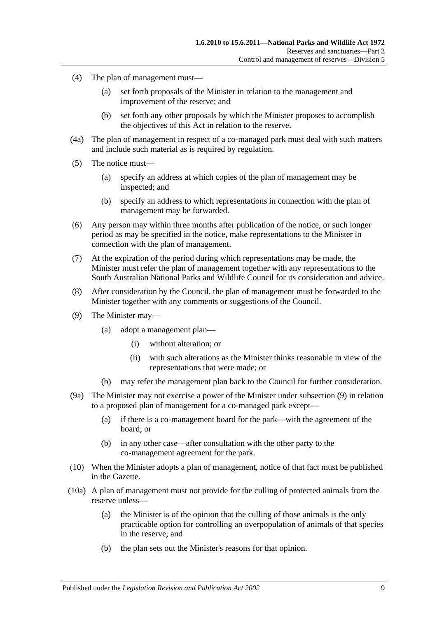- (4) The plan of management must—
	- (a) set forth proposals of the Minister in relation to the management and improvement of the reserve; and
	- (b) set forth any other proposals by which the Minister proposes to accomplish the objectives of this Act in relation to the reserve.
- (4a) The plan of management in respect of a co-managed park must deal with such matters and include such material as is required by regulation.
- (5) The notice must—
	- (a) specify an address at which copies of the plan of management may be inspected; and
	- (b) specify an address to which representations in connection with the plan of management may be forwarded.
- (6) Any person may within three months after publication of the notice, or such longer period as may be specified in the notice, make representations to the Minister in connection with the plan of management.
- (7) At the expiration of the period during which representations may be made, the Minister must refer the plan of management together with any representations to the South Australian National Parks and Wildlife Council for its consideration and advice.
- (8) After consideration by the Council, the plan of management must be forwarded to the Minister together with any comments or suggestions of the Council.
- <span id="page-30-0"></span>(9) The Minister may—
	- (a) adopt a management plan—
		- (i) without alteration; or
		- (ii) with such alterations as the Minister thinks reasonable in view of the representations that were made; or
	- (b) may refer the management plan back to the Council for further consideration.
- (9a) The Minister may not exercise a power of the Minister under [subsection](#page-30-0) (9) in relation to a proposed plan of management for a co-managed park except—
	- (a) if there is a co-management board for the park—with the agreement of the board; or
	- (b) in any other case—after consultation with the other party to the co-management agreement for the park.
- (10) When the Minister adopts a plan of management, notice of that fact must be published in the Gazette.
- (10a) A plan of management must not provide for the culling of protected animals from the reserve unless—
	- (a) the Minister is of the opinion that the culling of those animals is the only practicable option for controlling an overpopulation of animals of that species in the reserve; and
	- (b) the plan sets out the Minister's reasons for that opinion.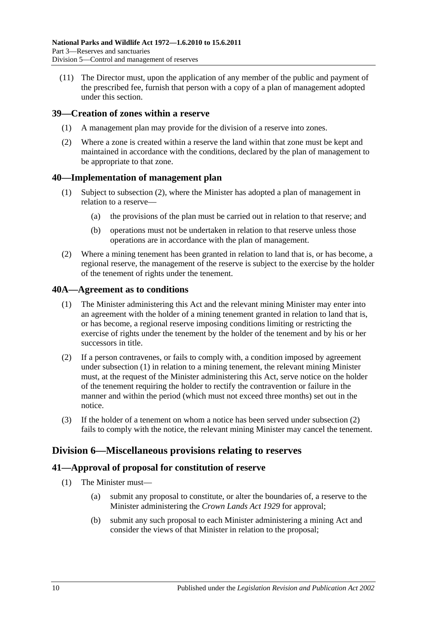(11) The Director must, upon the application of any member of the public and payment of the prescribed fee, furnish that person with a copy of a plan of management adopted under this section.

## <span id="page-31-0"></span>**39—Creation of zones within a reserve**

- (1) A management plan may provide for the division of a reserve into zones.
- (2) Where a zone is created within a reserve the land within that zone must be kept and maintained in accordance with the conditions, declared by the plan of management to be appropriate to that zone.

#### <span id="page-31-1"></span>**40—Implementation of management plan**

- (1) Subject to [subsection](#page-31-5) (2), where the Minister has adopted a plan of management in relation to a reserve—
	- (a) the provisions of the plan must be carried out in relation to that reserve; and
	- (b) operations must not be undertaken in relation to that reserve unless those operations are in accordance with the plan of management.
- <span id="page-31-5"></span>(2) Where a mining tenement has been granted in relation to land that is, or has become, a regional reserve, the management of the reserve is subject to the exercise by the holder of the tenement of rights under the tenement.

#### <span id="page-31-6"></span><span id="page-31-2"></span>**40A—Agreement as to conditions**

- (1) The Minister administering this Act and the relevant mining Minister may enter into an agreement with the holder of a mining tenement granted in relation to land that is, or has become, a regional reserve imposing conditions limiting or restricting the exercise of rights under the tenement by the holder of the tenement and by his or her successors in title.
- <span id="page-31-7"></span>(2) If a person contravenes, or fails to comply with, a condition imposed by agreement under [subsection](#page-31-6) (1) in relation to a mining tenement, the relevant mining Minister must, at the request of the Minister administering this Act, serve notice on the holder of the tenement requiring the holder to rectify the contravention or failure in the manner and within the period (which must not exceed three months) set out in the notice.
- (3) If the holder of a tenement on whom a notice has been served under [subsection](#page-31-7) (2) fails to comply with the notice, the relevant mining Minister may cancel the tenement.

# <span id="page-31-3"></span>**Division 6—Miscellaneous provisions relating to reserves**

## <span id="page-31-4"></span>**41—Approval of proposal for constitution of reserve**

- (1) The Minister must—
	- (a) submit any proposal to constitute, or alter the boundaries of, a reserve to the Minister administering the *[Crown Lands Act](http://www.legislation.sa.gov.au/index.aspx?action=legref&type=act&legtitle=Crown%20Lands%20Act%201929) 1929* for approval;
	- (b) submit any such proposal to each Minister administering a mining Act and consider the views of that Minister in relation to the proposal;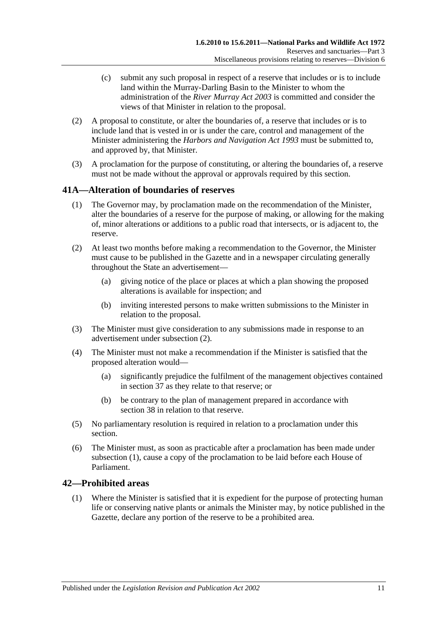- (c) submit any such proposal in respect of a reserve that includes or is to include land within the Murray-Darling Basin to the Minister to whom the administration of the *[River Murray Act](http://www.legislation.sa.gov.au/index.aspx?action=legref&type=act&legtitle=River%20Murray%20Act%202003) 2003* is committed and consider the views of that Minister in relation to the proposal.
- (2) A proposal to constitute, or alter the boundaries of, a reserve that includes or is to include land that is vested in or is under the care, control and management of the Minister administering the *[Harbors and Navigation Act](http://www.legislation.sa.gov.au/index.aspx?action=legref&type=act&legtitle=Harbors%20and%20Navigation%20Act%201993) 1993* must be submitted to, and approved by, that Minister.
- (3) A proclamation for the purpose of constituting, or altering the boundaries of, a reserve must not be made without the approval or approvals required by this section.

## <span id="page-32-3"></span><span id="page-32-0"></span>**41A—Alteration of boundaries of reserves**

- (1) The Governor may, by proclamation made on the recommendation of the Minister, alter the boundaries of a reserve for the purpose of making, or allowing for the making of, minor alterations or additions to a public road that intersects, or is adjacent to, the reserve.
- <span id="page-32-2"></span>(2) At least two months before making a recommendation to the Governor, the Minister must cause to be published in the Gazette and in a newspaper circulating generally throughout the State an advertisement—
	- (a) giving notice of the place or places at which a plan showing the proposed alterations is available for inspection; and
	- (b) inviting interested persons to make written submissions to the Minister in relation to the proposal.
- (3) The Minister must give consideration to any submissions made in response to an advertisement under [subsection](#page-32-2) (2).
- (4) The Minister must not make a recommendation if the Minister is satisfied that the proposed alteration would—
	- (a) significantly prejudice the fulfilment of the management objectives contained in [section](#page-28-1) 37 as they relate to that reserve; or
	- (b) be contrary to the plan of management prepared in accordance with [section](#page-29-0) 38 in relation to that reserve.
- (5) No parliamentary resolution is required in relation to a proclamation under this section.
- (6) The Minister must, as soon as practicable after a proclamation has been made under [subsection](#page-32-3) (1), cause a copy of the proclamation to be laid before each House of Parliament.

## <span id="page-32-4"></span><span id="page-32-1"></span>**42—Prohibited areas**

(1) Where the Minister is satisfied that it is expedient for the purpose of protecting human life or conserving native plants or animals the Minister may, by notice published in the Gazette, declare any portion of the reserve to be a prohibited area.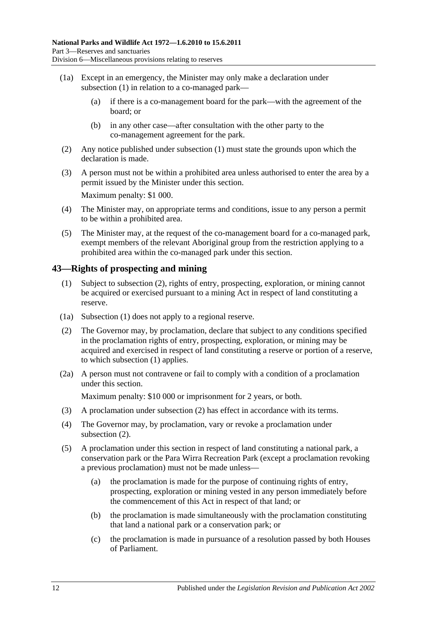- (1a) Except in an emergency, the Minister may only make a declaration under [subsection](#page-32-4) (1) in relation to a co-managed park—
	- (a) if there is a co-management board for the park—with the agreement of the board; or
	- (b) in any other case—after consultation with the other party to the co-management agreement for the park.
- (2) Any notice published under [subsection](#page-32-4) (1) must state the grounds upon which the declaration is made.
- (3) A person must not be within a prohibited area unless authorised to enter the area by a permit issued by the Minister under this section. Maximum penalty: \$1 000.
- (4) The Minister may, on appropriate terms and conditions, issue to any person a permit to be within a prohibited area.
- (5) The Minister may, at the request of the co-management board for a co-managed park, exempt members of the relevant Aboriginal group from the restriction applying to a prohibited area within the co-managed park under this section.

## <span id="page-33-2"></span><span id="page-33-0"></span>**43—Rights of prospecting and mining**

- (1) Subject to [subsection](#page-33-1) (2), rights of entry, prospecting, exploration, or mining cannot be acquired or exercised pursuant to a mining Act in respect of land constituting a reserve.
- (1a) [Subsection](#page-33-2) (1) does not apply to a regional reserve.
- <span id="page-33-1"></span>(2) The Governor may, by proclamation, declare that subject to any conditions specified in the proclamation rights of entry, prospecting, exploration, or mining may be acquired and exercised in respect of land constituting a reserve or portion of a reserve, to which [subsection](#page-33-2) (1) applies.
- (2a) A person must not contravene or fail to comply with a condition of a proclamation under this section.

Maximum penalty: \$10 000 or imprisonment for 2 years, or both.

- (3) A proclamation under [subsection](#page-33-1) (2) has effect in accordance with its terms.
- (4) The Governor may, by proclamation, vary or revoke a proclamation under [subsection](#page-33-1) (2).
- <span id="page-33-3"></span>(5) A proclamation under this section in respect of land constituting a national park, a conservation park or the Para Wirra Recreation Park (except a proclamation revoking a previous proclamation) must not be made unless—
	- (a) the proclamation is made for the purpose of continuing rights of entry, prospecting, exploration or mining vested in any person immediately before the commencement of this Act in respect of that land; or
	- (b) the proclamation is made simultaneously with the proclamation constituting that land a national park or a conservation park; or
	- (c) the proclamation is made in pursuance of a resolution passed by both Houses of Parliament.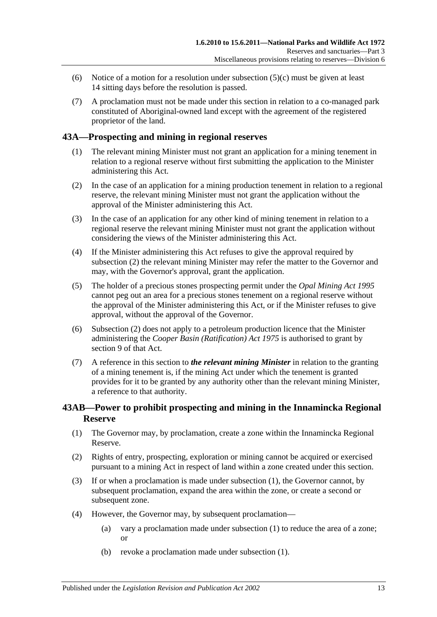- (6) Notice of a motion for a resolution under [subsection](#page-33-3)  $(5)(c)$  must be given at least 14 sitting days before the resolution is passed.
- (7) A proclamation must not be made under this section in relation to a co-managed park constituted of Aboriginal-owned land except with the agreement of the registered proprietor of the land.

## <span id="page-34-0"></span>**43A—Prospecting and mining in regional reserves**

- (1) The relevant mining Minister must not grant an application for a mining tenement in relation to a regional reserve without first submitting the application to the Minister administering this Act.
- <span id="page-34-2"></span>(2) In the case of an application for a mining production tenement in relation to a regional reserve, the relevant mining Minister must not grant the application without the approval of the Minister administering this Act.
- (3) In the case of an application for any other kind of mining tenement in relation to a regional reserve the relevant mining Minister must not grant the application without considering the views of the Minister administering this Act.
- (4) If the Minister administering this Act refuses to give the approval required by [subsection](#page-34-2) (2) the relevant mining Minister may refer the matter to the Governor and may, with the Governor's approval, grant the application.
- (5) The holder of a precious stones prospecting permit under the *[Opal Mining Act](http://www.legislation.sa.gov.au/index.aspx?action=legref&type=act&legtitle=Opal%20Mining%20Act%201995) 1995* cannot peg out an area for a precious stones tenement on a regional reserve without the approval of the Minister administering this Act, or if the Minister refuses to give approval, without the approval of the Governor.
- (6) [Subsection](#page-34-2) (2) does not apply to a petroleum production licence that the Minister administering the *[Cooper Basin \(Ratification\) Act](http://www.legislation.sa.gov.au/index.aspx?action=legref&type=act&legtitle=Cooper%20Basin%20(Ratification)%20Act%201975) 1975* is authorised to grant by section 9 of that Act.
- (7) A reference in this section to *the relevant mining Minister* in relation to the granting of a mining tenement is, if the mining Act under which the tenement is granted provides for it to be granted by any authority other than the relevant mining Minister, a reference to that authority.

## <span id="page-34-1"></span>**43AB—Power to prohibit prospecting and mining in the Innamincka Regional Reserve**

- <span id="page-34-3"></span>(1) The Governor may, by proclamation, create a zone within the Innamincka Regional Reserve.
- (2) Rights of entry, prospecting, exploration or mining cannot be acquired or exercised pursuant to a mining Act in respect of land within a zone created under this section.
- (3) If or when a proclamation is made under [subsection](#page-34-3) (1), the Governor cannot, by subsequent proclamation, expand the area within the zone, or create a second or subsequent zone.
- <span id="page-34-4"></span>(4) However, the Governor may, by subsequent proclamation—
	- (a) vary a proclamation made under [subsection](#page-34-3) (1) to reduce the area of a zone; or
	- (b) revoke a proclamation made under [subsection](#page-34-3) (1).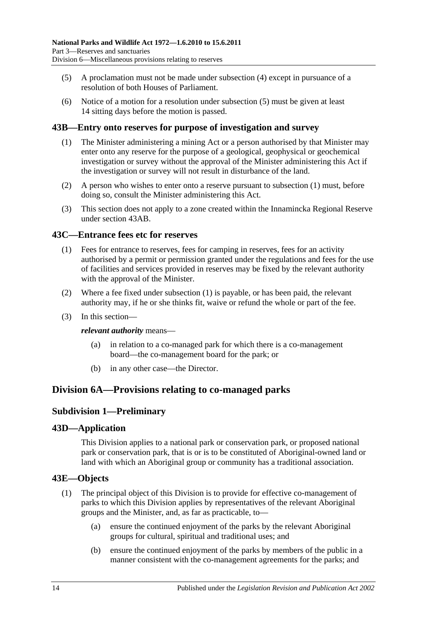- <span id="page-35-6"></span>(5) A proclamation must not be made under [subsection](#page-34-4) (4) except in pursuance of a resolution of both Houses of Parliament.
- (6) Notice of a motion for a resolution under [subsection](#page-35-6) (5) must be given at least 14 sitting days before the motion is passed.

## <span id="page-35-7"></span><span id="page-35-0"></span>**43B—Entry onto reserves for purpose of investigation and survey**

- (1) The Minister administering a mining Act or a person authorised by that Minister may enter onto any reserve for the purpose of a geological, geophysical or geochemical investigation or survey without the approval of the Minister administering this Act if the investigation or survey will not result in disturbance of the land.
- (2) A person who wishes to enter onto a reserve pursuant to [subsection](#page-35-7) (1) must, before doing so, consult the Minister administering this Act.
- (3) This section does not apply to a zone created within the Innamincka Regional Reserve under [section](#page-34-1) 43AB.

#### <span id="page-35-8"></span><span id="page-35-1"></span>**43C—Entrance fees etc for reserves**

- (1) Fees for entrance to reserves, fees for camping in reserves, fees for an activity authorised by a permit or permission granted under the regulations and fees for the use of facilities and services provided in reserves may be fixed by the relevant authority with the approval of the Minister.
- (2) Where a fee fixed under [subsection](#page-35-8) (1) is payable, or has been paid, the relevant authority may, if he or she thinks fit, waive or refund the whole or part of the fee.
- (3) In this section—

#### *relevant authority* means—

- (a) in relation to a co-managed park for which there is a co-management board—the co-management board for the park; or
- (b) in any other case—the Director.

# <span id="page-35-3"></span><span id="page-35-2"></span>**Division 6A—Provisions relating to co-managed parks**

## **Subdivision 1—Preliminary**

#### <span id="page-35-4"></span>**43D—Application**

This Division applies to a national park or conservation park, or proposed national park or conservation park, that is or is to be constituted of Aboriginal-owned land or land with which an Aboriginal group or community has a traditional association.

#### <span id="page-35-5"></span>**43E—Objects**

- (1) The principal object of this Division is to provide for effective co-management of parks to which this Division applies by representatives of the relevant Aboriginal groups and the Minister, and, as far as practicable, to—
	- (a) ensure the continued enjoyment of the parks by the relevant Aboriginal groups for cultural, spiritual and traditional uses; and
	- (b) ensure the continued enjoyment of the parks by members of the public in a manner consistent with the co-management agreements for the parks; and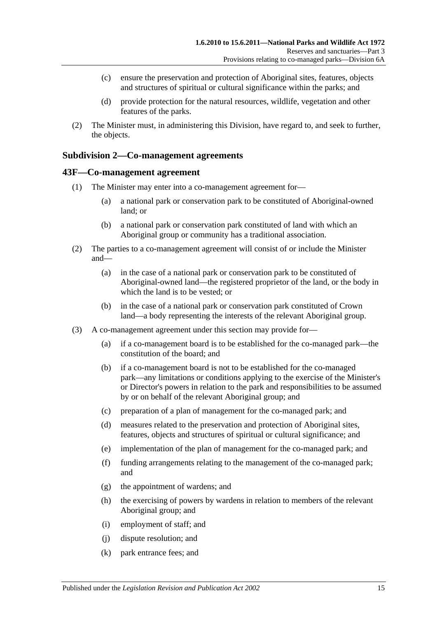- (c) ensure the preservation and protection of Aboriginal sites, features, objects and structures of spiritual or cultural significance within the parks; and
- (d) provide protection for the natural resources, wildlife, vegetation and other features of the parks.
- (2) The Minister must, in administering this Division, have regard to, and seek to further, the objects.

### **Subdivision 2—Co-management agreements**

#### **43F—Co-management agreement**

- (1) The Minister may enter into a co-management agreement for—
	- (a) a national park or conservation park to be constituted of Aboriginal-owned land; or
	- (b) a national park or conservation park constituted of land with which an Aboriginal group or community has a traditional association.
- (2) The parties to a co-management agreement will consist of or include the Minister and—
	- (a) in the case of a national park or conservation park to be constituted of Aboriginal-owned land—the registered proprietor of the land, or the body in which the land is to be vested; or
	- (b) in the case of a national park or conservation park constituted of Crown land—a body representing the interests of the relevant Aboriginal group.
- (3) A co-management agreement under this section may provide for—
	- (a) if a co-management board is to be established for the co-managed park—the constitution of the board; and
	- (b) if a co-management board is not to be established for the co-managed park—any limitations or conditions applying to the exercise of the Minister's or Director's powers in relation to the park and responsibilities to be assumed by or on behalf of the relevant Aboriginal group; and
	- (c) preparation of a plan of management for the co-managed park; and
	- (d) measures related to the preservation and protection of Aboriginal sites, features, objects and structures of spiritual or cultural significance; and
	- (e) implementation of the plan of management for the co-managed park; and
	- (f) funding arrangements relating to the management of the co-managed park; and
	- (g) the appointment of wardens; and
	- (h) the exercising of powers by wardens in relation to members of the relevant Aboriginal group; and
	- (i) employment of staff; and
	- (j) dispute resolution; and
	- (k) park entrance fees; and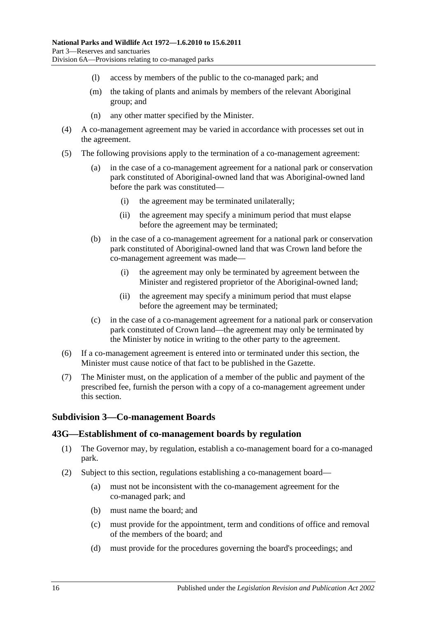- (l) access by members of the public to the co-managed park; and
- (m) the taking of plants and animals by members of the relevant Aboriginal group; and
- (n) any other matter specified by the Minister.
- (4) A co-management agreement may be varied in accordance with processes set out in the agreement.
- (5) The following provisions apply to the termination of a co-management agreement:
	- (a) in the case of a co-management agreement for a national park or conservation park constituted of Aboriginal-owned land that was Aboriginal-owned land before the park was constituted—
		- (i) the agreement may be terminated unilaterally;
		- (ii) the agreement may specify a minimum period that must elapse before the agreement may be terminated;
	- (b) in the case of a co-management agreement for a national park or conservation park constituted of Aboriginal-owned land that was Crown land before the co-management agreement was made—
		- (i) the agreement may only be terminated by agreement between the Minister and registered proprietor of the Aboriginal-owned land;
		- (ii) the agreement may specify a minimum period that must elapse before the agreement may be terminated;
	- (c) in the case of a co-management agreement for a national park or conservation park constituted of Crown land—the agreement may only be terminated by the Minister by notice in writing to the other party to the agreement.
- (6) If a co-management agreement is entered into or terminated under this section, the Minister must cause notice of that fact to be published in the Gazette.
- (7) The Minister must, on the application of a member of the public and payment of the prescribed fee, furnish the person with a copy of a co-management agreement under this section.

### **Subdivision 3—Co-management Boards**

#### **43G—Establishment of co-management boards by regulation**

- (1) The Governor may, by regulation, establish a co-management board for a co-managed park.
- <span id="page-37-0"></span>(2) Subject to this section, regulations establishing a co-management board—
	- (a) must not be inconsistent with the co-management agreement for the co-managed park; and
	- (b) must name the board; and
	- (c) must provide for the appointment, term and conditions of office and removal of the members of the board; and
	- (d) must provide for the procedures governing the board's proceedings; and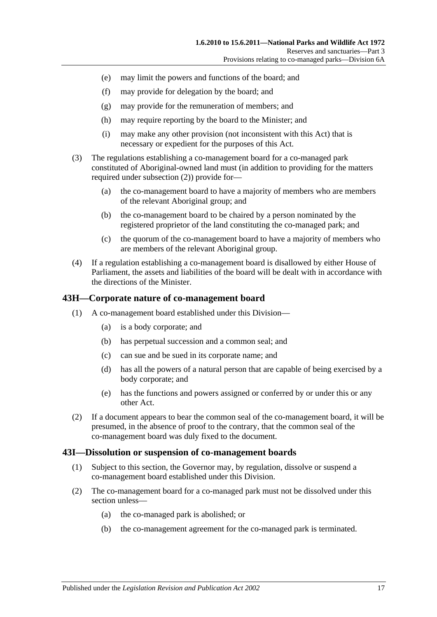- (e) may limit the powers and functions of the board; and
- (f) may provide for delegation by the board; and
- (g) may provide for the remuneration of members; and
- (h) may require reporting by the board to the Minister; and
- (i) may make any other provision (not inconsistent with this Act) that is necessary or expedient for the purposes of this Act.
- (3) The regulations establishing a co-management board for a co-managed park constituted of Aboriginal-owned land must (in addition to providing for the matters required under [subsection](#page-37-0) (2)) provide for—
	- (a) the co-management board to have a majority of members who are members of the relevant Aboriginal group; and
	- (b) the co-management board to be chaired by a person nominated by the registered proprietor of the land constituting the co-managed park; and
	- (c) the quorum of the co-management board to have a majority of members who are members of the relevant Aboriginal group.
- (4) If a regulation establishing a co-management board is disallowed by either House of Parliament, the assets and liabilities of the board will be dealt with in accordance with the directions of the Minister.

#### **43H—Corporate nature of co-management board**

- (1) A co-management board established under this Division—
	- (a) is a body corporate; and
	- (b) has perpetual succession and a common seal; and
	- (c) can sue and be sued in its corporate name; and
	- (d) has all the powers of a natural person that are capable of being exercised by a body corporate; and
	- (e) has the functions and powers assigned or conferred by or under this or any other Act.
- (2) If a document appears to bear the common seal of the co-management board, it will be presumed, in the absence of proof to the contrary, that the common seal of the co-management board was duly fixed to the document.

#### **43I—Dissolution or suspension of co-management boards**

- (1) Subject to this section, the Governor may, by regulation, dissolve or suspend a co-management board established under this Division.
- (2) The co-management board for a co-managed park must not be dissolved under this section unless—
	- (a) the co-managed park is abolished; or
	- (b) the co-management agreement for the co-managed park is terminated.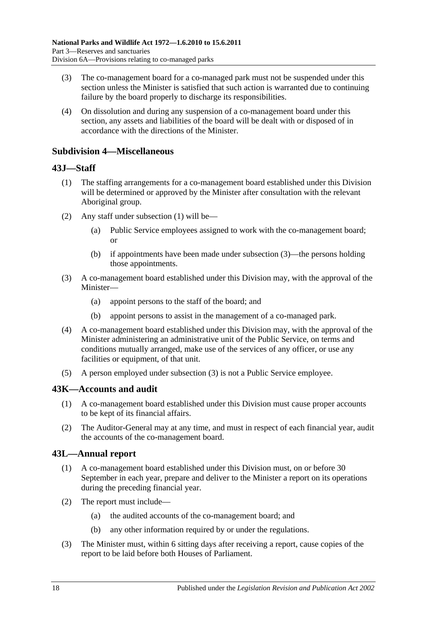- (3) The co-management board for a co-managed park must not be suspended under this section unless the Minister is satisfied that such action is warranted due to continuing failure by the board properly to discharge its responsibilities.
- (4) On dissolution and during any suspension of a co-management board under this section, any assets and liabilities of the board will be dealt with or disposed of in accordance with the directions of the Minister.

### **Subdivision 4—Miscellaneous**

### <span id="page-39-0"></span>**43J—Staff**

- (1) The staffing arrangements for a co-management board established under this Division will be determined or approved by the Minister after consultation with the relevant Aboriginal group.
- (2) Any staff under [subsection](#page-39-0) (1) will be—
	- (a) Public Service employees assigned to work with the co-management board; or
	- (b) if appointments have been made under [subsection](#page-39-1) (3)—the persons holding those appointments.
- <span id="page-39-1"></span>(3) A co-management board established under this Division may, with the approval of the Minister—
	- (a) appoint persons to the staff of the board; and
	- (b) appoint persons to assist in the management of a co-managed park.
- (4) A co-management board established under this Division may, with the approval of the Minister administering an administrative unit of the Public Service, on terms and conditions mutually arranged, make use of the services of any officer, or use any facilities or equipment, of that unit.
- (5) A person employed under [subsection](#page-39-1) (3) is not a Public Service employee.

### **43K—Accounts and audit**

- (1) A co-management board established under this Division must cause proper accounts to be kept of its financial affairs.
- (2) The Auditor-General may at any time, and must in respect of each financial year, audit the accounts of the co-management board.

### **43L—Annual report**

- (1) A co-management board established under this Division must, on or before 30 September in each year, prepare and deliver to the Minister a report on its operations during the preceding financial year.
- (2) The report must include—
	- (a) the audited accounts of the co-management board; and
	- (b) any other information required by or under the regulations.
- (3) The Minister must, within 6 sitting days after receiving a report, cause copies of the report to be laid before both Houses of Parliament.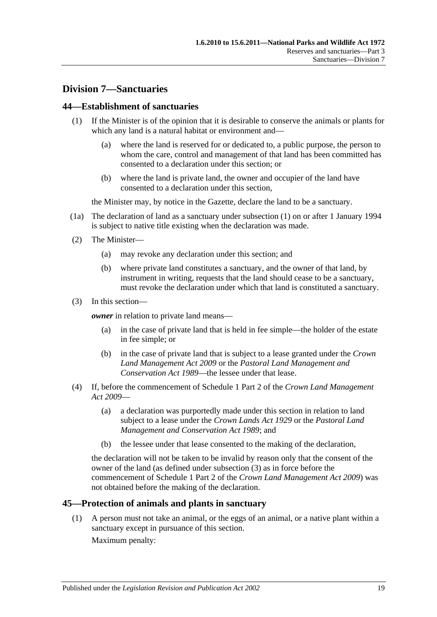### **Division 7—Sanctuaries**

### <span id="page-40-0"></span>**44—Establishment of sanctuaries**

- (1) If the Minister is of the opinion that it is desirable to conserve the animals or plants for which any land is a natural habitat or environment and—
	- (a) where the land is reserved for or dedicated to, a public purpose, the person to whom the care, control and management of that land has been committed has consented to a declaration under this section; or
	- (b) where the land is private land, the owner and occupier of the land have consented to a declaration under this section,

the Minister may, by notice in the Gazette, declare the land to be a sanctuary.

- (1a) The declaration of land as a sanctuary under [subsection](#page-40-0) (1) on or after 1 January 1994 is subject to native title existing when the declaration was made.
- (2) The Minister—
	- (a) may revoke any declaration under this section; and
	- (b) where private land constitutes a sanctuary, and the owner of that land, by instrument in writing, requests that the land should cease to be a sanctuary, must revoke the declaration under which that land is constituted a sanctuary.
- <span id="page-40-1"></span>(3) In this section—

*owner* in relation to private land means—

- (a) in the case of private land that is held in fee simple—the holder of the estate in fee simple; or
- (b) in the case of private land that is subject to a lease granted under the *[Crown](http://www.legislation.sa.gov.au/index.aspx?action=legref&type=act&legtitle=Crown%20Land%20Management%20Act%202009)  [Land Management Act](http://www.legislation.sa.gov.au/index.aspx?action=legref&type=act&legtitle=Crown%20Land%20Management%20Act%202009) 2009* or the *[Pastoral Land Management and](http://www.legislation.sa.gov.au/index.aspx?action=legref&type=act&legtitle=Pastoral%20Land%20Management%20and%20Conservation%20Act%201989)  [Conservation Act](http://www.legislation.sa.gov.au/index.aspx?action=legref&type=act&legtitle=Pastoral%20Land%20Management%20and%20Conservation%20Act%201989) 1989*—the lessee under that lease.
- (4) If, before the commencement of Schedule 1 Part 2 of the *[Crown Land Management](http://www.legislation.sa.gov.au/index.aspx?action=legref&type=act&legtitle=Crown%20Land%20Management%20Act%202009)  Act [2009](http://www.legislation.sa.gov.au/index.aspx?action=legref&type=act&legtitle=Crown%20Land%20Management%20Act%202009)*—
	- (a) a declaration was purportedly made under this section in relation to land subject to a lease under the *[Crown Lands Act](http://www.legislation.sa.gov.au/index.aspx?action=legref&type=act&legtitle=Crown%20Lands%20Act%201929) 1929* or the *[Pastoral Land](http://www.legislation.sa.gov.au/index.aspx?action=legref&type=act&legtitle=Pastoral%20Land%20Management%20and%20Conservation%20Act%201989)  [Management and Conservation Act](http://www.legislation.sa.gov.au/index.aspx?action=legref&type=act&legtitle=Pastoral%20Land%20Management%20and%20Conservation%20Act%201989) 1989*; and
	- (b) the lessee under that lease consented to the making of the declaration,

the declaration will not be taken to be invalid by reason only that the consent of the owner of the land (as defined under [subsection](#page-40-1) (3) as in force before the commencement of Schedule 1 Part 2 of the *[Crown Land Management Act](http://www.legislation.sa.gov.au/index.aspx?action=legref&type=act&legtitle=Crown%20Land%20Management%20Act%202009) 2009*) was not obtained before the making of the declaration.

### **45—Protection of animals and plants in sanctuary**

(1) A person must not take an animal, or the eggs of an animal, or a native plant within a sanctuary except in pursuance of this section. Maximum penalty: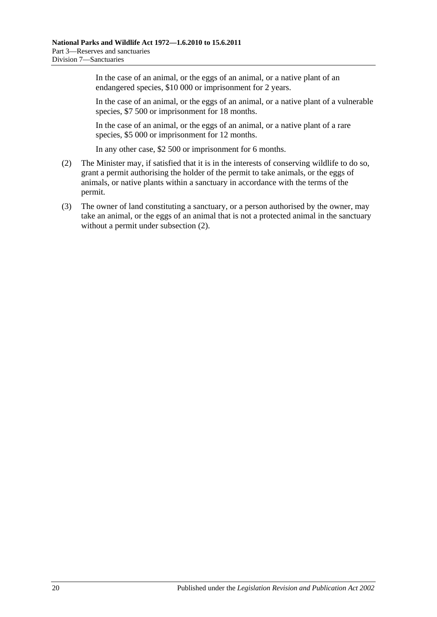In the case of an animal, or the eggs of an animal, or a native plant of an endangered species, \$10 000 or imprisonment for 2 years.

In the case of an animal, or the eggs of an animal, or a native plant of a vulnerable species, \$7 500 or imprisonment for 18 months.

In the case of an animal, or the eggs of an animal, or a native plant of a rare species, \$5 000 or imprisonment for 12 months.

In any other case, \$2 500 or imprisonment for 6 months.

- <span id="page-41-0"></span>(2) The Minister may, if satisfied that it is in the interests of conserving wildlife to do so, grant a permit authorising the holder of the permit to take animals, or the eggs of animals, or native plants within a sanctuary in accordance with the terms of the permit.
- (3) The owner of land constituting a sanctuary, or a person authorised by the owner, may take an animal, or the eggs of an animal that is not a protected animal in the sanctuary without a permit under [subsection](#page-41-0) (2).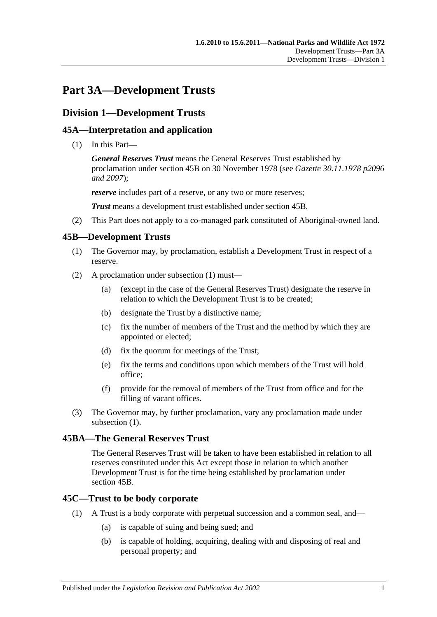# **Part 3A—Development Trusts**

### **Division 1—Development Trusts**

### **45A—Interpretation and application**

(1) In this Part—

*General Reserves Trust* means the General Reserves Trust established by proclamation under [section](#page-42-0) 45B on 30 November 1978 (see *Gazette 30.11.1978 p2096 and 2097*);

*reserve* includes part of a reserve, or any two or more reserves;

*Trust* means a development trust established under [section](#page-42-0) 45B.

(2) This Part does not apply to a co-managed park constituted of Aboriginal-owned land.

### <span id="page-42-1"></span><span id="page-42-0"></span>**45B—Development Trusts**

- (1) The Governor may, by proclamation, establish a Development Trust in respect of a reserve.
- (2) A proclamation under [subsection](#page-42-1) (1) must—
	- (a) (except in the case of the General Reserves Trust) designate the reserve in relation to which the Development Trust is to be created;
	- (b) designate the Trust by a distinctive name;
	- (c) fix the number of members of the Trust and the method by which they are appointed or elected;
	- (d) fix the quorum for meetings of the Trust;
	- (e) fix the terms and conditions upon which members of the Trust will hold office;
	- (f) provide for the removal of members of the Trust from office and for the filling of vacant offices.
- (3) The Governor may, by further proclamation, vary any proclamation made under [subsection](#page-42-1)  $(1)$ .

#### **45BA—The General Reserves Trust**

The General Reserves Trust will be taken to have been established in relation to all reserves constituted under this Act except those in relation to which another Development Trust is for the time being established by proclamation under [section](#page-42-0) 45B.

#### **45C—Trust to be body corporate**

- (1) A Trust is a body corporate with perpetual succession and a common seal, and—
	- (a) is capable of suing and being sued; and
	- (b) is capable of holding, acquiring, dealing with and disposing of real and personal property; and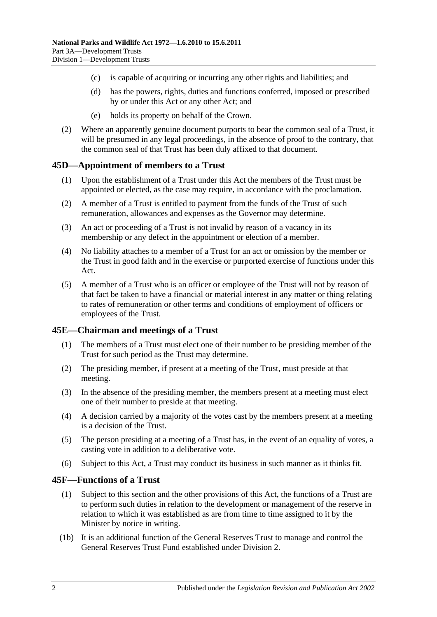- (c) is capable of acquiring or incurring any other rights and liabilities; and
- (d) has the powers, rights, duties and functions conferred, imposed or prescribed by or under this Act or any other Act; and
- (e) holds its property on behalf of the Crown.
- (2) Where an apparently genuine document purports to bear the common seal of a Trust, it will be presumed in any legal proceedings, in the absence of proof to the contrary, that the common seal of that Trust has been duly affixed to that document.

### **45D—Appointment of members to a Trust**

- (1) Upon the establishment of a Trust under this Act the members of the Trust must be appointed or elected, as the case may require, in accordance with the proclamation.
- (2) A member of a Trust is entitled to payment from the funds of the Trust of such remuneration, allowances and expenses as the Governor may determine.
- (3) An act or proceeding of a Trust is not invalid by reason of a vacancy in its membership or any defect in the appointment or election of a member.
- (4) No liability attaches to a member of a Trust for an act or omission by the member or the Trust in good faith and in the exercise or purported exercise of functions under this Act.
- (5) A member of a Trust who is an officer or employee of the Trust will not by reason of that fact be taken to have a financial or material interest in any matter or thing relating to rates of remuneration or other terms and conditions of employment of officers or employees of the Trust.

#### **45E—Chairman and meetings of a Trust**

- (1) The members of a Trust must elect one of their number to be presiding member of the Trust for such period as the Trust may determine.
- (2) The presiding member, if present at a meeting of the Trust, must preside at that meeting.
- (3) In the absence of the presiding member, the members present at a meeting must elect one of their number to preside at that meeting.
- (4) A decision carried by a majority of the votes cast by the members present at a meeting is a decision of the Trust.
- (5) The person presiding at a meeting of a Trust has, in the event of an equality of votes, a casting vote in addition to a deliberative vote.
- (6) Subject to this Act, a Trust may conduct its business in such manner as it thinks fit.

#### **45F—Functions of a Trust**

- (1) Subject to this section and the other provisions of this Act, the functions of a Trust are to perform such duties in relation to the development or management of the reserve in relation to which it was established as are from time to time assigned to it by the Minister by notice in writing.
- (1b) It is an additional function of the General Reserves Trust to manage and control the General Reserves Trust Fund established under [Division 2.](#page-45-0)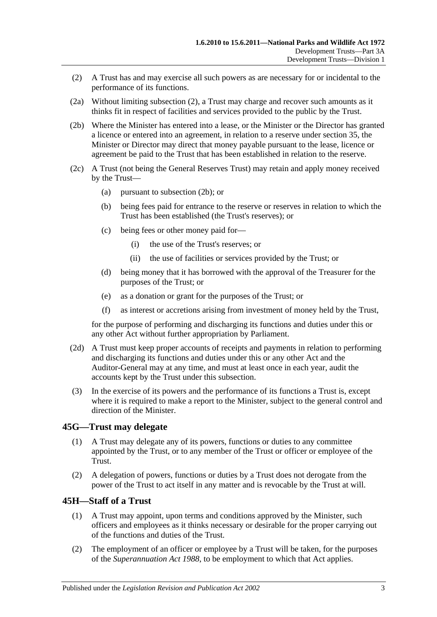- <span id="page-44-0"></span>(2) A Trust has and may exercise all such powers as are necessary for or incidental to the performance of its functions.
- (2a) Without limiting [subsection](#page-44-0) (2), a Trust may charge and recover such amounts as it thinks fit in respect of facilities and services provided to the public by the Trust.
- <span id="page-44-1"></span>(2b) Where the Minister has entered into a lease, or the Minister or the Director has granted a licence or entered into an agreement, in relation to a reserve under [section](#page-27-0) 35, the Minister or Director may direct that money payable pursuant to the lease, licence or agreement be paid to the Trust that has been established in relation to the reserve.
- (2c) A Trust (not being the General Reserves Trust) may retain and apply money received by the Trust—
	- (a) pursuant to [subsection](#page-44-1) (2b); or
	- (b) being fees paid for entrance to the reserve or reserves in relation to which the Trust has been established (the Trust's reserves); or
	- (c) being fees or other money paid for—
		- (i) the use of the Trust's reserves; or
		- (ii) the use of facilities or services provided by the Trust; or
	- (d) being money that it has borrowed with the approval of the Treasurer for the purposes of the Trust; or
	- (e) as a donation or grant for the purposes of the Trust; or
	- (f) as interest or accretions arising from investment of money held by the Trust,

for the purpose of performing and discharging its functions and duties under this or any other Act without further appropriation by Parliament.

- (2d) A Trust must keep proper accounts of receipts and payments in relation to performing and discharging its functions and duties under this or any other Act and the Auditor-General may at any time, and must at least once in each year, audit the accounts kept by the Trust under this subsection.
- (3) In the exercise of its powers and the performance of its functions a Trust is, except where it is required to make a report to the Minister, subject to the general control and direction of the Minister.

### **45G—Trust may delegate**

- (1) A Trust may delegate any of its powers, functions or duties to any committee appointed by the Trust, or to any member of the Trust or officer or employee of the Trust.
- (2) A delegation of powers, functions or duties by a Trust does not derogate from the power of the Trust to act itself in any matter and is revocable by the Trust at will.

### **45H—Staff of a Trust**

- (1) A Trust may appoint, upon terms and conditions approved by the Minister, such officers and employees as it thinks necessary or desirable for the proper carrying out of the functions and duties of the Trust.
- (2) The employment of an officer or employee by a Trust will be taken, for the purposes of the *[Superannuation Act](http://www.legislation.sa.gov.au/index.aspx?action=legref&type=act&legtitle=Superannuation%20Act%201988) 1988*, to be employment to which that Act applies.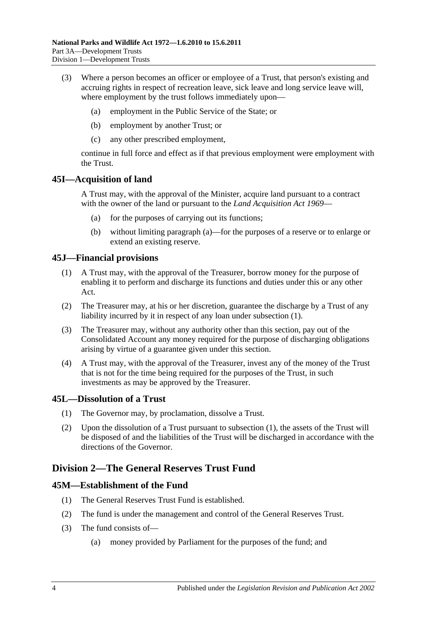- (3) Where a person becomes an officer or employee of a Trust, that person's existing and accruing rights in respect of recreation leave, sick leave and long service leave will, where employment by the trust follows immediately upon—
	- (a) employment in the Public Service of the State; or
	- (b) employment by another Trust; or
	- (c) any other prescribed employment,

continue in full force and effect as if that previous employment were employment with the Trust.

### <span id="page-45-1"></span>**45I—Acquisition of land**

A Trust may, with the approval of the Minister, acquire land pursuant to a contract with the owner of the land or pursuant to the *[Land Acquisition Act](http://www.legislation.sa.gov.au/index.aspx?action=legref&type=act&legtitle=Land%20Acquisition%20Act%201969) 1969*—

- (a) for the purposes of carrying out its functions;
- (b) without limiting [paragraph](#page-45-1) (a)—for the purposes of a reserve or to enlarge or extend an existing reserve.

### <span id="page-45-2"></span>**45J—Financial provisions**

- (1) A Trust may, with the approval of the Treasurer, borrow money for the purpose of enabling it to perform and discharge its functions and duties under this or any other Act.
- (2) The Treasurer may, at his or her discretion, guarantee the discharge by a Trust of any liability incurred by it in respect of any loan under [subsection](#page-45-2) (1).
- (3) The Treasurer may, without any authority other than this section, pay out of the Consolidated Account any money required for the purpose of discharging obligations arising by virtue of a guarantee given under this section.
- (4) A Trust may, with the approval of the Treasurer, invest any of the money of the Trust that is not for the time being required for the purposes of the Trust, in such investments as may be approved by the Treasurer.

### <span id="page-45-3"></span>**45L—Dissolution of a Trust**

- (1) The Governor may, by proclamation, dissolve a Trust.
- (2) Upon the dissolution of a Trust pursuant to [subsection](#page-45-3) (1), the assets of the Trust will be disposed of and the liabilities of the Trust will be discharged in accordance with the directions of the Governor.

### <span id="page-45-0"></span>**Division 2—The General Reserves Trust Fund**

### **45M—Establishment of the Fund**

- (1) The General Reserves Trust Fund is established.
- (2) The fund is under the management and control of the General Reserves Trust.
- (3) The fund consists of—
	- (a) money provided by Parliament for the purposes of the fund; and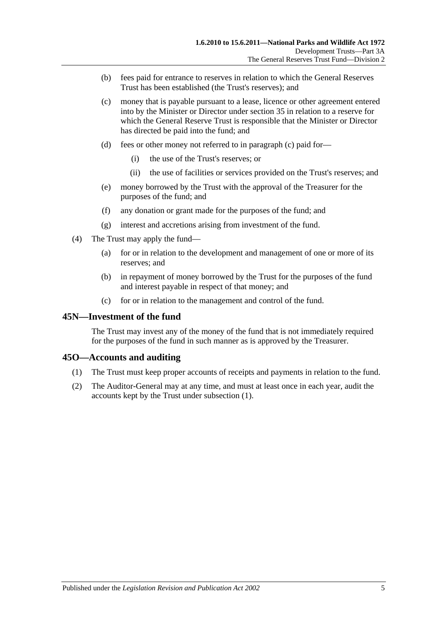- (b) fees paid for entrance to reserves in relation to which the General Reserves Trust has been established (the Trust's reserves); and
- <span id="page-46-0"></span>(c) money that is payable pursuant to a lease, licence or other agreement entered into by the Minister or Director under [section](#page-27-0) 35 in relation to a reserve for which the General Reserve Trust is responsible that the Minister or Director has directed be paid into the fund; and
- (d) fees or other money not referred to in [paragraph](#page-46-0) (c) paid for—
	- (i) the use of the Trust's reserves; or
	- (ii) the use of facilities or services provided on the Trust's reserves; and
- (e) money borrowed by the Trust with the approval of the Treasurer for the purposes of the fund; and
- (f) any donation or grant made for the purposes of the fund; and
- (g) interest and accretions arising from investment of the fund.
- (4) The Trust may apply the fund—
	- (a) for or in relation to the development and management of one or more of its reserves; and
	- (b) in repayment of money borrowed by the Trust for the purposes of the fund and interest payable in respect of that money; and
	- (c) for or in relation to the management and control of the fund.

#### **45N—Investment of the fund**

The Trust may invest any of the money of the fund that is not immediately required for the purposes of the fund in such manner as is approved by the Treasurer.

### <span id="page-46-1"></span>**45O—Accounts and auditing**

- (1) The Trust must keep proper accounts of receipts and payments in relation to the fund.
- (2) The Auditor-General may at any time, and must at least once in each year, audit the accounts kept by the Trust under [subsection](#page-46-1) (1).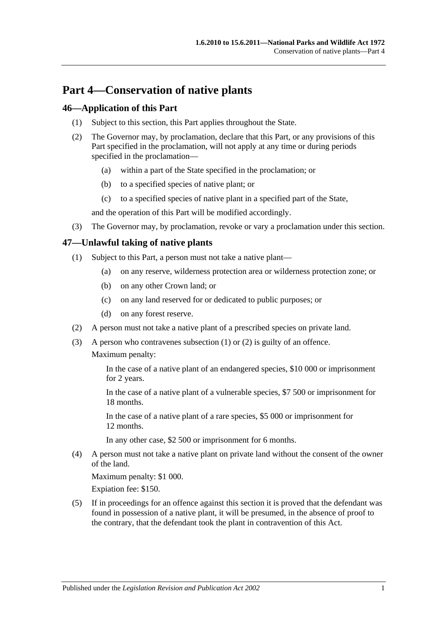# **Part 4—Conservation of native plants**

### **46—Application of this Part**

- (1) Subject to this section, this Part applies throughout the State.
- (2) The Governor may, by proclamation, declare that this Part, or any provisions of this Part specified in the proclamation, will not apply at any time or during periods specified in the proclamation—
	- (a) within a part of the State specified in the proclamation; or
	- (b) to a specified species of native plant; or
	- (c) to a specified species of native plant in a specified part of the State,

and the operation of this Part will be modified accordingly.

(3) The Governor may, by proclamation, revoke or vary a proclamation under this section.

### <span id="page-48-0"></span>**47—Unlawful taking of native plants**

- (1) Subject to this Part, a person must not take a native plant—
	- (a) on any reserve, wilderness protection area or wilderness protection zone; or
	- (b) on any other Crown land; or
	- (c) on any land reserved for or dedicated to public purposes; or
	- (d) on any forest reserve.
- <span id="page-48-1"></span>(2) A person must not take a native plant of a prescribed species on private land.
- (3) A person who contravenes [subsection](#page-48-0) (1) or [\(2\)](#page-48-1) is guilty of an offence. Maximum penalty:

In the case of a native plant of an endangered species, \$10 000 or imprisonment for 2 years.

In the case of a native plant of a vulnerable species, \$7 500 or imprisonment for 18 months.

In the case of a native plant of a rare species, \$5 000 or imprisonment for 12 months.

In any other case, \$2 500 or imprisonment for 6 months.

(4) A person must not take a native plant on private land without the consent of the owner of the land.

Maximum penalty: \$1 000.

Expiation fee: \$150.

(5) If in proceedings for an offence against this section it is proved that the defendant was found in possession of a native plant, it will be presumed, in the absence of proof to the contrary, that the defendant took the plant in contravention of this Act.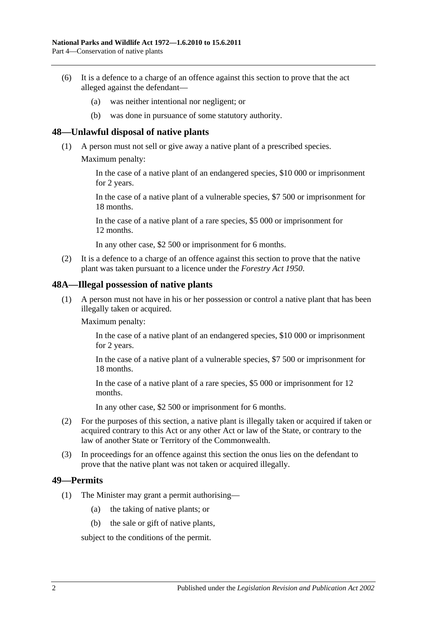- (6) It is a defence to a charge of an offence against this section to prove that the act alleged against the defendant—
	- (a) was neither intentional nor negligent; or
	- (b) was done in pursuance of some statutory authority.

### **48—Unlawful disposal of native plants**

- (1) A person must not sell or give away a native plant of a prescribed species.
	- Maximum penalty:

In the case of a native plant of an endangered species, \$10 000 or imprisonment for 2 years.

In the case of a native plant of a vulnerable species, \$7 500 or imprisonment for 18 months.

In the case of a native plant of a rare species, \$5 000 or imprisonment for 12 months.

In any other case, \$2 500 or imprisonment for 6 months.

(2) It is a defence to a charge of an offence against this section to prove that the native plant was taken pursuant to a licence under the *[Forestry Act](http://www.legislation.sa.gov.au/index.aspx?action=legref&type=act&legtitle=Forestry%20Act%201950) 1950*.

#### **48A—Illegal possession of native plants**

(1) A person must not have in his or her possession or control a native plant that has been illegally taken or acquired.

Maximum penalty:

In the case of a native plant of an endangered species, \$10 000 or imprisonment for 2 years.

In the case of a native plant of a vulnerable species, \$7 500 or imprisonment for 18 months.

In the case of a native plant of a rare species, \$5 000 or imprisonment for 12 months.

In any other case, \$2 500 or imprisonment for 6 months.

- (2) For the purposes of this section, a native plant is illegally taken or acquired if taken or acquired contrary to this Act or any other Act or law of the State, or contrary to the law of another State or Territory of the Commonwealth.
- (3) In proceedings for an offence against this section the onus lies on the defendant to prove that the native plant was not taken or acquired illegally.

#### <span id="page-49-0"></span>**49—Permits**

- (1) The Minister may grant a permit authorising—
	- (a) the taking of native plants; or
	- (b) the sale or gift of native plants,

subject to the conditions of the permit.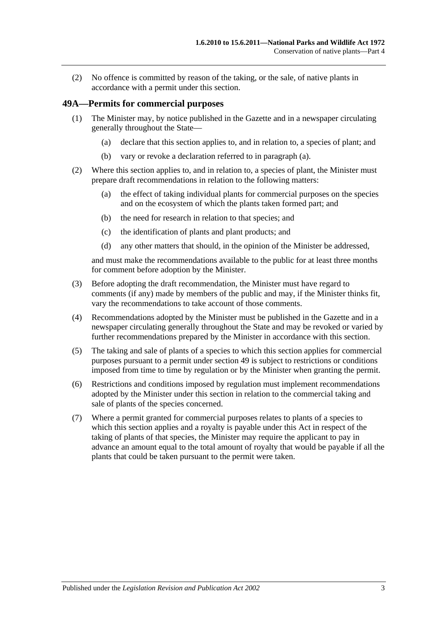(2) No offence is committed by reason of the taking, or the sale, of native plants in accordance with a permit under this section.

### **49A—Permits for commercial purposes**

- <span id="page-50-0"></span>(1) The Minister may, by notice published in the Gazette and in a newspaper circulating generally throughout the State—
	- (a) declare that this section applies to, and in relation to, a species of plant; and
	- (b) vary or revoke a declaration referred to in [paragraph](#page-50-0) (a).
- (2) Where this section applies to, and in relation to, a species of plant, the Minister must prepare draft recommendations in relation to the following matters:
	- (a) the effect of taking individual plants for commercial purposes on the species and on the ecosystem of which the plants taken formed part; and
	- (b) the need for research in relation to that species; and
	- (c) the identification of plants and plant products; and
	- (d) any other matters that should, in the opinion of the Minister be addressed,

and must make the recommendations available to the public for at least three months for comment before adoption by the Minister.

- (3) Before adopting the draft recommendation, the Minister must have regard to comments (if any) made by members of the public and may, if the Minister thinks fit, vary the recommendations to take account of those comments.
- (4) Recommendations adopted by the Minister must be published in the Gazette and in a newspaper circulating generally throughout the State and may be revoked or varied by further recommendations prepared by the Minister in accordance with this section.
- (5) The taking and sale of plants of a species to which this section applies for commercial purposes pursuant to a permit under [section](#page-49-0) 49 is subject to restrictions or conditions imposed from time to time by regulation or by the Minister when granting the permit.
- (6) Restrictions and conditions imposed by regulation must implement recommendations adopted by the Minister under this section in relation to the commercial taking and sale of plants of the species concerned.
- (7) Where a permit granted for commercial purposes relates to plants of a species to which this section applies and a royalty is payable under this Act in respect of the taking of plants of that species, the Minister may require the applicant to pay in advance an amount equal to the total amount of royalty that would be payable if all the plants that could be taken pursuant to the permit were taken.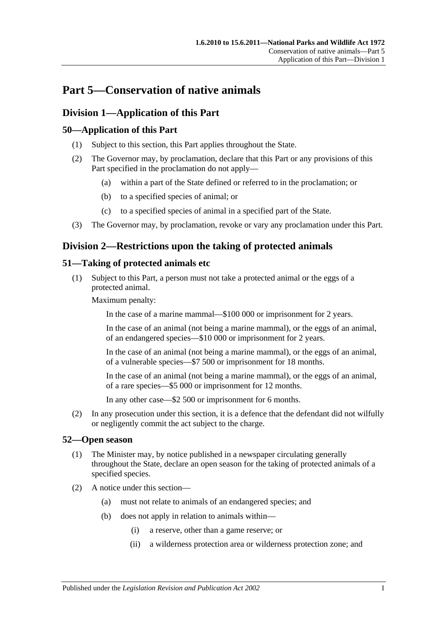# **Part 5—Conservation of native animals**

# **Division 1—Application of this Part**

### **50—Application of this Part**

- (1) Subject to this section, this Part applies throughout the State.
- (2) The Governor may, by proclamation, declare that this Part or any provisions of this Part specified in the proclamation do not apply—
	- (a) within a part of the State defined or referred to in the proclamation; or
	- (b) to a specified species of animal; or
	- (c) to a specified species of animal in a specified part of the State.
- (3) The Governor may, by proclamation, revoke or vary any proclamation under this Part.

## **Division 2—Restrictions upon the taking of protected animals**

### <span id="page-52-0"></span>**51—Taking of protected animals etc**

(1) Subject to this Part, a person must not take a protected animal or the eggs of a protected animal.

Maximum penalty:

In the case of a marine mammal—\$100 000 or imprisonment for 2 years.

In the case of an animal (not being a marine mammal), or the eggs of an animal, of an endangered species—\$10 000 or imprisonment for 2 years.

In the case of an animal (not being a marine mammal), or the eggs of an animal, of a vulnerable species—\$7 500 or imprisonment for 18 months.

In the case of an animal (not being a marine mammal), or the eggs of an animal, of a rare species—\$5 000 or imprisonment for 12 months.

In any other case—\$2 500 or imprisonment for 6 months.

(2) In any prosecution under this section, it is a defence that the defendant did not wilfully or negligently commit the act subject to the charge.

### **52—Open season**

- (1) The Minister may, by notice published in a newspaper circulating generally throughout the State, declare an open season for the taking of protected animals of a specified species.
- (2) A notice under this section—
	- (a) must not relate to animals of an endangered species; and
	- (b) does not apply in relation to animals within—
		- (i) a reserve, other than a game reserve; or
		- (ii) a wilderness protection area or wilderness protection zone; and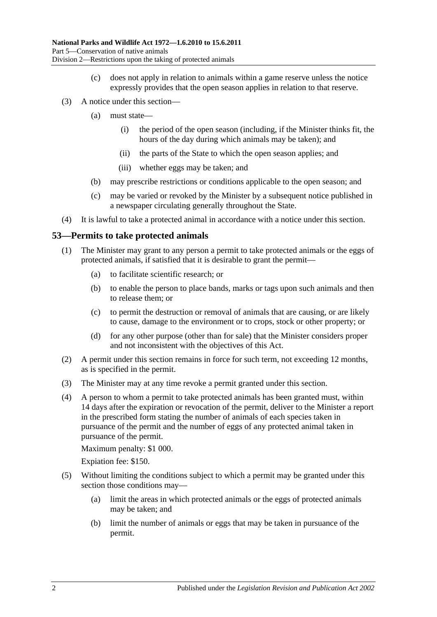- (c) does not apply in relation to animals within a game reserve unless the notice expressly provides that the open season applies in relation to that reserve.
- (3) A notice under this section—
	- (a) must state—
		- (i) the period of the open season (including, if the Minister thinks fit, the hours of the day during which animals may be taken); and
		- (ii) the parts of the State to which the open season applies; and
		- (iii) whether eggs may be taken; and
	- (b) may prescribe restrictions or conditions applicable to the open season; and
	- (c) may be varied or revoked by the Minister by a subsequent notice published in a newspaper circulating generally throughout the State.
- (4) It is lawful to take a protected animal in accordance with a notice under this section.

### <span id="page-53-0"></span>**53—Permits to take protected animals**

- (1) The Minister may grant to any person a permit to take protected animals or the eggs of protected animals, if satisfied that it is desirable to grant the permit—
	- (a) to facilitate scientific research; or
	- (b) to enable the person to place bands, marks or tags upon such animals and then to release them; or
	- (c) to permit the destruction or removal of animals that are causing, or are likely to cause, damage to the environment or to crops, stock or other property; or
	- (d) for any other purpose (other than for sale) that the Minister considers proper and not inconsistent with the objectives of this Act.
- (2) A permit under this section remains in force for such term, not exceeding 12 months, as is specified in the permit.
- (3) The Minister may at any time revoke a permit granted under this section.
- (4) A person to whom a permit to take protected animals has been granted must, within 14 days after the expiration or revocation of the permit, deliver to the Minister a report in the prescribed form stating the number of animals of each species taken in pursuance of the permit and the number of eggs of any protected animal taken in pursuance of the permit.

Maximum penalty: \$1 000.

Expiation fee: \$150.

- (5) Without limiting the conditions subject to which a permit may be granted under this section those conditions may—
	- (a) limit the areas in which protected animals or the eggs of protected animals may be taken; and
	- (b) limit the number of animals or eggs that may be taken in pursuance of the permit.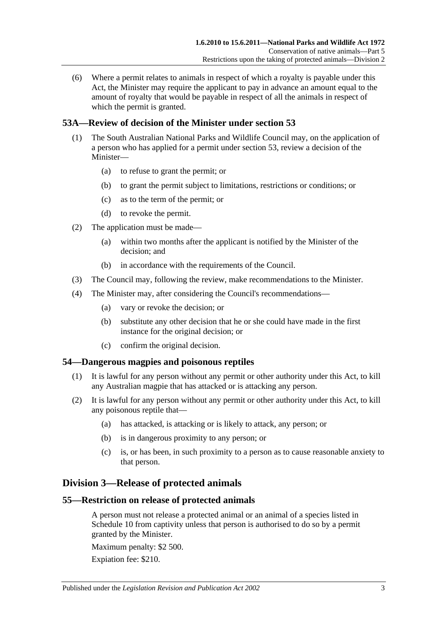(6) Where a permit relates to animals in respect of which a royalty is payable under this Act, the Minister may require the applicant to pay in advance an amount equal to the amount of royalty that would be payable in respect of all the animals in respect of which the permit is granted.

### **53A—Review of decision of the Minister under [section](#page-53-0) 53**

- (1) The South Australian National Parks and Wildlife Council may, on the application of a person who has applied for a permit under [section](#page-53-0) 53, review a decision of the Minister—
	- (a) to refuse to grant the permit; or
	- (b) to grant the permit subject to limitations, restrictions or conditions; or
	- (c) as to the term of the permit; or
	- (d) to revoke the permit.
- (2) The application must be made—
	- (a) within two months after the applicant is notified by the Minister of the decision; and
	- (b) in accordance with the requirements of the Council.
- (3) The Council may, following the review, make recommendations to the Minister.
- (4) The Minister may, after considering the Council's recommendations—
	- (a) vary or revoke the decision; or
	- (b) substitute any other decision that he or she could have made in the first instance for the original decision; or
	- (c) confirm the original decision.

### **54—Dangerous magpies and poisonous reptiles**

- (1) It is lawful for any person without any permit or other authority under this Act, to kill any Australian magpie that has attacked or is attacking any person.
- (2) It is lawful for any person without any permit or other authority under this Act, to kill any poisonous reptile that—
	- (a) has attacked, is attacking or is likely to attack, any person; or
	- (b) is in dangerous proximity to any person; or
	- (c) is, or has been, in such proximity to a person as to cause reasonable anxiety to that person.

### **Division 3—Release of protected animals**

### **55—Restriction on release of protected animals**

A person must not release a protected animal or an animal of a species listed in [Schedule 10](#page-137-0) from captivity unless that person is authorised to do so by a permit granted by the Minister.

Maximum penalty: \$2 500.

Expiation fee: \$210.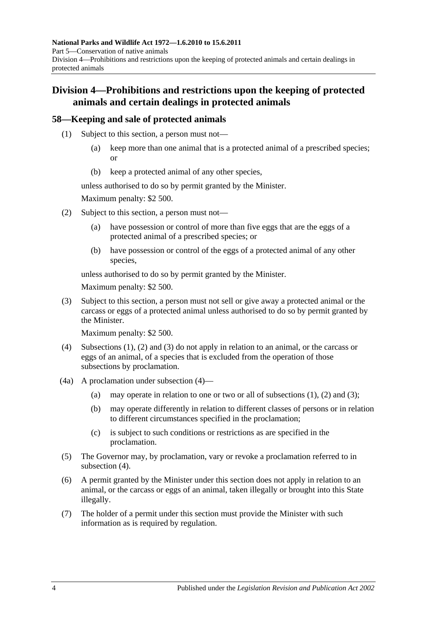# **Division 4—Prohibitions and restrictions upon the keeping of protected animals and certain dealings in protected animals**

### <span id="page-55-0"></span>**58—Keeping and sale of protected animals**

- (1) Subject to this section, a person must not—
	- (a) keep more than one animal that is a protected animal of a prescribed species; or
	- (b) keep a protected animal of any other species,

unless authorised to do so by permit granted by the Minister.

Maximum penalty: \$2 500.

- <span id="page-55-1"></span>(2) Subject to this section, a person must not—
	- (a) have possession or control of more than five eggs that are the eggs of a protected animal of a prescribed species; or
	- (b) have possession or control of the eggs of a protected animal of any other species,

unless authorised to do so by permit granted by the Minister.

Maximum penalty: \$2 500.

<span id="page-55-2"></span>(3) Subject to this section, a person must not sell or give away a protected animal or the carcass or eggs of a protected animal unless authorised to do so by permit granted by the Minister.

Maximum penalty: \$2 500.

- <span id="page-55-3"></span>(4) [Subsections](#page-55-0) (1), [\(2\)](#page-55-1) and [\(3\)](#page-55-2) do not apply in relation to an animal, or the carcass or eggs of an animal, of a species that is excluded from the operation of those subsections by proclamation.
- (4a) A proclamation under [subsection](#page-55-3) (4)
	- (a) may operate in relation to one or two or all of [subsections](#page-55-0)  $(1)$ ,  $(2)$  and  $(3)$ ;
	- (b) may operate differently in relation to different classes of persons or in relation to different circumstances specified in the proclamation;
	- (c) is subject to such conditions or restrictions as are specified in the proclamation.
- (5) The Governor may, by proclamation, vary or revoke a proclamation referred to in [subsection](#page-55-3) (4).
- (6) A permit granted by the Minister under this section does not apply in relation to an animal, or the carcass or eggs of an animal, taken illegally or brought into this State illegally.
- (7) The holder of a permit under this section must provide the Minister with such information as is required by regulation.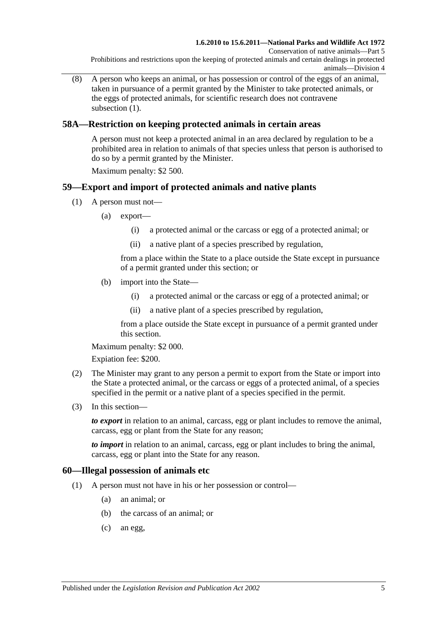(8) A person who keeps an animal, or has possession or control of the eggs of an animal, taken in pursuance of a permit granted by the Minister to take protected animals, or the eggs of protected animals, for scientific research does not contravene [subsection](#page-55-0)  $(1)$ .

### **58A—Restriction on keeping protected animals in certain areas**

A person must not keep a protected animal in an area declared by regulation to be a prohibited area in relation to animals of that species unless that person is authorised to do so by a permit granted by the Minister.

Maximum penalty: \$2 500.

### **59—Export and import of protected animals and native plants**

- (1) A person must not—
	- (a) export—
		- (i) a protected animal or the carcass or egg of a protected animal; or
		- (ii) a native plant of a species prescribed by regulation,

from a place within the State to a place outside the State except in pursuance of a permit granted under this section; or

- (b) import into the State—
	- (i) a protected animal or the carcass or egg of a protected animal; or
	- (ii) a native plant of a species prescribed by regulation,

from a place outside the State except in pursuance of a permit granted under this section.

Maximum penalty: \$2 000.

Expiation fee: \$200.

- (2) The Minister may grant to any person a permit to export from the State or import into the State a protected animal, or the carcass or eggs of a protected animal, of a species specified in the permit or a native plant of a species specified in the permit.
- (3) In this section—

*to export* in relation to an animal, carcass, egg or plant includes to remove the animal, carcass, egg or plant from the State for any reason;

*to import* in relation to an animal, carcass, egg or plant includes to bring the animal, carcass, egg or plant into the State for any reason.

### **60—Illegal possession of animals etc**

- (1) A person must not have in his or her possession or control—
	- (a) an animal; or
	- (b) the carcass of an animal; or
	- (c) an egg,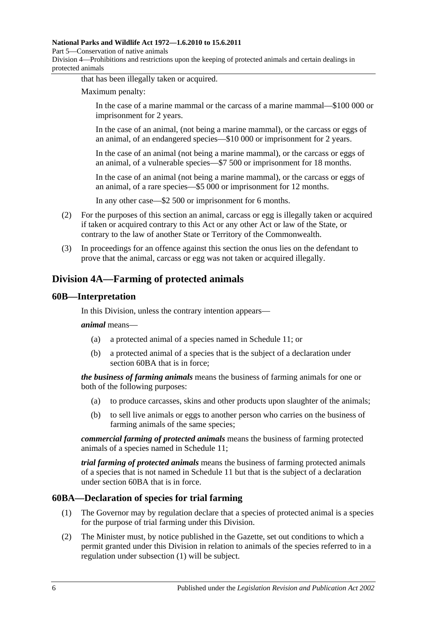#### **National Parks and Wildlife Act 1972—1.6.2010 to 15.6.2011**

Part 5—Conservation of native animals

Division 4—Prohibitions and restrictions upon the keeping of protected animals and certain dealings in protected animals

that has been illegally taken or acquired.

Maximum penalty:

In the case of a marine mammal or the carcass of a marine mammal—\$100 000 or imprisonment for 2 years.

In the case of an animal, (not being a marine mammal), or the carcass or eggs of an animal, of an endangered species—\$10 000 or imprisonment for 2 years.

In the case of an animal (not being a marine mammal), or the carcass or eggs of an animal, of a vulnerable species—\$7 500 or imprisonment for 18 months.

In the case of an animal (not being a marine mammal), or the carcass or eggs of an animal, of a rare species—\$5 000 or imprisonment for 12 months.

In any other case—\$2 500 or imprisonment for 6 months.

- (2) For the purposes of this section an animal, carcass or egg is illegally taken or acquired if taken or acquired contrary to this Act or any other Act or law of the State, or contrary to the law of another State or Territory of the Commonwealth.
- (3) In proceedings for an offence against this section the onus lies on the defendant to prove that the animal, carcass or egg was not taken or acquired illegally.

## **Division 4A—Farming of protected animals**

### **60B—Interpretation**

In this Division, unless the contrary intention appears—

*animal* means—

- (a) a protected animal of a species named in [Schedule 11;](#page-138-0) or
- (b) a protected animal of a species that is the subject of a declaration under [section](#page-57-0) 60BA that is in force;

*the business of farming animals* means the business of farming animals for one or both of the following purposes:

- (a) to produce carcasses, skins and other products upon slaughter of the animals;
- (b) to sell live animals or eggs to another person who carries on the business of farming animals of the same species;

*commercial farming of protected animals* means the business of farming protected animals of a species named in [Schedule 11;](#page-138-0)

*trial farming of protected animals* means the business of farming protected animals of a species that is not named in [Schedule 11](#page-138-0) but that is the subject of a declaration under [section](#page-57-0) 60BA that is in force.

### <span id="page-57-1"></span><span id="page-57-0"></span>**60BA—Declaration of species for trial farming**

- (1) The Governor may by regulation declare that a species of protected animal is a species for the purpose of trial farming under this Division.
- <span id="page-57-2"></span>(2) The Minister must, by notice published in the Gazette, set out conditions to which a permit granted under this Division in relation to animals of the species referred to in a regulation under [subsection](#page-57-1) (1) will be subject.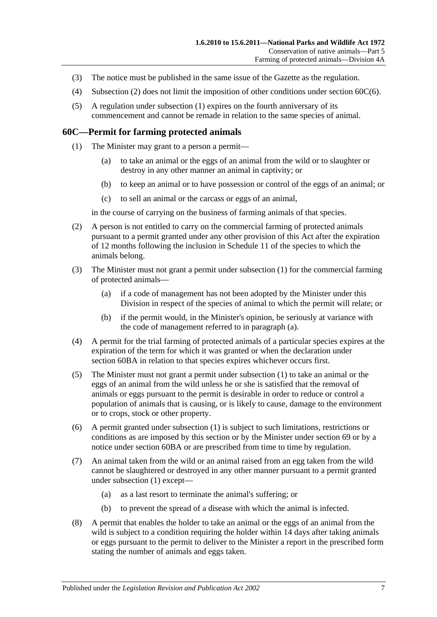- (3) The notice must be published in the same issue of the Gazette as the regulation.
- (4) [Subsection](#page-57-2) (2) does not limit the imposition of other conditions under section [60C\(6\).](#page-58-0)
- (5) A regulation under [subsection](#page-57-1) (1) expires on the fourth anniversary of its commencement and cannot be remade in relation to the same species of animal.

#### <span id="page-58-1"></span>**60C—Permit for farming protected animals**

- (1) The Minister may grant to a person a permit—
	- (a) to take an animal or the eggs of an animal from the wild or to slaughter or destroy in any other manner an animal in captivity; or
	- (b) to keep an animal or to have possession or control of the eggs of an animal; or
	- (c) to sell an animal or the carcass or eggs of an animal,

in the course of carrying on the business of farming animals of that species.

- (2) A person is not entitled to carry on the commercial farming of protected animals pursuant to a permit granted under any other provision of this Act after the expiration of 12 months following the inclusion in [Schedule 11](#page-138-0) of the species to which the animals belong.
- <span id="page-58-2"></span>(3) The Minister must not grant a permit under [subsection](#page-58-1) (1) for the commercial farming of protected animals—
	- (a) if a code of management has not been adopted by the Minister under this Division in respect of the species of animal to which the permit will relate; or
	- (b) if the permit would, in the Minister's opinion, be seriously at variance with the code of management referred to in [paragraph](#page-58-2) (a).
- (4) A permit for the trial farming of protected animals of a particular species expires at the expiration of the term for which it was granted or when the declaration under [section](#page-57-0) 60BA in relation to that species expires whichever occurs first.
- (5) The Minister must not grant a permit under [subsection](#page-58-1) (1) to take an animal or the eggs of an animal from the wild unless he or she is satisfied that the removal of animals or eggs pursuant to the permit is desirable in order to reduce or control a population of animals that is causing, or is likely to cause, damage to the environment or to crops, stock or other property.
- <span id="page-58-0"></span>(6) A permit granted under [subsection](#page-58-1) (1) is subject to such limitations, restrictions or conditions as are imposed by this section or by the Minister under [section](#page-72-0) 69 or by a notice under [section](#page-57-0) 60BA or are prescribed from time to time by regulation.
- (7) An animal taken from the wild or an animal raised from an egg taken from the wild cannot be slaughtered or destroyed in any other manner pursuant to a permit granted under [subsection](#page-58-1) (1) except—
	- (a) as a last resort to terminate the animal's suffering; or
	- (b) to prevent the spread of a disease with which the animal is infected.
- (8) A permit that enables the holder to take an animal or the eggs of an animal from the wild is subject to a condition requiring the holder within 14 days after taking animals or eggs pursuant to the permit to deliver to the Minister a report in the prescribed form stating the number of animals and eggs taken.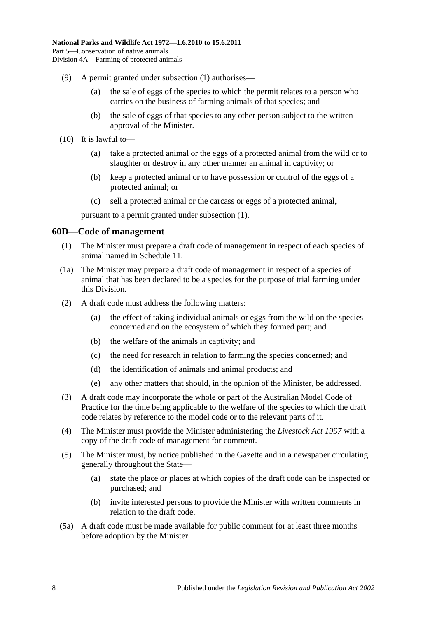- (9) A permit granted under [subsection](#page-58-1) (1) authorises—
	- (a) the sale of eggs of the species to which the permit relates to a person who carries on the business of farming animals of that species; and
	- (b) the sale of eggs of that species to any other person subject to the written approval of the Minister.
- (10) It is lawful to—
	- (a) take a protected animal or the eggs of a protected animal from the wild or to slaughter or destroy in any other manner an animal in captivity; or
	- (b) keep a protected animal or to have possession or control of the eggs of a protected animal; or
	- (c) sell a protected animal or the carcass or eggs of a protected animal,

pursuant to a permit granted under [subsection](#page-58-1) (1).

### **60D—Code of management**

- (1) The Minister must prepare a draft code of management in respect of each species of animal named in [Schedule 11.](#page-138-0)
- <span id="page-59-0"></span>(1a) The Minister may prepare a draft code of management in respect of a species of animal that has been declared to be a species for the purpose of trial farming under this Division.
- (2) A draft code must address the following matters:
	- (a) the effect of taking individual animals or eggs from the wild on the species concerned and on the ecosystem of which they formed part; and
	- (b) the welfare of the animals in captivity; and
	- (c) the need for research in relation to farming the species concerned; and
	- (d) the identification of animals and animal products; and
	- (e) any other matters that should, in the opinion of the Minister, be addressed.
- (3) A draft code may incorporate the whole or part of the Australian Model Code of Practice for the time being applicable to the welfare of the species to which the draft code relates by reference to the model code or to the relevant parts of it.
- (4) The Minister must provide the Minister administering the *[Livestock Act](http://www.legislation.sa.gov.au/index.aspx?action=legref&type=act&legtitle=Livestock%20Act%201997) 1997* with a copy of the draft code of management for comment.
- (5) The Minister must, by notice published in the Gazette and in a newspaper circulating generally throughout the State—
	- (a) state the place or places at which copies of the draft code can be inspected or purchased; and
	- (b) invite interested persons to provide the Minister with written comments in relation to the draft code.
- (5a) A draft code must be made available for public comment for at least three months before adoption by the Minister.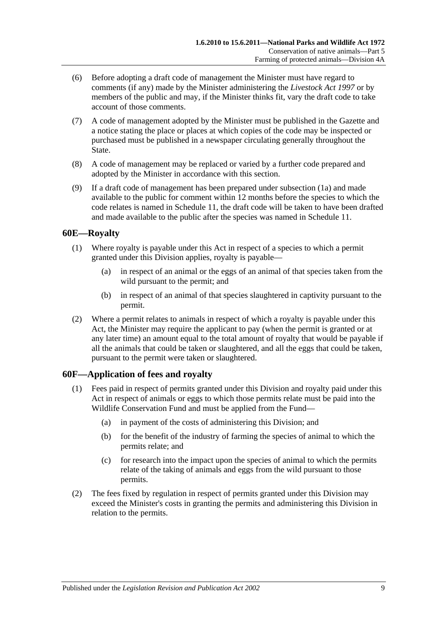- (6) Before adopting a draft code of management the Minister must have regard to comments (if any) made by the Minister administering the *[Livestock Act](http://www.legislation.sa.gov.au/index.aspx?action=legref&type=act&legtitle=Livestock%20Act%201997) 1997* or by members of the public and may, if the Minister thinks fit, vary the draft code to take account of those comments.
- (7) A code of management adopted by the Minister must be published in the Gazette and a notice stating the place or places at which copies of the code may be inspected or purchased must be published in a newspaper circulating generally throughout the State.
- (8) A code of management may be replaced or varied by a further code prepared and adopted by the Minister in accordance with this section.
- (9) If a draft code of management has been prepared under [subsection](#page-59-0) (1a) and made available to the public for comment within 12 months before the species to which the code relates is named in [Schedule 11,](#page-138-0) the draft code will be taken to have been drafted and made available to the public after the species was named in [Schedule 11.](#page-138-0)

### **60E—Royalty**

- (1) Where royalty is payable under this Act in respect of a species to which a permit granted under this Division applies, royalty is payable—
	- (a) in respect of an animal or the eggs of an animal of that species taken from the wild pursuant to the permit; and
	- (b) in respect of an animal of that species slaughtered in captivity pursuant to the permit.
- (2) Where a permit relates to animals in respect of which a royalty is payable under this Act, the Minister may require the applicant to pay (when the permit is granted or at any later time) an amount equal to the total amount of royalty that would be payable if all the animals that could be taken or slaughtered, and all the eggs that could be taken, pursuant to the permit were taken or slaughtered.

### **60F—Application of fees and royalty**

- (1) Fees paid in respect of permits granted under this Division and royalty paid under this Act in respect of animals or eggs to which those permits relate must be paid into the Wildlife Conservation Fund and must be applied from the Fund—
	- (a) in payment of the costs of administering this Division; and
	- (b) for the benefit of the industry of farming the species of animal to which the permits relate; and
	- (c) for research into the impact upon the species of animal to which the permits relate of the taking of animals and eggs from the wild pursuant to those permits.
- (2) The fees fixed by regulation in respect of permits granted under this Division may exceed the Minister's costs in granting the permits and administering this Division in relation to the permits.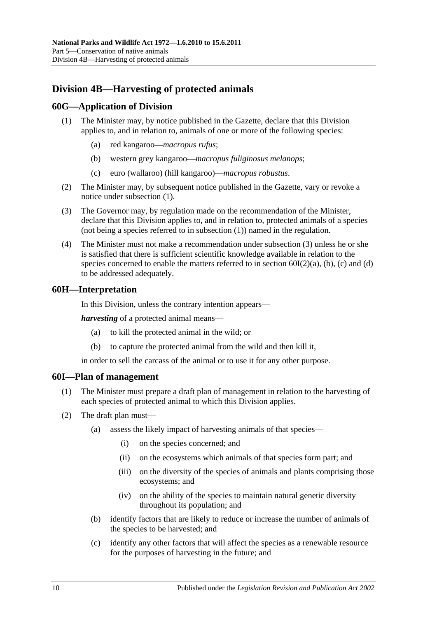# **Division 4B—Harvesting of protected animals**

### <span id="page-61-0"></span>**60G—Application of Division**

- (1) The Minister may, by notice published in the Gazette, declare that this Division applies to, and in relation to, animals of one or more of the following species:
	- (a) red kangaroo—*macropus rufus*;
	- (b) western grey kangaroo—*macropus fuliginosus melanops*;
	- (c) euro (wallaroo) (hill kangaroo)—*macropus robustus*.
- (2) The Minister may, by subsequent notice published in the Gazette, vary or revoke a notice under [subsection](#page-61-0) (1).
- <span id="page-61-1"></span>(3) The Governor may, by regulation made on the recommendation of the Minister, declare that this Division applies to, and in relation to, protected animals of a species (not being a species referred to in [subsection](#page-61-0) (1)) named in the regulation.
- (4) The Minister must not make a recommendation under [subsection](#page-61-1) (3) unless he or she is satisfied that there is sufficient scientific knowledge available in relation to the species concerned to enable the matters referred to in section  $60I(2)(a)$ , [\(b\),](#page-61-3) [\(c\)](#page-61-4) and [\(d\)](#page-62-0) to be addressed adequately.

### **60H—Interpretation**

In this Division, unless the contrary intention appears—

*harvesting* of a protected animal means—

- (a) to kill the protected animal in the wild; or
- (b) to capture the protected animal from the wild and then kill it,

in order to sell the carcass of the animal or to use it for any other purpose.

#### **60I—Plan of management**

- (1) The Minister must prepare a draft plan of management in relation to the harvesting of each species of protected animal to which this Division applies.
- <span id="page-61-4"></span><span id="page-61-3"></span><span id="page-61-2"></span>(2) The draft plan must—
	- (a) assess the likely impact of harvesting animals of that species—
		- (i) on the species concerned; and
		- (ii) on the ecosystems which animals of that species form part; and
		- (iii) on the diversity of the species of animals and plants comprising those ecosystems; and
		- (iv) on the ability of the species to maintain natural genetic diversity throughout its population; and
	- (b) identify factors that are likely to reduce or increase the number of animals of the species to be harvested; and
	- (c) identify any other factors that will affect the species as a renewable resource for the purposes of harvesting in the future; and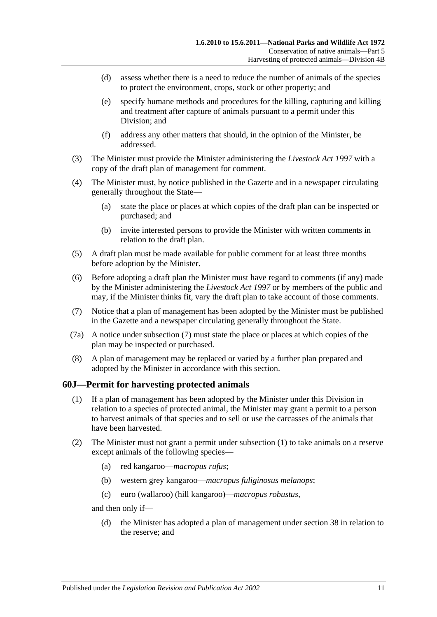- <span id="page-62-0"></span>(d) assess whether there is a need to reduce the number of animals of the species to protect the environment, crops, stock or other property; and
- (e) specify humane methods and procedures for the killing, capturing and killing and treatment after capture of animals pursuant to a permit under this Division; and
- (f) address any other matters that should, in the opinion of the Minister, be addressed.
- (3) The Minister must provide the Minister administering the *[Livestock Act](http://www.legislation.sa.gov.au/index.aspx?action=legref&type=act&legtitle=Livestock%20Act%201997) 1997* with a copy of the draft plan of management for comment.
- (4) The Minister must, by notice published in the Gazette and in a newspaper circulating generally throughout the State—
	- (a) state the place or places at which copies of the draft plan can be inspected or purchased; and
	- (b) invite interested persons to provide the Minister with written comments in relation to the draft plan.
- (5) A draft plan must be made available for public comment for at least three months before adoption by the Minister.
- (6) Before adopting a draft plan the Minister must have regard to comments (if any) made by the Minister administering the *[Livestock Act](http://www.legislation.sa.gov.au/index.aspx?action=legref&type=act&legtitle=Livestock%20Act%201997) 1997* or by members of the public and may, if the Minister thinks fit, vary the draft plan to take account of those comments.
- <span id="page-62-1"></span>(7) Notice that a plan of management has been adopted by the Minister must be published in the Gazette and a newspaper circulating generally throughout the State.
- (7a) A notice under [subsection](#page-62-1) (7) must state the place or places at which copies of the plan may be inspected or purchased.
- (8) A plan of management may be replaced or varied by a further plan prepared and adopted by the Minister in accordance with this section.

### <span id="page-62-2"></span>**60J—Permit for harvesting protected animals**

- (1) If a plan of management has been adopted by the Minister under this Division in relation to a species of protected animal, the Minister may grant a permit to a person to harvest animals of that species and to sell or use the carcasses of the animals that have been harvested.
- (2) The Minister must not grant a permit under [subsection](#page-62-2) (1) to take animals on a reserve except animals of the following species—
	- (a) red kangaroo—*macropus rufus*;
	- (b) western grey kangaroo—*macropus fuliginosus melanops*;
	- (c) euro (wallaroo) (hill kangaroo)—*macropus robustus*,

and then only if—

(d) the Minister has adopted a plan of management under [section](#page-29-0) 38 in relation to the reserve; and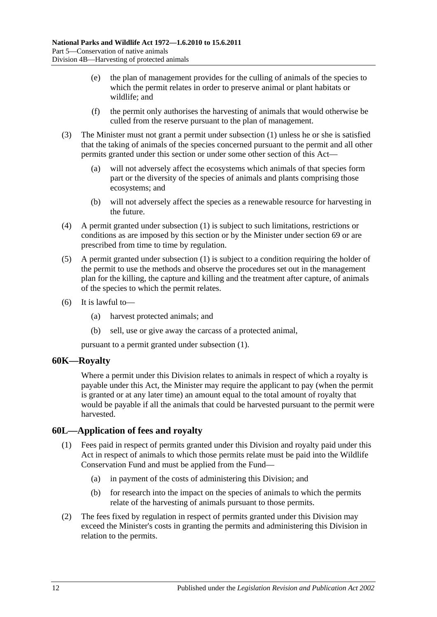- (e) the plan of management provides for the culling of animals of the species to which the permit relates in order to preserve animal or plant habitats or wildlife; and
- (f) the permit only authorises the harvesting of animals that would otherwise be culled from the reserve pursuant to the plan of management.
- (3) The Minister must not grant a permit under [subsection](#page-62-2) (1) unless he or she is satisfied that the taking of animals of the species concerned pursuant to the permit and all other permits granted under this section or under some other section of this Act—
	- (a) will not adversely affect the ecosystems which animals of that species form part or the diversity of the species of animals and plants comprising those ecosystems; and
	- (b) will not adversely affect the species as a renewable resource for harvesting in the future.
- (4) A permit granted under [subsection](#page-62-2) (1) is subject to such limitations, restrictions or conditions as are imposed by this section or by the Minister under [section](#page-72-0) 69 or are prescribed from time to time by regulation.
- (5) A permit granted under [subsection](#page-62-2) (1) is subject to a condition requiring the holder of the permit to use the methods and observe the procedures set out in the management plan for the killing, the capture and killing and the treatment after capture, of animals of the species to which the permit relates.
- (6) It is lawful to—
	- (a) harvest protected animals; and
	- (b) sell, use or give away the carcass of a protected animal,

pursuant to a permit granted under [subsection](#page-62-2) (1).

### **60K—Royalty**

Where a permit under this Division relates to animals in respect of which a royalty is payable under this Act, the Minister may require the applicant to pay (when the permit is granted or at any later time) an amount equal to the total amount of royalty that would be payable if all the animals that could be harvested pursuant to the permit were harvested.

### **60L—Application of fees and royalty**

- (1) Fees paid in respect of permits granted under this Division and royalty paid under this Act in respect of animals to which those permits relate must be paid into the Wildlife Conservation Fund and must be applied from the Fund—
	- (a) in payment of the costs of administering this Division; and
	- (b) for research into the impact on the species of animals to which the permits relate of the harvesting of animals pursuant to those permits.
- (2) The fees fixed by regulation in respect of permits granted under this Division may exceed the Minister's costs in granting the permits and administering this Division in relation to the permits.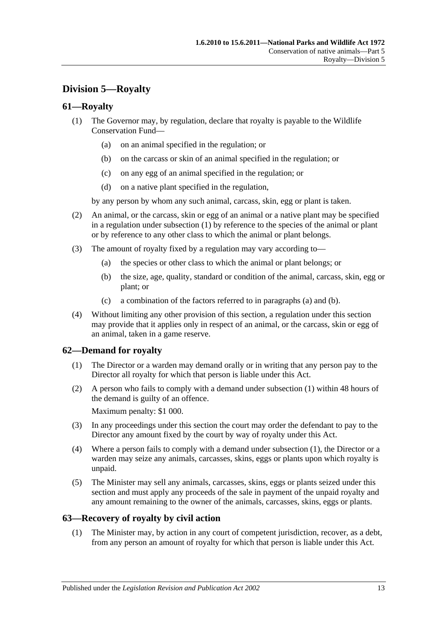# **Division 5—Royalty**

### <span id="page-64-0"></span>**61—Royalty**

- (1) The Governor may, by regulation, declare that royalty is payable to the Wildlife Conservation Fund—
	- (a) on an animal specified in the regulation; or
	- (b) on the carcass or skin of an animal specified in the regulation; or
	- (c) on any egg of an animal specified in the regulation; or
	- (d) on a native plant specified in the regulation,

by any person by whom any such animal, carcass, skin, egg or plant is taken.

- (2) An animal, or the carcass, skin or egg of an animal or a native plant may be specified in a regulation under [subsection](#page-64-0) (1) by reference to the species of the animal or plant or by reference to any other class to which the animal or plant belongs.
- <span id="page-64-2"></span><span id="page-64-1"></span>(3) The amount of royalty fixed by a regulation may vary according to—
	- (a) the species or other class to which the animal or plant belongs; or
	- (b) the size, age, quality, standard or condition of the animal, carcass, skin, egg or plant; or
	- (c) a combination of the factors referred to in [paragraphs](#page-64-1) (a) and [\(b\).](#page-64-2)
- (4) Without limiting any other provision of this section, a regulation under this section may provide that it applies only in respect of an animal, or the carcass, skin or egg of an animal, taken in a game reserve.

### <span id="page-64-3"></span>**62—Demand for royalty**

- (1) The Director or a warden may demand orally or in writing that any person pay to the Director all royalty for which that person is liable under this Act.
- (2) A person who fails to comply with a demand under [subsection](#page-64-3) (1) within 48 hours of the demand is guilty of an offence.

Maximum penalty: \$1 000.

- (3) In any proceedings under this section the court may order the defendant to pay to the Director any amount fixed by the court by way of royalty under this Act.
- (4) Where a person fails to comply with a demand under [subsection](#page-64-3) (1), the Director or a warden may seize any animals, carcasses, skins, eggs or plants upon which royalty is unpaid.
- (5) The Minister may sell any animals, carcasses, skins, eggs or plants seized under this section and must apply any proceeds of the sale in payment of the unpaid royalty and any amount remaining to the owner of the animals, carcasses, skins, eggs or plants.

### **63—Recovery of royalty by civil action**

(1) The Minister may, by action in any court of competent jurisdiction, recover, as a debt, from any person an amount of royalty for which that person is liable under this Act.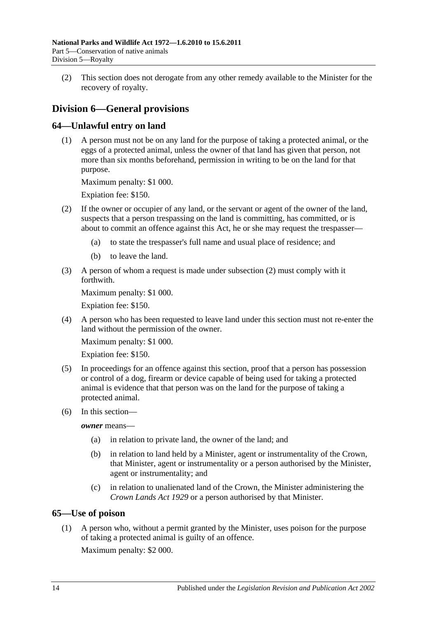(2) This section does not derogate from any other remedy available to the Minister for the recovery of royalty.

# **Division 6—General provisions**

### **64—Unlawful entry on land**

(1) A person must not be on any land for the purpose of taking a protected animal, or the eggs of a protected animal, unless the owner of that land has given that person, not more than six months beforehand, permission in writing to be on the land for that purpose.

Maximum penalty: \$1 000.

Expiation fee: \$150.

- <span id="page-65-0"></span>(2) If the owner or occupier of any land, or the servant or agent of the owner of the land, suspects that a person trespassing on the land is committing, has committed, or is about to commit an offence against this Act, he or she may request the trespasser—
	- (a) to state the trespasser's full name and usual place of residence; and
	- (b) to leave the land.
- (3) A person of whom a request is made under [subsection](#page-65-0) (2) must comply with it forthwith.

Maximum penalty: \$1 000.

Expiation fee: \$150.

(4) A person who has been requested to leave land under this section must not re-enter the land without the permission of the owner.

Maximum penalty: \$1 000.

Expiation fee: \$150.

- (5) In proceedings for an offence against this section, proof that a person has possession or control of a dog, firearm or device capable of being used for taking a protected animal is evidence that that person was on the land for the purpose of taking a protected animal.
- (6) In this section—

*owner* means—

- (a) in relation to private land, the owner of the land; and
- (b) in relation to land held by a Minister, agent or instrumentality of the Crown, that Minister, agent or instrumentality or a person authorised by the Minister, agent or instrumentality; and
- (c) in relation to unalienated land of the Crown, the Minister administering the *[Crown Lands Act](http://www.legislation.sa.gov.au/index.aspx?action=legref&type=act&legtitle=Crown%20Lands%20Act%201929) 1929* or a person authorised by that Minister.

### **65—Use of poison**

(1) A person who, without a permit granted by the Minister, uses poison for the purpose of taking a protected animal is guilty of an offence.

Maximum penalty: \$2 000.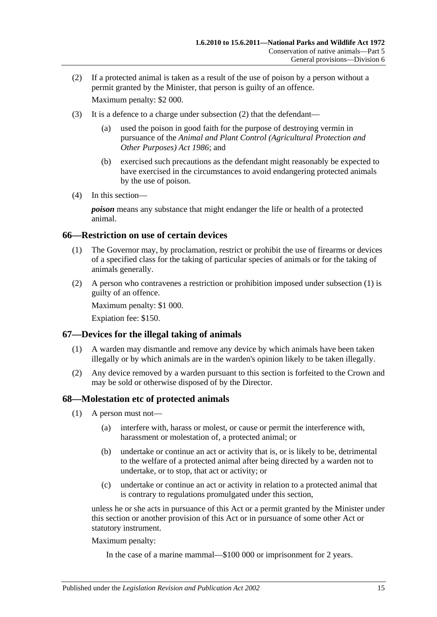- <span id="page-66-0"></span>(2) If a protected animal is taken as a result of the use of poison by a person without a permit granted by the Minister, that person is guilty of an offence. Maximum penalty: \$2 000.
- (3) It is a defence to a charge under [subsection](#page-66-0) (2) that the defendant—
	- (a) used the poison in good faith for the purpose of destroying vermin in pursuance of the *[Animal and Plant Control \(Agricultural Protection and](http://www.legislation.sa.gov.au/index.aspx?action=legref&type=act&legtitle=Animal%20and%20Plant%20Control%20(Agricultural%20Protection%20and%20Other%20Purposes)%20Act%201986)  [Other Purposes\) Act](http://www.legislation.sa.gov.au/index.aspx?action=legref&type=act&legtitle=Animal%20and%20Plant%20Control%20(Agricultural%20Protection%20and%20Other%20Purposes)%20Act%201986) 1986*; and
	- (b) exercised such precautions as the defendant might reasonably be expected to have exercised in the circumstances to avoid endangering protected animals by the use of poison.
- (4) In this section—

*poison* means any substance that might endanger the life or health of a protected animal.

### <span id="page-66-1"></span>**66—Restriction on use of certain devices**

- (1) The Governor may, by proclamation, restrict or prohibit the use of firearms or devices of a specified class for the taking of particular species of animals or for the taking of animals generally.
- (2) A person who contravenes a restriction or prohibition imposed under [subsection](#page-66-1) (1) is guilty of an offence.

Maximum penalty: \$1 000.

Expiation fee: \$150.

### **67—Devices for the illegal taking of animals**

- (1) A warden may dismantle and remove any device by which animals have been taken illegally or by which animals are in the warden's opinion likely to be taken illegally.
- (2) Any device removed by a warden pursuant to this section is forfeited to the Crown and may be sold or otherwise disposed of by the Director.

#### <span id="page-66-5"></span>**68—Molestation etc of protected animals**

- <span id="page-66-3"></span><span id="page-66-2"></span>(1) A person must not—
	- (a) interfere with, harass or molest, or cause or permit the interference with, harassment or molestation of, a protected animal; or
	- (b) undertake or continue an act or activity that is, or is likely to be, detrimental to the welfare of a protected animal after being directed by a warden not to undertake, or to stop, that act or activity; or
	- (c) undertake or continue an act or activity in relation to a protected animal that is contrary to regulations promulgated under this section,

<span id="page-66-4"></span>unless he or she acts in pursuance of this Act or a permit granted by the Minister under this section or another provision of this Act or in pursuance of some other Act or statutory instrument.

Maximum penalty:

In the case of a marine mammal—\$100 000 or imprisonment for 2 years.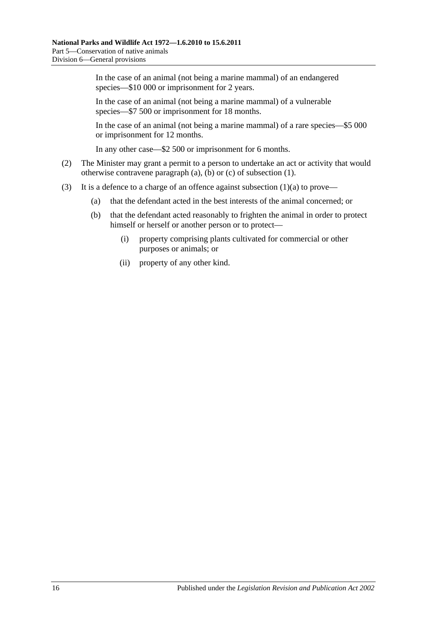In the case of an animal (not being a marine mammal) of an endangered species—\$10 000 or imprisonment for 2 years.

In the case of an animal (not being a marine mammal) of a vulnerable species—\$7 500 or imprisonment for 18 months.

In the case of an animal (not being a marine mammal) of a rare species—\$5 000 or imprisonment for 12 months.

In any other case—\$2 500 or imprisonment for 6 months.

- (2) The Minister may grant a permit to a person to undertake an act or activity that would otherwise contravene [paragraph](#page-66-2) (a), [\(b\)](#page-66-3) or [\(c\)](#page-66-4) of [subsection](#page-66-5) (1).
- (3) It is a defence to a charge of an offence against [subsection](#page-66-2)  $(1)(a)$  to prove—
	- (a) that the defendant acted in the best interests of the animal concerned; or
	- (b) that the defendant acted reasonably to frighten the animal in order to protect himself or herself or another person or to protect—
		- (i) property comprising plants cultivated for commercial or other purposes or animals; or
		- (ii) property of any other kind.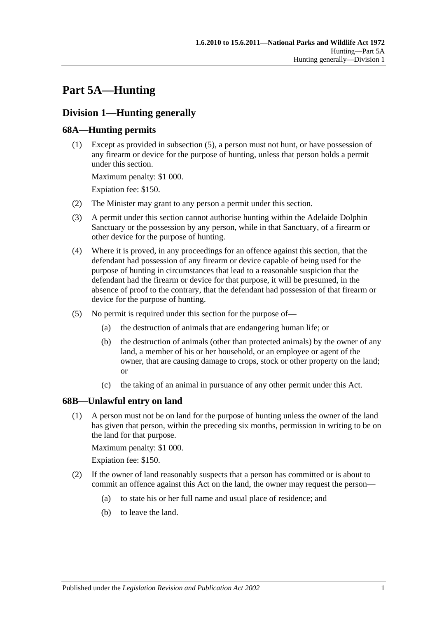# **Part 5A—Hunting**

# **Division 1—Hunting generally**

### <span id="page-68-3"></span>**68A—Hunting permits**

(1) Except as provided in [subsection](#page-68-0) (5), a person must not hunt, or have possession of any firearm or device for the purpose of hunting, unless that person holds a permit under this section.

Maximum penalty: \$1 000.

Expiation fee: \$150.

- (2) The Minister may grant to any person a permit under this section.
- (3) A permit under this section cannot authorise hunting within the Adelaide Dolphin Sanctuary or the possession by any person, while in that Sanctuary, of a firearm or other device for the purpose of hunting.
- (4) Where it is proved, in any proceedings for an offence against this section, that the defendant had possession of any firearm or device capable of being used for the purpose of hunting in circumstances that lead to a reasonable suspicion that the defendant had the firearm or device for that purpose, it will be presumed, in the absence of proof to the contrary, that the defendant had possession of that firearm or device for the purpose of hunting.
- <span id="page-68-0"></span>(5) No permit is required under this section for the purpose of—
	- (a) the destruction of animals that are endangering human life; or
	- (b) the destruction of animals (other than protected animals) by the owner of any land, a member of his or her household, or an employee or agent of the owner, that are causing damage to crops, stock or other property on the land; or
	- (c) the taking of an animal in pursuance of any other permit under this Act.

### <span id="page-68-2"></span>**68B—Unlawful entry on land**

(1) A person must not be on land for the purpose of hunting unless the owner of the land has given that person, within the preceding six months, permission in writing to be on the land for that purpose.

Maximum penalty: \$1 000.

Expiation fee: \$150.

- <span id="page-68-1"></span>(2) If the owner of land reasonably suspects that a person has committed or is about to commit an offence against this Act on the land, the owner may request the person—
	- (a) to state his or her full name and usual place of residence; and
	- (b) to leave the land.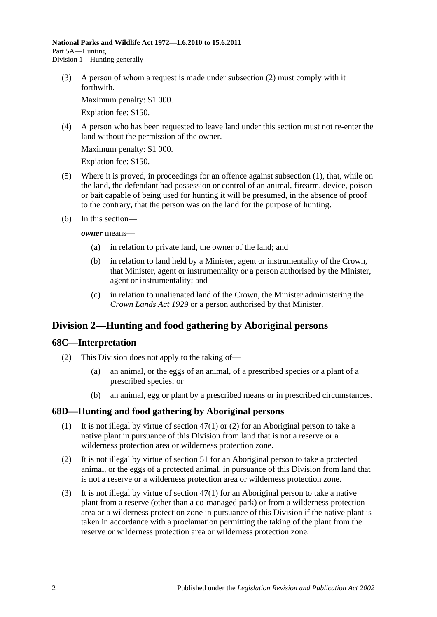(3) A person of whom a request is made under [subsection](#page-68-1) (2) must comply with it forthwith.

Maximum penalty: \$1 000.

Expiation fee: \$150.

(4) A person who has been requested to leave land under this section must not re-enter the land without the permission of the owner.

Maximum penalty: \$1 000.

Expiation fee: \$150.

- (5) Where it is proved, in proceedings for an offence against [subsection](#page-68-2) (1), that, while on the land, the defendant had possession or control of an animal, firearm, device, poison or bait capable of being used for hunting it will be presumed, in the absence of proof to the contrary, that the person was on the land for the purpose of hunting.
- (6) In this section—

*owner* means—

- (a) in relation to private land, the owner of the land; and
- (b) in relation to land held by a Minister, agent or instrumentality of the Crown, that Minister, agent or instrumentality or a person authorised by the Minister, agent or instrumentality; and
- (c) in relation to unalienated land of the Crown, the Minister administering the *[Crown Lands Act](http://www.legislation.sa.gov.au/index.aspx?action=legref&type=act&legtitle=Crown%20Lands%20Act%201929) 1929* or a person authorised by that Minister.

## **Division 2—Hunting and food gathering by Aboriginal persons**

### **68C—Interpretation**

- (2) This Division does not apply to the taking of—
	- (a) an animal, or the eggs of an animal, of a prescribed species or a plant of a prescribed species; or
	- (b) an animal, egg or plant by a prescribed means or in prescribed circumstances.

### **68D—Hunting and food gathering by Aboriginal persons**

- (1) It is not illegal by virtue of [section](#page-48-0) 47(1) or [\(2\)](#page-48-1) for an Aboriginal person to take a native plant in pursuance of this Division from land that is not a reserve or a wilderness protection area or wilderness protection zone.
- (2) It is not illegal by virtue of [section](#page-52-0) 51 for an Aboriginal person to take a protected animal, or the eggs of a protected animal, in pursuance of this Division from land that is not a reserve or a wilderness protection area or wilderness protection zone.
- <span id="page-69-0"></span>(3) It is not illegal by virtue of [section](#page-48-0) 47(1) for an Aboriginal person to take a native plant from a reserve (other than a co-managed park) or from a wilderness protection area or a wilderness protection zone in pursuance of this Division if the native plant is taken in accordance with a proclamation permitting the taking of the plant from the reserve or wilderness protection area or wilderness protection zone.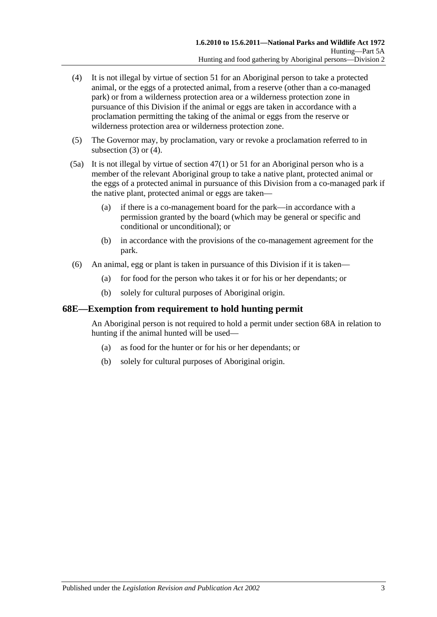- <span id="page-70-0"></span>(4) It is not illegal by virtue of [section](#page-52-0) 51 for an Aboriginal person to take a protected animal, or the eggs of a protected animal, from a reserve (other than a co-managed park) or from a wilderness protection area or a wilderness protection zone in pursuance of this Division if the animal or eggs are taken in accordance with a proclamation permitting the taking of the animal or eggs from the reserve or wilderness protection area or wilderness protection zone.
- (5) The Governor may, by proclamation, vary or revoke a proclamation referred to in [subsection](#page-69-0) (3) or [\(4\).](#page-70-0)
- (5a) It is not illegal by virtue of [section](#page-48-0) 47(1) or [51](#page-52-0) for an Aboriginal person who is a member of the relevant Aboriginal group to take a native plant, protected animal or the eggs of a protected animal in pursuance of this Division from a co-managed park if the native plant, protected animal or eggs are taken—
	- (a) if there is a co-management board for the park—in accordance with a permission granted by the board (which may be general or specific and conditional or unconditional); or
	- (b) in accordance with the provisions of the co-management agreement for the park.
- (6) An animal, egg or plant is taken in pursuance of this Division if it is taken—
	- (a) for food for the person who takes it or for his or her dependants; or
	- (b) solely for cultural purposes of Aboriginal origin.

### **68E—Exemption from requirement to hold hunting permit**

An Aboriginal person is not required to hold a permit under [section](#page-68-3) 68A in relation to hunting if the animal hunted will be used—

- (a) as food for the hunter or for his or her dependants; or
- (b) solely for cultural purposes of Aboriginal origin.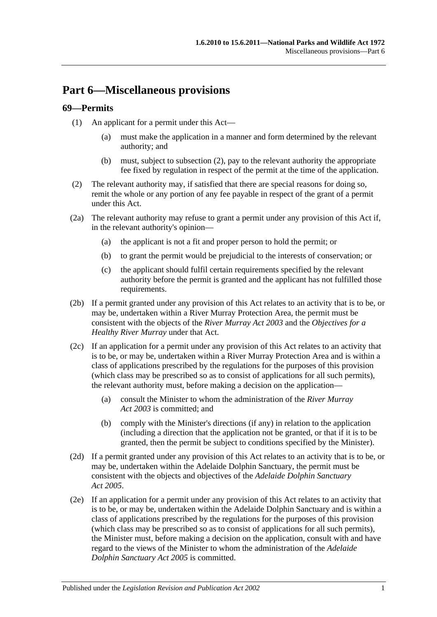## **Part 6—Miscellaneous provisions**

## **69—Permits**

- (1) An applicant for a permit under this Act—
	- (a) must make the application in a manner and form determined by the relevant authority; and
	- (b) must, subject to [subsection](#page-72-0) (2), pay to the relevant authority the appropriate fee fixed by regulation in respect of the permit at the time of the application.
- <span id="page-72-0"></span>(2) The relevant authority may, if satisfied that there are special reasons for doing so, remit the whole or any portion of any fee payable in respect of the grant of a permit under this Act.
- (2a) The relevant authority may refuse to grant a permit under any provision of this Act if, in the relevant authority's opinion—
	- (a) the applicant is not a fit and proper person to hold the permit; or
	- (b) to grant the permit would be prejudicial to the interests of conservation; or
	- (c) the applicant should fulfil certain requirements specified by the relevant authority before the permit is granted and the applicant has not fulfilled those requirements.
- (2b) If a permit granted under any provision of this Act relates to an activity that is to be, or may be, undertaken within a River Murray Protection Area, the permit must be consistent with the objects of the *[River Murray Act](http://www.legislation.sa.gov.au/index.aspx?action=legref&type=act&legtitle=River%20Murray%20Act%202003) 2003* and the *Objectives for a Healthy River Murray* under that Act.
- (2c) If an application for a permit under any provision of this Act relates to an activity that is to be, or may be, undertaken within a River Murray Protection Area and is within a class of applications prescribed by the regulations for the purposes of this provision (which class may be prescribed so as to consist of applications for all such permits), the relevant authority must, before making a decision on the application—
	- (a) consult the Minister to whom the administration of the *[River Murray](http://www.legislation.sa.gov.au/index.aspx?action=legref&type=act&legtitle=River%20Murray%20Act%202003)  Act [2003](http://www.legislation.sa.gov.au/index.aspx?action=legref&type=act&legtitle=River%20Murray%20Act%202003)* is committed; and
	- (b) comply with the Minister's directions (if any) in relation to the application (including a direction that the application not be granted, or that if it is to be granted, then the permit be subject to conditions specified by the Minister).
- (2d) If a permit granted under any provision of this Act relates to an activity that is to be, or may be, undertaken within the Adelaide Dolphin Sanctuary, the permit must be consistent with the objects and objectives of the *[Adelaide Dolphin Sanctuary](http://www.legislation.sa.gov.au/index.aspx?action=legref&type=act&legtitle=Adelaide%20Dolphin%20Sanctuary%20Act%202005)  Act [2005](http://www.legislation.sa.gov.au/index.aspx?action=legref&type=act&legtitle=Adelaide%20Dolphin%20Sanctuary%20Act%202005)*.
- (2e) If an application for a permit under any provision of this Act relates to an activity that is to be, or may be, undertaken within the Adelaide Dolphin Sanctuary and is within a class of applications prescribed by the regulations for the purposes of this provision (which class may be prescribed so as to consist of applications for all such permits), the Minister must, before making a decision on the application, consult with and have regard to the views of the Minister to whom the administration of the *[Adelaide](http://www.legislation.sa.gov.au/index.aspx?action=legref&type=act&legtitle=Adelaide%20Dolphin%20Sanctuary%20Act%202005)  [Dolphin Sanctuary Act](http://www.legislation.sa.gov.au/index.aspx?action=legref&type=act&legtitle=Adelaide%20Dolphin%20Sanctuary%20Act%202005) 2005* is committed.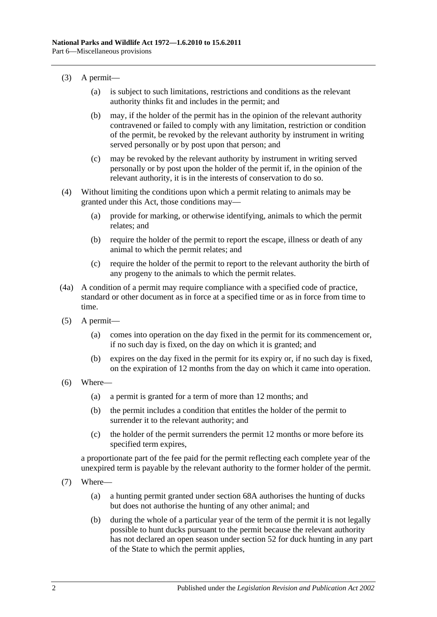- (3) A permit—
	- (a) is subject to such limitations, restrictions and conditions as the relevant authority thinks fit and includes in the permit; and
	- (b) may, if the holder of the permit has in the opinion of the relevant authority contravened or failed to comply with any limitation, restriction or condition of the permit, be revoked by the relevant authority by instrument in writing served personally or by post upon that person; and
	- (c) may be revoked by the relevant authority by instrument in writing served personally or by post upon the holder of the permit if, in the opinion of the relevant authority, it is in the interests of conservation to do so.
- (4) Without limiting the conditions upon which a permit relating to animals may be granted under this Act, those conditions may—
	- (a) provide for marking, or otherwise identifying, animals to which the permit relates; and
	- (b) require the holder of the permit to report the escape, illness or death of any animal to which the permit relates; and
	- (c) require the holder of the permit to report to the relevant authority the birth of any progeny to the animals to which the permit relates.
- (4a) A condition of a permit may require compliance with a specified code of practice, standard or other document as in force at a specified time or as in force from time to time.
- (5) A permit—
	- (a) comes into operation on the day fixed in the permit for its commencement or, if no such day is fixed, on the day on which it is granted; and
	- (b) expires on the day fixed in the permit for its expiry or, if no such day is fixed, on the expiration of 12 months from the day on which it came into operation.
- (6) Where—
	- (a) a permit is granted for a term of more than 12 months; and
	- (b) the permit includes a condition that entitles the holder of the permit to surrender it to the relevant authority; and
	- (c) the holder of the permit surrenders the permit 12 months or more before its specified term expires,

a proportionate part of the fee paid for the permit reflecting each complete year of the unexpired term is payable by the relevant authority to the former holder of the permit.

- (7) Where—
	- (a) a hunting permit granted under [section](#page-68-0) 68A authorises the hunting of ducks but does not authorise the hunting of any other animal; and
	- (b) during the whole of a particular year of the term of the permit it is not legally possible to hunt ducks pursuant to the permit because the relevant authority has not declared an open season under [section](#page-52-0) 52 for duck hunting in any part of the State to which the permit applies,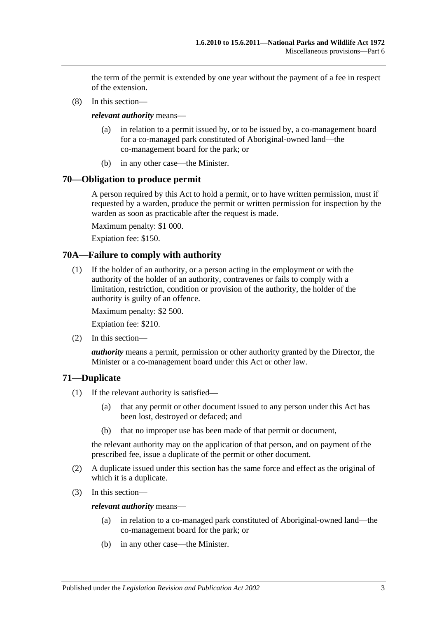the term of the permit is extended by one year without the payment of a fee in respect of the extension.

(8) In this section—

*relevant authority* means—

- (a) in relation to a permit issued by, or to be issued by, a co-management board for a co-managed park constituted of Aboriginal-owned land—the co-management board for the park; or
- (b) in any other case—the Minister.

## **70—Obligation to produce permit**

A person required by this Act to hold a permit, or to have written permission, must if requested by a warden, produce the permit or written permission for inspection by the warden as soon as practicable after the request is made.

Maximum penalty: \$1 000.

Expiation fee: \$150.

## **70A—Failure to comply with authority**

(1) If the holder of an authority, or a person acting in the employment or with the authority of the holder of an authority, contravenes or fails to comply with a limitation, restriction, condition or provision of the authority, the holder of the authority is guilty of an offence.

Maximum penalty: \$2 500.

Expiation fee: \$210.

(2) In this section—

*authority* means a permit, permission or other authority granted by the Director, the Minister or a co-management board under this Act or other law.

## **71—Duplicate**

- (1) If the relevant authority is satisfied—
	- (a) that any permit or other document issued to any person under this Act has been lost, destroyed or defaced; and
	- (b) that no improper use has been made of that permit or document,

the relevant authority may on the application of that person, and on payment of the prescribed fee, issue a duplicate of the permit or other document.

- (2) A duplicate issued under this section has the same force and effect as the original of which it is a duplicate.
- (3) In this section—

*relevant authority* means—

- (a) in relation to a co-managed park constituted of Aboriginal-owned land—the co-management board for the park; or
- (b) in any other case—the Minister.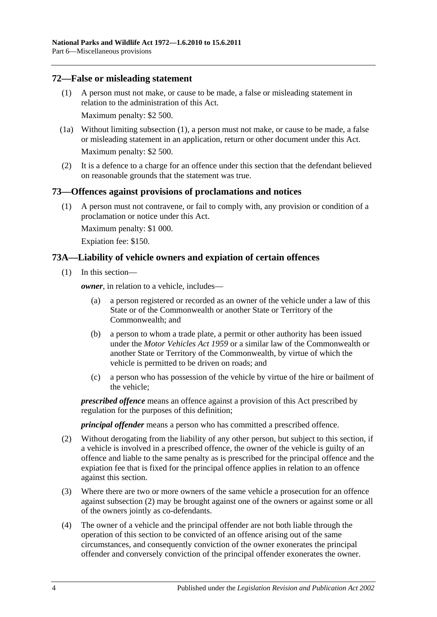## <span id="page-75-0"></span>**72—False or misleading statement**

(1) A person must not make, or cause to be made, a false or misleading statement in relation to the administration of this Act.

Maximum penalty: \$2 500.

- (1a) Without limiting [subsection](#page-75-0) (1), a person must not make, or cause to be made, a false or misleading statement in an application, return or other document under this Act. Maximum penalty: \$2 500.
- (2) It is a defence to a charge for an offence under this section that the defendant believed on reasonable grounds that the statement was true.

## **73—Offences against provisions of proclamations and notices**

(1) A person must not contravene, or fail to comply with, any provision or condition of a proclamation or notice under this Act.

Maximum penalty: \$1 000.

Expiation fee: \$150.

## **73A—Liability of vehicle owners and expiation of certain offences**

(1) In this section—

*owner*, in relation to a vehicle, includes—

- (a) a person registered or recorded as an owner of the vehicle under a law of this State or of the Commonwealth or another State or Territory of the Commonwealth; and
- (b) a person to whom a trade plate, a permit or other authority has been issued under the *[Motor Vehicles Act](http://www.legislation.sa.gov.au/index.aspx?action=legref&type=act&legtitle=Motor%20Vehicles%20Act%201959) 1959* or a similar law of the Commonwealth or another State or Territory of the Commonwealth, by virtue of which the vehicle is permitted to be driven on roads; and
- (c) a person who has possession of the vehicle by virtue of the hire or bailment of the vehicle;

*prescribed offence* means an offence against a provision of this Act prescribed by regulation for the purposes of this definition;

*principal offender* means a person who has committed a prescribed offence.

- <span id="page-75-1"></span>(2) Without derogating from the liability of any other person, but subject to this section, if a vehicle is involved in a prescribed offence, the owner of the vehicle is guilty of an offence and liable to the same penalty as is prescribed for the principal offence and the expiation fee that is fixed for the principal offence applies in relation to an offence against this section.
- (3) Where there are two or more owners of the same vehicle a prosecution for an offence against [subsection](#page-75-1) (2) may be brought against one of the owners or against some or all of the owners jointly as co-defendants.
- (4) The owner of a vehicle and the principal offender are not both liable through the operation of this section to be convicted of an offence arising out of the same circumstances, and consequently conviction of the owner exonerates the principal offender and conversely conviction of the principal offender exonerates the owner.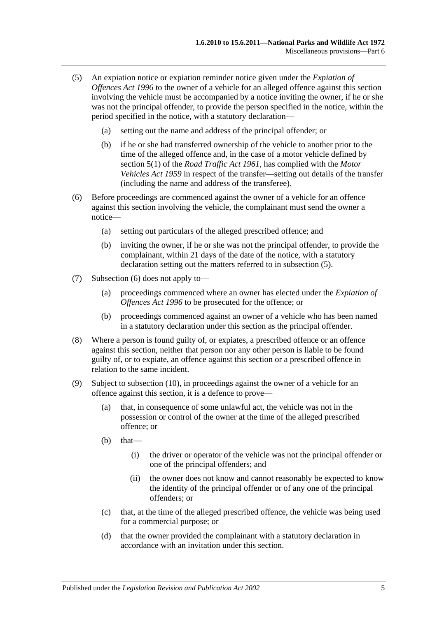- <span id="page-76-0"></span>(5) An expiation notice or expiation reminder notice given under the *[Expiation of](http://www.legislation.sa.gov.au/index.aspx?action=legref&type=act&legtitle=Expiation%20of%20Offences%20Act%201996)  [Offences Act](http://www.legislation.sa.gov.au/index.aspx?action=legref&type=act&legtitle=Expiation%20of%20Offences%20Act%201996) 1996* to the owner of a vehicle for an alleged offence against this section involving the vehicle must be accompanied by a notice inviting the owner, if he or she was not the principal offender, to provide the person specified in the notice, within the period specified in the notice, with a statutory declaration—
	- (a) setting out the name and address of the principal offender; or
	- (b) if he or she had transferred ownership of the vehicle to another prior to the time of the alleged offence and, in the case of a motor vehicle defined by section 5(1) of the *[Road Traffic Act](http://www.legislation.sa.gov.au/index.aspx?action=legref&type=act&legtitle=Road%20Traffic%20Act%201961) 1961*, has complied with the *[Motor](http://www.legislation.sa.gov.au/index.aspx?action=legref&type=act&legtitle=Motor%20Vehicles%20Act%201959)  [Vehicles Act](http://www.legislation.sa.gov.au/index.aspx?action=legref&type=act&legtitle=Motor%20Vehicles%20Act%201959) 1959* in respect of the transfer—setting out details of the transfer (including the name and address of the transferee).
- <span id="page-76-1"></span>(6) Before proceedings are commenced against the owner of a vehicle for an offence against this section involving the vehicle, the complainant must send the owner a notice—
	- (a) setting out particulars of the alleged prescribed offence; and
	- (b) inviting the owner, if he or she was not the principal offender, to provide the complainant, within 21 days of the date of the notice, with a statutory declaration setting out the matters referred to in [subsection](#page-76-0) (5).
- (7) [Subsection](#page-76-1) (6) does not apply to—
	- (a) proceedings commenced where an owner has elected under the *[Expiation of](http://www.legislation.sa.gov.au/index.aspx?action=legref&type=act&legtitle=Expiation%20of%20Offences%20Act%201996)  [Offences Act](http://www.legislation.sa.gov.au/index.aspx?action=legref&type=act&legtitle=Expiation%20of%20Offences%20Act%201996) 1996* to be prosecuted for the offence; or
	- (b) proceedings commenced against an owner of a vehicle who has been named in a statutory declaration under this section as the principal offender.
- (8) Where a person is found guilty of, or expiates, a prescribed offence or an offence against this section, neither that person nor any other person is liable to be found guilty of, or to expiate, an offence against this section or a prescribed offence in relation to the same incident.
- <span id="page-76-2"></span>(9) Subject to [subsection](#page-77-0) (10), in proceedings against the owner of a vehicle for an offence against this section, it is a defence to prove—
	- (a) that, in consequence of some unlawful act, the vehicle was not in the possession or control of the owner at the time of the alleged prescribed offence; or
	- $(b)$  that—
		- (i) the driver or operator of the vehicle was not the principal offender or one of the principal offenders; and
		- (ii) the owner does not know and cannot reasonably be expected to know the identity of the principal offender or of any one of the principal offenders; or
	- (c) that, at the time of the alleged prescribed offence, the vehicle was being used for a commercial purpose; or
	- (d) that the owner provided the complainant with a statutory declaration in accordance with an invitation under this section.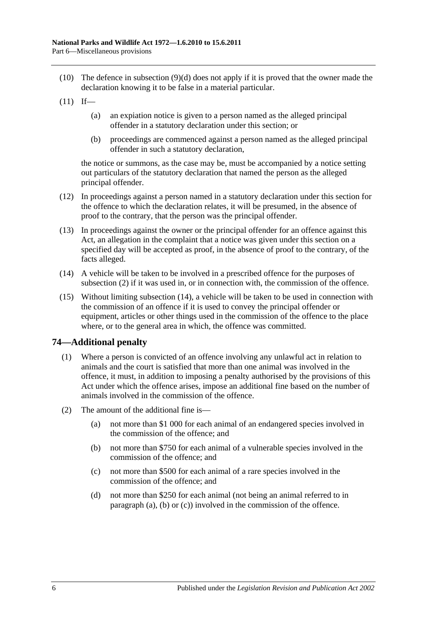- <span id="page-77-0"></span>(10) The defence in [subsection](#page-76-2) (9)(d) does not apply if it is proved that the owner made the declaration knowing it to be false in a material particular.
- $(11)$  If—
	- (a) an expiation notice is given to a person named as the alleged principal offender in a statutory declaration under this section; or
	- (b) proceedings are commenced against a person named as the alleged principal offender in such a statutory declaration,

the notice or summons, as the case may be, must be accompanied by a notice setting out particulars of the statutory declaration that named the person as the alleged principal offender.

- (12) In proceedings against a person named in a statutory declaration under this section for the offence to which the declaration relates, it will be presumed, in the absence of proof to the contrary, that the person was the principal offender.
- (13) In proceedings against the owner or the principal offender for an offence against this Act, an allegation in the complaint that a notice was given under this section on a specified day will be accepted as proof, in the absence of proof to the contrary, of the facts alleged.
- <span id="page-77-1"></span>(14) A vehicle will be taken to be involved in a prescribed offence for the purposes of [subsection](#page-75-1) (2) if it was used in, or in connection with, the commission of the offence.
- (15) Without limiting [subsection](#page-77-1) (14), a vehicle will be taken to be used in connection with the commission of an offence if it is used to convey the principal offender or equipment, articles or other things used in the commission of the offence to the place where, or to the general area in which, the offence was committed.

## **74—Additional penalty**

- (1) Where a person is convicted of an offence involving any unlawful act in relation to animals and the court is satisfied that more than one animal was involved in the offence, it must, in addition to imposing a penalty authorised by the provisions of this Act under which the offence arises, impose an additional fine based on the number of animals involved in the commission of the offence.
- <span id="page-77-4"></span><span id="page-77-3"></span><span id="page-77-2"></span>(2) The amount of the additional fine is—
	- (a) not more than \$1 000 for each animal of an endangered species involved in the commission of the offence; and
	- (b) not more than \$750 for each animal of a vulnerable species involved in the commission of the offence; and
	- (c) not more than \$500 for each animal of a rare species involved in the commission of the offence; and
	- (d) not more than \$250 for each animal (not being an animal referred to in [paragraph](#page-77-2) (a), [\(b\)](#page-77-3) or [\(c\)\)](#page-77-4) involved in the commission of the offence.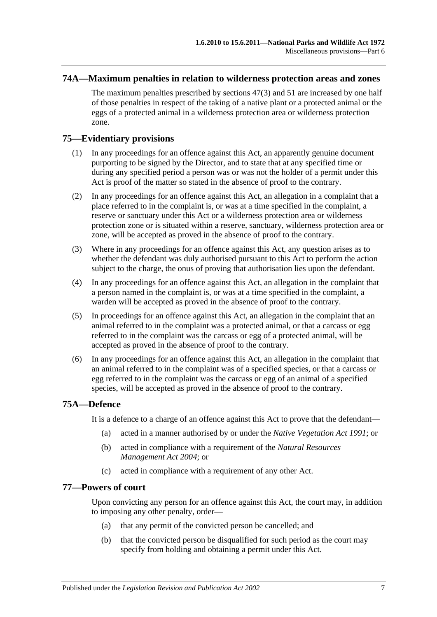## **74A—Maximum penalties in relation to wilderness protection areas and zones**

The maximum penalties prescribed by [sections](#page-48-0) 47(3) and [51](#page-52-1) are increased by one half of those penalties in respect of the taking of a native plant or a protected animal or the eggs of a protected animal in a wilderness protection area or wilderness protection zone.

## **75—Evidentiary provisions**

- (1) In any proceedings for an offence against this Act, an apparently genuine document purporting to be signed by the Director, and to state that at any specified time or during any specified period a person was or was not the holder of a permit under this Act is proof of the matter so stated in the absence of proof to the contrary.
- (2) In any proceedings for an offence against this Act, an allegation in a complaint that a place referred to in the complaint is, or was at a time specified in the complaint, a reserve or sanctuary under this Act or a wilderness protection area or wilderness protection zone or is situated within a reserve, sanctuary, wilderness protection area or zone, will be accepted as proved in the absence of proof to the contrary.
- (3) Where in any proceedings for an offence against this Act, any question arises as to whether the defendant was duly authorised pursuant to this Act to perform the action subject to the charge, the onus of proving that authorisation lies upon the defendant.
- (4) In any proceedings for an offence against this Act, an allegation in the complaint that a person named in the complaint is, or was at a time specified in the complaint, a warden will be accepted as proved in the absence of proof to the contrary.
- (5) In proceedings for an offence against this Act, an allegation in the complaint that an animal referred to in the complaint was a protected animal, or that a carcass or egg referred to in the complaint was the carcass or egg of a protected animal, will be accepted as proved in the absence of proof to the contrary.
- (6) In any proceedings for an offence against this Act, an allegation in the complaint that an animal referred to in the complaint was of a specified species, or that a carcass or egg referred to in the complaint was the carcass or egg of an animal of a specified species, will be accepted as proved in the absence of proof to the contrary.

### **75A—Defence**

It is a defence to a charge of an offence against this Act to prove that the defendant—

- (a) acted in a manner authorised by or under the *[Native Vegetation Act](http://www.legislation.sa.gov.au/index.aspx?action=legref&type=act&legtitle=Native%20Vegetation%20Act%201991) 1991*; or
- (b) acted in compliance with a requirement of the *[Natural Resources](http://www.legislation.sa.gov.au/index.aspx?action=legref&type=act&legtitle=Natural%20Resources%20Management%20Act%202004)  [Management Act](http://www.legislation.sa.gov.au/index.aspx?action=legref&type=act&legtitle=Natural%20Resources%20Management%20Act%202004) 2004*; or
- (c) acted in compliance with a requirement of any other Act.

### **77—Powers of court**

Upon convicting any person for an offence against this Act, the court may, in addition to imposing any other penalty, order—

- (a) that any permit of the convicted person be cancelled; and
- (b) that the convicted person be disqualified for such period as the court may specify from holding and obtaining a permit under this Act.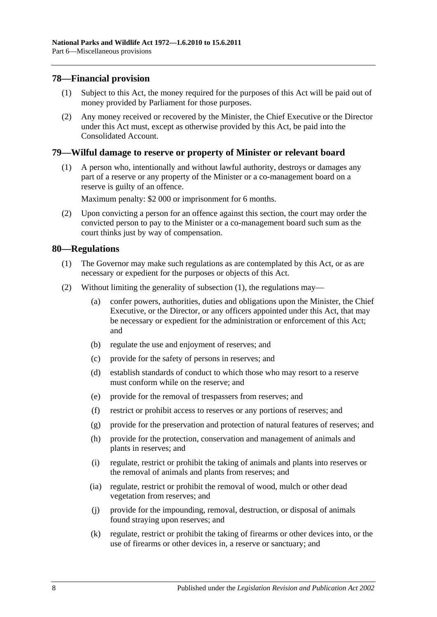## **78—Financial provision**

- (1) Subject to this Act, the money required for the purposes of this Act will be paid out of money provided by Parliament for those purposes.
- (2) Any money received or recovered by the Minister, the Chief Executive or the Director under this Act must, except as otherwise provided by this Act, be paid into the Consolidated Account.

## **79—Wilful damage to reserve or property of Minister or relevant board**

(1) A person who, intentionally and without lawful authority, destroys or damages any part of a reserve or any property of the Minister or a co-management board on a reserve is guilty of an offence.

Maximum penalty: \$2 000 or imprisonment for 6 months.

(2) Upon convicting a person for an offence against this section, the court may order the convicted person to pay to the Minister or a co-management board such sum as the court thinks just by way of compensation.

## <span id="page-79-0"></span>**80—Regulations**

- (1) The Governor may make such regulations as are contemplated by this Act, or as are necessary or expedient for the purposes or objects of this Act.
- (2) Without limiting the generality of [subsection](#page-79-0) (1), the regulations may—
	- (a) confer powers, authorities, duties and obligations upon the Minister, the Chief Executive, or the Director, or any officers appointed under this Act, that may be necessary or expedient for the administration or enforcement of this Act; and
	- (b) regulate the use and enjoyment of reserves; and
	- (c) provide for the safety of persons in reserves; and
	- (d) establish standards of conduct to which those who may resort to a reserve must conform while on the reserve; and
	- (e) provide for the removal of trespassers from reserves; and
	- (f) restrict or prohibit access to reserves or any portions of reserves; and
	- (g) provide for the preservation and protection of natural features of reserves; and
	- (h) provide for the protection, conservation and management of animals and plants in reserves; and
	- (i) regulate, restrict or prohibit the taking of animals and plants into reserves or the removal of animals and plants from reserves; and
	- (ia) regulate, restrict or prohibit the removal of wood, mulch or other dead vegetation from reserves; and
	- (j) provide for the impounding, removal, destruction, or disposal of animals found straying upon reserves; and
	- (k) regulate, restrict or prohibit the taking of firearms or other devices into, or the use of firearms or other devices in, a reserve or sanctuary; and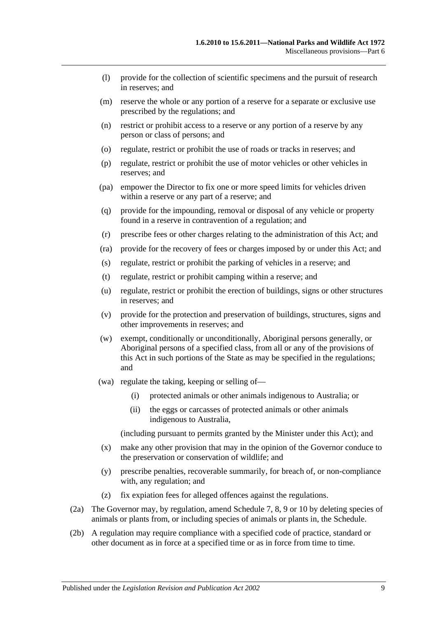- (l) provide for the collection of scientific specimens and the pursuit of research in reserves; and
- (m) reserve the whole or any portion of a reserve for a separate or exclusive use prescribed by the regulations; and
- (n) restrict or prohibit access to a reserve or any portion of a reserve by any person or class of persons; and
- (o) regulate, restrict or prohibit the use of roads or tracks in reserves; and
- (p) regulate, restrict or prohibit the use of motor vehicles or other vehicles in reserves; and
- (pa) empower the Director to fix one or more speed limits for vehicles driven within a reserve or any part of a reserve; and
- (q) provide for the impounding, removal or disposal of any vehicle or property found in a reserve in contravention of a regulation; and
- (r) prescribe fees or other charges relating to the administration of this Act; and
- (ra) provide for the recovery of fees or charges imposed by or under this Act; and
- (s) regulate, restrict or prohibit the parking of vehicles in a reserve; and
- (t) regulate, restrict or prohibit camping within a reserve; and
- (u) regulate, restrict or prohibit the erection of buildings, signs or other structures in reserves; and
- (v) provide for the protection and preservation of buildings, structures, signs and other improvements in reserves; and
- (w) exempt, conditionally or unconditionally, Aboriginal persons generally, or Aboriginal persons of a specified class, from all or any of the provisions of this Act in such portions of the State as may be specified in the regulations; and
- (wa) regulate the taking, keeping or selling of—
	- (i) protected animals or other animals indigenous to Australia; or
	- (ii) the eggs or carcasses of protected animals or other animals indigenous to Australia,

(including pursuant to permits granted by the Minister under this Act); and

- (x) make any other provision that may in the opinion of the Governor conduce to the preservation or conservation of wildlife; and
- (y) prescribe penalties, recoverable summarily, for breach of, or non-compliance with, any regulation; and
- (z) fix expiation fees for alleged offences against the regulations.
- (2a) The Governor may, by regulation, amend [Schedule 7,](#page-89-0) [8,](#page-101-0) [9](#page-114-0) or [10](#page-137-0) by deleting species of animals or plants from, or including species of animals or plants in, the Schedule.
- (2b) A regulation may require compliance with a specified code of practice, standard or other document as in force at a specified time or as in force from time to time.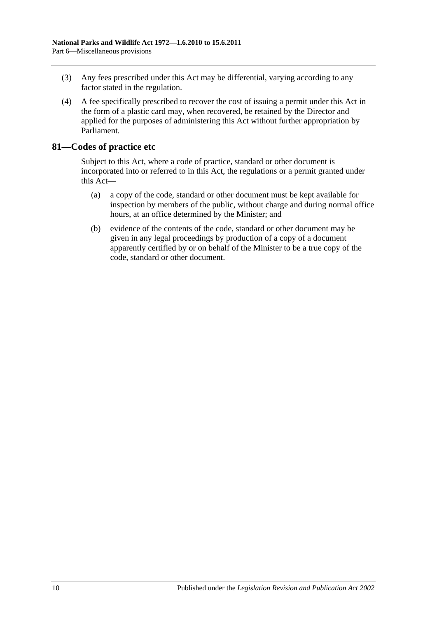- (3) Any fees prescribed under this Act may be differential, varying according to any factor stated in the regulation.
- (4) A fee specifically prescribed to recover the cost of issuing a permit under this Act in the form of a plastic card may, when recovered, be retained by the Director and applied for the purposes of administering this Act without further appropriation by Parliament.

## **81—Codes of practice etc**

Subject to this Act, where a code of practice, standard or other document is incorporated into or referred to in this Act, the regulations or a permit granted under this Act—

- (a) a copy of the code, standard or other document must be kept available for inspection by members of the public, without charge and during normal office hours, at an office determined by the Minister; and
- (b) evidence of the contents of the code, standard or other document may be given in any legal proceedings by production of a copy of a document apparently certified by or on behalf of the Minister to be a true copy of the code, standard or other document.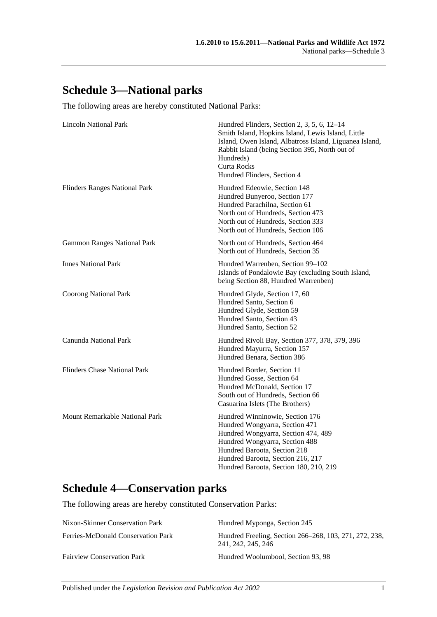# **Schedule 3—National parks**

The following areas are hereby constituted National Parks:

| <b>Lincoln National Park</b>         | Hundred Flinders, Section 2, 3, 5, 6, 12-14<br>Smith Island, Hopkins Island, Lewis Island, Little<br>Island, Owen Island, Albatross Island, Liguanea Island,<br>Rabbit Island (being Section 395, North out of<br>Hundreds)<br><b>Curta Rocks</b><br>Hundred Flinders, Section 4 |
|--------------------------------------|----------------------------------------------------------------------------------------------------------------------------------------------------------------------------------------------------------------------------------------------------------------------------------|
| <b>Flinders Ranges National Park</b> | Hundred Edeowie, Section 148<br>Hundred Bunyeroo, Section 177<br>Hundred Parachilna, Section 61<br>North out of Hundreds, Section 473<br>North out of Hundreds, Section 333<br>North out of Hundreds, Section 106                                                                |
| <b>Gammon Ranges National Park</b>   | North out of Hundreds, Section 464<br>North out of Hundreds, Section 35                                                                                                                                                                                                          |
| <b>Innes National Park</b>           | Hundred Warrenben, Section 99-102<br>Islands of Pondalowie Bay (excluding South Island,<br>being Section 88, Hundred Warrenben)                                                                                                                                                  |
| <b>Coorong National Park</b>         | Hundred Glyde, Section 17, 60<br>Hundred Santo, Section 6<br>Hundred Glyde, Section 59<br>Hundred Santo, Section 43<br>Hundred Santo, Section 52                                                                                                                                 |
| Canunda National Park                | Hundred Rivoli Bay, Section 377, 378, 379, 396<br>Hundred Mayurra, Section 157<br>Hundred Benara, Section 386                                                                                                                                                                    |
| <b>Flinders Chase National Park</b>  | Hundred Border, Section 11<br>Hundred Gosse, Section 64<br>Hundred McDonald, Section 17<br>South out of Hundreds, Section 66<br>Casuarina Islets (The Brothers)                                                                                                                  |
| Mount Remarkable National Park       | Hundred Winninowie, Section 176<br>Hundred Wongyarra, Section 471<br>Hundred Wongyarra, Section 474, 489<br>Hundred Wongyarra, Section 488<br>Hundred Baroota, Section 218<br>Hundred Baroota, Section 216, 217<br>Hundred Baroota, Section 180, 210, 219                        |

# **Schedule 4—Conservation parks**

The following areas are hereby constituted Conservation Parks:

| Nixon-Skinner Conservation Park    | Hundred Myponga, Section 245                                                 |
|------------------------------------|------------------------------------------------------------------------------|
| Ferries-McDonald Conservation Park | Hundred Freeling, Section 266–268, 103, 271, 272, 238,<br>241, 242, 245, 246 |
| <b>Fairview Conservation Park</b>  | Hundred Woolumbool, Section 93, 98                                           |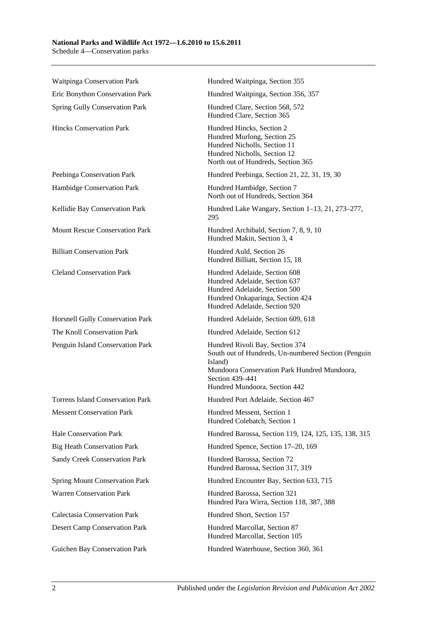#### **National Parks and Wildlife Act 1972—1.6.2010 to 15.6.2011** Schedule 4—Conservation parks

Waitpinga Conservation Park **Hundred Waitpinga, Section 355** Eric Bonython Conservation Park Hundred Waitpinga, Section 356, 357 Spring Gully Conservation Park Hundred Clare, Section 568, 572 Hundred Clare, Section 365 Hincks Conservation Park Hundred Hincks, Section 2 Hundred Murlong, Section 25 Hundred Nicholls, Section 11 Hundred Nicholls, Section 12 North out of Hundreds, Section 365 Peebinga Conservation Park Hundred Peebinga, Section 21, 22, 31, 19, 30 Hambidge Conservation Park Hundred Hambidge, Section 7 North out of Hundreds, Section 364 Kellidie Bay Conservation Park Hundred Lake Wangary, Section 1–13, 21, 273–277, 295 Mount Rescue Conservation Park Hundred Archibald, Section 7, 8, 9, 10 Hundred Makin, Section 3, 4 Billiatt Conservation Park Hundred Auld, Section 26 Hundred Billiatt, Section 15, 18 Cleland Conservation Park Hundred Adelaide, Section 608 Hundred Adelaide, Section 637 Hundred Adelaide, Section 500 Hundred Onkaparinga, Section 424 Hundred Adelaide, Section 920 Horsnell Gully Conservation Park Hundred Adelaide, Section 609, 618 The Knoll Conservation Park Hundred Adelaide, Section 612 Penguin Island Conservation Park Hundred Rivoli Bay, Section 374 South out of Hundreds, Un-numbered Section (Penguin Island) Mundoora Conservation Park Hundred Mundoora, Section 439–441 Hundred Mundoora, Section 442 Torrens Island Conservation Park Hundred Port Adelaide, Section 467 Messent Conservation Park Hundred Messent, Section 1 Hundred Colebatch, Section 1 Hale Conservation Park Hundred Barossa, Section 119, 124, 125, 135, 138, 315 Big Heath Conservation Park Hundred Spence, Section 17–20, 169 Sandy Creek Conservation Park Hundred Barossa, Section 72 Hundred Barossa, Section 317, 319 Spring Mount Conservation Park Hundred Encounter Bay, Section 633, 715 Warren Conservation Park Hundred Barossa, Section 321 Hundred Para Wirra, Section 118, 387, 388 Calectasia Conservation Park Hundred Short, Section 157 Desert Camp Conservation Park Hundred Marcollat, Section 87 Hundred Marcollat, Section 105 Guichen Bay Conservation Park Hundred Waterhouse, Section 360, 361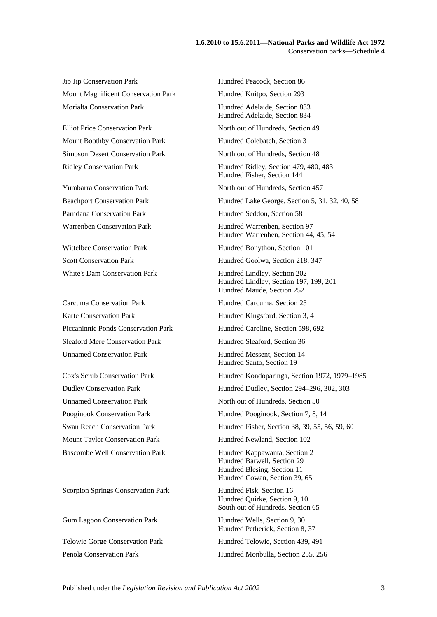Jip Jip Conservation Park Hundred Peacock, Section 86 Mount Magnificent Conservation Park Hundred Kuitpo, Section 293 Morialta Conservation Park **Hundred Adelaide**, Section 833

Mount Boothby Conservation Park Hundred Colebatch, Section 3

Carcuma Conservation Park Hundred Carcuma, Section 23 Karte Conservation Park Hundred Kingsford, Section 3, 4 Sleaford Mere Conservation Park Hundred Sleaford, Section 36 Unnamed Conservation Park Hundred Messent, Section 14

Scorpion Springs Conservation Park Hundred Fisk, Section 16

Hundred Adelaide, Section 834 Elliot Price Conservation Park North out of Hundreds, Section 49 Simpson Desert Conservation Park North out of Hundreds, Section 48 Ridley Conservation Park Hundred Ridley, Section 479, 480, 483 Hundred Fisher, Section 144 Yumbarra Conservation Park North out of Hundreds, Section 457 Beachport Conservation Park Hundred Lake George, Section 5, 31, 32, 40, 58 Parndana Conservation Park Hundred Seddon, Section 58 Warrenben Conservation Park Hundred Warrenben, Section 97 Hundred Warrenben, Section 44, 45, 54 Wittelbee Conservation Park Hundred Bonython, Section 101 Scott Conservation Park Hundred Goolwa, Section 218, 347 White's Dam Conservation Park Hundred Lindley, Section 202 Hundred Lindley, Section 197, 199, 201 Hundred Maude, Section 252 Piccaninnie Ponds Conservation Park Hundred Caroline, Section 598, 692 Hundred Santo, Section 19 Cox's Scrub Conservation Park Hundred Kondoparinga, Section 1972, 1979–1985 Dudley Conservation Park Hundred Dudley, Section 294–296, 302, 303 Unnamed Conservation Park North out of Hundreds, Section 50 Pooginook Conservation Park Hundred Pooginook, Section 7, 8, 14 Swan Reach Conservation Park Hundred Fisher, Section 38, 39, 55, 56, 59, 60 Mount Taylor Conservation Park Hundred Newland, Section 102 Bascombe Well Conservation Park Hundred Kappawanta, Section 2 Hundred Barwell, Section 29 Hundred Blesing, Section 11 Hundred Cowan, Section 39, 65 Hundred Quirke, Section 9, 10 South out of Hundreds, Section 65 Gum Lagoon Conservation Park Hundred Wells, Section 9, 30 Hundred Petherick, Section 8, 37 Telowie Gorge Conservation Park Hundred Telowie, Section 439, 491 Penola Conservation Park Hundred Monbulla, Section 255, 256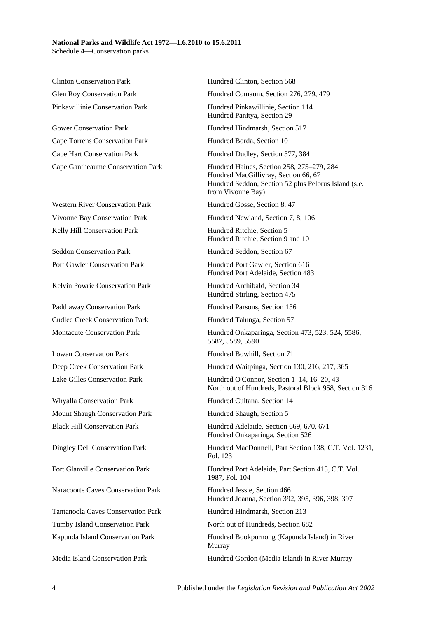Clinton Conservation Park Hundred Clinton, Section 568

Gower Conservation Park Hundred Hindmarsh, Section 517 Cape Torrens Conservation Park Hundred Borda, Section 10 Cape Hart Conservation Park Hundred Dudley, Section 377, 384

Western River Conservation Park Hundred Gosse, Section 8, 47 Kelly Hill Conservation Park **Hundred Ritchie, Section 5** 

Seddon Conservation Park Hundred Seddon, Section 67

Kelvin Powrie Conservation Park Hundred Archibald, Section 34

Padthaway Conservation Park Hundred Parsons, Section 136 Cudlee Creek Conservation Park Hundred Talunga, Section 57

Whyalla Conservation Park Hundred Cultana, Section 14 Mount Shaugh Conservation Park Hundred Shaugh, Section 5

Naracoorte Caves Conservation Park Hundred Jessie, Section 466

Tumby Island Conservation Park North out of Hundreds, Section 682

Glen Roy Conservation Park Hundred Comaum, Section 276, 279, 479

Pinkawillinie Conservation Park Hundred Pinkawillinie, Section 114 Hundred Panitya, Section 29

Cape Gantheaume Conservation Park Hundred Haines, Section 258, 275–279, 284 Hundred MacGillivray, Section 66, 67 Hundred Seddon, Section 52 plus Pelorus Island (s.e. from Vivonne Bay)

Vivonne Bay Conservation Park Hundred Newland, Section 7, 8, 106

Hundred Ritchie, Section 9 and 10

Port Gawler Conservation Park Hundred Port Gawler, Section 616 Hundred Port Adelaide, Section 483

Hundred Stirling, Section 475

Montacute Conservation Park Hundred Onkaparinga, Section 473, 523, 524, 5586, 5587, 5589, 5590

Lowan Conservation Park Hundred Bowhill, Section 71

Deep Creek Conservation Park Hundred Waitpinga, Section 130, 216, 217, 365

Lake Gilles Conservation Park Hundred O'Connor, Section 1–14, 16–20, 43 North out of Hundreds, Pastoral Block 958, Section 316

Black Hill Conservation Park Hundred Adelaide, Section 669, 670, 671 Hundred Onkaparinga, Section 526

Dingley Dell Conservation Park Hundred MacDonnell, Part Section 138, C.T. Vol. 1231, Fol. 123

Fort Glanville Conservation Park Hundred Port Adelaide, Part Section 415, C.T. Vol. 1987, Fol. 104

Hundred Joanna, Section 392, 395, 396, 398, 397

Tantanoola Caves Conservation Park Hundred Hindmarsh, Section 213

Kapunda Island Conservation Park Hundred Bookpurnong (Kapunda Island) in River Murray

Media Island Conservation Park Hundred Gordon (Media Island) in River Murray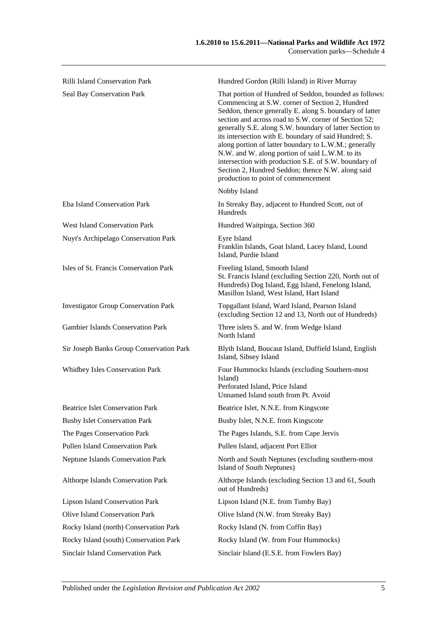| Rilli Island Conservation Park              | Hundred Gordon (Rilli Island) in River Murray                                                                                                                                                                                                                                                                                                                                                                                                                                                                                                                                                                      |
|---------------------------------------------|--------------------------------------------------------------------------------------------------------------------------------------------------------------------------------------------------------------------------------------------------------------------------------------------------------------------------------------------------------------------------------------------------------------------------------------------------------------------------------------------------------------------------------------------------------------------------------------------------------------------|
| Seal Bay Conservation Park                  | That portion of Hundred of Seddon, bounded as follows:<br>Commencing at S.W. corner of Section 2, Hundred<br>Seddon, thence generally E. along S. boundary of latter<br>section and across road to S.W. corner of Section 52;<br>generally S.E. along S.W. boundary of latter Section to<br>its intersection with E. boundary of said Hundred; S.<br>along portion of latter boundary to L.W.M.; generally<br>N.W. and W. along portion of said L.W.M. to its<br>intersection with production S.E. of S.W. boundary of<br>Section 2, Hundred Seddon; thence N.W. along said<br>production to point of commencement |
|                                             | Nobby Island                                                                                                                                                                                                                                                                                                                                                                                                                                                                                                                                                                                                       |
| Eba Island Conservation Park                | In Streaky Bay, adjacent to Hundred Scott, out of<br>Hundreds                                                                                                                                                                                                                                                                                                                                                                                                                                                                                                                                                      |
| <b>West Island Conservation Park</b>        | Hundred Waitpinga, Section 360                                                                                                                                                                                                                                                                                                                                                                                                                                                                                                                                                                                     |
| Nuyt's Archipelago Conservation Park        | Eyre Island<br>Franklin Islands, Goat Island, Lacey Island, Lound<br>Island, Purdie Island                                                                                                                                                                                                                                                                                                                                                                                                                                                                                                                         |
| Isles of St. Francis Conservation Park      | Freeling Island, Smooth Island<br>St. Francis Island (excluding Section 220, North out of<br>Hundreds) Dog Island, Egg Island, Fenelong Island,<br>Masillon Island, West Island, Hart Island                                                                                                                                                                                                                                                                                                                                                                                                                       |
| <b>Investigator Group Conservation Park</b> | Topgallant Island, Ward Island, Pearson Island<br>(excluding Section 12 and 13, North out of Hundreds)                                                                                                                                                                                                                                                                                                                                                                                                                                                                                                             |
| <b>Gambier Islands Conservation Park</b>    | Three islets S. and W. from Wedge Island<br>North Island                                                                                                                                                                                                                                                                                                                                                                                                                                                                                                                                                           |
| Sir Joseph Banks Group Conservation Park    | Blyth Island, Boucaut Island, Duffield Island, English<br>Island, Sibsey Island                                                                                                                                                                                                                                                                                                                                                                                                                                                                                                                                    |
| <b>Whidbey Isles Conservation Park</b>      | Four Hummocks Islands (excluding Southern-most<br>Island)<br>Perforated Island, Price Island<br>Unnamed Island south from Pt. Avoid                                                                                                                                                                                                                                                                                                                                                                                                                                                                                |
| <b>Beatrice Islet Conservation Park</b>     | Beatrice Islet, N.N.E. from Kingscote                                                                                                                                                                                                                                                                                                                                                                                                                                                                                                                                                                              |
| <b>Busby Islet Conservation Park</b>        | Busby Islet, N.N.E. from Kingscote                                                                                                                                                                                                                                                                                                                                                                                                                                                                                                                                                                                 |
| The Pages Conservation Park                 | The Pages Islands, S.E. from Cape Jervis                                                                                                                                                                                                                                                                                                                                                                                                                                                                                                                                                                           |
| Pullen Island Conservation Park             | Pullen Island, adjacent Port Elliot                                                                                                                                                                                                                                                                                                                                                                                                                                                                                                                                                                                |
| <b>Neptune Islands Conservation Park</b>    | North and South Neptunes (excluding southern-most<br>Island of South Neptunes)                                                                                                                                                                                                                                                                                                                                                                                                                                                                                                                                     |
| Althorpe Islands Conservation Park          | Althorpe Islands (excluding Section 13 and 61, South<br>out of Hundreds)                                                                                                                                                                                                                                                                                                                                                                                                                                                                                                                                           |
| <b>Lipson Island Conservation Park</b>      | Lipson Island (N.E. from Tumby Bay)                                                                                                                                                                                                                                                                                                                                                                                                                                                                                                                                                                                |
| <b>Olive Island Conservation Park</b>       | Olive Island (N.W. from Streaky Bay)                                                                                                                                                                                                                                                                                                                                                                                                                                                                                                                                                                               |
| Rocky Island (north) Conservation Park      | Rocky Island (N. from Coffin Bay)                                                                                                                                                                                                                                                                                                                                                                                                                                                                                                                                                                                  |
| Rocky Island (south) Conservation Park      | Rocky Island (W. from Four Hummocks)                                                                                                                                                                                                                                                                                                                                                                                                                                                                                                                                                                               |

Sinclair Island Conservation Park Sinclair Island (E.S.E. from Fowlers Bay)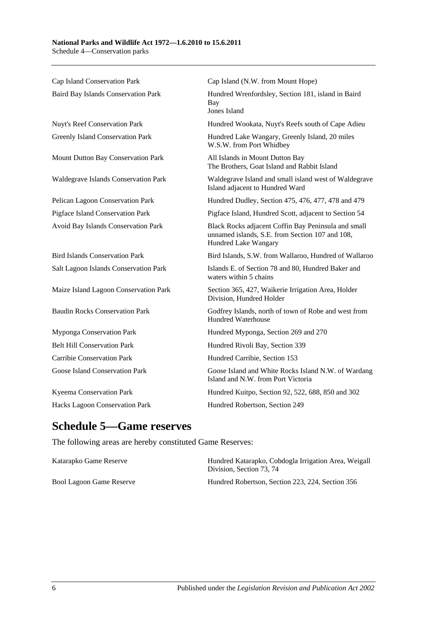Cap Island Conservation Park Cap Island (N.W. from Mount Hope) Baird Bay Islands Conservation Park Hundred Wrenfordsley, Section 181, island in Baird Bay Jones Island Nuyt's Reef Conservation Park Hundred Wookata, Nuyt's Reefs south of Cape Adieu Greenly Island Conservation Park Hundred Lake Wangary, Greenly Island, 20 miles W.S.W. from Port Whidbey Mount Dutton Bay Conservation Park All Islands in Mount Dutton Bay The Brothers, Goat Island and Rabbit Island Waldegrave Islands Conservation Park Waldegrave Island and small island west of Waldegrave Island adjacent to Hundred Ward Pelican Lagoon Conservation Park Hundred Dudley, Section 475, 476, 477, 478 and 479 Pigface Island Conservation Park Pigface Island, Hundred Scott, adjacent to Section 54 Avoid Bay Islands Conservation Park Black Rocks adjacent Coffin Bay Peninsula and small unnamed islands, S.E. from Section 107 and 108, Hundred Lake Wangary Bird Islands Conservation Park Bird Islands, S.W. from Wallaroo, Hundred of Wallaroo Salt Lagoon Islands Conservation Park Islands E. of Section 78 and 80, Hundred Baker and waters within 5 chains Maize Island Lagoon Conservation Park Section 365, 427, Waikerie Irrigation Area, Holder Division, Hundred Holder Baudin Rocks Conservation Park Godfrey Islands, north of town of Robe and west from Hundred Waterhouse Myponga Conservation Park Hundred Myponga, Section 269 and 270 Belt Hill Conservation Park Hundred Rivoli Bay, Section 339 Carribie Conservation Park Hundred Carribie, Section 153 Goose Island Conservation Park Goose Island and White Rocks Island N.W. of Wardang Island and N.W. from Port Victoria Kyeema Conservation Park Hundred Kuitpo, Section 92, 522, 688, 850 and 302 Hacks Lagoon Conservation Park Hundred Robertson, Section 249

## **Schedule 5—Game reserves**

The following areas are hereby constituted Game Reserves:

| Katarapko Game Reserve          | Hundred Katarapko, Cobdogla Irrigation Area, Weigall<br>Division. Section 73, 74 |
|---------------------------------|----------------------------------------------------------------------------------|
| <b>Bool Lagoon Game Reserve</b> | Hundred Robertson, Section 223, 224, Section 356                                 |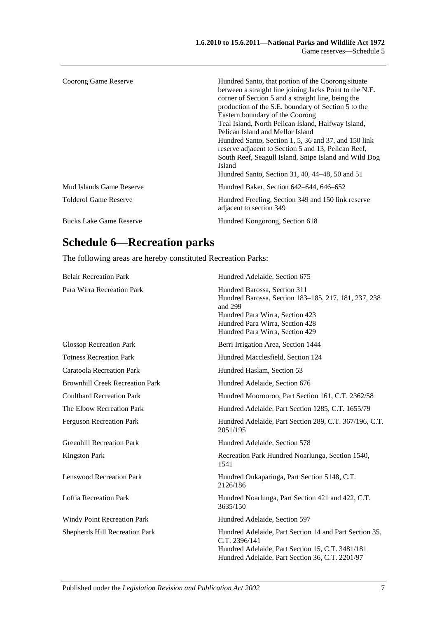| Coorong Game Reserve           | Hundred Santo, that portion of the Coorong situate<br>between a straight line joining Jacks Point to the N.E.<br>corner of Section 5 and a straight line, being the<br>production of the S.E. boundary of Section 5 to the<br>Eastern boundary of the Coorong<br>Teal Island, North Pelican Island, Halfway Island,<br>Pelican Island and Mellor Island<br>Hundred Santo, Section 1, 5, 36 and 37, and 150 link<br>reserve adjacent to Section 5 and 13, Pelican Reef,<br>South Reef, Seagull Island, Snipe Island and Wild Dog<br>Island<br>Hundred Santo, Section 31, 40, 44–48, 50 and 51 |
|--------------------------------|----------------------------------------------------------------------------------------------------------------------------------------------------------------------------------------------------------------------------------------------------------------------------------------------------------------------------------------------------------------------------------------------------------------------------------------------------------------------------------------------------------------------------------------------------------------------------------------------|
| Mud Islands Game Reserve       | Hundred Baker, Section 642–644, 646–652                                                                                                                                                                                                                                                                                                                                                                                                                                                                                                                                                      |
| Tolderol Game Reserve          | Hundred Freeling, Section 349 and 150 link reserve<br>adjacent to section 349                                                                                                                                                                                                                                                                                                                                                                                                                                                                                                                |
| <b>Bucks Lake Game Reserve</b> | Hundred Kongorong, Section 618                                                                                                                                                                                                                                                                                                                                                                                                                                                                                                                                                               |

# **Schedule 6—Recreation parks**

The following areas are hereby constituted Recreation Parks:

| <b>Belair Recreation Park</b>          | Hundred Adelaide, Section 675                                                                                                                                                                            |
|----------------------------------------|----------------------------------------------------------------------------------------------------------------------------------------------------------------------------------------------------------|
| Para Wirra Recreation Park             | Hundred Barossa, Section 311<br>Hundred Barossa, Section 183-185, 217, 181, 237, 238<br>and 299<br>Hundred Para Wirra, Section 423<br>Hundred Para Wirra, Section 428<br>Hundred Para Wirra, Section 429 |
| <b>Glossop Recreation Park</b>         | Berri Irrigation Area, Section 1444                                                                                                                                                                      |
| <b>Totness Recreation Park</b>         | Hundred Macclesfield, Section 124                                                                                                                                                                        |
| <b>Caratoola Recreation Park</b>       | Hundred Haslam, Section 53                                                                                                                                                                               |
| <b>Brownhill Creek Recreation Park</b> | Hundred Adelaide, Section 676                                                                                                                                                                            |
| <b>Coulthard Recreation Park</b>       | Hundred Moorooroo, Part Section 161, C.T. 2362/58                                                                                                                                                        |
| The Elbow Recreation Park              | Hundred Adelaide, Part Section 1285, C.T. 1655/79                                                                                                                                                        |
| <b>Ferguson Recreation Park</b>        | Hundred Adelaide, Part Section 289, C.T. 367/196, C.T.<br>2051/195                                                                                                                                       |
| <b>Greenhill Recreation Park</b>       | Hundred Adelaide, Section 578                                                                                                                                                                            |
| <b>Kingston Park</b>                   | Recreation Park Hundred Noarlunga, Section 1540,<br>1541                                                                                                                                                 |
| <b>Lenswood Recreation Park</b>        | Hundred Onkaparinga, Part Section 5148, C.T.<br>2126/186                                                                                                                                                 |
| <b>Loftia Recreation Park</b>          | Hundred Noarlunga, Part Section 421 and 422, C.T.<br>3635/150                                                                                                                                            |
| <b>Windy Point Recreation Park</b>     | Hundred Adelaide, Section 597                                                                                                                                                                            |
| Shepherds Hill Recreation Park         | Hundred Adelaide, Part Section 14 and Part Section 35,<br>C.T. 2396/141<br>Hundred Adelaide, Part Section 15, C.T. 3481/181<br>Hundred Adelaide, Part Section 36, C.T. 2201/97                           |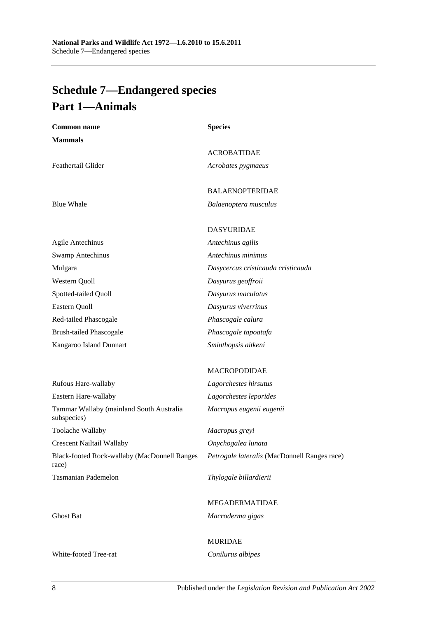# <span id="page-89-0"></span>**Schedule 7—Endangered species Part 1—Animals**

| <b>Common name</b>                                      | <b>Species</b>                               |
|---------------------------------------------------------|----------------------------------------------|
| <b>Mammals</b>                                          |                                              |
|                                                         | <b>ACROBATIDAE</b>                           |
| Feathertail Glider                                      | Acrobates pygmaeus                           |
|                                                         | <b>BALAENOPTERIDAE</b>                       |
| <b>Blue Whale</b>                                       | Balaenoptera musculus                        |
|                                                         | <b>DASYURIDAE</b>                            |
| <b>Agile Antechinus</b>                                 | Antechinus agilis                            |
| <b>Swamp Antechinus</b>                                 | Antechinus minimus                           |
| Mulgara                                                 | Dasycercus cristicauda cristicauda           |
| Western Quoll                                           | Dasyurus geoffroii                           |
| Spotted-tailed Quoll                                    | Dasyurus maculatus                           |
| Eastern Quoll                                           | Dasyurus viverrinus                          |
| Red-tailed Phascogale                                   | Phascogale calura                            |
| <b>Brush-tailed Phascogale</b>                          | Phascogale tapoatafa                         |
| Kangaroo Island Dunnart                                 | Sminthopsis aitkeni                          |
|                                                         | <b>MACROPODIDAE</b>                          |
| Rufous Hare-wallaby                                     | Lagorchestes hirsutus                        |
| Eastern Hare-wallaby                                    | Lagorchestes leporides                       |
| Tammar Wallaby (mainland South Australia<br>subspecies) | Macropus eugenii eugenii                     |
| Toolache Wallaby                                        | Macropus greyi                               |
| <b>Crescent Nailtail Wallaby</b>                        | Onychogalea lunata                           |
| Black-footed Rock-wallaby (MacDonnell Ranges<br>race)   | Petrogale lateralis (MacDonnell Ranges race) |
| <b>Tasmanian Pademelon</b>                              | Thylogale billardierii                       |
|                                                         | MEGADERMATIDAE                               |
| <b>Ghost Bat</b>                                        | Macroderma gigas                             |
|                                                         | <b>MURIDAE</b>                               |
| White-footed Tree-rat                                   | Conilurus albipes                            |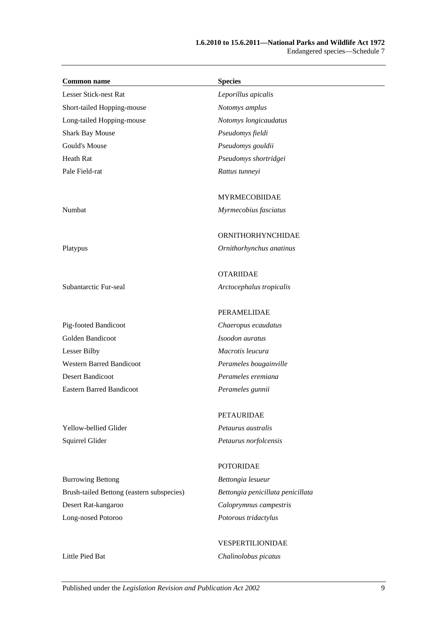#### **1.6.2010 to 15.6.2011—National Parks and Wildlife Act 1972** Endangered species—Schedule 7

| <b>Common name</b>                        | <b>Species</b>                    |
|-------------------------------------------|-----------------------------------|
| Lesser Stick-nest Rat                     | Leporillus apicalis               |
| Short-tailed Hopping-mouse                | Notomys amplus                    |
| Long-tailed Hopping-mouse                 | Notomys longicaudatus             |
| <b>Shark Bay Mouse</b>                    | Pseudomys fieldi                  |
| Gould's Mouse                             | Pseudomys gouldii                 |
| Heath Rat                                 | Pseudomys shortridgei             |
| Pale Field-rat                            | Rattus tunneyi                    |
|                                           | <b>MYRMECOBIIDAE</b>              |
| Numbat                                    | Myrmecobius fasciatus             |
|                                           | ORNITHORHYNCHIDAE                 |
| Platypus                                  | Ornithorhynchus anatinus          |
|                                           | <b>OTARIIDAE</b>                  |
| Subantarctic Fur-seal                     | Arctocephalus tropicalis          |
|                                           | PERAMELIDAE                       |
| Pig-footed Bandicoot                      | Chaeropus ecaudatus               |
| Golden Bandicoot                          | Isoodon auratus                   |
| Lesser Bilby                              | Macrotis leucura                  |
| <b>Western Barred Bandicoot</b>           | Perameles bougainville            |
| <b>Desert Bandicoot</b>                   | Perameles eremiana                |
| <b>Eastern Barred Bandicoot</b>           | Perameles gunnii                  |
|                                           | PETAURIDAE                        |
| Yellow-bellied Glider                     | Petaurus australis                |
| Squirrel Glider                           | Petaurus norfolcensis             |
|                                           | <b>POTORIDAE</b>                  |
| <b>Burrowing Bettong</b>                  | Bettongia lesueur                 |
| Brush-tailed Bettong (eastern subspecies) | Bettongia penicillata penicillata |
| Desert Rat-kangaroo                       | Caloprymnus campestris            |
| Long-nosed Potoroo                        | Potorous tridactylus              |

VESPERTILIONIDAE Little Pied Bat *Chalinolobus picatus*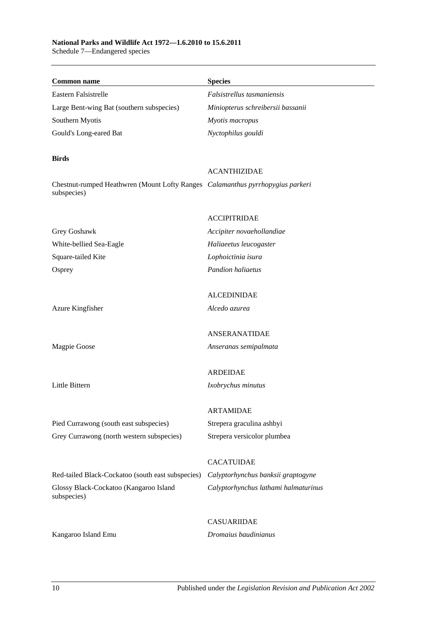## **National Parks and Wildlife Act 1972—1.6.2010 to 15.6.2011**

Schedule 7—Endangered species

| <b>Common name</b>                                                             | <b>Species</b>                       |
|--------------------------------------------------------------------------------|--------------------------------------|
| Eastern Falsistrelle                                                           | Falsistrellus tasmaniensis           |
| Large Bent-wing Bat (southern subspecies)                                      | Miniopterus schreibersii bassanii    |
| Southern Myotis                                                                | Myotis macropus                      |
| Gould's Long-eared Bat                                                         | Nyctophilus gouldi                   |
|                                                                                |                                      |
| <b>Birds</b>                                                                   | <b>ACANTHIZIDAE</b>                  |
| Chestnut-rumped Heathwren (Mount Lofty Ranges Calamanthus pyrrhopygius parkeri |                                      |
| subspecies)                                                                    |                                      |
|                                                                                |                                      |
|                                                                                | <b>ACCIPITRIDAE</b>                  |
| Grey Goshawk                                                                   | Accipiter novaehollandiae            |
| White-bellied Sea-Eagle                                                        | Haliaeetus leucogaster               |
| Square-tailed Kite                                                             | Lophoictinia isura                   |
| Osprey                                                                         | <b>Pandion haliaetus</b>             |
|                                                                                |                                      |
|                                                                                | <b>ALCEDINIDAE</b>                   |
| Azure Kingfisher                                                               | Alcedo azurea                        |
|                                                                                |                                      |
|                                                                                | <b>ANSERANATIDAE</b>                 |
| Magpie Goose                                                                   | Anseranas semipalmata                |
|                                                                                |                                      |
|                                                                                | <b>ARDEIDAE</b>                      |
| Little Bittern                                                                 | Ixobrychus minutus                   |
|                                                                                | <b>ARTAMIDAE</b>                     |
| Pied Currawong (south east subspecies)                                         | Strepera graculina ashbyi            |
| Grey Currawong (north western subspecies)                                      | Strepera versicolor plumbea          |
|                                                                                |                                      |
|                                                                                | <b>CACATUIDAE</b>                    |
| Red-tailed Black-Cockatoo (south east subspecies)                              | Calyptorhynchus banksii graptogyne   |
| Glossy Black-Cockatoo (Kangaroo Island<br>subspecies)                          | Calyptorhynchus lathami halmaturinus |
|                                                                                |                                      |
|                                                                                | <b>CASUARIIDAE</b>                   |
| Kangaroo Island Emu                                                            | Dromaius baudinianus                 |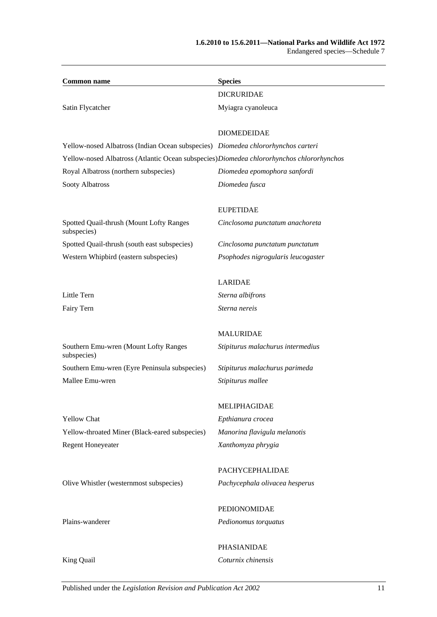| <b>Species</b>                                                                            |
|-------------------------------------------------------------------------------------------|
| <b>DICRURIDAE</b>                                                                         |
| Myiagra cyanoleuca                                                                        |
| <b>DIOMEDEIDAE</b>                                                                        |
| Yellow-nosed Albatross (Indian Ocean subspecies) Diomedea chlororhynchos carteri          |
| Yellow-nosed Albatross (Atlantic Ocean subspecies) Diomedea chlororhynchos chlororhynchos |
| Diomedea epomophora sanfordi                                                              |
| Diomedea fusca                                                                            |
| <b>EUPETIDAE</b>                                                                          |
| Cinclosoma punctatum anachoreta                                                           |
| Cinclosoma punctatum punctatum                                                            |
| Psophodes nigrogularis leucogaster                                                        |
| <b>LARIDAE</b>                                                                            |
| Sterna albifrons                                                                          |
| Sterna nereis                                                                             |
| <b>MALURIDAE</b>                                                                          |
| Stipiturus malachurus intermedius                                                         |
| Stipiturus malachurus parimeda                                                            |
| Stipiturus mallee                                                                         |
| MELIPHAGIDAE                                                                              |
| Epthianura crocea                                                                         |
| Manorina flavigula melanotis                                                              |
| Xanthomyza phrygia                                                                        |
| PACHYCEPHALIDAE                                                                           |
| Pachycephala olivacea hesperus                                                            |
| PEDIONOMIDAE                                                                              |
| Pedionomus torquatus                                                                      |
|                                                                                           |

PHASIANIDAE

King Quail *Coturnix chinensis*

Published under the *Legislation Revision and Publication Act 2002* 11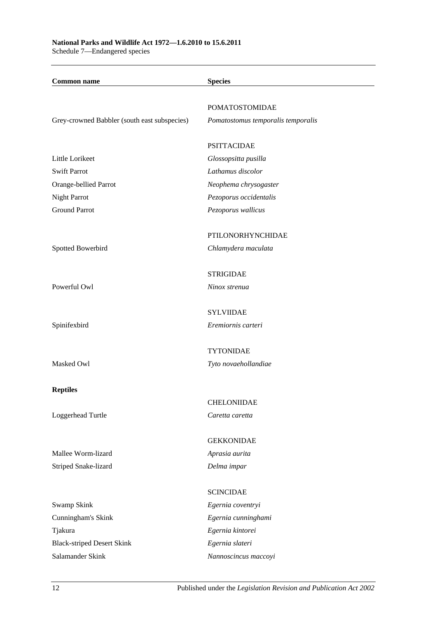Schedule 7—Endangered species

| <b>Common name</b>                           | <b>Species</b>                     |
|----------------------------------------------|------------------------------------|
|                                              | <b>POMATOSTOMIDAE</b>              |
| Grey-crowned Babbler (south east subspecies) | Pomatostomus temporalis temporalis |
|                                              | <b>PSITTACIDAE</b>                 |
| Little Lorikeet                              | Glossopsitta pusilla               |
| <b>Swift Parrot</b>                          | Lathamus discolor                  |
| Orange-bellied Parrot                        | Neophema chrysogaster              |
| Night Parrot                                 | Pezoporus occidentalis             |
| <b>Ground Parrot</b>                         | Pezoporus wallicus                 |
|                                              | PTILONORHYNCHIDAE                  |
| Spotted Bowerbird                            | Chlamydera maculata                |
|                                              | <b>STRIGIDAE</b>                   |
| Powerful Owl                                 | Ninox strenua                      |
|                                              | <b>SYLVIIDAE</b>                   |
| Spinifexbird                                 | Eremiornis carteri                 |
|                                              | <b>TYTONIDAE</b>                   |
| Masked Owl                                   | Tyto novaehollandiae               |
| <b>Reptiles</b>                              |                                    |
|                                              | <b>CHELONIIDAE</b>                 |
| Loggerhead Turtle                            | Caretta caretta                    |
|                                              | <b>GEKKONIDAE</b>                  |
| Mallee Worm-lizard                           | Aprasia aurita                     |
| Striped Snake-lizard                         | Delma impar                        |
|                                              | <b>SCINCIDAE</b>                   |
| Swamp Skink                                  | Egernia coventryi                  |
| Cunningham's Skink                           | Egernia cunninghami                |
| Tjakura                                      | Egernia kintorei                   |
| <b>Black-striped Desert Skink</b>            | Egernia slateri                    |
| Salamander Skink                             | Nannoscincus maccoyi               |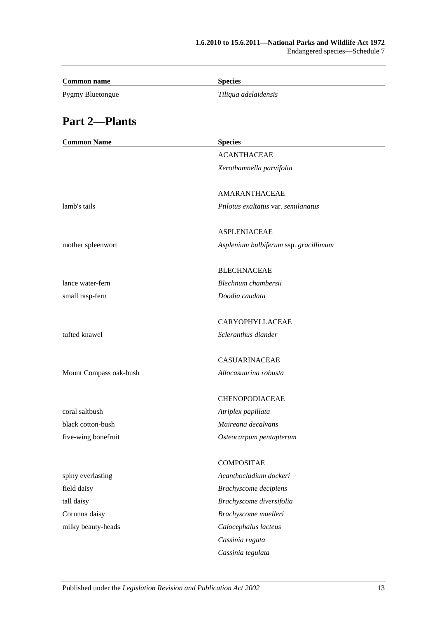| <b>Common name</b>     | <b>Species</b>                        |
|------------------------|---------------------------------------|
| Pygmy Bluetongue       | Tiliqua adelaidensis                  |
| <b>Part 2-Plants</b>   |                                       |
| <b>Common Name</b>     | <b>Species</b>                        |
|                        | <b>ACANTHACEAE</b>                    |
|                        | Xerothamnella parvifolia              |
|                        | AMARANTHACEAE                         |
| lamb's tails           | Ptilotus exaltatus var. semilanatus   |
|                        | <b>ASPLENIACEAE</b>                   |
| mother spleenwort      | Asplenium bulbiferum ssp. gracillimum |
|                        | <b>BLECHNACEAE</b>                    |
| lance water-fern       | Blechnum chambersii                   |
| small rasp-fern        | Doodia caudata                        |
|                        | CARYOPHYLLACEAE                       |
| tufted knawel          | Scleranthus diander                   |
|                        | <b>CASUARINACEAE</b>                  |
| Mount Compass oak-bush | Allocasuarina robusta                 |
|                        | CHENOPODIACEAE                        |
| coral saltbush         | Atriplex papillata                    |
| black cotton-bush      | Maireana decalvans                    |
| five-wing bonefruit    | Osteocarpum pentapterum               |
|                        | <b>COMPOSITAE</b>                     |
| spiny everlasting      | Acanthocladium dockeri                |
| field daisy            | <b>Brachyscome decipiens</b>          |
| tall daisy             | Brachyscome diversifolia              |
| Corunna daisy          | Brachyscome muelleri                  |
| milky beauty-heads     | Calocephalus lacteus                  |
|                        | Cassinia rugata                       |
|                        | Cassinia tegulata                     |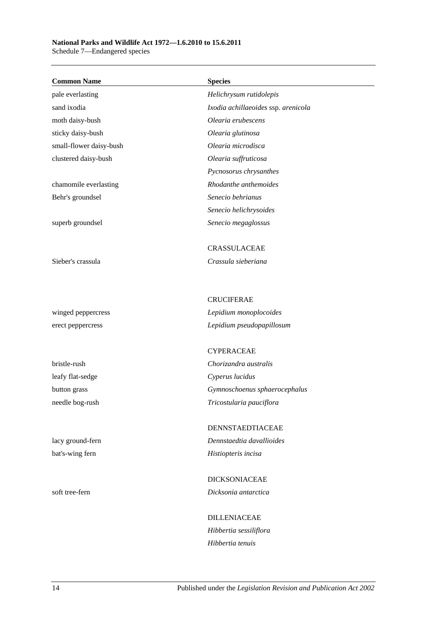### **National Parks and Wildlife Act 1972—1.6.2010 to 15.6.2011**

Schedule 7—Endangered species

| <b>Common Name</b>      | <b>Species</b>                      |
|-------------------------|-------------------------------------|
| pale everlasting        | Helichrysum rutidolepis             |
| sand ixodia             | Ixodia achillaeoides ssp. arenicola |
| moth daisy-bush         | Olearia erubescens                  |
| sticky daisy-bush       | Olearia glutinosa                   |
| small-flower daisy-bush | Olearia microdisca                  |
| clustered daisy-bush    | Olearia suffruticosa                |
|                         | Pycnosorus chrysanthes              |
| chamomile everlasting   | Rhodanthe anthemoides               |
| Behr's groundsel        | Senecio behrianus                   |
|                         | Senecio helichrysoides              |
| superb groundsel        | Senecio megaglossus                 |
|                         | CRASSULACEAE                        |
| Sieber's crassula       | Crassula sieberiana                 |
|                         |                                     |
|                         | <b>CRUCIFERAE</b>                   |
| winged peppercress      | Lepidium monoplocoides              |
| erect peppercress       | Lepidium pseudopapillosum           |
|                         | <b>CYPERACEAE</b>                   |
| bristle-rush            | Chorizandra australis               |
| leafy flat-sedge        | Cyperus lucidus                     |
| button grass            | Gymnoschoenus sphaerocephalus       |
| needle bog-rush         | Tricostularia pauciflora            |
|                         | DENNSTAEDTIACEAE                    |
| lacy ground-fern        | Dennstaedtia davallioides           |
| bat's-wing fern         | Histiopteris incisa                 |
|                         | <b>DICKSONIACEAE</b>                |
| soft tree-fern          | Dicksonia antarctica                |
|                         | <b>DILLENIACEAE</b>                 |
|                         | Hibbertia sessiliflora              |
|                         | Hibbertia tenuis                    |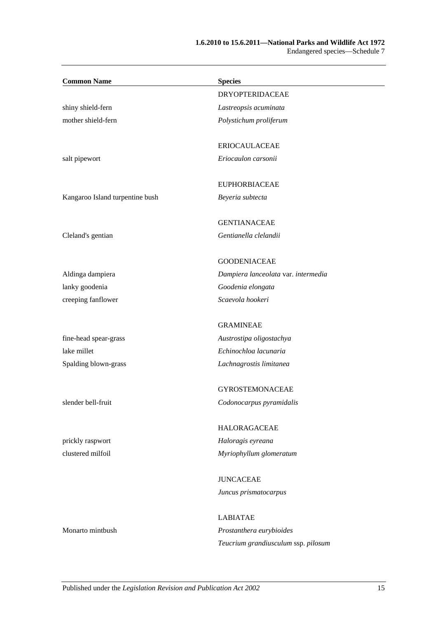#### **1.6.2010 to 15.6.2011—National Parks and Wildlife Act 1972** Endangered species—Schedule 7

| <b>Common Name</b>              | <b>Species</b>                      |
|---------------------------------|-------------------------------------|
|                                 | <b>DRYOPTERIDACEAE</b>              |
| shiny shield-fern               | Lastreopsis acuminata               |
| mother shield-fern              | Polystichum proliferum              |
|                                 | <b>ERIOCAULACEAE</b>                |
| salt pipewort                   | Eriocaulon carsonii                 |
|                                 | <b>EUPHORBIACEAE</b>                |
| Kangaroo Island turpentine bush | Beyeria subtecta                    |
|                                 | <b>GENTIANACEAE</b>                 |
| Cleland's gentian               | Gentianella clelandii               |
|                                 | <b>GOODENIACEAE</b>                 |
| Aldinga dampiera                | Dampiera lanceolata var. intermedia |
| lanky goodenia                  | Goodenia elongata                   |
| creeping fanflower              | Scaevola hookeri                    |
|                                 | <b>GRAMINEAE</b>                    |
| fine-head spear-grass           | Austrostipa oligostachya            |
| lake millet                     | Echinochloa lacunaria               |
| Spalding blown-grass            | Lachnagrostis limitanea             |
|                                 | <b>GYROSTEMONACEAE</b>              |
| slender bell-fruit              | Codonocarpus pyramidalis            |
|                                 | <b>HALORAGACEAE</b>                 |
| prickly raspwort                | Haloragis eyreana                   |
| clustered milfoil               | Myriophyllum glomeratum             |
|                                 | <b>JUNCACEAE</b>                    |
|                                 | Juncus prismatocarpus               |
|                                 | <b>LABIATAE</b>                     |
| Monarto mintbush                | Prostanthera eurybioides            |
|                                 | Teucrium grandiusculum ssp. pilosum |
|                                 |                                     |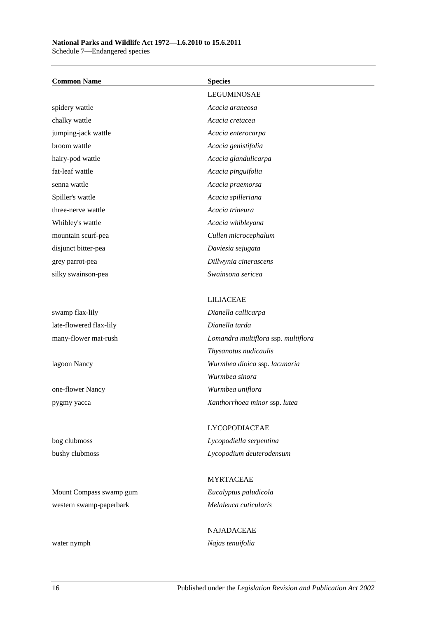#### **National Parks and Wildlife Act 1972—1.6.2010 to 15.6.2011**

Schedule 7—Endangered species

| <b>Common Name</b>      | <b>Species</b>                      |
|-------------------------|-------------------------------------|
|                         | LEGUMINOSAE                         |
| spidery wattle          | Acacia araneosa                     |
| chalky wattle           | Acacia cretacea                     |
| jumping-jack wattle     | Acacia enterocarpa                  |
| broom wattle            | Acacia genistifolia                 |
| hairy-pod wattle        | Acacia glandulicarpa                |
| fat-leaf wattle         | Acacia pinguifolia                  |
| senna wattle            | Acacia praemorsa                    |
| Spiller's wattle        | Acacia spilleriana                  |
| three-nerve wattle      | Acacia trineura                     |
| Whibley's wattle        | Acacia whibleyana                   |
| mountain scurf-pea      | Cullen microcephalum                |
| disjunct bitter-pea     | Daviesia sejugata                   |
| grey parrot-pea         | Dillwynia cinerascens               |
| silky swainson-pea      | Swainsona sericea                   |
|                         |                                     |
|                         | <b>LILIACEAE</b>                    |
| swamp flax-lily         | Dianella callicarpa                 |
| late-flowered flax-lily | Dianella tarda                      |
| many-flower mat-rush    | Lomandra multiflora ssp. multiflora |
|                         | Thysanotus nudicaulis               |
| lagoon Nancy            | Wurmbea dioica ssp. lacunaria       |
|                         | Wurmbea sinora                      |
| one-flower Nancy        | Wurmbea uniflora                    |
| pygmy yacca             | Xanthorrhoea minor ssp. lutea       |
|                         | LYCOPODIACEAE                       |
| bog clubmoss            | Lycopodiella serpentina             |
| bushy clubmoss          | Lycopodium deuterodensum            |
|                         |                                     |
|                         | <b>MYRTACEAE</b>                    |
| Mount Compass swamp gum | Eucalyptus paludicola               |
| western swamp-paperbark | Melaleuca cuticularis               |

water nymph *Najas tenuifolia*

NAJADACEAE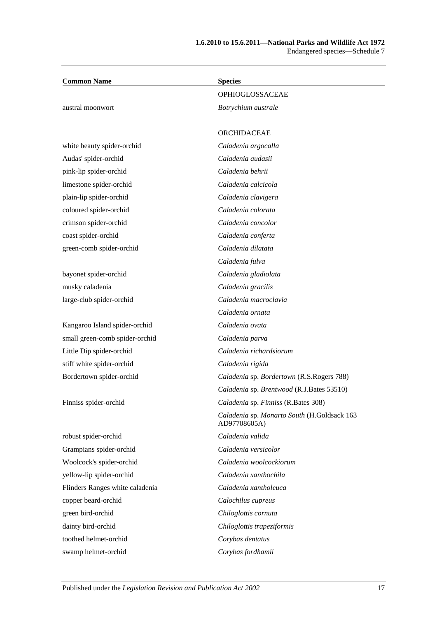| <b>Common Name</b>              | <b>Species</b>                                              |
|---------------------------------|-------------------------------------------------------------|
|                                 | OPHIOGLOSSACEAE                                             |
| austral moonwort                | Botrychium australe                                         |
|                                 |                                                             |
|                                 | ORCHIDACEAE                                                 |
| white beauty spider-orchid      | Caladenia argocalla                                         |
| Audas' spider-orchid            | Caladenia audasii                                           |
| pink-lip spider-orchid          | Caladenia behrii                                            |
| limestone spider-orchid         | Caladenia calcicola                                         |
| plain-lip spider-orchid         | Caladenia clavigera                                         |
| coloured spider-orchid          | Caladenia colorata                                          |
| crimson spider-orchid           | Caladenia concolor                                          |
| coast spider-orchid             | Caladenia conferta                                          |
| green-comb spider-orchid        | Caladenia dilatata                                          |
|                                 | Caladenia fulva                                             |
| bayonet spider-orchid           | Caladenia gladiolata                                        |
| musky caladenia                 | Caladenia gracilis                                          |
| large-club spider-orchid        | Caladenia macroclavia                                       |
|                                 | Caladenia ornata                                            |
| Kangaroo Island spider-orchid   | Caladenia ovata                                             |
| small green-comb spider-orchid  | Caladenia parva                                             |
| Little Dip spider-orchid        | Caladenia richardsiorum                                     |
| stiff white spider-orchid       | Caladenia rigida                                            |
| Bordertown spider-orchid        | Caladenia sp. Bordertown (R.S.Rogers 788)                   |
|                                 | Caladenia sp. Brentwood (R.J.Bates 53510)                   |
| Finniss spider-orchid           | Caladenia sp. Finniss (R.Bates 308)                         |
|                                 | Caladenia sp. Monarto South (H.Goldsack 163<br>AD97708605A) |
| robust spider-orchid            | Caladenia valida                                            |
| Grampians spider-orchid         | Caladenia versicolor                                        |
| Woolcock's spider-orchid        | Caladenia woolcockiorum                                     |
| yellow-lip spider-orchid        | Caladenia xanthochila                                       |
| Flinders Ranges white caladenia | Caladenia xantholeuca                                       |
| copper beard-orchid             | Calochilus cupreus                                          |
| green bird-orchid               | Chiloglottis cornuta                                        |
| dainty bird-orchid              | Chiloglottis trapeziformis                                  |
| toothed helmet-orchid           | Corybas dentatus                                            |
| swamp helmet-orchid             | Corybas fordhamii                                           |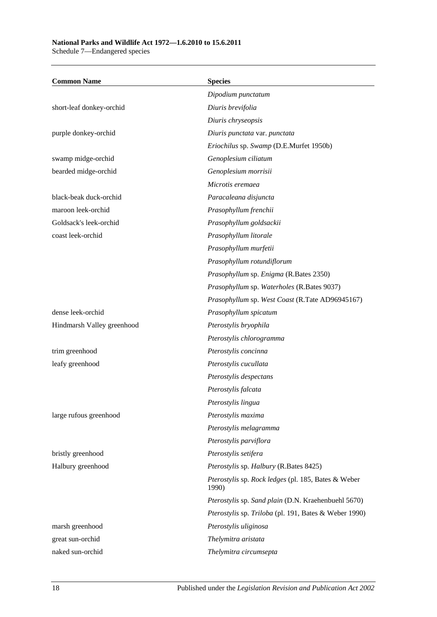#### **National Parks and Wildlife Act 1972—1.6.2010 to 15.6.2011**

Schedule 7—Endangered species

| <b>Common Name</b>         | <b>Species</b>                                               |
|----------------------------|--------------------------------------------------------------|
|                            | Dipodium punctatum                                           |
| short-leaf donkey-orchid   | Diuris brevifolia                                            |
|                            | Diuris chryseopsis                                           |
| purple donkey-orchid       | Diuris punctata var. punctata                                |
|                            | Eriochilus sp. Swamp (D.E.Murfet 1950b)                      |
| swamp midge-orchid         | Genoplesium ciliatum                                         |
| bearded midge-orchid       | Genoplesium morrisii                                         |
|                            | Microtis eremaea                                             |
| black-beak duck-orchid     | Paracaleana disjuncta                                        |
| maroon leek-orchid         | Prasophyllum frenchii                                        |
| Goldsack's leek-orchid     | Prasophyllum goldsackii                                      |
| coast leek-orchid          | Prasophyllum litorale                                        |
|                            | Prasophyllum murfetii                                        |
|                            | Prasophyllum rotundiflorum                                   |
|                            | Prasophyllum sp. Enigma (R.Bates 2350)                       |
|                            | Prasophyllum sp. Waterholes (R.Bates 9037)                   |
|                            | Prasophyllum sp. West Coast (R.Tate AD96945167)              |
| dense leek-orchid          | Prasophyllum spicatum                                        |
| Hindmarsh Valley greenhood | Pterostylis bryophila                                        |
|                            | Pterostylis chlorogramma                                     |
| trim greenhood             | Pterostylis concinna                                         |
| leafy greenhood            | Pterostylis cucullata                                        |
|                            | Pterostylis despectans                                       |
|                            | Pterostylis falcata                                          |
|                            | Pterostylis lingua                                           |
| large rufous greenhood     | Pterostylis maxima                                           |
|                            | Pterostylis melagramma                                       |
|                            | Pterostylis parviflora                                       |
| bristly greenhood          | Pterostylis setifera                                         |
| Halbury greenhood          | Pterostylis sp. Halbury (R.Bates 8425)                       |
|                            | Pterostylis sp. Rock ledges (pl. 185, Bates & Weber<br>1990) |
|                            | Pterostylis sp. Sand plain (D.N. Kraehenbuehl 5670)          |
|                            | Pterostylis sp. Triloba (pl. 191, Bates & Weber 1990)        |
| marsh greenhood            | Pterostylis uliginosa                                        |
| great sun-orchid           | Thelymitra aristata                                          |
| naked sun-orchid           | Thelymitra circumsepta                                       |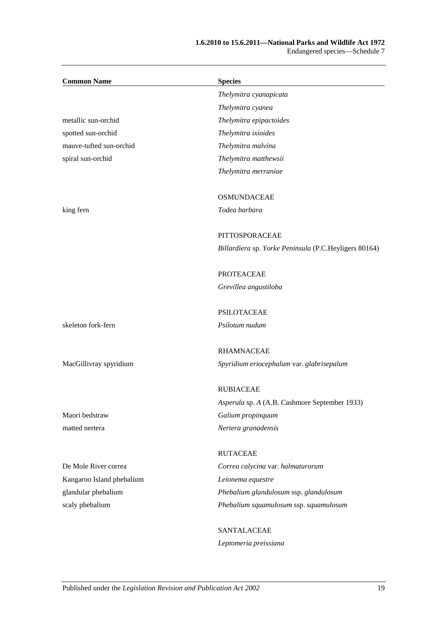#### **1.6.2010 to 15.6.2011—National Parks and Wildlife Act 1972** Endangered species—Schedule 7

| <b>Common Name</b>        | <b>Species</b>                                        |
|---------------------------|-------------------------------------------------------|
|                           | Thelymitra cyanapicata                                |
|                           | Thelymitra cyanea                                     |
| metallic sun-orchid       | Thelymitra epipactoides                               |
| spotted sun-orchid        | Thelymitra ixioides                                   |
| mauve-tufted sun-orchid   | Thelymitra malvina                                    |
| spiral sun-orchid         | Thelymitra matthewsii                                 |
|                           | Thelymitra merraniae                                  |
|                           | <b>OSMUNDACEAE</b>                                    |
| king fern                 | Todea barbara                                         |
|                           | PITTOSPORACEAE                                        |
|                           | Billardiera sp. Yorke Peninsula (P.C.Heyligers 80164) |
|                           | <b>PROTEACEAE</b>                                     |
|                           | Grevillea angustiloba                                 |
|                           | <b>PSILOTACEAE</b>                                    |
| skeleton fork-fern        | Psilotum nudum                                        |
|                           | <b>RHAMNACEAE</b>                                     |
| MacGillivray spyridium    | Spyridium eriocephalum var. glabrisepalum             |
|                           | <b>RUBIACEAE</b>                                      |
|                           | Asperula sp. A (A.B. Cashmore September 1933)         |
| Maori bedstraw            | Galium propinquum                                     |
| matted nertera            | Nertera granadensis                                   |
|                           | <b>RUTACEAE</b>                                       |
| De Mole River correa      | Correa calycina var. halmaturorum                     |
| Kangaroo Island phebalium | Leionema equestre                                     |
| glandular phebalium       | Phebalium glandulosum ssp. glandulosum                |
| scaly phebalium           | Phebalium squamulosum ssp. squamulosum                |
|                           | SANTALACEAE                                           |
|                           | Leptomeria preissiana                                 |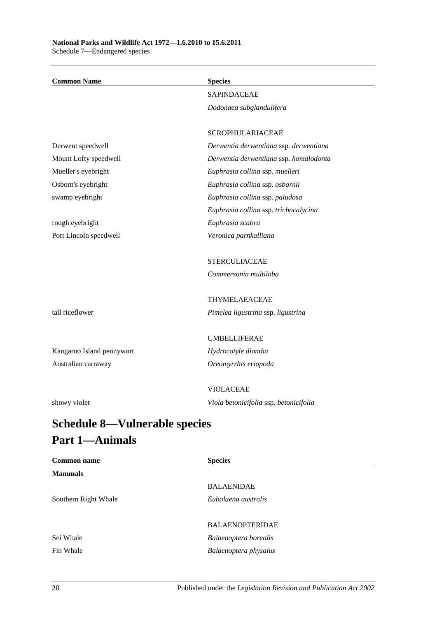| <b>Common Name</b>        | <b>Species</b>                         |
|---------------------------|----------------------------------------|
|                           | <b>SAPINDACEAE</b>                     |
|                           | Dodonaea subglandulifera               |
|                           |                                        |
|                           | <b>SCROPHULARIACEAE</b>                |
| Derwent speedwell         | Derwentia derwentiana ssp. derwentiana |
| Mount Lofty speedwell     | Derwentia derwentiana ssp. homalodonta |
| Mueller's eyebright       | Euphrasia collina ssp. muelleri        |
| Osborn's eyebright        | Euphrasia collina ssp. osbornii        |
| swamp eyebright           | Euphrasia collina ssp. paludosa        |
|                           | Euphrasia collina ssp. trichocalycina  |
| rough eyebright           | Euphrasia scabra                       |
| Port Lincoln speedwell    | Veronica parnkalliana                  |
|                           |                                        |
|                           | <b>STERCULIACEAE</b>                   |
|                           | Commersonia multiloba                  |
|                           |                                        |
|                           | THYMELAEACEAE                          |
| tall riceflower           | Pimelea ligustrina ssp. ligustrina     |
|                           |                                        |
|                           | <b>UMBELLIFERAE</b>                    |
| Kangaroo Island pennywort | Hydrocotyle diantha                    |
| Australian carraway       | Oreomyrrhis eriopoda                   |
|                           |                                        |
|                           | <b>VIOLACEAE</b>                       |
| showy violet              | Viola betonicifolia ssp. betonicifolia |
|                           |                                        |

# <span id="page-101-0"></span>**Schedule 8—Vulnerable species Part 1—Animals**

| <b>Common name</b>   | <b>Species</b>         |  |
|----------------------|------------------------|--|
| <b>Mammals</b>       |                        |  |
|                      | <b>BALAENIDAE</b>      |  |
| Southern Right Whale | Eubalaena australis    |  |
|                      |                        |  |
|                      | <b>BALAENOPTERIDAE</b> |  |
| Sei Whale            | Balaenoptera borealis  |  |
| Fin Whale            | Balaenoptera physalus  |  |
|                      |                        |  |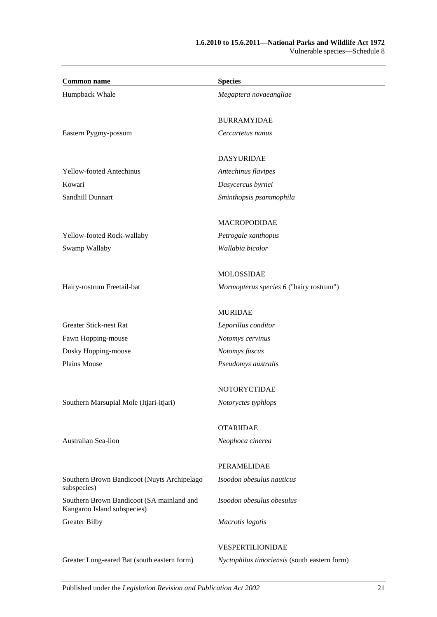| <b>Common name</b>                                                       | <b>Species</b>                               |
|--------------------------------------------------------------------------|----------------------------------------------|
| Humpback Whale                                                           | Megaptera novaeangliae                       |
|                                                                          | <b>BURRAMYIDAE</b>                           |
| Eastern Pygmy-possum                                                     | Cercartetus nanus                            |
|                                                                          | <b>DASYURIDAE</b>                            |
| <b>Yellow-footed Antechinus</b>                                          | Antechinus flavipes                          |
| Kowari                                                                   | Dasycercus byrnei                            |
| Sandhill Dunnart                                                         | Sminthopsis psammophila                      |
|                                                                          | <b>MACROPODIDAE</b>                          |
| Yellow-footed Rock-wallaby                                               | Petrogale xanthopus                          |
| Swamp Wallaby                                                            | Wallabia bicolor                             |
|                                                                          | <b>MOLOSSIDAE</b>                            |
| Hairy-rostrum Freetail-bat                                               | Mormopterus species 6 ("hairy rostrum")      |
|                                                                          | <b>MURIDAE</b>                               |
| <b>Greater Stick-nest Rat</b>                                            | Leporillus conditor                          |
| Fawn Hopping-mouse                                                       | Notomys cervinus                             |
| Dusky Hopping-mouse                                                      | Notomys fuscus                               |
| Plains Mouse                                                             | Pseudomys australis                          |
|                                                                          | NOTORYCTIDAE                                 |
| Southern Marsupial Mole (Itjari-itjari)                                  | Notoryctes typhlops                          |
|                                                                          | <b>OTARIIDAE</b>                             |
| Australian Sea-lion                                                      | Neophoca cinerea                             |
|                                                                          | PERAMELIDAE                                  |
| Southern Brown Bandicoot (Nuyts Archipelago<br>subspecies)               | Isoodon obesulus nauticus                    |
| Southern Brown Bandicoot (SA mainland and<br>Kangaroo Island subspecies) | Isoodon obesulus obesulus                    |
| <b>Greater Bilby</b>                                                     | Macrotis lagotis                             |
|                                                                          | VESPERTILIONIDAE                             |
| Greater Long-eared Bat (south eastern form)                              | Nyctophilus timoriensis (south eastern form) |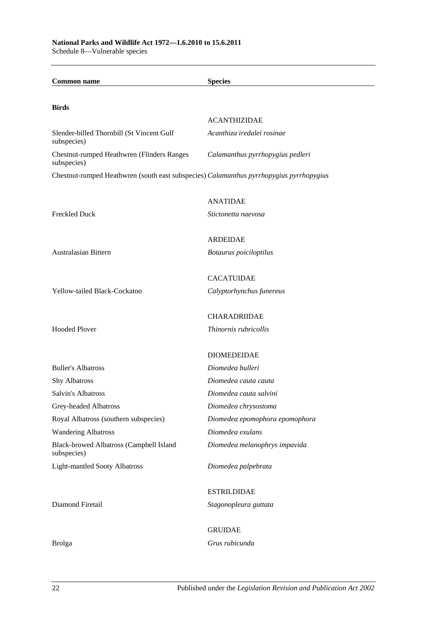**Common name Species Birds** ACANTHIZIDAE Slender-billed Thornbill (St Vincent Gulf subspecies) *Acanthiza iredalei rosinae* Chestnut-rumped Heathwren (Flinders Ranges subspecies) *Calamanthus pyrrhopygius pedleri* Chestnut-rumped Heathwren (south east subspecies) *Calamanthus pyrrhopygius pyrrhopygius* ANATIDAE Freckled Duck *Stictonetta naevosa* ARDEIDAE Australasian Bittern *Botaurus poiciloptilus* CACATUIDAE Yellow-tailed Black-Cockatoo *Calyptorhynchus funereus* CHARADRIIDAE Hooded Plover *Thinornis rubricollis* DIOMEDEIDAE Buller's Albatross *Diomedea bulleri* Shy Albatross *Diomedea cauta cauta* Salvin's Albatross *Diomedea cauta salvini* Grey-headed Albatross *Diomedea chrysostoma* Royal Albatross (southern subspecies) *Diomedea epomophora epomophora* Wandering Albatross *Diomedea exulans* Black-browed Albatross (Campbell Island subspecies) *Diomedea melanophrys impavida* Light-mantled Sooty Albatross *Diomedea palpebrata* ESTRILDIDAE Diamond Firetail *Stagonopleura guttata* GRUIDAE Brolga *Grus rubicunda*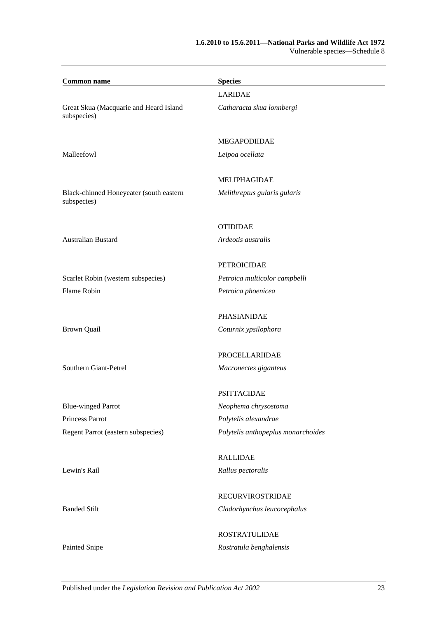#### **1.6.2010 to 15.6.2011—National Parks and Wildlife Act 1972** Vulnerable species—Schedule 8

| <b>Common name</b>                                     | <b>Species</b>                     |  |
|--------------------------------------------------------|------------------------------------|--|
|                                                        | <b>LARIDAE</b>                     |  |
| Great Skua (Macquarie and Heard Island<br>subspecies)  | Catharacta skua lonnbergi          |  |
|                                                        | <b>MEGAPODIIDAE</b>                |  |
| Malleefowl                                             | Leipoa ocellata                    |  |
|                                                        | <b>MELIPHAGIDAE</b>                |  |
| Black-chinned Honeyeater (south eastern<br>subspecies) | Melithreptus gularis gularis       |  |
|                                                        | <b>OTIDIDAE</b>                    |  |
| <b>Australian Bustard</b>                              | Ardeotis australis                 |  |
|                                                        | <b>PETROICIDAE</b>                 |  |
| Scarlet Robin (western subspecies)                     | Petroica multicolor campbelli      |  |
| Flame Robin                                            | Petroica phoenicea                 |  |
|                                                        | PHASIANIDAE                        |  |
| <b>Brown Quail</b>                                     | Coturnix ypsilophora               |  |
|                                                        | PROCELLARIIDAE                     |  |
| Southern Giant-Petrel                                  | Macronectes giganteus              |  |
|                                                        | <b>PSITTACIDAE</b>                 |  |
| <b>Blue-winged Parrot</b>                              | Neophema chrysostoma               |  |
| Princess Parrot                                        | Polytelis alexandrae               |  |
| Regent Parrot (eastern subspecies)                     | Polytelis anthopeplus monarchoides |  |
|                                                        | <b>RALLIDAE</b>                    |  |
| Lewin's Rail                                           | Rallus pectoralis                  |  |
|                                                        | <b>RECURVIROSTRIDAE</b>            |  |
| <b>Banded Stilt</b>                                    | Cladorhynchus leucocephalus        |  |
|                                                        | <b>ROSTRATULIDAE</b>               |  |
| Painted Snipe                                          | Rostratula benghalensis            |  |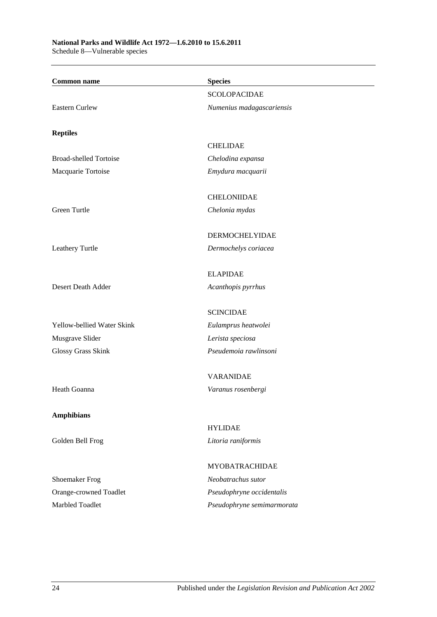## **National Parks and Wildlife Act 1972—1.6.2010 to 15.6.2011**

Schedule 8—Vulnerable species

| <b>SCOLOPACIDAE</b><br><b>Eastern Curlew</b><br>Numenius madagascariensis<br><b>Reptiles</b><br><b>CHELIDAE</b><br><b>Broad-shelled Tortoise</b><br>Chelodina expansa<br>Macquarie Tortoise<br>Emydura macquarii<br><b>CHELONIIDAE</b><br>Green Turtle<br>Chelonia mydas<br><b>DERMOCHELYIDAE</b><br>Leathery Turtle<br>Dermochelys coriacea<br><b>ELAPIDAE</b><br>Desert Death Adder<br>Acanthopis pyrrhus<br><b>SCINCIDAE</b><br>Yellow-bellied Water Skink<br>Eulamprus heatwolei<br>Musgrave Slider<br>Lerista speciosa<br>Pseudemoia rawlinsoni<br>Glossy Grass Skink<br><b>VARANIDAE</b><br>Heath Goanna<br>Varanus rosenbergi<br><b>Amphibians</b> | <b>Common name</b> | <b>Species</b> |
|-----------------------------------------------------------------------------------------------------------------------------------------------------------------------------------------------------------------------------------------------------------------------------------------------------------------------------------------------------------------------------------------------------------------------------------------------------------------------------------------------------------------------------------------------------------------------------------------------------------------------------------------------------------|--------------------|----------------|
|                                                                                                                                                                                                                                                                                                                                                                                                                                                                                                                                                                                                                                                           |                    |                |
|                                                                                                                                                                                                                                                                                                                                                                                                                                                                                                                                                                                                                                                           |                    |                |
|                                                                                                                                                                                                                                                                                                                                                                                                                                                                                                                                                                                                                                                           |                    |                |
|                                                                                                                                                                                                                                                                                                                                                                                                                                                                                                                                                                                                                                                           |                    |                |
|                                                                                                                                                                                                                                                                                                                                                                                                                                                                                                                                                                                                                                                           |                    |                |
|                                                                                                                                                                                                                                                                                                                                                                                                                                                                                                                                                                                                                                                           |                    |                |
|                                                                                                                                                                                                                                                                                                                                                                                                                                                                                                                                                                                                                                                           |                    |                |
|                                                                                                                                                                                                                                                                                                                                                                                                                                                                                                                                                                                                                                                           |                    |                |
|                                                                                                                                                                                                                                                                                                                                                                                                                                                                                                                                                                                                                                                           |                    |                |
|                                                                                                                                                                                                                                                                                                                                                                                                                                                                                                                                                                                                                                                           |                    |                |
|                                                                                                                                                                                                                                                                                                                                                                                                                                                                                                                                                                                                                                                           |                    |                |
|                                                                                                                                                                                                                                                                                                                                                                                                                                                                                                                                                                                                                                                           |                    |                |
|                                                                                                                                                                                                                                                                                                                                                                                                                                                                                                                                                                                                                                                           |                    |                |
|                                                                                                                                                                                                                                                                                                                                                                                                                                                                                                                                                                                                                                                           |                    |                |
|                                                                                                                                                                                                                                                                                                                                                                                                                                                                                                                                                                                                                                                           |                    |                |
|                                                                                                                                                                                                                                                                                                                                                                                                                                                                                                                                                                                                                                                           |                    |                |
|                                                                                                                                                                                                                                                                                                                                                                                                                                                                                                                                                                                                                                                           |                    |                |
|                                                                                                                                                                                                                                                                                                                                                                                                                                                                                                                                                                                                                                                           |                    |                |
|                                                                                                                                                                                                                                                                                                                                                                                                                                                                                                                                                                                                                                                           |                    |                |
|                                                                                                                                                                                                                                                                                                                                                                                                                                                                                                                                                                                                                                                           |                    |                |
|                                                                                                                                                                                                                                                                                                                                                                                                                                                                                                                                                                                                                                                           |                    |                |
|                                                                                                                                                                                                                                                                                                                                                                                                                                                                                                                                                                                                                                                           |                    |                |
|                                                                                                                                                                                                                                                                                                                                                                                                                                                                                                                                                                                                                                                           |                    |                |
|                                                                                                                                                                                                                                                                                                                                                                                                                                                                                                                                                                                                                                                           |                    |                |
|                                                                                                                                                                                                                                                                                                                                                                                                                                                                                                                                                                                                                                                           |                    |                |
|                                                                                                                                                                                                                                                                                                                                                                                                                                                                                                                                                                                                                                                           |                    | <b>HYLIDAE</b> |
| Golden Bell Frog<br>Litoria raniformis                                                                                                                                                                                                                                                                                                                                                                                                                                                                                                                                                                                                                    |                    |                |
| <b>MYOBATRACHIDAE</b>                                                                                                                                                                                                                                                                                                                                                                                                                                                                                                                                                                                                                                     |                    |                |
| <b>Shoemaker Frog</b><br>Neobatrachus sutor                                                                                                                                                                                                                                                                                                                                                                                                                                                                                                                                                                                                               |                    |                |
| Orange-crowned Toadlet<br>Pseudophryne occidentalis                                                                                                                                                                                                                                                                                                                                                                                                                                                                                                                                                                                                       |                    |                |
| Marbled Toadlet<br>Pseudophryne semimarmorata                                                                                                                                                                                                                                                                                                                                                                                                                                                                                                                                                                                                             |                    |                |
|                                                                                                                                                                                                                                                                                                                                                                                                                                                                                                                                                                                                                                                           |                    |                |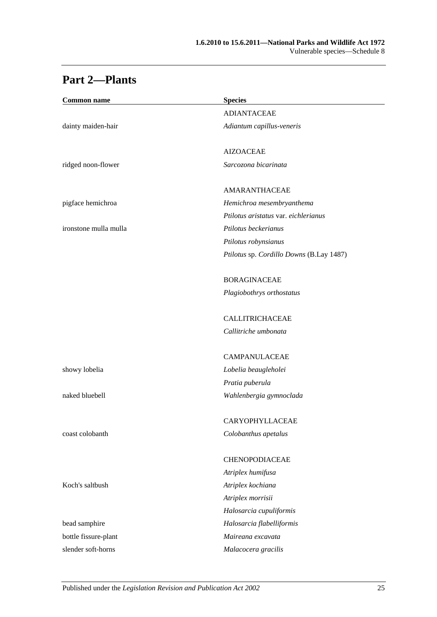# **Part 2—Plants**

| <b>Common name</b>    | <b>Species</b>                           |
|-----------------------|------------------------------------------|
|                       | <b>ADIANTACEAE</b>                       |
| dainty maiden-hair    | Adiantum capillus-veneris                |
|                       | <b>AIZOACEAE</b>                         |
| ridged noon-flower    | Sarcozona bicarinata                     |
|                       | AMARANTHACEAE                            |
| pigface hemichroa     | Hemichroa mesembryanthema                |
|                       | Ptilotus aristatus var. eichlerianus     |
| ironstone mulla mulla | Ptilotus beckerianus                     |
|                       | Ptilotus robynsianus                     |
|                       | Ptilotus sp. Cordillo Downs (B.Lay 1487) |
|                       | <b>BORAGINACEAE</b>                      |
|                       | Plagiobothrys orthostatus                |
|                       | <b>CALLITRICHACEAE</b>                   |
|                       | Callitriche umbonata                     |
|                       | <b>CAMPANULACEAE</b>                     |
| showy lobelia         | Lobelia beaugleholei                     |
|                       | Pratia puberula                          |
| naked bluebell        | Wahlenbergia gymnoclada                  |
|                       | CARYOPHYLLACEAE                          |
| coast colobanth       | Colobanthus apetalus                     |
|                       | CHENOPODIACEAE                           |
|                       | Atriplex humifusa                        |
| Koch's saltbush       | Atriplex kochiana                        |
|                       | Atriplex morrisii                        |
|                       | Halosarcia cupuliformis                  |
| bead samphire         | Halosarcia flabelliformis                |
| bottle fissure-plant  | Maireana excavata                        |
| slender soft-horns    | Malacocera gracilis                      |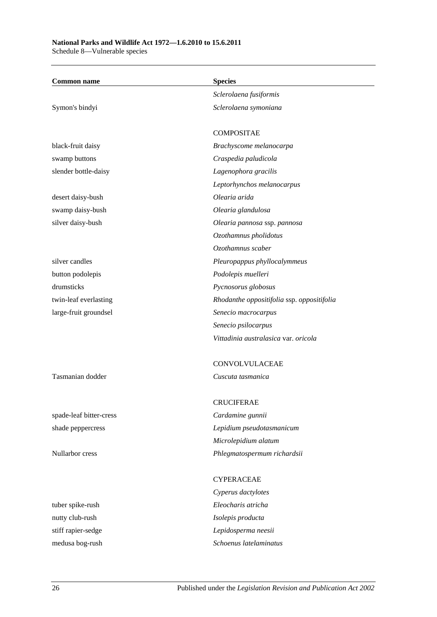## **National Parks and Wildlife Act 1972—1.6.2010 to 15.6.2011**

Schedule 8—Vulnerable species

| <b>Common name</b>      | <b>Species</b>                             |
|-------------------------|--------------------------------------------|
|                         | Sclerolaena fusiformis                     |
| Symon's bindyi          | Sclerolaena symoniana                      |
|                         | <b>COMPOSITAE</b>                          |
| black-fruit daisy       | Brachyscome melanocarpa                    |
| swamp buttons           | Craspedia paludicola                       |
| slender bottle-daisy    | Lagenophora gracilis                       |
|                         | Leptorhynchos melanocarpus                 |
| desert daisy-bush       | Olearia arida                              |
| swamp daisy-bush        | Olearia glandulosa                         |
| silver daisy-bush       | Olearia pannosa ssp. pannosa               |
|                         | Ozothamnus pholidotus                      |
|                         | Ozothamnus scaber                          |
| silver candles          | Pleuropappus phyllocalymmeus               |
| button podolepis        | Podolepis muelleri                         |
| drumsticks              | Pycnosorus globosus                        |
| twin-leaf everlasting   | Rhodanthe oppositifolia ssp. oppositifolia |
| large-fruit groundsel   | Senecio macrocarpus                        |
|                         | Senecio psilocarpus                        |
|                         | Vittadinia australasica var. oricola       |
|                         | CONVOLVULACEAE                             |
| Tasmanian dodder        | Cuscuta tasmanica                          |
|                         | <b>CRUCIFERAE</b>                          |
| spade-leaf bitter-cress | Cardamine gunnii                           |
| shade peppercress       | Lepidium pseudotasmanicum                  |
|                         | Microlepidium alatum                       |
| Nullarbor cress         | Phlegmatospermum richardsii                |
|                         | <b>CYPERACEAE</b>                          |
|                         | Cyperus dactylotes                         |
| tuber spike-rush        | Eleocharis atricha                         |
| nutty club-rush         | Isolepis producta                          |
| stiff rapier-sedge      | Lepidosperma neesii                        |
| medusa bog-rush         | Schoenus latelaminatus                     |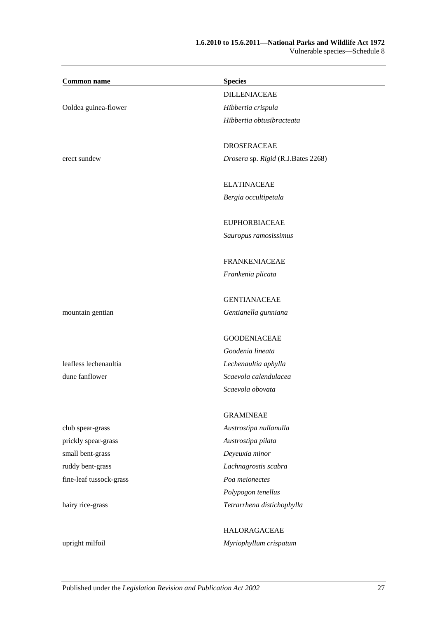### **1.6.2010 to 15.6.2011—National Parks and Wildlife Act 1972** Vulnerable species—Schedule 8

 $\overline{\phantom{0}}$ 

| <b>Common name</b>      | <b>Species</b>                     |
|-------------------------|------------------------------------|
|                         | <b>DILLENIACEAE</b>                |
| Ooldea guinea-flower    | Hibbertia crispula                 |
|                         | Hibbertia obtusibracteata          |
|                         | <b>DROSERACEAE</b>                 |
| erect sundew            | Drosera sp. Rigid (R.J.Bates 2268) |
|                         | <b>ELATINACEAE</b>                 |
|                         | Bergia occultipetala               |
|                         | <b>EUPHORBIACEAE</b>               |
|                         | Sauropus ramosissimus              |
|                         | <b>FRANKENIACEAE</b>               |
|                         | Frankenia plicata                  |
|                         | <b>GENTIANACEAE</b>                |
| mountain gentian        | Gentianella gunniana               |
|                         | <b>GOODENIACEAE</b>                |
|                         | Goodenia lineata                   |
| leafless lechenaultia   | Lechenaultia aphylla               |
| dune fanflower          | Scaevola calendulacea              |
|                         | Scaevola obovata                   |
|                         | <b>GRAMINEAE</b>                   |
| club spear-grass        | Austrostipa nullanulla             |
| prickly spear-grass     | Austrostipa pilata                 |
| small bent-grass        | Deyeuxia minor                     |
| ruddy bent-grass        | Lachnagrostis scabra               |
| fine-leaf tussock-grass | Poa meionectes                     |
|                         | Polypogon tenellus                 |
| hairy rice-grass        | Tetrarrhena distichophylla         |
|                         | <b>HALORAGACEAE</b>                |
| upright milfoil         | Myriophyllum crispatum             |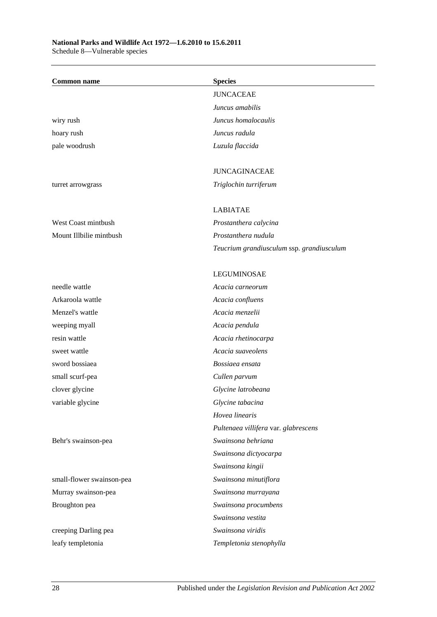Schedule 8—Vulnerable species

| <b>Common name</b>        | <b>Species</b>                            |
|---------------------------|-------------------------------------------|
|                           | <b>JUNCACEAE</b>                          |
|                           | Juncus amabilis                           |
| wiry rush                 | Juncus homalocaulis                       |
| hoary rush                | Juncus radula                             |
| pale woodrush             | Luzula flaccida                           |
|                           | <b>JUNCAGINACEAE</b>                      |
| turret arrowgrass         | Triglochin turriferum                     |
|                           | <b>LABIATAE</b>                           |
| West Coast mintbush       | Prostanthera calycina                     |
| Mount Illbilie mintbush   | Prostanthera nudula                       |
|                           | Teucrium grandiusculum ssp. grandiusculum |
|                           | <b>LEGUMINOSAE</b>                        |
| needle wattle             | Acacia carneorum                          |
| Arkaroola wattle          | Acacia confluens                          |
| Menzel's wattle           | Acacia menzelii                           |
| weeping myall             | Acacia pendula                            |
| resin wattle              | Acacia rhetinocarpa                       |
| sweet wattle              | Acacia suaveolens                         |
| sword bossiaea            | Bossiaea ensata                           |
| small scurf-pea           | Cullen parvum                             |
| clover glycine            | Glycine latrobeana                        |
| variable glycine          | Glycine tabacina                          |
|                           | Hovea linearis                            |
|                           | Pultenaea villifera var. glabrescens      |
| Behr's swainson-pea       | Swainsona behriana                        |
|                           | Swainsona dictyocarpa                     |
|                           | Swainsona kingii                          |
| small-flower swainson-pea | Swainsona minutiflora                     |
| Murray swainson-pea       | Swainsona murrayana                       |
| Broughton pea             | Swainsona procumbens                      |
|                           | Swainsona vestita                         |
| creeping Darling pea      | Swainsona viridis                         |
| leafy templetonia         | Templetonia stenophylla                   |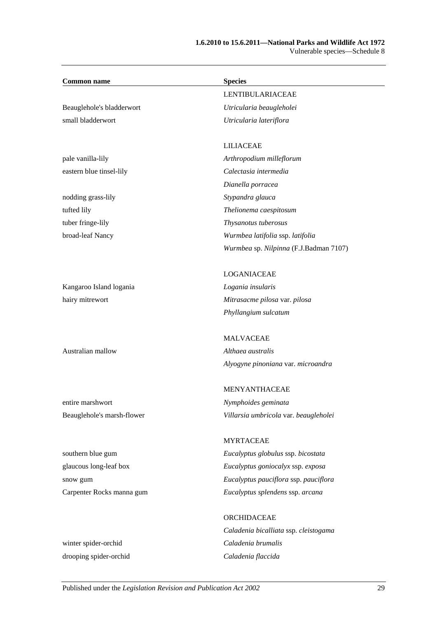### **1.6.2010 to 15.6.2011—National Parks and Wildlife Act 1972** Vulnerable species—Schedule 8

| <b>Common name</b>         | <b>Species</b>                         |
|----------------------------|----------------------------------------|
|                            | <b>LENTIBULARIACEAE</b>                |
| Beauglehole's bladderwort  | Utricularia beaugleholei               |
| small bladderwort          | Utricularia lateriflora                |
|                            |                                        |
|                            | <b>LILIACEAE</b>                       |
| pale vanilla-lily          | Arthropodium milleflorum               |
| eastern blue tinsel-lily   | Calectasia intermedia                  |
|                            | Dianella porracea                      |
| nodding grass-lily         | Stypandra glauca                       |
| tufted lily                | Thelionema caespitosum                 |
| tuber fringe-lily          | Thysanotus tuberosus                   |
| broad-leaf Nancy           | Wurmbea latifolia ssp. latifolia       |
|                            | Wurmbea sp. Nilpinna (F.J.Badman 7107) |
|                            | LOGANIACEAE                            |
| Kangaroo Island logania    | Logania insularis                      |
| hairy mitrewort            | Mitrasacme pilosa var. pilosa          |
|                            | Phyllangium sulcatum                   |
|                            | <b>MALVACEAE</b>                       |
| Australian mallow          | Althaea australis                      |
|                            | Alyogyne pinoniana var. microandra     |
|                            | <b>MENYANTHACEAE</b>                   |
| entire marshwort           | Nymphoides geminata                    |
| Beauglehole's marsh-flower | Villarsia umbricola var. beaugleholei  |
|                            | <b>MYRTACEAE</b>                       |
| southern blue gum          | Eucalyptus globulus ssp. bicostata     |
| glaucous long-leaf box     | Eucalyptus goniocalyx ssp. exposa      |
| snow gum                   | Eucalyptus pauciflora ssp. pauciflora  |
| Carpenter Rocks manna gum  | Eucalyptus splendens ssp. arcana       |
|                            | ORCHIDACEAE                            |
|                            | Caladenia bicalliata ssp. cleistogama  |
| winter spider-orchid       | Caladenia brumalis                     |

drooping spider-orchid *Caladenia flaccida*

Published under the *Legislation Revision and Publication Act 2002* 29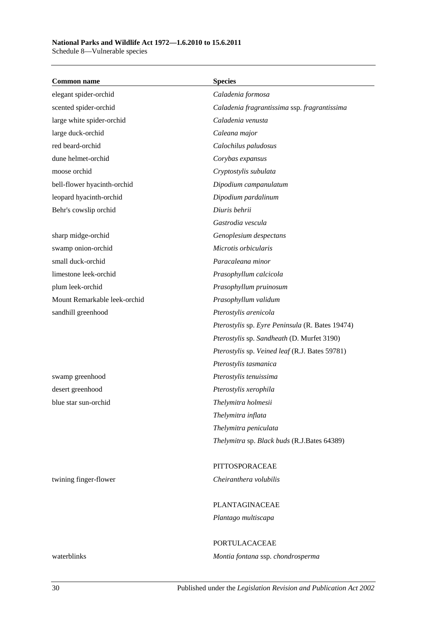Schedule 8—Vulnerable species

| <b>Common name</b>           | <b>Species</b>                                  |
|------------------------------|-------------------------------------------------|
| elegant spider-orchid        | Caladenia formosa                               |
| scented spider-orchid        | Caladenia fragrantissima ssp. fragrantissima    |
| large white spider-orchid    | Caladenia venusta                               |
| large duck-orchid            | Caleana major                                   |
| red beard-orchid             | Calochilus paludosus                            |
| dune helmet-orchid           | Corybas expansus                                |
| moose orchid                 | Cryptostylis subulata                           |
| bell-flower hyacinth-orchid  | Dipodium campanulatum                           |
| leopard hyacinth-orchid      | Dipodium pardalinum                             |
| Behr's cowslip orchid        | Diuris behrii                                   |
|                              | Gastrodia vescula                               |
| sharp midge-orchid           | Genoplesium despectans                          |
| swamp onion-orchid           | Microtis orbicularis                            |
| small duck-orchid            | Paracaleana minor                               |
| limestone leek-orchid        | Prasophyllum calcicola                          |
| plum leek-orchid             | Prasophyllum pruinosum                          |
| Mount Remarkable leek-orchid | Prasophyllum validum                            |
| sandhill greenhood           | Pterostylis arenicola                           |
|                              | Pterostylis sp. Eyre Peninsula (R. Bates 19474) |
|                              | Pterostylis sp. Sandheath (D. Murfet 3190)      |
|                              | Pterostylis sp. Veined leaf (R.J. Bates 59781)  |
|                              | Pterostylis tasmanica                           |
| swamp greenhood              | Pterostylis tenuissima                          |
| desert greenhood             | Pterostylis xerophila                           |
| blue star sun-orchid         | Thelymitra holmesii                             |
|                              | Thelymitra inflata                              |
|                              | Thelymitra peniculata                           |
|                              | Thelymitra sp. Black buds (R.J.Bates 64389)     |
|                              | PITTOSPORACEAE                                  |
| twining finger-flower        | Cheiranthera volubilis                          |
|                              | PLANTAGINACEAE                                  |
|                              | Plantago multiscapa                             |
|                              | <b>PORTULACACEAE</b>                            |
| waterblinks                  | Montia fontana ssp. chondrosperma               |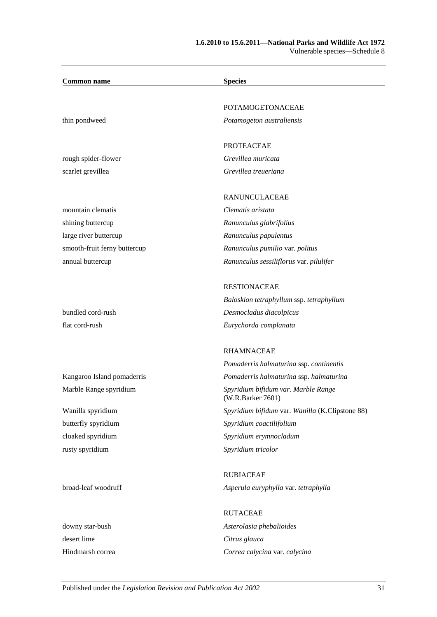### **1.6.2010 to 15.6.2011—National Parks and Wildlife Act 1972** Vulnerable species—Schedule 8

| <b>Common name</b>           | <b>Species</b>                                           |
|------------------------------|----------------------------------------------------------|
|                              | <b>POTAMOGETONACEAE</b>                                  |
| thin pondweed                | Potamogeton australiensis                                |
|                              | <b>PROTEACEAE</b>                                        |
| rough spider-flower          | Grevillea muricata                                       |
| scarlet grevillea            | Grevillea treueriana                                     |
|                              | RANUNCULACEAE                                            |
| mountain clematis            | Clematis aristata                                        |
| shining buttercup            | Ranunculus glabrifolius                                  |
| large river buttercup        | Ranunculus papulentus                                    |
| smooth-fruit ferny buttercup | Ranunculus pumilio var. politus                          |
| annual buttercup             | Ranunculus sessiliflorus var. pilulifer                  |
|                              | <b>RESTIONACEAE</b>                                      |
|                              | Baloskion tetraphyllum ssp. tetraphyllum                 |
| bundled cord-rush            | Desmocladus diacolpicus                                  |
| flat cord-rush               | Eurychorda complanata                                    |
|                              | <b>RHAMNACEAE</b>                                        |
|                              | Pomaderris halmaturina ssp. continentis                  |
| Kangaroo Island pomaderris   | Pomaderris halmaturina ssp. halmaturina                  |
| Marble Range spyridium       | Spyridium bifidum var. Marble Range<br>(W.R.Barker 7601) |
| Wanilla spyridium            | Spyridium bifidum var. Wanilla (K.Clipstone 88)          |
| butterfly spyridium          | Spyridium coactilifolium                                 |
| cloaked spyridium            | Spyridium erymnocladum                                   |
| rusty spyridium              | Spyridium tricolor                                       |
|                              | <b>RUBIACEAE</b>                                         |
| broad-leaf woodruff          | Asperula euryphylla var. tetraphylla                     |
|                              | <b>RUTACEAE</b>                                          |
| downy star-bush              | Asterolasia phebalioides                                 |
| desert lime                  | Citrus glauca                                            |
| Hindmarsh correa             | Correa calycina var. calycina                            |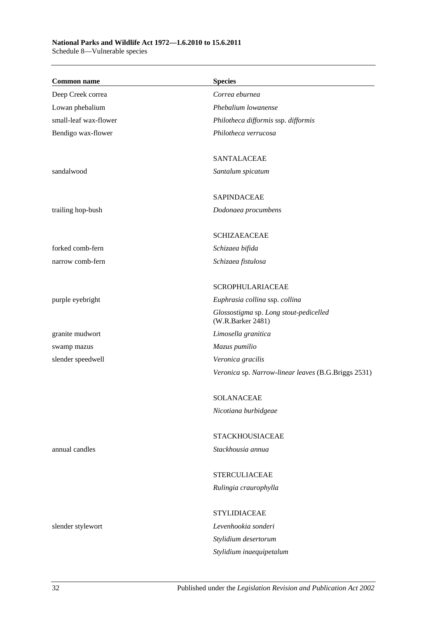Schedule 8—Vulnerable species

| <b>Common name</b>    | <b>Species</b>                                              |
|-----------------------|-------------------------------------------------------------|
| Deep Creek correa     | Correa eburnea                                              |
| Lowan phebalium       | Phebalium lowanense                                         |
| small-leaf wax-flower | Philotheca difformis ssp. difformis                         |
| Bendigo wax-flower    | Philotheca verrucosa                                        |
|                       | SANTALACEAE                                                 |
| sandalwood            | Santalum spicatum                                           |
|                       | <b>SAPINDACEAE</b>                                          |
| trailing hop-bush     | Dodonaea procumbens                                         |
|                       | <b>SCHIZAEACEAE</b>                                         |
| forked comb-fern      | Schizaea bifida                                             |
| narrow comb-fern      | Schizaea fistulosa                                          |
|                       | <b>SCROPHULARIACEAE</b>                                     |
| purple eyebright      | Euphrasia collina ssp. collina                              |
|                       | Glossostigma sp. Long stout-pedicelled<br>(W.R.Barker 2481) |
| granite mudwort       | Limosella granitica                                         |
| swamp mazus           | Mazus pumilio                                               |
| slender speedwell     | Veronica gracilis                                           |
|                       | Veronica sp. Narrow-linear leaves (B.G.Briggs 2531)         |
|                       | <b>SOLANACEAE</b>                                           |
|                       | Nicotiana burbidgeae                                        |
|                       | <b>STACKHOUSIACEAE</b>                                      |
| annual candles        | Stackhousia annua                                           |
|                       | <b>STERCULIACEAE</b>                                        |
|                       | Rulingia craurophylla                                       |
|                       | <b>STYLIDIACEAE</b>                                         |
| slender stylewort     | Levenhookia sonderi                                         |
|                       | Stylidium desertorum                                        |
|                       | Stylidium inaequipetalum                                    |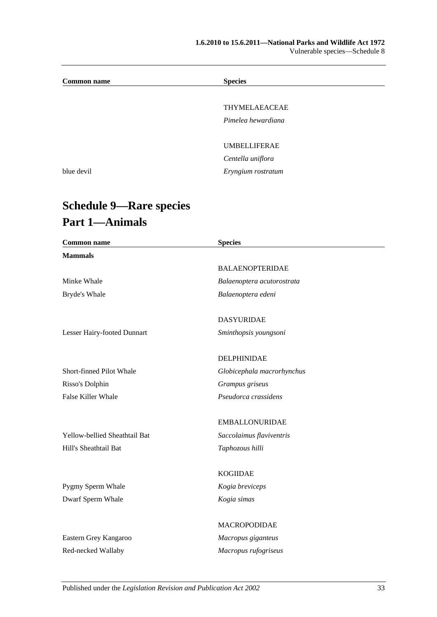### **1.6.2010 to 15.6.2011—National Parks and Wildlife Act 1972** Vulnerable species—Schedule 8

| <b>Common name</b> | <b>Species</b>      |  |
|--------------------|---------------------|--|
|                    |                     |  |
|                    | THYMELAEACEAE       |  |
|                    | Pimelea hewardiana  |  |
|                    |                     |  |
|                    | <b>UMBELLIFERAE</b> |  |
|                    | Centella uniflora   |  |
| blue devil         | Eryngium rostratum  |  |
|                    |                     |  |

# **Schedule 9—Rare species Part 1—Animals**

| <b>Common name</b>            | <b>Species</b>             |  |
|-------------------------------|----------------------------|--|
| <b>Mammals</b>                |                            |  |
|                               | <b>BALAENOPTERIDAE</b>     |  |
| Minke Whale                   | Balaenoptera acutorostrata |  |
| Bryde's Whale                 | Balaenoptera edeni         |  |
|                               | <b>DASYURIDAE</b>          |  |
| Lesser Hairy-footed Dunnart   | Sminthopsis youngsoni      |  |
|                               | DELPHINIDAE                |  |
| Short-finned Pilot Whale      | Globicephala macrorhynchus |  |
| Risso's Dolphin               | Grampus griseus            |  |
| False Killer Whale            | Pseudorca crassidens       |  |
|                               | <b>EMBALLONURIDAE</b>      |  |
| Yellow-bellied Sheathtail Bat | Saccolaimus flaviventris   |  |
| Hill's Sheathtail Bat         | Taphozous hilli            |  |
|                               | <b>KOGIIDAE</b>            |  |
| Pygmy Sperm Whale             | Kogia breviceps            |  |
| Dwarf Sperm Whale             | Kogia simas                |  |
|                               | MACROPODIDAE               |  |
| Eastern Grey Kangaroo         | Macropus giganteus         |  |
| Red-necked Wallaby            | Macropus rufogriseus       |  |
|                               |                            |  |

Published under the *Legislation Revision and Publication Act 2002* 33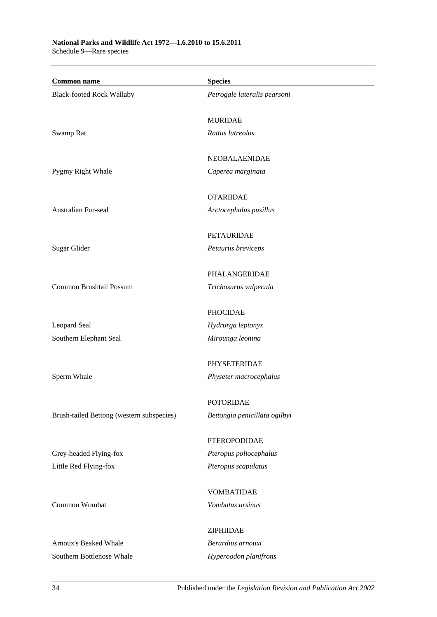Schedule 9—Rare species

| <b>Common name</b>                        | <b>Species</b>                         |
|-------------------------------------------|----------------------------------------|
| <b>Black-footed Rock Wallaby</b>          | Petrogale lateralis pearsoni           |
|                                           |                                        |
|                                           | <b>MURIDAE</b>                         |
| Swamp Rat                                 | Rattus lutreolus                       |
|                                           |                                        |
|                                           | <b>NEOBALAENIDAE</b>                   |
| Pygmy Right Whale                         | Caperea marginata                      |
|                                           | <b>OTARIIDAE</b>                       |
| Australian Fur-seal                       | Arctocephalus pusillus                 |
|                                           |                                        |
|                                           | <b>PETAURIDAE</b>                      |
| Sugar Glider                              | Petaurus breviceps                     |
|                                           | PHALANGERIDAE                          |
| Common Brushtail Possum                   | Trichosurus vulpecula                  |
|                                           |                                        |
|                                           | <b>PHOCIDAE</b>                        |
| Leopard Seal                              | Hydrurga leptonyx                      |
| Southern Elephant Seal                    | Mirounga leonina                       |
|                                           | PHYSETERIDAE                           |
| Sperm Whale                               | Physeter macrocephalus                 |
|                                           |                                        |
|                                           | <b>POTORIDAE</b>                       |
| Brush-tailed Bettong (western subspecies) | Bettongia penicillata ogilbyi          |
|                                           |                                        |
| Grey-headed Flying-fox                    | PTEROPODIDAE<br>Pteropus poliocephalus |
| Little Red Flying-fox                     | Pteropus scapulatus                    |
|                                           |                                        |
|                                           | <b>VOMBATIDAE</b>                      |
| Common Wombat                             | Vombatus ursinus                       |
|                                           |                                        |
|                                           | ZIPHIIDAE                              |
| Arnoux's Beaked Whale                     | Berardius arnouxi                      |
| Southern Bottlenose Whale                 | Hyperoodon planifrons                  |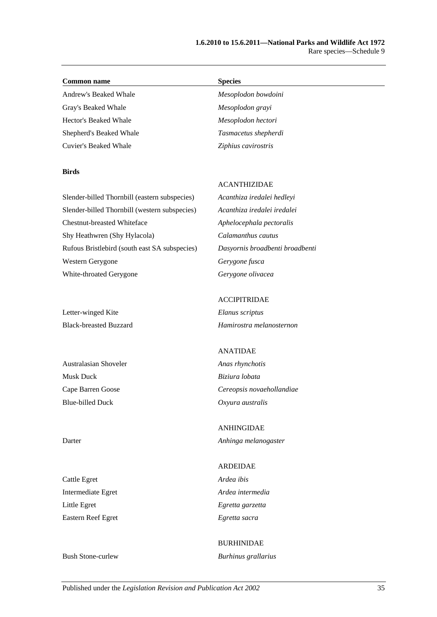#### **Common name Species**

Andrew's Beaked Whale *Mesoplodon bowdoini* Gray's Beaked Whale *Mesoplodon grayi* Hector's Beaked Whale *Mesoplodon hectori*

### **Birds**

Shepherd's Beaked Whale *Tasmacetus shepherdi* Cuvier's Beaked Whale *Ziphius cavirostris*

Slender-billed Thornbill (eastern subspecies) *Acanthiza iredalei hedleyi* Slender-billed Thornbill (western subspecies) *Acanthiza iredalei iredalei* Chestnut-breasted Whiteface *Aphelocephala pectoralis* Shy Heathwren (Shy Hylacola) *Calamanthus cautus* Rufous Bristlebird (south east SA subspecies) *Dasyornis broadbenti broadbenti* Western Gerygone *Gerygone fusca* White-throated Gerygone *Gerygone olivacea*

Letter-winged Kite *Elanus scriptus*

Australasian Shoveler *Anas rhynchotis* Musk Duck *Biziura lobata* Blue-billed Duck *Oxyura australis*

Cattle Egret *Ardea ibis* Intermediate Egret *Ardea intermedia* Little Egret *Egretta garzetta* Eastern Reef Egret *Egretta sacra*

### ACCIPITRIDAE

ACANTHIZIDAE

Black-breasted Buzzard *Hamirostra melanosternon*

### ANATIDAE

Cape Barren Goose *Cereopsis novaehollandiae*

ANHINGIDAE Darter *Anhinga melanogaster*

# ARDEIDAE

### BURHINIDAE Bush Stone-curlew *Burhinus grallarius*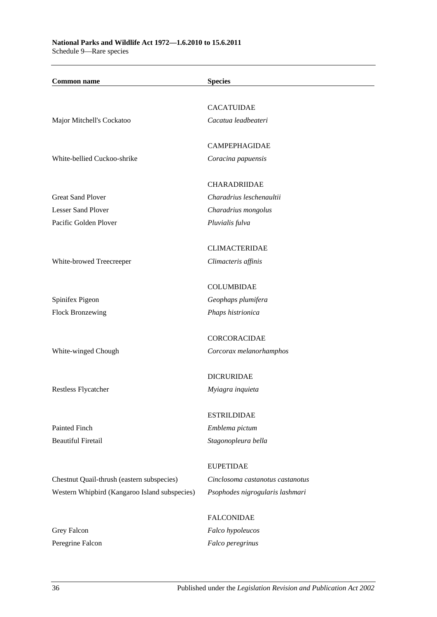| <b>Common name</b>                            | <b>Species</b>                   |
|-----------------------------------------------|----------------------------------|
|                                               |                                  |
|                                               | <b>CACATUIDAE</b>                |
| Major Mitchell's Cockatoo                     | Cacatua leadbeateri              |
|                                               | CAMPEPHAGIDAE                    |
| White-bellied Cuckoo-shrike                   | Coracina papuensis               |
|                                               | CHARADRIIDAE                     |
| <b>Great Sand Plover</b>                      | Charadrius leschenaultii         |
| <b>Lesser Sand Plover</b>                     | Charadrius mongolus              |
| Pacific Golden Plover                         | Pluvialis fulva                  |
|                                               | <b>CLIMACTERIDAE</b>             |
| White-browed Treecreeper                      | Climacteris affinis              |
|                                               | <b>COLUMBIDAE</b>                |
| Spinifex Pigeon                               | Geophaps plumifera               |
| <b>Flock Bronzewing</b>                       | Phaps histrionica                |
|                                               | <b>CORCORACIDAE</b>              |
| White-winged Chough                           | Corcorax melanorhamphos          |
|                                               | <b>DICRURIDAE</b>                |
| Restless Flycatcher                           | Myiagra inquieta                 |
|                                               | <b>ESTRILDIDAE</b>               |
| Painted Finch                                 | Emblema pictum                   |
| <b>Beautiful Firetail</b>                     | Stagonopleura bella              |
|                                               |                                  |
|                                               | <b>EUPETIDAE</b>                 |
| Chestnut Quail-thrush (eastern subspecies)    | Cinclosoma castanotus castanotus |
| Western Whipbird (Kangaroo Island subspecies) | Psophodes nigrogularis lashmari  |
|                                               | <b>FALCONIDAE</b>                |
| Grey Falcon                                   | Falco hypoleucos                 |
| Peregrine Falcon                              | Falco peregrinus                 |
|                                               |                                  |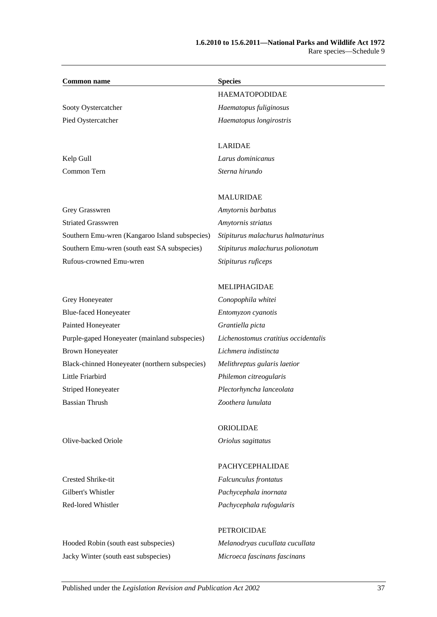| <b>Common name</b>        | <b>Species</b>          |  |
|---------------------------|-------------------------|--|
|                           | <b>HAEMATOPODIDAE</b>   |  |
| Sooty Oystercatcher       | Haematopus fuliginosus  |  |
| Pied Oystercatcher        | Haematopus longirostris |  |
|                           | <b>LARIDAE</b>          |  |
| Kelp Gull                 | Larus dominicanus       |  |
| Common Tern               | Sterna hirundo          |  |
|                           |                         |  |
|                           | <b>MALURIDAE</b>        |  |
| Grey Grasswren            | Amytornis barbatus      |  |
| <b>Striated Grasswren</b> | Amytornis striatus      |  |
|                           |                         |  |

Southern Emu-wren (Kangaroo Island subspecies) *Stipiturus malachurus halmaturinus* Southern Emu-wren (south east SA subspecies) *Stipiturus malachurus polionotum* Rufous-crowned Emu-wren *Stipiturus ruficeps*

# Grey Honeyeater *Conopophila whitei* Blue-faced Honeyeater *Entomyzon cyanotis* Painted Honeyeater *Grantiella picta* Purple-gaped Honeyeater (mainland subspecies) *Lichenostomus cratitius occidentalis* Brown Honeyeater *Lichmera indistincta* Black-chinned Honeyeater (northern subspecies) *Melithreptus gularis laetior* Little Friarbird *Philemon citreogularis* Striped Honeyeater *Plectorhyncha lanceolata* Bassian Thrush *Zoothera lunulata*

### MELIPHAGIDAE

ORIOLIDAE

Olive-backed Oriole *Oriolus sagittatus*

Hooded Robin (south east subspecies) *Melanodryas cucullata cucullata* Jacky Winter (south east subspecies) *Microeca fascinans fascinans*

### PACHYCEPHALIDAE

Crested Shrike-tit *Falcunculus frontatus* Gilbert's Whistler *Pachycephala inornata* Red-lored Whistler *Pachycephala rufogularis*

### PETROICIDAE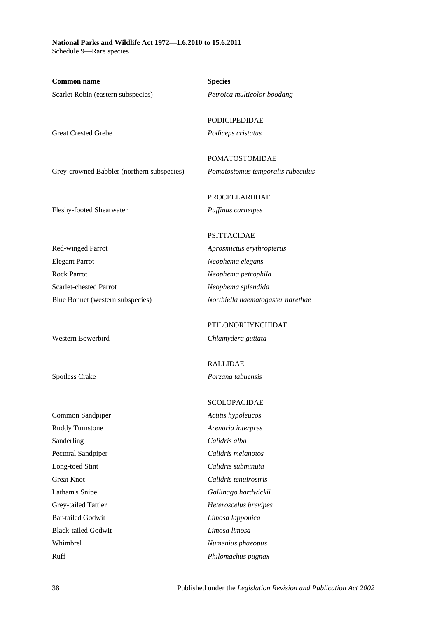Schedule 9—Rare species

| <b>Common name</b>                         | <b>Species</b>                    |
|--------------------------------------------|-----------------------------------|
| Scarlet Robin (eastern subspecies)         | Petroica multicolor boodang       |
|                                            | <b>PODICIPEDIDAE</b>              |
| <b>Great Crested Grebe</b>                 | Podiceps cristatus                |
|                                            | <b>POMATOSTOMIDAE</b>             |
| Grey-crowned Babbler (northern subspecies) | Pomatostomus temporalis rubeculus |
|                                            |                                   |
|                                            | PROCELLARIIDAE                    |
| Fleshy-footed Shearwater                   | Puffinus carneipes                |
|                                            | <b>PSITTACIDAE</b>                |
| Red-winged Parrot                          | Aprosmictus erythropterus         |
| <b>Elegant Parrot</b>                      | Neophema elegans                  |
| <b>Rock Parrot</b>                         | Neophema petrophila               |
| Scarlet-chested Parrot                     | Neophema splendida                |
| Blue Bonnet (western subspecies)           | Northiella haematogaster narethae |
|                                            | PTILONORHYNCHIDAE                 |
| Western Bowerbird                          | Chlamydera guttata                |
|                                            | <b>RALLIDAE</b>                   |
| Spotless Crake                             | Porzana tabuensis                 |
|                                            | SCOLOPACIDAE                      |
| Common Sandpiper                           | Actitis hypoleucos                |
| Ruddy Turnstone                            | Arenaria interpres                |
| Sanderling                                 | Calidris alba                     |
| Pectoral Sandpiper                         | Calidris melanotos                |
| Long-toed Stint                            | Calidris subminuta                |
| <b>Great Knot</b>                          | Calidris tenuirostris             |
| Latham's Snipe                             | Gallinago hardwickii              |
| Grey-tailed Tattler                        | Heteroscelus brevipes             |
| <b>Bar-tailed Godwit</b>                   | Limosa lapponica                  |
| <b>Black-tailed Godwit</b>                 | Limosa limosa                     |
| Whimbrel                                   | Numenius phaeopus                 |
| Ruff                                       | Philomachus pugnax                |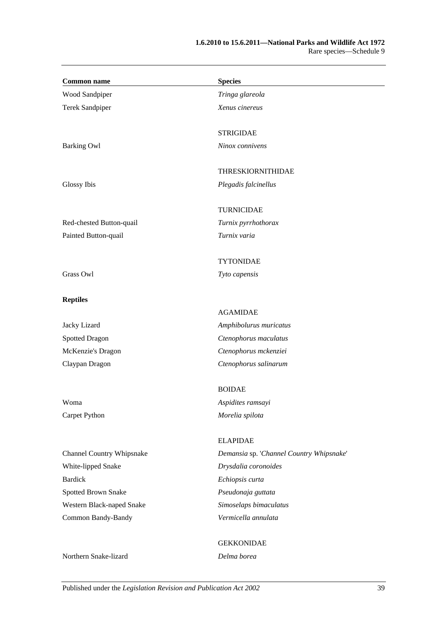| <b>Common name</b>               | <b>Species</b>                           |
|----------------------------------|------------------------------------------|
| Wood Sandpiper                   | Tringa glareola                          |
| Terek Sandpiper                  | Xenus cinereus                           |
|                                  | <b>STRIGIDAE</b>                         |
| <b>Barking Owl</b>               | Ninox connivens                          |
|                                  | <b>THRESKIORNITHIDAE</b>                 |
| Glossy Ibis                      | Plegadis falcinellus                     |
|                                  | <b>TURNICIDAE</b>                        |
| Red-chested Button-quail         | Turnix pyrrhothorax                      |
| Painted Button-quail             | Turnix varia                             |
|                                  | <b>TYTONIDAE</b>                         |
| Grass Owl                        | Tyto capensis                            |
| <b>Reptiles</b>                  |                                          |
|                                  | <b>AGAMIDAE</b>                          |
| Jacky Lizard                     | Amphibolurus muricatus                   |
| <b>Spotted Dragon</b>            | Ctenophorus maculatus                    |
| McKenzie's Dragon                | Ctenophorus mckenziei                    |
| Claypan Dragon                   | Ctenophorus salinarum                    |
|                                  | <b>BOIDAE</b>                            |
| Woma                             | Aspidites ramsayi                        |
| Carpet Python                    | Morelia spilota                          |
|                                  | <b>ELAPIDAE</b>                          |
| <b>Channel Country Whipsnake</b> | Demansia sp. 'Channel Country Whipsnake' |
| White-lipped Snake               | Drysdalia coronoides                     |
| <b>Bardick</b>                   | Echiopsis curta                          |
| Spotted Brown Snake              | Pseudonaja guttata                       |
| Western Black-naped Snake        | Simoselaps bimaculatus                   |
| Common Bandy-Bandy               | Vermicella annulata                      |
|                                  | <b>GEKKONIDAE</b>                        |
| Northern Snake-lizard            | Delma borea                              |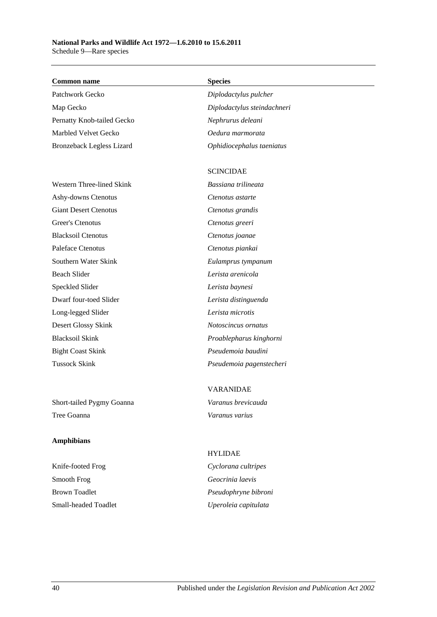### **Common name Species**

Patchwork Gecko *Diplodactylus pulcher* Map Gecko *Diplodactylus steindachneri* Pernatty Knob-tailed Gecko *Nephrurus deleani* Marbled Velvet Gecko *Oedura marmorata* Bronzeback Legless Lizard *Ophidiocephalus taeniatus*

Western Three-lined Skink *Bassiana trilineata* Ashy-downs Ctenotus *Ctenotus astarte* Giant Desert Ctenotus *Ctenotus grandis* Greer's Ctenotus *Ctenotus greeri* Blacksoil Ctenotus *Ctenotus joanae* Paleface Ctenotus *Ctenotus piankai* Southern Water Skink *Eulamprus tympanum* Beach Slider *Lerista arenicola* Speckled Slider *Lerista baynesi* Dwarf four-toed Slider *Lerista distinguenda* Long-legged Slider *Lerista microtis* Desert Glossy Skink *Notoscincus ornatus* Blacksoil Skink *Proablepharus kinghorni* Bight Coast Skink *Pseudemoia baudini*

Short-tailed Pygmy Goanna *Varanus brevicauda* Tree Goanna *Varanus varius*

### **Amphibians**

Knife-footed Frog *Cyclorana cultripes* Smooth Frog *Geocrinia laevis* Brown Toadlet *Pseudophryne bibroni* Small-headed Toadlet *Uperoleia capitulata*

### SCINCIDAE

Tussock Skink *Pseudemoia pagenstecheri*

# VARANIDAE

# HYLIDAE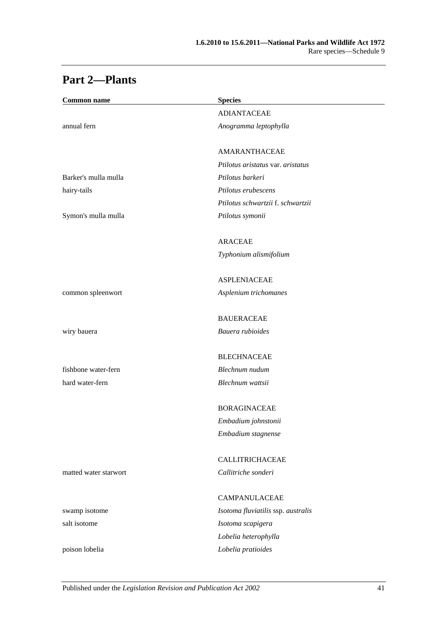| <b>Common name</b>    | <b>Species</b>                     |
|-----------------------|------------------------------------|
|                       | <b>ADIANTACEAE</b>                 |
| annual fern           | Anogramma leptophylla              |
|                       |                                    |
|                       | AMARANTHACEAE                      |
|                       | Ptilotus aristatus var. aristatus  |
| Barker's mulla mulla  | Ptilotus barkeri                   |
| hairy-tails           | Ptilotus erubescens                |
|                       | Ptilotus schwartzii f. schwartzii  |
| Symon's mulla mulla   | Ptilotus symonii                   |
|                       | <b>ARACEAE</b>                     |
|                       | Typhonium alismifolium             |
|                       | <b>ASPLENIACEAE</b>                |
| common spleenwort     | Asplenium trichomanes              |
|                       | <b>BAUERACEAE</b>                  |
| wiry bauera           | Bauera rubioides                   |
|                       |                                    |
|                       | <b>BLECHNACEAE</b>                 |
| fishbone water-fern   | Blechnum nudum                     |
| hard water-fern       | Blechnum wattsii                   |
|                       | <b>BORAGINACEAE</b>                |
|                       | Embadium johnstonii                |
|                       | Embadium stagnense                 |
|                       | <b>CALLITRICHACEAE</b>             |
| matted water starwort | Callitriche sonderi                |
|                       | <b>CAMPANULACEAE</b>               |
| swamp isotome         | Isotoma fluviatilis ssp. australis |
| salt isotome          | Isotoma scapigera                  |
|                       | Lobelia heterophylla               |
| poison lobelia        | Lobelia pratioides                 |

# **Part 2—Plants**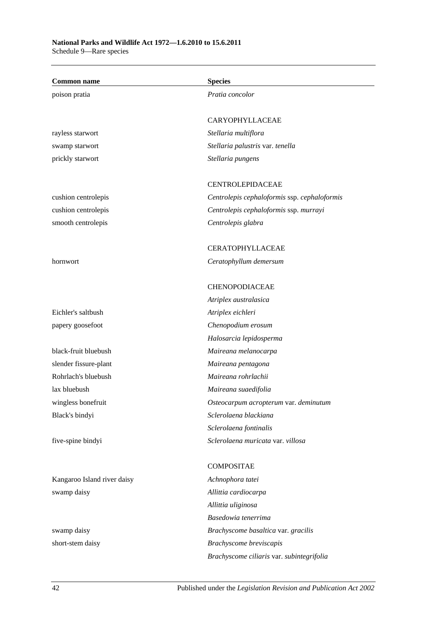| <b>Common name</b>          | <b>Species</b>                               |
|-----------------------------|----------------------------------------------|
| poison pratia               | Pratia concolor                              |
|                             |                                              |
|                             | CARYOPHYLLACEAE                              |
| rayless starwort            | Stellaria multiflora                         |
| swamp starwort              | Stellaria palustris var. tenella             |
| prickly starwort            | Stellaria pungens                            |
|                             |                                              |
|                             | <b>CENTROLEPIDACEAE</b>                      |
| cushion centrolepis         | Centrolepis cephaloformis ssp. cephaloformis |
| cushion centrolepis         | Centrolepis cephaloformis ssp. murrayi       |
| smooth centrolepis          | Centrolepis glabra                           |
|                             | <b>CERATOPHYLLACEAE</b>                      |
| hornwort                    | Ceratophyllum demersum                       |
|                             |                                              |
|                             | CHENOPODIACEAE                               |
|                             | Atriplex australasica                        |
| Eichler's saltbush          | Atriplex eichleri                            |
| papery goosefoot            | Chenopodium erosum                           |
|                             | Halosarcia lepidosperma                      |
| black-fruit bluebush        | Maireana melanocarpa                         |
| slender fissure-plant       | Maireana pentagona                           |
| Rohrlach's bluebush         | Maireana rohrlachii                          |
| lax bluebush                | Maireana suaedifolia                         |
| wingless bonefruit          | Osteocarpum acropterum var. deminutum        |
| Black's bindyi              | Sclerolaena blackiana                        |
|                             | Sclerolaena fontinalis                       |
| five-spine bindyi           | Sclerolaena muricata var. villosa            |
|                             | <b>COMPOSITAE</b>                            |
| Kangaroo Island river daisy | Achnophora tatei                             |
| swamp daisy                 | Allittia cardiocarpa                         |
|                             | Allittia uliginosa                           |
|                             | Basedowia tenerrima                          |
| swamp daisy                 | Brachyscome basaltica var. gracilis          |
| short-stem daisy            | Brachyscome breviscapis                      |

*Brachyscome ciliaris* var. *subintegrifolia*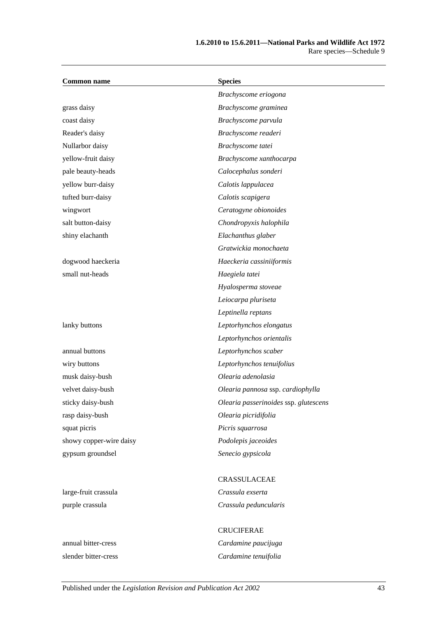| <b>Common name</b>      | <b>Species</b>                        |
|-------------------------|---------------------------------------|
|                         | Brachyscome eriogona                  |
| grass daisy             | Brachyscome graminea                  |
| coast daisy             | Brachyscome parvula                   |
| Reader's daisy          | Brachyscome readeri                   |
| Nullarbor daisy         | Brachyscome tatei                     |
| yellow-fruit daisy      | Brachyscome xanthocarpa               |
| pale beauty-heads       | Calocephalus sonderi                  |
| yellow burr-daisy       | Calotis lappulacea                    |
| tufted burr-daisy       | Calotis scapigera                     |
| wingwort                | Ceratogyne obionoides                 |
| salt button-daisy       | Chondropyxis halophila                |
| shiny elachanth         | Elachanthus glaber                    |
|                         | Gratwickia monochaeta                 |
| dogwood haeckeria       | Haeckeria cassiniiformis              |
| small nut-heads         | Haegiela tatei                        |
|                         | Hyalosperma stoveae                   |
|                         | Leiocarpa pluriseta                   |
|                         | Leptinella reptans                    |
| lanky buttons           | Leptorhynchos elongatus               |
|                         | Leptorhynchos orientalis              |
| annual buttons          | Leptorhynchos scaber                  |
| wiry buttons            | Leptorhynchos tenuifolius             |
| musk daisy-bush         | Olearia adenolasia                    |
| velvet daisy-bush       | Olearia pannosa ssp. cardiophylla     |
| sticky daisy-bush       | Olearia passerinoides ssp. glutescens |
| rasp daisy-bush         | Olearia picridifolia                  |
| squat picris            | Picris squarrosa                      |
| showy copper-wire daisy | Podolepis jaceoides                   |
| gypsum groundsel        | Senecio gypsicola                     |
|                         |                                       |
|                         | CRASSULACEAE                          |
| large-fruit crassula    | Crassula exserta                      |
| purple crassula         | Crassula peduncularis                 |

# CRUCIFERAE annual bitter-cress *Cardamine paucijuga* slender bitter-cress *Cardamine tenuifolia*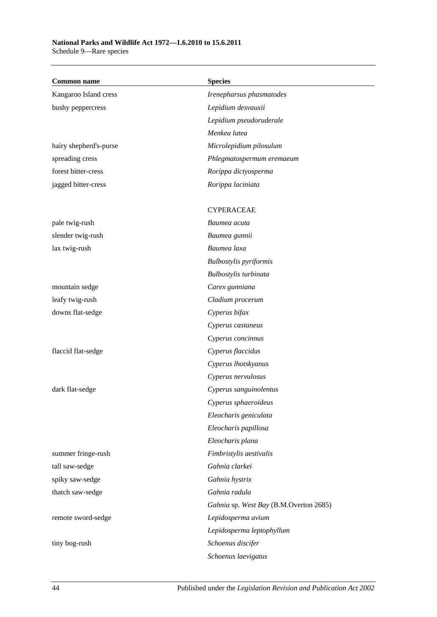Schedule 9—Rare species

| <b>Common name</b>     | <b>Species</b>                         |
|------------------------|----------------------------------------|
| Kangaroo Island cress  | Irenepharsus phasmatodes               |
| bushy peppercress      | Lepidium desvauxii                     |
|                        | Lepidium pseudoruderale                |
|                        | Menkea lutea                           |
| hairy shepherd's-purse | Microlepidium pilosulum                |
| spreading cress        | Phlegmatospermum eremaeum              |
| forest bitter-cress    | Rorippa dictyosperma                   |
| jagged bitter-cress    | Rorippa laciniata                      |
|                        | <b>CYPERACEAE</b>                      |
| pale twig-rush         | Baumea acuta                           |
| slender twig-rush      | Baumea gunnii                          |
| lax twig-rush          | Baumea laxa                            |
|                        | <b>Bulbostylis</b> pyriformis          |
|                        | Bulbostylis turbinata                  |
| mountain sedge         | Carex gunniana                         |
| leafy twig-rush        | Cladium procerum                       |
| downs flat-sedge       | Cyperus bifax                          |
|                        | Cyperus castaneus                      |
|                        | Cyperus concinnus                      |
| flaccid flat-sedge     | Cyperus flaccidus                      |
|                        | Cyperus lhotskyanus                    |
|                        | Cyperus nervulosus                     |
| dark flat-sedge        | Cyperus sanguinolentus                 |
|                        | Cyperus sphaeroideus                   |
|                        | Eleocharis geniculata                  |
|                        | Eleocharis papillosa                   |
|                        | Eleocharis plana                       |
| summer fringe-rush     | Fimbristylis aestivalis                |
| tall saw-sedge         | Gahnia clarkei                         |
| spiky saw-sedge        | Gahnia hystrix                         |
| thatch saw-sedge       | Gahnia radula                          |
|                        | Gahnia sp. West Bay (B.M.Overton 2685) |
| remote sword-sedge     | Lepidosperma avium                     |
|                        | Lepidosperma leptophyllum              |
| tiny bog-rush          | Schoenus discifer                      |
|                        | Schoenus laevigatus                    |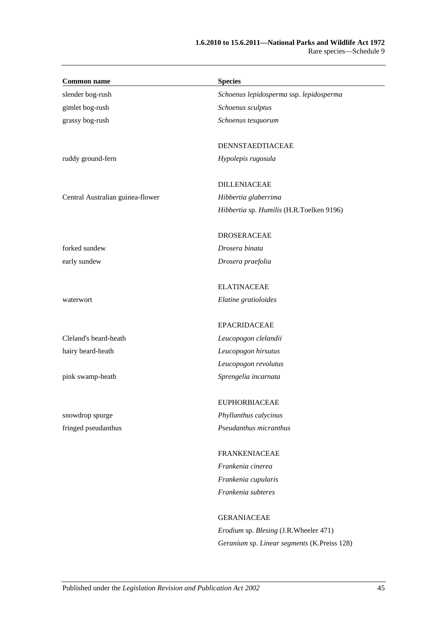| <b>Common name</b>               | <b>Species</b>                           |
|----------------------------------|------------------------------------------|
| slender bog-rush                 | Schoenus lepidosperma ssp. lepidosperma  |
| gimlet bog-rush                  | Schoenus sculptus                        |
| grassy bog-rush                  | Schoenus tesquorum                       |
|                                  | DENNSTAEDTIACEAE                         |
| ruddy ground-fern                | Hypolepis rugosula                       |
|                                  | <b>DILLENIACEAE</b>                      |
| Central Australian guinea-flower | Hibbertia glaberrima                     |
|                                  | Hibbertia sp. Humilis (H.R.Toelken 9196) |
|                                  | <b>DROSERACEAE</b>                       |
| forked sundew                    | Drosera binata                           |
| early sundew                     | Drosera praefolia                        |
|                                  | <b>ELATINACEAE</b>                       |
| waterwort                        | Elatine gratioloides                     |
|                                  | <b>EPACRIDACEAE</b>                      |
| Cleland's beard-heath            | Leucopogon clelandii                     |
| hairy beard-heath                | Leucopogon hirsutus                      |
|                                  | Leucopogon revolutus                     |
| pink swamp-heath                 | Sprengelia incarnata                     |
|                                  | <b>EUPHORBIACEAE</b>                     |
| snowdrop spurge                  | Phyllanthus calycinus                    |
| fringed pseudanthus              | Pseudanthus micranthus                   |
|                                  | <b>FRANKENIACEAE</b>                     |
|                                  | Frankenia cinerea                        |
|                                  | Frankenia cupularis                      |
|                                  | Frankenia subteres                       |
|                                  | <b>GERANIACEAE</b>                       |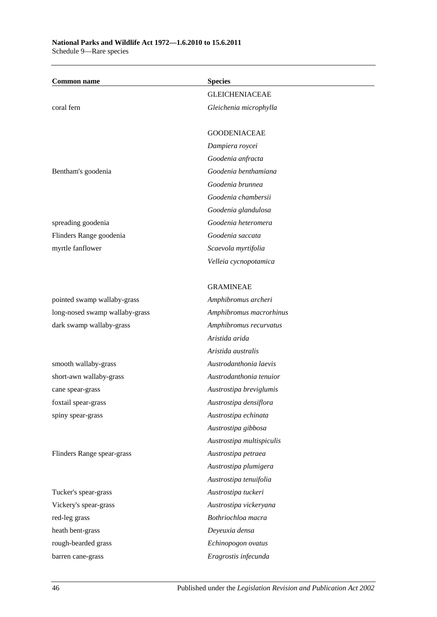| <b>Common name</b>             | <b>Species</b>            |
|--------------------------------|---------------------------|
|                                | <b>GLEICHENIACEAE</b>     |
| coral fern                     | Gleichenia microphylla    |
|                                | <b>GOODENIACEAE</b>       |
|                                | Dampiera roycei           |
|                                | Goodenia anfracta         |
| Bentham's goodenia             | Goodenia benthamiana      |
|                                | Goodenia brunnea          |
|                                | Goodenia chambersii       |
|                                | Goodenia glandulosa       |
| spreading goodenia             | Goodenia heteromera       |
| Flinders Range goodenia        | Goodenia saccata          |
| myrtle fanflower               | Scaevola myrtifolia       |
|                                | Velleia cycnopotamica     |
|                                | <b>GRAMINEAE</b>          |
| pointed swamp wallaby-grass    | Amphibromus archeri       |
| long-nosed swamp wallaby-grass | Amphibromus macrorhinus   |
| dark swamp wallaby-grass       | Amphibromus recurvatus    |
|                                | Aristida arida            |
|                                | Aristida australis        |
| smooth wallaby-grass           | Austrodanthonia laevis    |
| short-awn wallaby-grass        | Austrodanthonia tenuior   |
| cane spear-grass               | Austrostipa breviglumis   |
| foxtail spear-grass            | Austrostipa densiflora    |
| spiny spear-grass              | Austrostipa echinata      |
|                                | Austrostipa gibbosa       |
|                                | Austrostipa multispiculis |
| Flinders Range spear-grass     | Austrostipa petraea       |
|                                | Austrostipa plumigera     |
|                                | Austrostipa tenuifolia    |
| Tucker's spear-grass           | Austrostipa tuckeri       |
| Vickery's spear-grass          | Austrostipa vickeryana    |
| red-leg grass                  | Bothriochloa macra        |
| heath bent-grass               | Deyeuxia densa            |
| rough-bearded grass            | Echinopogon ovatus        |
| barren cane-grass              | Eragrostis infecunda      |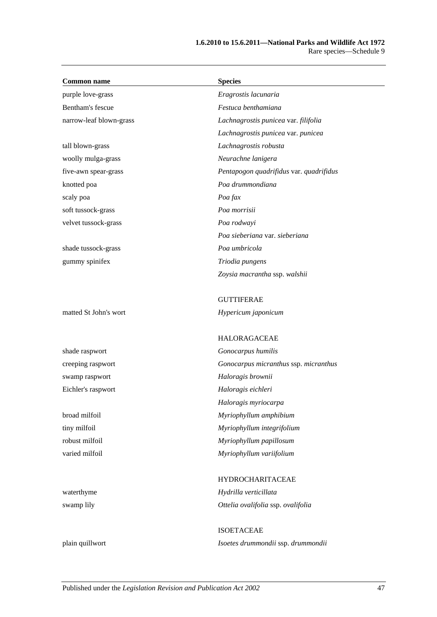| <b>Common name</b>      | <b>Species</b>                          |
|-------------------------|-----------------------------------------|
| purple love-grass       | Eragrostis lacunaria                    |
| Bentham's fescue        | Festuca benthamiana                     |
| narrow-leaf blown-grass | Lachnagrostis punicea var. filifolia    |
|                         | Lachnagrostis punicea var. punicea      |
| tall blown-grass        | Lachnagrostis robusta                   |
| woolly mulga-grass      | Neurachne lanigera                      |
| five-awn spear-grass    | Pentapogon quadrifidus var. quadrifidus |
| knotted poa             | Poa drummondiana                        |
| scaly poa               | Poa fax                                 |
| soft tussock-grass      | Poa morrisii                            |
| velvet tussock-grass    | Poa rodwayi                             |
|                         | Poa sieberiana var. sieberiana          |
| shade tussock-grass     | Poa umbricola                           |
| gummy spinifex          | Triodia pungens                         |
|                         | Zoysia macrantha ssp. walshii           |
|                         | <b>GUTTIFERAE</b>                       |
| matted St John's wort   | Hypericum japonicum                     |
|                         | <b>HALORAGACEAE</b>                     |
| shade raspwort          | Gonocarpus humilis                      |
| creeping raspwort       | Gonocarpus micranthus ssp. micranthus   |
| swamp raspwort          | Haloragis brownii                       |
| Eichler's raspwort      | Haloragis eichleri                      |
|                         | Haloragis myriocarpa                    |
| broad milfoil           | Myriophyllum amphibium                  |
| tiny milfoil            | Myriophyllum integrifolium              |
| robust milfoil          | Myriophyllum papillosum                 |
| varied milfoil          | Myriophyllum variifolium                |
|                         | HYDROCHARITACEAE                        |
| waterthyme              | Hydrilla verticillata                   |
| swamp lily              | Ottelia ovalifolia ssp. ovalifolia      |
|                         | <b>ISOETACEAE</b>                       |
| plain quillwort         | Isoetes drummondii ssp. drummondii      |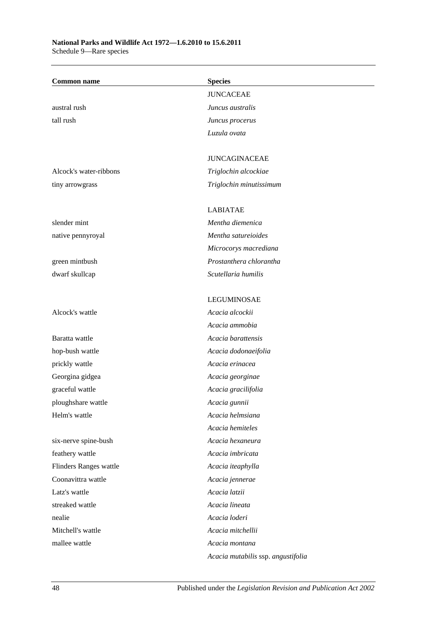| <b>Common name</b>     | <b>Species</b>                     |
|------------------------|------------------------------------|
|                        | <b>JUNCACEAE</b>                   |
| austral rush           | Juncus australis                   |
| tall rush              | Juncus procerus                    |
|                        | Luzula ovata                       |
|                        |                                    |
|                        | <b>JUNCAGINACEAE</b>               |
| Alcock's water-ribbons | Triglochin alcockiae               |
| tiny arrowgrass        | Triglochin minutissimum            |
|                        |                                    |
|                        | <b>LABIATAE</b>                    |
| slender mint           | Mentha diemenica                   |
| native pennyroyal      | Mentha satureioides                |
|                        | Microcorys macrediana              |
| green mintbush         | Prostanthera chlorantha            |
| dwarf skullcap         | Scutellaria humilis                |
|                        |                                    |
|                        | <b>LEGUMINOSAE</b>                 |
| Alcock's wattle        | Acacia alcockii                    |
|                        | Acacia ammobia                     |
| Baratta wattle         | Acacia barattensis                 |
| hop-bush wattle        | Acacia dodonaeifolia               |
| prickly wattle         | Acacia erinacea                    |
| Georgina gidgea        | Acacia georginae                   |
| graceful wattle        | Acacia gracilifolia                |
| ploughshare wattle     | Acacia gunnii                      |
| Helm's wattle          | Acacia helmsiana                   |
|                        | Acacia hemiteles                   |
| six-nerve spine-bush   | Acacia hexaneura                   |
| feathery wattle        | Acacia imbricata                   |
| Flinders Ranges wattle | Acacia iteaphylla                  |
| Coonavittra wattle     | Acacia jennerae                    |
| Latz's wattle          | Acacia latzii                      |
| streaked wattle        | Acacia lineata                     |
| nealie                 | Acacia loderi                      |
| Mitchell's wattle      | Acacia mitchellii                  |
| mallee wattle          | Acacia montana                     |
|                        | Acacia mutabilis ssp. angustifolia |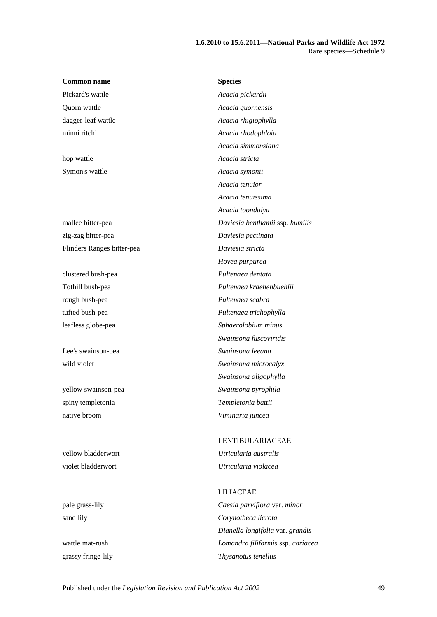| <b>Common name</b>         | <b>Species</b>                    |
|----------------------------|-----------------------------------|
| Pickard's wattle           | Acacia pickardii                  |
| Quorn wattle               | Acacia quornensis                 |
| dagger-leaf wattle         | Acacia rhigiophylla               |
| minni ritchi               | Acacia rhodophloia                |
|                            | Acacia simmonsiana                |
| hop wattle                 | Acacia stricta                    |
| Symon's wattle             | Acacia symonii                    |
|                            | Acacia tenuior                    |
|                            | Acacia tenuissima                 |
|                            | Acacia toondulya                  |
| mallee bitter-pea          | Daviesia benthamii ssp. humilis   |
| zig-zag bitter-pea         | Daviesia pectinata                |
| Flinders Ranges bitter-pea | Daviesia stricta                  |
|                            | Hovea purpurea                    |
| clustered bush-pea         | Pultenaea dentata                 |
| Tothill bush-pea           | Pultenaea kraehenbuehlii          |
| rough bush-pea             | Pultenaea scabra                  |
| tufted bush-pea            | Pultenaea trichophylla            |
| leafless globe-pea         | Sphaerolobium minus               |
|                            | Swainsona fuscoviridis            |
| Lee's swainson-pea         | Swainsona leeana                  |
| wild violet                | Swainsona microcalyx              |
|                            | Swainsona oligophylla             |
| yellow swainson-pea        | Swainsona pyrophila               |
| spiny templetonia          | Templetonia battii                |
| native broom               | Viminaria juncea                  |
|                            | LENTIBULARIACEAE                  |
| yellow bladderwort         | Utricularia australis             |
| violet bladderwort         | Utricularia violacea              |
|                            | <b>LILIACEAE</b>                  |
| pale grass-lily            | Caesia parviflora var. minor      |
| sand lily                  | Corynotheca licrota               |
|                            | Dianella longifolia var. grandis  |
| wattle mat-rush            | Lomandra filiformis ssp. coriacea |

grassy fringe-lily *Thysanotus tenellus*

Published under the *Legislation Revision and Publication Act 2002* 49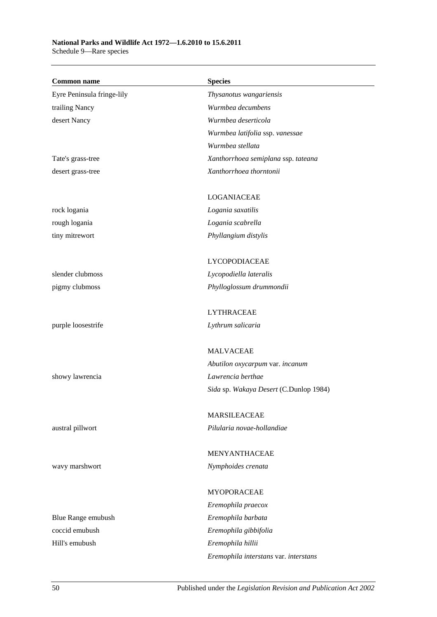Schedule 9—Rare species

| <b>Common name</b>         | <b>Species</b>                         |
|----------------------------|----------------------------------------|
| Eyre Peninsula fringe-lily | Thysanotus wangariensis                |
| trailing Nancy             | Wurmbea decumbens                      |
| desert Nancy               | Wurmbea deserticola                    |
|                            | Wurmbea latifolia ssp. vanessae        |
|                            | Wurmbea stellata                       |
| Tate's grass-tree          | Xanthorrhoea semiplana ssp. tateana    |
| desert grass-tree          | Xanthorrhoea thorntonii                |
|                            |                                        |
|                            | <b>LOGANIACEAE</b>                     |
| rock logania               | Logania saxatilis                      |
| rough logania              | Logania scabrella                      |
| tiny mitrewort             | Phyllangium distylis                   |
|                            |                                        |
|                            | LYCOPODIACEAE                          |
| slender clubmoss           | Lycopodiella lateralis                 |
| pigmy clubmoss             | Phylloglossum drummondii               |
|                            | <b>LYTHRACEAE</b>                      |
| purple loosestrife         | Lythrum salicaria                      |
|                            | <b>MALVACEAE</b>                       |
|                            | Abutilon oxycarpum var. incanum        |
| showy lawrencia            | Lawrencia berthae                      |
|                            | Sida sp. Wakaya Desert (C.Dunlop 1984) |
|                            | <b>MARSILEACEAE</b>                    |
| austral pillwort           | Pilularia novae-hollandiae             |
|                            |                                        |
|                            | MENYANTHACEAE                          |
| wavy marshwort             | Nymphoides crenata                     |
|                            |                                        |
|                            | MYOPORACEAE                            |
|                            | Eremophila praecox                     |
| Blue Range emubush         | Eremophila barbata                     |
| coccid emubush             | Eremophila gibbifolia                  |
| Hill's emubush             | Eremophila hillii                      |
|                            | Eremophila interstans var. interstans  |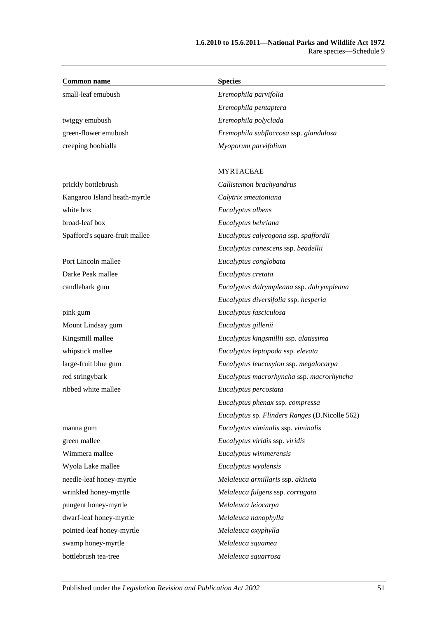| <b>Common name</b>             | <b>Species</b>                                 |
|--------------------------------|------------------------------------------------|
| small-leaf emubush             | Eremophila parvifolia                          |
|                                | Eremophila pentaptera                          |
| twiggy emubush                 | Eremophila polyclada                           |
| green-flower emubush           | Eremophila subfloccosa ssp. glandulosa         |
| creeping boobialla             | Myoporum parvifolium                           |
|                                |                                                |
|                                | <b>MYRTACEAE</b>                               |
| prickly bottlebrush            | Callistemon brachyandrus                       |
| Kangaroo Island heath-myrtle   | Calytrix smeatoniana                           |
| white box                      | Eucalyptus albens                              |
| broad-leaf box                 | Eucalyptus behriana                            |
| Spafford's square-fruit mallee | Eucalyptus calycogona ssp. spaffordii          |
|                                | Eucalyptus canescens ssp. beadellii            |
| Port Lincoln mallee            | Eucalyptus conglobata                          |
| Darke Peak mallee              | Eucalyptus cretata                             |
| candlebark gum                 | Eucalyptus dalrympleana ssp. dalrympleana      |
|                                | Eucalyptus diversifolia ssp. hesperia          |
| pink gum                       | Eucalyptus fasciculosa                         |
| Mount Lindsay gum              | Eucalyptus gillenii                            |
| Kingsmill mallee               | Eucalyptus kingsmillii ssp. alatissima         |
| whipstick mallee               | Eucalyptus leptopoda ssp. elevata              |
| large-fruit blue gum           | Eucalyptus leucoxylon ssp. megalocarpa         |
| red stringybark                | Eucalyptus macrorhyncha ssp. macrorhyncha      |
| ribbed white mallee            | Eucalyptus percostata                          |
|                                | Eucalyptus phenax ssp. compressa               |
|                                | Eucalyptus sp. Flinders Ranges (D.Nicolle 562) |
| manna gum                      | Eucalyptus viminalis ssp. viminalis            |
| green mallee                   | Eucalyptus viridis ssp. viridis                |
| Wimmera mallee                 | Eucalyptus wimmerensis                         |
| Wyola Lake mallee              | Eucalyptus wyolensis                           |
| needle-leaf honey-myrtle       | Melaleuca armillaris ssp. akineta              |
| wrinkled honey-myrtle          | Melaleuca fulgens ssp. corrugata               |
| pungent honey-myrtle           | Melaleuca leiocarpa                            |
| dwarf-leaf honey-myrtle        | Melaleuca nanophylla                           |
| pointed-leaf honey-myrtle      | Melaleuca oxyphylla                            |
| swamp honey-myrtle             | Melaleuca squamea                              |
| bottlebrush tea-tree           | Melaleuca squarrosa                            |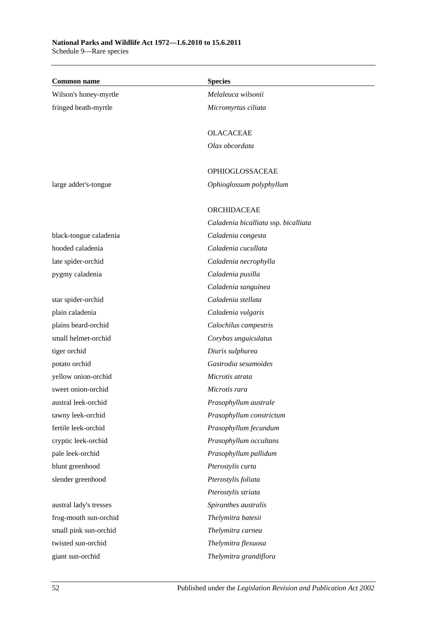Schedule 9—Rare species

| <b>Common name</b>     | <b>Species</b>                       |
|------------------------|--------------------------------------|
| Wilson's honey-myrtle  | Melaleuca wilsonii                   |
| fringed heath-myrtle   | Micromyrtus ciliata                  |
|                        |                                      |
|                        | <b>OLACACEAE</b>                     |
|                        | Olax obcordata                       |
|                        |                                      |
|                        | OPHIOGLOSSACEAE                      |
| large adder's-tongue   | Ophioglossum polyphyllum             |
|                        | ORCHIDACEAE                          |
|                        | Caladenia bicalliata ssp. bicalliata |
| black-tongue caladenia | Caladenia congesta                   |
| hooded caladenia       | Caladenia cucullata                  |
| late spider-orchid     | Caladenia necrophylla                |
| pygmy caladenia        | Caladenia pusilla                    |
|                        | Caladenia sanguinea                  |
| star spider-orchid     | Caladenia stellata                   |
| plain caladenia        | Caladenia vulgaris                   |
| plains beard-orchid    | Calochilus campestris                |
| small helmet-orchid    | Corybas unguiculatus                 |
| tiger orchid           | Diuris sulphurea                     |
| potato orchid          | Gastrodia sesamoides                 |
| yellow onion-orchid    | Microtis atrata                      |
| sweet onion-orchid     | Microtis rara                        |
| austral leek-orchid    | Prasophyllum australe                |
| tawny leek-orchid      | Prasophyllum constrictum             |
| fertile leek-orchid    | Prasophyllum fecundum                |
| cryptic leek-orchid    | Prasophyllum occultans               |
| pale leek-orchid       | Prasophyllum pallidum                |
| blunt greenhood        | Pterostylis curta                    |
| slender greenhood      | Pterostylis foliata                  |
|                        | Pterostylis striata                  |
| austral lady's tresses | Spiranthes australis                 |
| frog-mouth sun-orchid  | Thelymitra batesii                   |
| small pink sun-orchid  | Thelymitra carnea                    |
| twisted sun-orchid     | Thelymitra flexuosa                  |
| giant sun-orchid       | Thelymitra grandiflora               |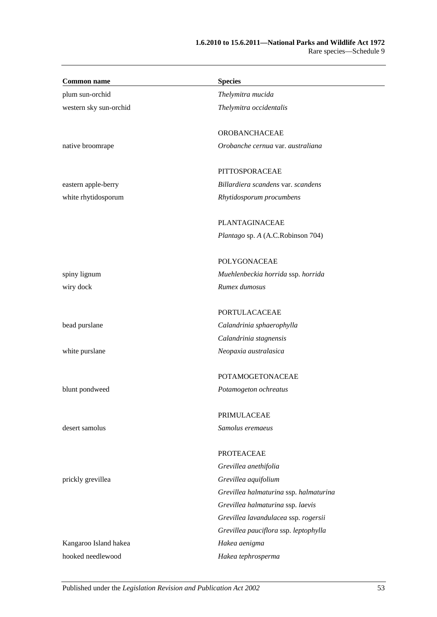| <b>Common name</b>     | <b>Species</b>                         |
|------------------------|----------------------------------------|
| plum sun-orchid        | Thelymitra mucida                      |
| western sky sun-orchid | Thelymitra occidentalis                |
|                        | OROBANCHACEAE                          |
| native broomrape       | Orobanche cernua var. australiana      |
|                        | PITTOSPORACEAE                         |
| eastern apple-berry    | Billardiera scandens var. scandens     |
| white rhytidosporum    | Rhytidosporum procumbens               |
|                        | PLANTAGINACEAE                         |
|                        | Plantago sp. A (A.C.Robinson 704)      |
|                        | <b>POLYGONACEAE</b>                    |
| spiny lignum           | Muehlenbeckia horrida ssp. horrida     |
| wiry dock              | Rumex dumosus                          |
|                        | <b>PORTULACACEAE</b>                   |
| bead purslane          | Calandrinia sphaerophylla              |
|                        | Calandrinia stagnensis                 |
| white purslane         | Neopaxia australasica                  |
|                        | <b>POTAMOGETONACEAE</b>                |
| blunt pondweed         | Potamogeton ochreatus                  |
|                        | PRIMULACEAE                            |
| desert samolus         | Samolus eremaeus                       |
|                        | <b>PROTEACEAE</b>                      |
|                        | Grevillea anethifolia                  |
| prickly grevillea      | Grevillea aquifolium                   |
|                        | Grevillea halmaturina ssp. halmaturina |
|                        | Grevillea halmaturina ssp. laevis      |
|                        | Grevillea lavandulacea ssp. rogersii   |
|                        | Grevillea pauciflora ssp. leptophylla  |
| Kangaroo Island hakea  | Hakea aenigma                          |
| hooked needlewood      | Hakea tephrosperma                     |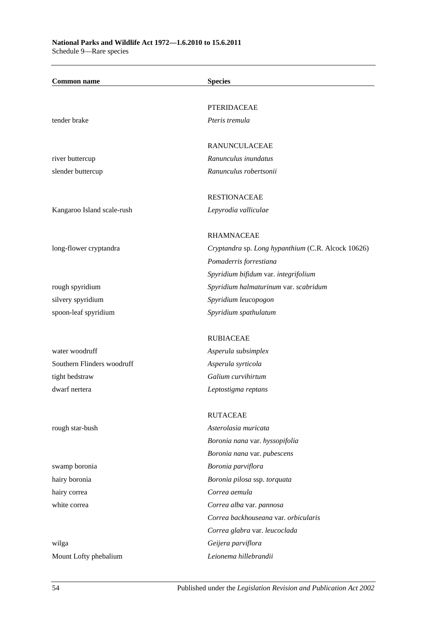| <b>Common name</b>         | <b>Species</b>                                     |
|----------------------------|----------------------------------------------------|
|                            |                                                    |
|                            | <b>PTERIDACEAE</b>                                 |
| tender brake               | Pteris tremula                                     |
|                            | RANUNCULACEAE                                      |
| river buttercup            | Ranunculus inundatus                               |
| slender buttercup          | Ranunculus robertsonii                             |
|                            | <b>RESTIONACEAE</b>                                |
| Kangaroo Island scale-rush | Lepyrodia valliculae                               |
|                            | <b>RHAMNACEAE</b>                                  |
| long-flower cryptandra     | Cryptandra sp. Long hypanthium (C.R. Alcock 10626) |
|                            | Pomaderris forrestiana                             |
|                            | Spyridium bifidum var. integrifolium               |
| rough spyridium            | Spyridium halmaturinum var. scabridum              |
| silvery spyridium          | Spyridium leucopogon                               |
| spoon-leaf spyridium       | Spyridium spathulatum                              |
|                            |                                                    |
|                            | <b>RUBIACEAE</b>                                   |
| water woodruff             | Asperula subsimplex                                |
| Southern Flinders woodruff | Asperula syrticola                                 |
| tight bedstraw             | Galium curvihirtum                                 |
| dwarf nertera              | Leptostigma reptans                                |
|                            | <b>RUTACEAE</b>                                    |
| rough star-bush            | Asterolasia muricata                               |
|                            | Boronia nana var. hyssopifolia                     |
|                            | Boronia nana var. pubescens                        |
| swamp boronia              | Boronia parviflora                                 |
| hairy boronia              | Boronia pilosa ssp. torquata                       |
| hairy correa               | Correa aemula                                      |
| white correa               | Correa alba var. pannosa                           |
|                            | Correa backhouseana var. orbicularis               |
|                            | Correa glabra var. leucoclada                      |
| wilga                      | Geijera parviflora                                 |
| Mount Lofty phebalium      | Leionema hillebrandii                              |
|                            |                                                    |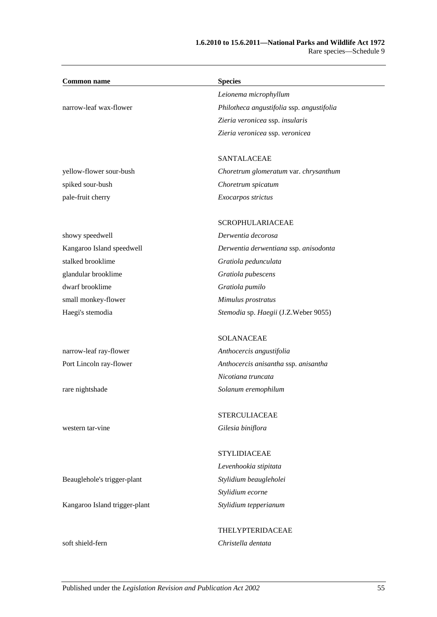| <b>Common name</b>            | <b>Species</b>                            |
|-------------------------------|-------------------------------------------|
|                               | Leionema microphyllum                     |
| narrow-leaf wax-flower        | Philotheca angustifolia ssp. angustifolia |
|                               | Zieria veronicea ssp. insularis           |
|                               | Zieria veronicea ssp. veronicea           |
|                               |                                           |
|                               | SANTALACEAE                               |
| yellow-flower sour-bush       | Choretrum glomeratum var. chrysanthum     |
| spiked sour-bush              | Choretrum spicatum                        |
| pale-fruit cherry             | Exocarpos strictus                        |
|                               | <b>SCROPHULARIACEAE</b>                   |
| showy speedwell               | Derwentia decorosa                        |
| Kangaroo Island speedwell     | Derwentia derwentiana ssp. anisodonta     |
| stalked brooklime             | Gratiola pedunculata                      |
| glandular brooklime           | Gratiola pubescens                        |
| dwarf brooklime               | Gratiola pumilo                           |
| small monkey-flower           | Mimulus prostratus                        |
| Haegi's stemodia              | Stemodia sp. Haegii (J.Z.Weber 9055)      |
|                               | <b>SOLANACEAE</b>                         |
| narrow-leaf ray-flower        | Anthocercis angustifolia                  |
| Port Lincoln ray-flower       | Anthocercis anisantha ssp. anisantha      |
|                               | Nicotiana truncata                        |
| rare nightshade               | Solanum eremophilum                       |
|                               | <b>STERCULIACEAE</b>                      |
| western tar-vine              | Gilesia biniflora                         |
|                               | <b>STYLIDIACEAE</b>                       |
|                               | Levenhookia stipitata                     |
| Beauglehole's trigger-plant   | Stylidium beaugleholei                    |
|                               | Stylidium ecorne                          |
| Kangaroo Island trigger-plant | Stylidium tepperianum                     |
|                               |                                           |
|                               | THELYPTERIDACEAE                          |
| soft shield-fern              | Christella dentata                        |
|                               |                                           |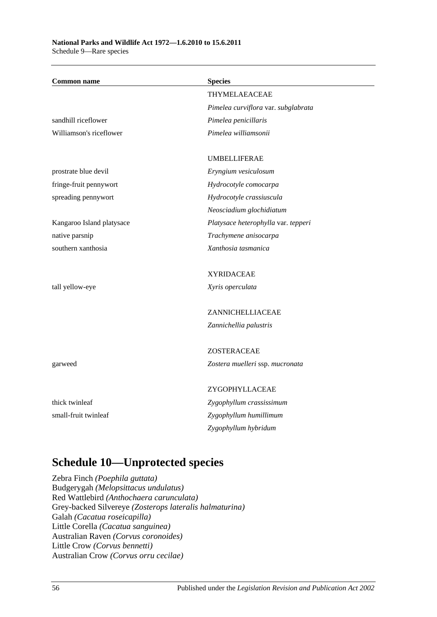Schedule 9—Rare species

| <b>Common name</b>        | <b>Species</b>                      |
|---------------------------|-------------------------------------|
|                           | <b>THYMELAEACEAE</b>                |
|                           | Pimelea curviflora var. subglabrata |
| sandhill riceflower       | Pimelea penicillaris                |
| Williamson's riceflower   | Pimelea williamsonii                |
|                           |                                     |
|                           | <b>UMBELLIFERAE</b>                 |
| prostrate blue devil      | Eryngium vesiculosum                |
| fringe-fruit pennywort    | Hydrocotyle comocarpa               |
| spreading pennywort       | Hydrocotyle crassiuscula            |
|                           | Neosciadium glochidiatum            |
| Kangaroo Island platysace | Platysace heterophylla var. tepperi |
| native parsnip            | Trachymene anisocarpa               |
| southern xanthosia        | Xanthosia tasmanica                 |
|                           | <b>XYRIDACEAE</b>                   |
| tall yellow-eye           | Xyris operculata                    |
|                           |                                     |
|                           | ZANNICHELLIACEAE                    |
|                           | Zannichellia palustris              |
|                           | ZOSTERACEAE                         |
| garweed                   | Zostera muelleri ssp. mucronata     |
|                           |                                     |
|                           | ZYGOPHYLLACEAE                      |
| thick twinleaf            | Zygophyllum crassissimum            |
| small-fruit twinleaf      | Zygophyllum humillimum              |
|                           | Zygophyllum hybridum                |

# **Schedule 10—Unprotected species**

Zebra Finch *(Poephila guttata)* Budgerygah *(Melopsittacus undulatus)* Red Wattlebird *(Anthochaera carunculata)* Grey-backed Silvereye *(Zosterops lateralis halmaturina)* Galah *(Cacatua roseicapilla)* Little Corella *(Cacatua sanguinea)* Australian Raven *(Corvus coronoides)* Little Crow *(Corvus bennetti)* Australian Crow *(Corvus orru cecilae)*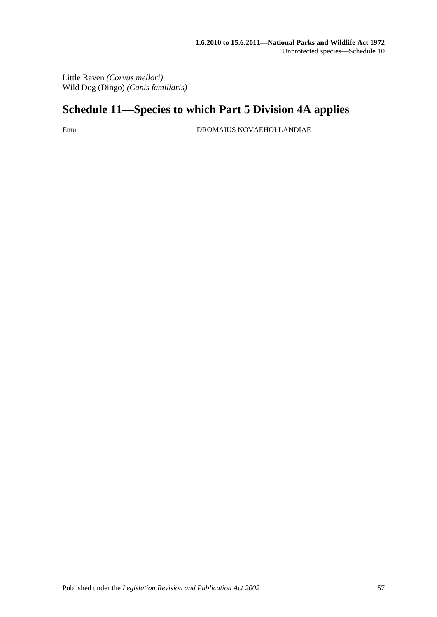Little Raven *(Corvus mellori)* Wild Dog (Dingo) *(Canis familiaris)*

# **Schedule 11—Species to which [Part 5 Division 4A](#page-57-0) applies**

Emu DROMAIUS NOVAEHOLLANDIAE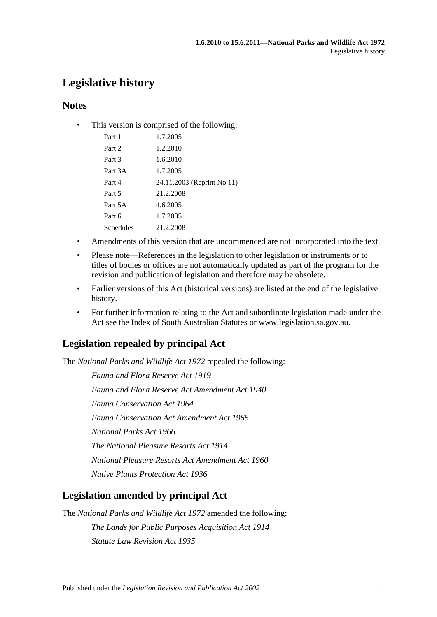# **Legislative history**

### **Notes**

• This version is comprised of the following:

| Part 1    | 1.7.2005                   |
|-----------|----------------------------|
| Part 2    | 1.2.2010                   |
| Part 3    | 1.6.2010                   |
| Part 3A   | 1.7.2005                   |
| Part 4    | 24.11.2003 (Reprint No 11) |
| Part 5    | 21.2.2008                  |
| Part 5A   | 4.6.2005                   |
| Part 6    | 1.7.2005                   |
| Schedules | 21.2.2008                  |
|           |                            |

- Amendments of this version that are uncommenced are not incorporated into the text.
- Please note—References in the legislation to other legislation or instruments or to titles of bodies or offices are not automatically updated as part of the program for the revision and publication of legislation and therefore may be obsolete.
- Earlier versions of this Act (historical versions) are listed at the end of the legislative history.
- For further information relating to the Act and subordinate legislation made under the Act see the Index of South Australian Statutes or www.legislation.sa.gov.au.

## **Legislation repealed by principal Act**

The *National Parks and Wildlife Act 1972* repealed the following:

*Fauna and Flora Reserve Act 1919 Fauna and Flora Reserve Act Amendment Act 1940 Fauna Conservation Act 1964 Fauna Conservation Act Amendment Act 1965 National Parks Act 1966 The National Pleasure Resorts Act 1914 National Pleasure Resorts Act Amendment Act 1960 Native Plants Protection Act 1936*

### **Legislation amended by principal Act**

The *National Parks and Wildlife Act 1972* amended the following:

*The Lands for Public Purposes Acquisition Act 1914 Statute Law Revision Act 1935*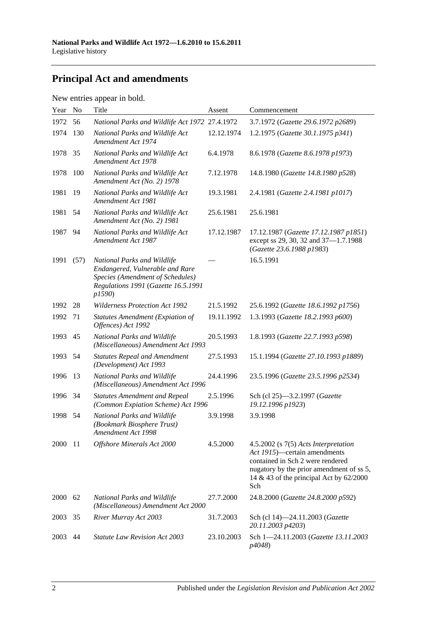# **Principal Act and amendments**

| New entries appear in bold. |  |  |
|-----------------------------|--|--|
|                             |  |  |

| Year | N <sub>o</sub> | Title                                                                                                                                              | Assent     | Commencement                                                                                                                                                                                                 |
|------|----------------|----------------------------------------------------------------------------------------------------------------------------------------------------|------------|--------------------------------------------------------------------------------------------------------------------------------------------------------------------------------------------------------------|
| 1972 | 56             | National Parks and Wildlife Act 1972 27.4.1972                                                                                                     |            | 3.7.1972 (Gazette 29.6.1972 p2689)                                                                                                                                                                           |
| 1974 | 130            | National Parks and Wildlife Act<br>Amendment Act 1974                                                                                              | 12.12.1974 | 1.2.1975 (Gazette 30.1.1975 p341)                                                                                                                                                                            |
| 1978 | 35             | National Parks and Wildlife Act<br>Amendment Act 1978                                                                                              | 6.4.1978   | 8.6.1978 (Gazette 8.6.1978 p1973)                                                                                                                                                                            |
| 1978 | 100            | National Parks and Wildlife Act<br>Amendment Act (No. 2) 1978                                                                                      | 7.12.1978  | 14.8.1980 (Gazette 14.8.1980 p528)                                                                                                                                                                           |
| 1981 | 19             | National Parks and Wildlife Act<br>Amendment Act 1981                                                                                              | 19.3.1981  | 2.4.1981 (Gazette 2.4.1981 p1017)                                                                                                                                                                            |
| 1981 | 54             | National Parks and Wildlife Act<br>Amendment Act (No. 2) 1981                                                                                      | 25.6.1981  | 25.6.1981                                                                                                                                                                                                    |
| 1987 | 94             | National Parks and Wildlife Act<br>Amendment Act 1987                                                                                              | 17.12.1987 | 17.12.1987 (Gazette 17.12.1987 p1851)<br>except ss 29, 30, 32 and 37-1.7.1988<br>(Gazette 23.6.1988 p1983)                                                                                                   |
| 1991 | (57)           | National Parks and Wildlife<br>Endangered, Vulnerable and Rare<br>Species (Amendment of Schedules)<br>Regulations 1991 (Gazette 16.5.1991<br>p1590 |            | 16.5.1991                                                                                                                                                                                                    |
| 1992 | 28             | <b>Wilderness Protection Act 1992</b>                                                                                                              | 21.5.1992  | 25.6.1992 (Gazette 18.6.1992 p1756)                                                                                                                                                                          |
| 1992 | 71             | <b>Statutes Amendment (Expiation of</b><br>Offences) Act 1992                                                                                      | 19.11.1992 | 1.3.1993 (Gazette 18.2.1993 p600)                                                                                                                                                                            |
| 1993 | 45             | National Parks and Wildlife<br>(Miscellaneous) Amendment Act 1993                                                                                  | 20.5.1993  | 1.8.1993 (Gazette 22.7.1993 p598)                                                                                                                                                                            |
| 1993 | 54             | <b>Statutes Repeal and Amendment</b><br>(Development) Act 1993                                                                                     | 27.5.1993  | 15.1.1994 (Gazette 27.10.1993 p1889)                                                                                                                                                                         |
| 1996 | 13             | National Parks and Wildlife<br>(Miscellaneous) Amendment Act 1996                                                                                  | 24.4.1996  | 23.5.1996 (Gazette 23.5.1996 p2534)                                                                                                                                                                          |
| 1996 | 34             | <b>Statutes Amendment and Repeal</b><br>(Common Expiation Scheme) Act 1996                                                                         | 2.5.1996   | Sch (cl 25)-3.2.1997 (Gazette<br>19.12.1996 p1923)                                                                                                                                                           |
| 1998 | 54             | National Parks and Wildlife<br>(Bookmark Biosphere Trust)<br>Amendment Act 1998                                                                    | 3.9.1998   | 3.9.1998                                                                                                                                                                                                     |
| 2000 | -11            | Offshore Minerals Act 2000                                                                                                                         | 4.5.2000   | $4.5.2002$ (s $7(5)$ Acts Interpretation<br>Act 1915)—certain amendments<br>contained in Sch 2 were rendered<br>nugatory by the prior amendment of ss 5,<br>14 & 43 of the principal Act by $62/2000$<br>Sch |
| 2000 | 62             | National Parks and Wildlife<br>(Miscellaneous) Amendment Act 2000                                                                                  | 27.7.2000  | 24.8.2000 (Gazette 24.8.2000 p592)                                                                                                                                                                           |
| 2003 | 35             | River Murray Act 2003                                                                                                                              | 31.7.2003  | Sch (cl 14)-24.11.2003 (Gazette<br>20.11.2003 p4203)                                                                                                                                                         |
| 2003 | 44             | <b>Statute Law Revision Act 2003</b>                                                                                                               | 23.10.2003 | Sch 1-24.11.2003 (Gazette 13.11.2003<br>p4048)                                                                                                                                                               |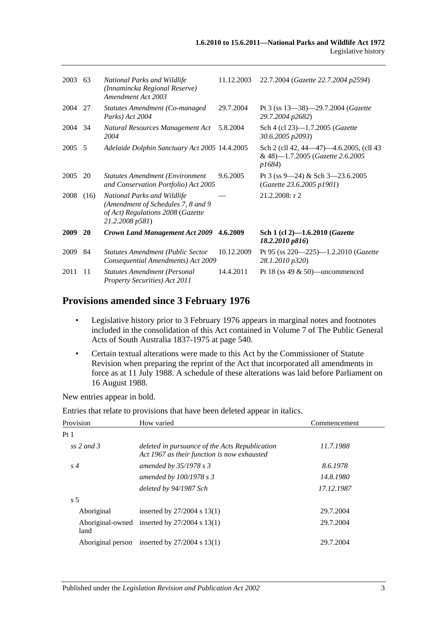| 2003 | 63   | National Parks and Wildlife<br>(Innamincka Regional Reserve)<br>Amendment Act 2003                                         | 11.12.2003 | 22.7.2004 (Gazette 22.7.2004 p2594)                                                   |
|------|------|----------------------------------------------------------------------------------------------------------------------------|------------|---------------------------------------------------------------------------------------|
| 2004 | 27   | Statutes Amendment (Co-managed<br>Parks) Act 2004                                                                          | 29.7.2004  | Pt 3 (ss $13-38$ )-29.7.2004 ( <i>Gazette</i><br>29.7.2004 p2682)                     |
| 2004 | -34  | Natural Resources Management Act<br>2004                                                                                   | 5.8.2004   | Sch 4 (cl 23)-1.7.2005 ( <i>Gazette</i><br>30.6.2005 p2093)                           |
| 2005 | - 5  | Adelaide Dolphin Sanctuary Act 2005 14.4.2005                                                                              |            | Sch 2 (cll 42, 44–47)–4.6.2005, (cll 43<br>& 48)-1.7.2005 (Gazette 2.6.2005<br>p1684) |
| 2005 | 20   | <b>Statutes Amendment (Environment</b> )<br>and Conservation Portfolio) Act 2005                                           | 9.6.2005   | Pt 3 (ss 9—24) & Sch 3—23.6.2005<br>(Gazette 23.6.2005 p1901)                         |
| 2008 | (16) | National Parks and Wildlife<br>(Amendment of Schedules 7, 8 and 9)<br>of Act) Regulations 2008 (Gazette<br>21.2.2008 p581) |            | $21.2.2008$ : r 2                                                                     |
| 2009 | 20   | <b>Crown Land Management Act 2009</b>                                                                                      | 4.6.2009   | Sch 1 (cl 2)-1.6.2010 (Gazette<br>18.2.2010 p816)                                     |
| 2009 | 84   | <b>Statutes Amendment (Public Sector</b><br>Consequential Amendments) Act 2009                                             | 10.12.2009 | Pt 95 (ss 220-225)-1.2.2010 (Gazette<br>28.1.2010 p320)                               |
| 2011 | 11   | <b>Statutes Amendment (Personal</b><br><b>Property Securities</b> ) Act 2011                                               | 14.4.2011  | Pt 18 (ss 49 $\&$ 50)—uncommenced                                                     |

### **Provisions amended since 3 February 1976**

- Legislative history prior to 3 February 1976 appears in marginal notes and footnotes included in the consolidation of this Act contained in Volume 7 of The Public General Acts of South Australia 1837-1975 at page 540.
- Certain textual alterations were made to this Act by the Commissioner of Statute Revision when preparing the reprint of the Act that incorporated all amendments in force as at 11 July 1988. A schedule of these alterations was laid before Parliament on 16 August 1988.

New entries appear in bold.

Entries that relate to provisions that have been deleted appear in italics.

| Provision         | How varied                                                                                    | Commencement |
|-------------------|-----------------------------------------------------------------------------------------------|--------------|
| Pt1               |                                                                                               |              |
| ss 2 and 3        | deleted in pursuance of the Acts Republication<br>Act 1967 as their function is now exhausted | 11.7.1988    |
| $s\,4$            | amended by $35/1978$ s 3                                                                      | 8.6.1978     |
|                   | amended by $100/1978 s3$                                                                      | 14.8.1980    |
|                   | deleted by 94/1987 Sch                                                                        | 17.12.1987   |
| s <sub>5</sub>    |                                                                                               |              |
| Aboriginal        | inserted by $27/2004$ s 13(1)                                                                 | 29.7.2004    |
| land              | Aboriginal-owned inserted by $27/2004$ s 13(1)                                                | 29.7.2004    |
| Aboriginal person | inserted by $27/2004$ s $13(1)$                                                               | 29.7.2004    |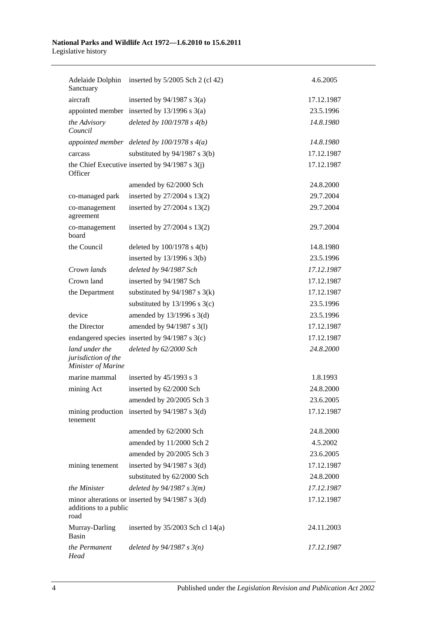### **National Parks and Wildlife Act 1972—1.6.2010 to 15.6.2011** Legislative history

| Sanctuary                                                   | Adelaide Dolphin inserted by 5/2005 Sch 2 (cl 42) | 4.6.2005   |  |
|-------------------------------------------------------------|---------------------------------------------------|------------|--|
| aircraft                                                    | inserted by $94/1987$ s 3(a)                      | 17.12.1987 |  |
|                                                             | appointed member inserted by $13/1996$ s $3(a)$   | 23.5.1996  |  |
| the Advisory<br>Council                                     | deleted by $100/1978 s 4(b)$                      | 14.8.1980  |  |
|                                                             | appointed member deleted by $100/1978$ s $4(a)$   | 14.8.1980  |  |
| carcass                                                     | substituted by $94/1987$ s 3(b)                   | 17.12.1987 |  |
| Officer                                                     | the Chief Executive inserted by $94/1987$ s 3(j)  | 17.12.1987 |  |
|                                                             | amended by 62/2000 Sch                            | 24.8.2000  |  |
| co-managed park                                             | inserted by 27/2004 s 13(2)                       | 29.7.2004  |  |
| co-management<br>agreement                                  | inserted by 27/2004 s 13(2)                       | 29.7.2004  |  |
| co-management<br>board                                      | inserted by 27/2004 s 13(2)                       | 29.7.2004  |  |
| the Council                                                 | deleted by $100/1978$ s $4(b)$                    | 14.8.1980  |  |
|                                                             | inserted by $13/1996$ s $3(b)$                    | 23.5.1996  |  |
| Crown lands                                                 | deleted by 94/1987 Sch                            | 17.12.1987 |  |
| Crown land                                                  | inserted by 94/1987 Sch                           | 17.12.1987 |  |
| the Department                                              | substituted by $94/1987$ s 3(k)                   | 17.12.1987 |  |
|                                                             | substituted by 13/1996 s 3(c)                     | 23.5.1996  |  |
| device                                                      | amended by $13/1996$ s $3(d)$                     | 23.5.1996  |  |
| the Director                                                | amended by 94/1987 s 3(l)                         | 17.12.1987 |  |
|                                                             | endangered species inserted by $94/1987$ s 3(c)   | 17.12.1987 |  |
| land under the<br>jurisdiction of the<br>Minister of Marine | deleted by 62/2000 Sch                            | 24.8.2000  |  |
| marine mammal                                               | inserted by $45/1993$ s 3                         | 1.8.1993   |  |
| mining Act                                                  | inserted by 62/2000 Sch                           | 24.8.2000  |  |
|                                                             | amended by 20/2005 Sch 3                          | 23.6.2005  |  |
| tenement                                                    | mining production inserted by $94/1987$ s 3(d)    | 17.12.1987 |  |
|                                                             | amended by 62/2000 Sch                            | 24.8.2000  |  |
|                                                             | amended by 11/2000 Sch 2                          | 4.5.2002   |  |
|                                                             | amended by 20/2005 Sch 3                          | 23.6.2005  |  |
| mining tenement                                             | inserted by $94/1987$ s 3(d)                      | 17.12.1987 |  |
|                                                             | substituted by 62/2000 Sch                        | 24.8.2000  |  |
| the Minister                                                | deleted by $94/1987 s 3(m)$                       | 17.12.1987 |  |
| additions to a public<br>road                               | minor alterations or inserted by $94/1987$ s 3(d) | 17.12.1987 |  |
| Murray-Darling<br>Basin                                     | inserted by $35/2003$ Sch cl 14(a)                | 24.11.2003 |  |
| the Permanent<br>Head                                       | deleted by $94/1987 s 3(n)$                       | 17.12.1987 |  |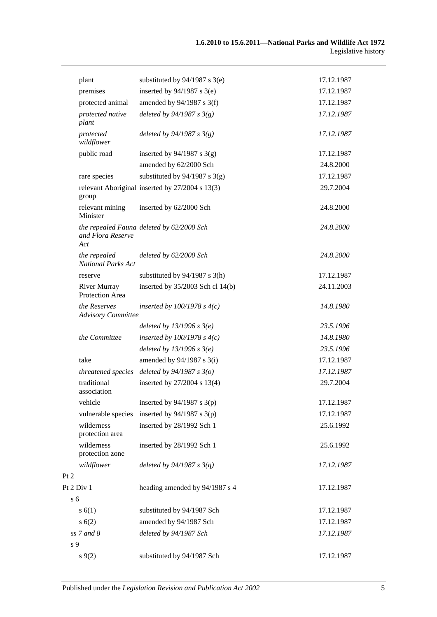|                | plant                                     | substituted by $94/1987$ s 3(e)                 | 17.12.1987 |
|----------------|-------------------------------------------|-------------------------------------------------|------------|
|                | premises                                  | inserted by $94/1987$ s 3(e)                    | 17.12.1987 |
|                | protected animal                          | amended by $94/1987$ s 3(f)                     | 17.12.1987 |
|                | protected native<br>plant                 | deleted by $94/1987 s 3(g)$                     | 17.12.1987 |
|                | protected<br>wildflower                   | deleted by $94/1987 s 3(g)$                     | 17.12.1987 |
|                | public road                               | inserted by $94/1987$ s 3(g)                    | 17.12.1987 |
|                |                                           | amended by 62/2000 Sch                          | 24.8.2000  |
|                | rare species                              | substituted by $94/1987$ s 3(g)                 | 17.12.1987 |
|                | group                                     | relevant Aboriginal inserted by 27/2004 s 13(3) | 29.7.2004  |
|                | relevant mining<br>Minister               | inserted by 62/2000 Sch                         | 24.8.2000  |
|                | and Flora Reserve<br>Act                  | the repealed Fauna deleted by 62/2000 Sch       | 24.8.2000  |
|                | the repealed<br><b>National Parks Act</b> | deleted by 62/2000 Sch                          | 24.8.2000  |
|                | reserve                                   | substituted by $94/1987$ s 3(h)                 | 17.12.1987 |
|                | <b>River Murray</b><br>Protection Area    | inserted by $35/2003$ Sch cl 14(b)              | 24.11.2003 |
|                | the Reserves<br><b>Advisory Committee</b> | inserted by $100/1978$ s $4(c)$                 | 14.8.1980  |
|                |                                           | deleted by $13/1996$ s $3(e)$                   | 23.5.1996  |
|                | the Committee                             | inserted by $100/1978$ s $4(c)$                 | 14.8.1980  |
|                |                                           | deleted by $13/1996$ s $3(e)$                   | 23.5.1996  |
|                | take                                      | amended by $94/1987$ s 3(i)                     | 17.12.1987 |
|                | threatened species                        | deleted by $94/1987 s 3(o)$                     | 17.12.1987 |
|                | traditional<br>association                | inserted by 27/2004 s 13(4)                     | 29.7.2004  |
|                | vehicle                                   | inserted by $94/1987$ s 3(p)                    | 17.12.1987 |
|                | vulnerable species                        | inserted by $94/1987$ s 3(p)                    | 17.12.1987 |
|                | wilderness<br>protection area             | inserted by 28/1992 Sch 1                       | 25.6.1992  |
|                | wilderness<br>protection zone             | inserted by 28/1992 Sch 1                       | 25.6.1992  |
|                | wildflower                                | deleted by $94/1987 s 3(q)$                     | 17.12.1987 |
| Pt 2           |                                           |                                                 |            |
|                | Pt 2 Div 1                                | heading amended by 94/1987 s 4                  | 17.12.1987 |
| s <sub>6</sub> |                                           |                                                 |            |
|                | s(6(1))                                   | substituted by 94/1987 Sch                      | 17.12.1987 |
|                | s(6(2)                                    | amended by 94/1987 Sch                          | 17.12.1987 |
|                | $ss$ 7 and 8                              | deleted by 94/1987 Sch                          | 17.12.1987 |
| s 9            |                                           |                                                 |            |
|                | s(9(2)                                    | substituted by 94/1987 Sch                      | 17.12.1987 |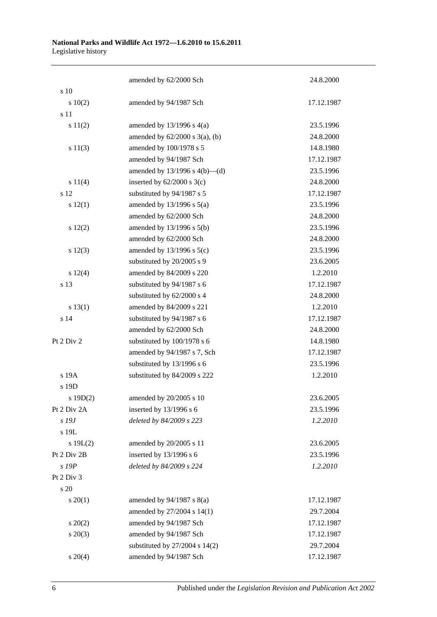|             | amended by 62/2000 Sch              | 24.8.2000  |
|-------------|-------------------------------------|------------|
| s 10        |                                     |            |
| 10(2)       | amended by 94/1987 Sch              | 17.12.1987 |
| s 11        |                                     |            |
| s 11(2)     | amended by $13/1996$ s $4(a)$       | 23.5.1996  |
|             | amended by $62/2000$ s $3(a)$ , (b) | 24.8.2000  |
| s 11(3)     | amended by 100/1978 s 5             | 14.8.1980  |
|             | amended by 94/1987 Sch              | 17.12.1987 |
|             | amended by $13/1996$ s $4(b)$ —(d)  | 23.5.1996  |
| s 11(4)     | inserted by $62/2000$ s $3(c)$      | 24.8.2000  |
| s 12        | substituted by 94/1987 s 5          | 17.12.1987 |
| s 12(1)     | amended by $13/1996$ s $5(a)$       | 23.5.1996  |
|             | amended by 62/2000 Sch              | 24.8.2000  |
| s 12(2)     | amended by 13/1996 s 5(b)           | 23.5.1996  |
|             | amended by 62/2000 Sch              | 24.8.2000  |
| s 12(3)     | amended by 13/1996 s 5(c)           | 23.5.1996  |
|             | substituted by 20/2005 s 9          | 23.6.2005  |
| s 12(4)     | amended by 84/2009 s 220            | 1.2.2010   |
| s 13        | substituted by 94/1987 s 6          | 17.12.1987 |
|             | substituted by 62/2000 s 4          | 24.8.2000  |
| s 13(1)     | amended by 84/2009 s 221            | 1.2.2010   |
| s 14        | substituted by 94/1987 s 6          | 17.12.1987 |
|             | amended by 62/2000 Sch              | 24.8.2000  |
| Pt 2 Div 2  | substituted by 100/1978 s 6         | 14.8.1980  |
|             | amended by 94/1987 s 7, Sch         | 17.12.1987 |
|             | substituted by 13/1996 s 6          | 23.5.1996  |
| s 19A       | substituted by 84/2009 s 222        | 1.2.2010   |
| s 19D       |                                     |            |
| s 19D(2)    | amended by 20/2005 s 10             | 23.6.2005  |
| Pt 2 Div 2A | inserted by $13/1996$ s 6           | 23.5.1996  |
| s 19J       | deleted by 84/2009 s 223            | 1.2.2010   |
| s 19L       |                                     |            |
| s 19L(2)    | amended by 20/2005 s 11             | 23.6.2005  |
| Pt 2 Div 2B | inserted by 13/1996 s 6             | 23.5.1996  |
| s 19P       | deleted by 84/2009 s 224            | 1.2.2010   |
| Pt 2 Div 3  |                                     |            |
| s 20        |                                     |            |
| $s \ 20(1)$ | amended by $94/1987$ s $8(a)$       | 17.12.1987 |
|             | amended by 27/2004 s 14(1)          | 29.7.2004  |
| $s \ 20(2)$ | amended by 94/1987 Sch              | 17.12.1987 |
| $s\ 20(3)$  | amended by 94/1987 Sch              | 17.12.1987 |
|             | substituted by 27/2004 s 14(2)      | 29.7.2004  |
| $s \ 20(4)$ | amended by 94/1987 Sch              | 17.12.1987 |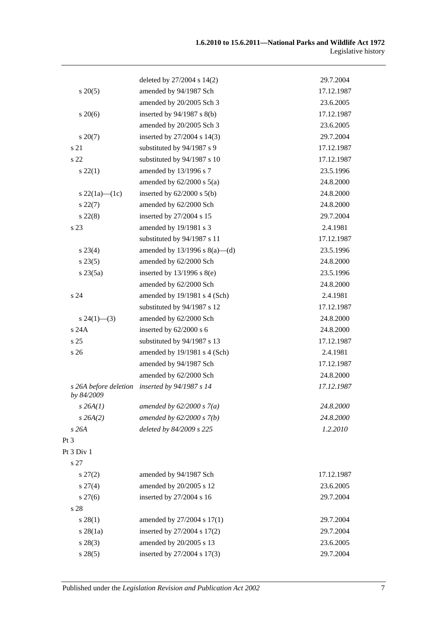|                                     | deleted by $27/2004$ s $14(2)$     | 29.7.2004  |
|-------------------------------------|------------------------------------|------------|
| $s\,20(5)$                          | amended by 94/1987 Sch             | 17.12.1987 |
|                                     | amended by 20/2005 Sch 3           | 23.6.2005  |
| $s\,20(6)$                          | inserted by $94/1987$ s $8(b)$     | 17.12.1987 |
|                                     | amended by 20/2005 Sch 3           | 23.6.2005  |
| $s\,20(7)$                          | inserted by 27/2004 s 14(3)        | 29.7.2004  |
| s 21                                | substituted by 94/1987 s 9         | 17.12.1987 |
| s <sub>22</sub>                     | substituted by 94/1987 s 10        | 17.12.1987 |
| $s\,22(1)$                          | amended by 13/1996 s 7             | 23.5.1996  |
|                                     | amended by $62/2000$ s $5(a)$      | 24.8.2000  |
| s 22(1a)—(1c)                       | inserted by $62/2000$ s $5(b)$     | 24.8.2000  |
| $s\,22(7)$                          | amended by 62/2000 Sch             | 24.8.2000  |
| $s\,22(8)$                          | inserted by 27/2004 s 15           | 29.7.2004  |
| s 23                                | amended by 19/1981 s 3             | 2.4.1981   |
|                                     | substituted by 94/1987 s 11        | 17.12.1987 |
| s 23(4)                             | amended by $13/1996$ s $8(a)$ —(d) | 23.5.1996  |
| $s\,23(5)$                          | amended by 62/2000 Sch             | 24.8.2000  |
| $s\,23(5a)$                         | inserted by $13/1996$ s $8(e)$     | 23.5.1996  |
|                                     | amended by 62/2000 Sch             | 24.8.2000  |
| s <sub>24</sub>                     | amended by 19/1981 s 4 (Sch)       | 2.4.1981   |
|                                     | substituted by 94/1987 s 12        | 17.12.1987 |
| $s\,24(1)$ —(3)                     | amended by 62/2000 Sch             | 24.8.2000  |
| s 24A                               | inserted by $62/2000$ s 6          | 24.8.2000  |
| s <sub>25</sub>                     | substituted by 94/1987 s 13        | 17.12.1987 |
| s <sub>26</sub>                     | amended by 19/1981 s 4 (Sch)       | 2.4.1981   |
|                                     | amended by 94/1987 Sch             | 17.12.1987 |
|                                     | amended by 62/2000 Sch             | 24.8.2000  |
| s 26A before deletion<br>by 84/2009 | inserted by 94/1987 s 14           | 17.12.1987 |
| $s$ 26A $(1)$                       | amended by $62/2000 s 7(a)$        | 24.8.2000  |
| s 26A(2)                            | amended by $62/2000 s 7(b)$        | 24.8.2000  |
| s26A                                | deleted by 84/2009 s 225           | 1.2.2010   |
| $Pt\,3$                             |                                    |            |
| Pt 3 Div 1                          |                                    |            |
| s 27                                |                                    |            |
| $s\,27(2)$                          | amended by 94/1987 Sch             | 17.12.1987 |
| $s \, 27(4)$                        | amended by 20/2005 s 12            | 23.6.2005  |
| $s \, 27(6)$                        | inserted by 27/2004 s 16           | 29.7.2004  |
| s 28                                |                                    |            |
| s 28(1)                             | amended by 27/2004 s 17(1)         | 29.7.2004  |
| $s$ 28 $(1a)$                       | inserted by 27/2004 s 17(2)        | 29.7.2004  |
| $s\,28(3)$                          | amended by 20/2005 s 13            | 23.6.2005  |
| s 28(5)                             | inserted by 27/2004 s 17(3)        | 29.7.2004  |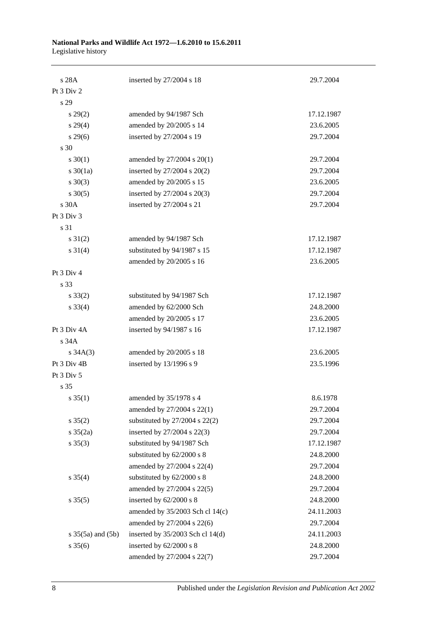| s 28A                    | inserted by 27/2004 s 18           | 29.7.2004  |
|--------------------------|------------------------------------|------------|
| Pt 3 Div 2               |                                    |            |
| s 29                     |                                    |            |
| $s\,29(2)$               | amended by 94/1987 Sch             | 17.12.1987 |
| s 29(4)                  | amended by 20/2005 s 14            | 23.6.2005  |
| $s\,29(6)$               | inserted by 27/2004 s 19           | 29.7.2004  |
| s 30                     |                                    |            |
| $s \ 30(1)$              | amended by 27/2004 s 20(1)         | 29.7.2004  |
| s $30(1a)$               | inserted by 27/2004 s 20(2)        | 29.7.2004  |
| $s \ 30(3)$              | amended by 20/2005 s 15            | 23.6.2005  |
| $s \ 30(5)$              | inserted by 27/2004 s 20(3)        | 29.7.2004  |
| s 30A                    | inserted by 27/2004 s 21           | 29.7.2004  |
| Pt 3 Div 3               |                                    |            |
| s 31                     |                                    |            |
| $s \, 31(2)$             | amended by 94/1987 Sch             | 17.12.1987 |
| $s \ 31(4)$              | substituted by 94/1987 s 15        | 17.12.1987 |
|                          | amended by 20/2005 s 16            | 23.6.2005  |
| Pt 3 Div 4               |                                    |            |
| s 33                     |                                    |            |
| $s \, 33(2)$             | substituted by 94/1987 Sch         | 17.12.1987 |
| $s \, 33(4)$             | amended by 62/2000 Sch             | 24.8.2000  |
|                          | amended by 20/2005 s 17            | 23.6.2005  |
| Pt 3 Div 4A              | inserted by 94/1987 s 16           | 17.12.1987 |
| s 34A                    |                                    |            |
| $s \, 34A(3)$            | amended by 20/2005 s 18            | 23.6.2005  |
| Pt 3 Div 4B              | inserted by 13/1996 s 9            | 23.5.1996  |
| Pt 3 Div 5               |                                    |            |
| s 35                     |                                    |            |
| $s \, 35(1)$             | amended by 35/1978 s 4             | 8.6.1978   |
|                          | amended by 27/2004 s 22(1)         | 29.7.2004  |
| $s \; 35(2)$             | substituted by $27/2004$ s $22(2)$ | 29.7.2004  |
| $s \frac{35(2a)}{2}$     | inserted by 27/2004 s 22(3)        | 29.7.2004  |
| $s \; 35(3)$             | substituted by 94/1987 Sch         | 17.12.1987 |
|                          | substituted by 62/2000 s 8         | 24.8.2000  |
|                          | amended by 27/2004 s 22(4)         | 29.7.2004  |
| $s \; 35(4)$             | substituted by 62/2000 s 8         | 24.8.2000  |
|                          | amended by 27/2004 s 22(5)         | 29.7.2004  |
| $s \, 35(5)$             | inserted by 62/2000 s 8            | 24.8.2000  |
|                          | amended by 35/2003 Sch cl 14(c)    | 24.11.2003 |
|                          | amended by 27/2004 s 22(6)         | 29.7.2004  |
| $s \; 35(5a)$ and $(5b)$ | inserted by 35/2003 Sch cl 14(d)   | 24.11.2003 |
| $s \; 35(6)$             | inserted by 62/2000 s 8            | 24.8.2000  |
|                          | amended by 27/2004 s 22(7)         | 29.7.2004  |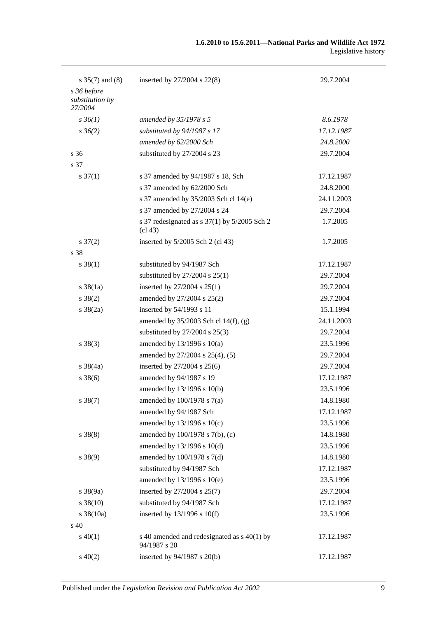| s $35(7)$ and $(8)$            | inserted by 27/2004 s 22(8)                                 | 29.7.2004  |
|--------------------------------|-------------------------------------------------------------|------------|
| s 36 before<br>substitution by |                                                             |            |
| 27/2004                        |                                                             |            |
| $s \, 36(1)$                   | amended by 35/1978 s 5                                      | 8.6.1978   |
| $s \, 36(2)$                   | substituted by 94/1987 s 17                                 | 17.12.1987 |
|                                | amended by 62/2000 Sch                                      | 24.8.2000  |
| s <sub>36</sub>                | substituted by 27/2004 s 23                                 | 29.7.2004  |
| s 37                           |                                                             |            |
| $s \frac{37(1)}{2}$            | s 37 amended by 94/1987 s 18, Sch                           | 17.12.1987 |
|                                | s 37 amended by 62/2000 Sch                                 | 24.8.2000  |
|                                | s 37 amended by 35/2003 Sch cl 14(e)                        | 24.11.2003 |
|                                | s 37 amended by 27/2004 s 24                                | 29.7.2004  |
|                                | s 37 redesignated as s 37(1) by 5/2005 Sch 2<br>(cl 43)     | 1.7.2005   |
| $s \frac{37(2)}{2}$            | inserted by 5/2005 Sch 2 (cl 43)                            | 1.7.2005   |
| s 38                           |                                                             |            |
| $s \ 38(1)$                    | substituted by 94/1987 Sch                                  | 17.12.1987 |
|                                | substituted by $27/2004$ s $25(1)$                          | 29.7.2004  |
| $s \, 38(1a)$                  | inserted by 27/2004 s 25(1)                                 | 29.7.2004  |
| $s \ 38(2)$                    | amended by 27/2004 s 25(2)                                  | 29.7.2004  |
| $s \ 38(2a)$                   | inserted by 54/1993 s 11                                    | 15.1.1994  |
|                                | amended by 35/2003 Sch cl 14(f), (g)                        | 24.11.2003 |
|                                | substituted by $27/2004$ s $25(3)$                          | 29.7.2004  |
| $s \ 38(3)$                    | amended by $13/1996$ s $10(a)$                              | 23.5.1996  |
|                                | amended by 27/2004 s 25(4), (5)                             | 29.7.2004  |
| $s \frac{38}{4a}$              | inserted by 27/2004 s 25(6)                                 | 29.7.2004  |
| $s \, 38(6)$                   | amended by 94/1987 s 19                                     | 17.12.1987 |
|                                | amended by 13/1996 s 10(b)                                  | 23.5.1996  |
| $s \ 38(7)$                    | amended by 100/1978 s 7(a)                                  | 14.8.1980  |
|                                | amended by 94/1987 Sch                                      | 17.12.1987 |
|                                | amended by 13/1996 s 10(c)                                  | 23.5.1996  |
| $s \ 38(8)$                    | amended by 100/1978 s 7(b), (c)                             | 14.8.1980  |
|                                | amended by 13/1996 s 10(d)                                  | 23.5.1996  |
| $s \ 38(9)$                    | amended by 100/1978 s 7(d)                                  | 14.8.1980  |
|                                | substituted by 94/1987 Sch                                  | 17.12.1987 |
|                                | amended by 13/1996 s 10(e)                                  | 23.5.1996  |
| $s \frac{38(9a)}{2}$           | inserted by 27/2004 s 25(7)                                 | 29.7.2004  |
| $s \, 38(10)$                  | substituted by 94/1987 Sch                                  | 17.12.1987 |
| $s \frac{38(10a)}{2}$          | inserted by $13/1996$ s $10(f)$                             | 23.5.1996  |
| s 40                           |                                                             |            |
| $s\ 40(1)$                     | s 40 amended and redesignated as s 40(1) by<br>94/1987 s 20 | 17.12.1987 |
| $s\ 40(2)$                     | inserted by 94/1987 s 20(b)                                 | 17.12.1987 |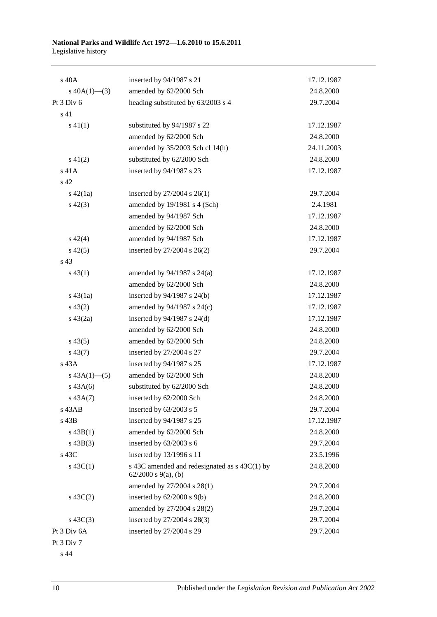| s 40A            | inserted by 94/1987 s 21                                             | 17.12.1987 |
|------------------|----------------------------------------------------------------------|------------|
| s $40A(1)$ —(3)  | amended by 62/2000 Sch                                               | 24.8.2000  |
| Pt 3 Div 6       | heading substituted by 63/2003 s 4                                   | 29.7.2004  |
| s 41             |                                                                      |            |
| $s\ 41(1)$       | substituted by 94/1987 s 22                                          | 17.12.1987 |
|                  | amended by 62/2000 Sch                                               | 24.8.2000  |
|                  | amended by 35/2003 Sch cl 14(h)                                      | 24.11.2003 |
| $s\ 41(2)$       | substituted by 62/2000 Sch                                           | 24.8.2000  |
| $s$ 41 $A$       | inserted by 94/1987 s 23                                             | 17.12.1987 |
| s <sub>42</sub>  |                                                                      |            |
| $s\ 42(1a)$      | inserted by $27/2004$ s $26(1)$                                      | 29.7.2004  |
| $s\ 42(3)$       | amended by 19/1981 s 4 (Sch)                                         | 2.4.1981   |
|                  | amended by 94/1987 Sch                                               | 17.12.1987 |
|                  | amended by 62/2000 Sch                                               | 24.8.2000  |
| $s\ 42(4)$       | amended by 94/1987 Sch                                               | 17.12.1987 |
| $s\ 42(5)$       | inserted by 27/2004 s 26(2)                                          | 29.7.2004  |
| s 43             |                                                                      |            |
| $s\,43(1)$       | amended by $94/1987$ s $24(a)$                                       | 17.12.1987 |
|                  | amended by 62/2000 Sch                                               | 24.8.2000  |
| $s\,43(1a)$      | inserted by $94/1987$ s $24(b)$                                      | 17.12.1987 |
| $s\,43(2)$       | amended by 94/1987 s 24(c)                                           | 17.12.1987 |
| $s\ 43(2a)$      | inserted by $94/1987$ s $24(d)$                                      | 17.12.1987 |
|                  | amended by 62/2000 Sch                                               | 24.8.2000  |
| $s\,43(5)$       | amended by 62/2000 Sch                                               | 24.8.2000  |
| $s\,43(7)$       | inserted by 27/2004 s 27                                             | 29.7.2004  |
| s 43A            | inserted by 94/1987 s 25                                             | 17.12.1987 |
| $s\,43A(1)$ —(5) | amended by 62/2000 Sch                                               | 24.8.2000  |
| $s\,43A(6)$      | substituted by 62/2000 Sch                                           | 24.8.2000  |
| $s\,43A(7)$      | inserted by 62/2000 Sch                                              | 24.8.2000  |
| $s$ 43 $AB$      | inserted by 63/2003 s 5                                              | 29.7.2004  |
| s 43B            | inserted by 94/1987 s 25                                             | 17.12.1987 |
| $s\,43B(1)$      | amended by 62/2000 Sch                                               | 24.8.2000  |
| $s\ 43B(3)$      | inserted by 63/2003 s 6                                              | 29.7.2004  |
| s 43C            | inserted by 13/1996 s 11                                             | 23.5.1996  |
| s $43C(1)$       | s 43C amended and redesignated as s 43C(1) by<br>62/2000 s 9(a), (b) | 24.8.2000  |
|                  | amended by 27/2004 s 28(1)                                           | 29.7.2004  |
| $s\ 43C(2)$      | inserted by $62/2000$ s $9(b)$                                       | 24.8.2000  |
|                  | amended by 27/2004 s 28(2)                                           | 29.7.2004  |
| $s\,43C(3)$      | inserted by 27/2004 s 28(3)                                          | 29.7.2004  |
| Pt 3 Div 6A      | inserted by 27/2004 s 29                                             | 29.7.2004  |
| Pt 3 Div 7       |                                                                      |            |

s 44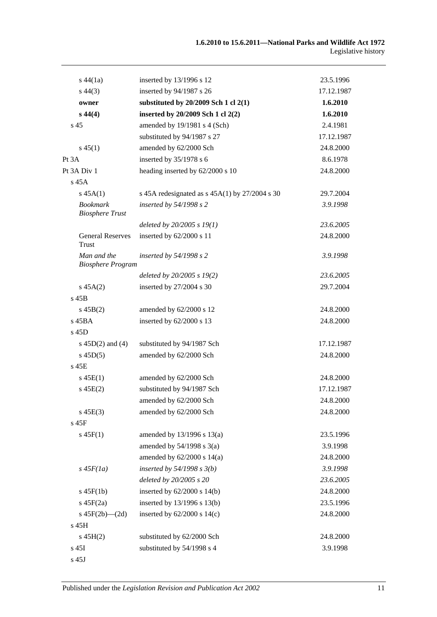| $s\,44(1a)$                               | inserted by 13/1996 s 12                         | 23.5.1996  |
|-------------------------------------------|--------------------------------------------------|------------|
| $s\,44(3)$                                | inserted by 94/1987 s 26                         | 17.12.1987 |
| owner                                     | substituted by $20/2009$ Sch 1 cl $2(1)$         | 1.6.2010   |
| $s\,44(4)$                                | inserted by 20/2009 Sch 1 cl 2(2)                | 1.6.2010   |
| s <sub>45</sub>                           | amended by 19/1981 s 4 (Sch)                     | 2.4.1981   |
|                                           | substituted by 94/1987 s 27                      | 17.12.1987 |
| $s\,45(1)$                                | amended by 62/2000 Sch                           | 24.8.2000  |
| Pt 3A                                     | inserted by $35/1978$ s 6                        | 8.6.1978   |
| Pt 3A Div 1                               | heading inserted by 62/2000 s 10                 | 24.8.2000  |
| s 45A                                     |                                                  |            |
| s 45A(1)                                  | s 45A redesignated as $s$ 45A(1) by 27/2004 s 30 | 29.7.2004  |
| <b>Bookmark</b><br><b>Biosphere Trust</b> | inserted by $54/1998 s 2$                        | 3.9.1998   |
|                                           | deleted by $20/2005 s 19(1)$                     | 23.6.2005  |
| <b>General Reserves</b><br>Trust          | inserted by 62/2000 s 11                         | 24.8.2000  |
| Man and the<br><b>Biosphere Program</b>   | inserted by $54/1998 s 2$                        | 3.9.1998   |
|                                           | deleted by $20/2005 s 19(2)$                     | 23.6.2005  |
| $s\,45A(2)$                               | inserted by 27/2004 s 30                         | 29.7.2004  |
| s 45B                                     |                                                  |            |
| $s\,45B(2)$                               | amended by 62/2000 s 12                          | 24.8.2000  |
| $s$ 45BA                                  | inserted by 62/2000 s 13                         | 24.8.2000  |
| $s$ 45D                                   |                                                  |            |
| s $45D(2)$ and $(4)$                      | substituted by 94/1987 Sch                       | 17.12.1987 |
| $s\,45D(5)$                               | amended by 62/2000 Sch                           | 24.8.2000  |
| $s$ 45 $E$                                |                                                  |            |
| $s\,45E(1)$                               | amended by 62/2000 Sch                           | 24.8.2000  |
| $s\,45E(2)$                               | substituted by 94/1987 Sch                       | 17.12.1987 |
|                                           | amended by 62/2000 Sch                           | 24.8.2000  |
| $s\,45E(3)$                               | amended by 62/2000 Sch                           | 24.8.2000  |
| s 45F                                     |                                                  |            |
| $s\,45F(1)$                               | amended by 13/1996 s 13(a)                       | 23.5.1996  |
|                                           | amended by $54/1998$ s $3(a)$                    | 3.9.1998   |
|                                           | amended by $62/2000$ s $14(a)$                   | 24.8.2000  |
| $s\,45F(1a)$                              | inserted by $54/1998$ s $3(b)$                   | 3.9.1998   |
|                                           | deleted by 20/2005 s 20                          | 23.6.2005  |
| $s\,45F(1b)$                              | inserted by $62/2000$ s $14(b)$                  | 24.8.2000  |
| $s\ 45F(2a)$                              | inserted by $13/1996$ s $13(b)$                  | 23.5.1996  |
| s $45F(2b)$ - $(2d)$                      | inserted by $62/2000$ s $14(c)$                  | 24.8.2000  |
| s 45H                                     |                                                  |            |
| $s\,45H(2)$                               | substituted by 62/2000 Sch                       | 24.8.2000  |
| s 45I                                     | substituted by 54/1998 s 4                       | 3.9.1998   |
|                                           |                                                  |            |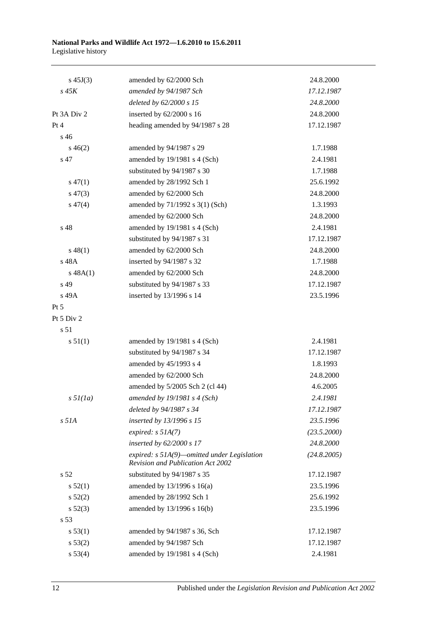| $s\,45J(3)$          | amended by 62/2000 Sch                                                                  | 24.8.2000   |
|----------------------|-----------------------------------------------------------------------------------------|-------------|
| $s\,45K$             | amended by 94/1987 Sch                                                                  | 17.12.1987  |
|                      | deleted by 62/2000 s 15                                                                 | 24.8.2000   |
| Pt 3A Div 2          | inserted by 62/2000 s 16                                                                | 24.8.2000   |
| Pt 4                 | heading amended by 94/1987 s 28                                                         | 17.12.1987  |
| $s\,46$              |                                                                                         |             |
| $s\,46(2)$           | amended by 94/1987 s 29                                                                 | 1.7.1988    |
| s 47                 | amended by 19/1981 s 4 (Sch)                                                            | 2.4.1981    |
|                      | substituted by 94/1987 s 30                                                             | 1.7.1988    |
| $s\,47(1)$           | amended by 28/1992 Sch 1                                                                | 25.6.1992   |
| $s\,47(3)$           | amended by 62/2000 Sch                                                                  | 24.8.2000   |
| $s\,47(4)$           | amended by 71/1992 s 3(1) (Sch)                                                         | 1.3.1993    |
|                      | amended by 62/2000 Sch                                                                  | 24.8.2000   |
| s 48                 | amended by 19/1981 s 4 (Sch)                                                            | 2.4.1981    |
|                      | substituted by 94/1987 s 31                                                             | 17.12.1987  |
| $s\,48(1)$           | amended by 62/2000 Sch                                                                  | 24.8.2000   |
| s 48A                | inserted by 94/1987 s 32                                                                | 1.7.1988    |
| s 48A(1)             | amended by 62/2000 Sch                                                                  | 24.8.2000   |
| s 49                 | substituted by 94/1987 s 33                                                             | 17.12.1987  |
| s 49A                | inserted by 13/1996 s 14                                                                | 23.5.1996   |
| $Pt\,5$              |                                                                                         |             |
| Pt 5 Div 2           |                                                                                         |             |
| s 51                 |                                                                                         |             |
| s 51(1)              | amended by 19/1981 s 4 (Sch)                                                            | 2.4.1981    |
|                      | substituted by 94/1987 s 34                                                             | 17.12.1987  |
|                      | amended by 45/1993 s 4                                                                  | 1.8.1993    |
|                      | amended by 62/2000 Sch                                                                  | 24.8.2000   |
|                      | amended by 5/2005 Sch 2 (cl 44)                                                         | 4.6.2005    |
| $s \frac{5}{l}$ (1a) | amended by $19/1981$ s 4 (Sch)                                                          | 2.4.1981    |
|                      | deleted by 94/1987 s 34                                                                 | 17.12.1987  |
| $s$ 51 $A$           | inserted by 13/1996 s 15                                                                | 23.5.1996   |
|                      | expired: $s$ 51A(7)                                                                     | (23.5.2000) |
|                      | inserted by 62/2000 s 17                                                                | 24.8.2000   |
|                      | expired: s 51A(9)-omitted under Legislation<br><b>Revision and Publication Act 2002</b> | (24.8.2005) |
| s <sub>52</sub>      | substituted by 94/1987 s 35                                                             | 17.12.1987  |
| s 52(1)              | amended by $13/1996$ s $16(a)$                                                          | 23.5.1996   |
| s 52(2)              | amended by 28/1992 Sch 1                                                                | 25.6.1992   |
| $s\,52(3)$           | amended by 13/1996 s 16(b)                                                              | 23.5.1996   |
| s <sub>53</sub>      |                                                                                         |             |
| s 53(1)              | amended by 94/1987 s 36, Sch                                                            | 17.12.1987  |
| s 53(2)              | amended by 94/1987 Sch                                                                  | 17.12.1987  |
| s 53(4)              | amended by 19/1981 s 4 (Sch)                                                            | 2.4.1981    |
|                      |                                                                                         |             |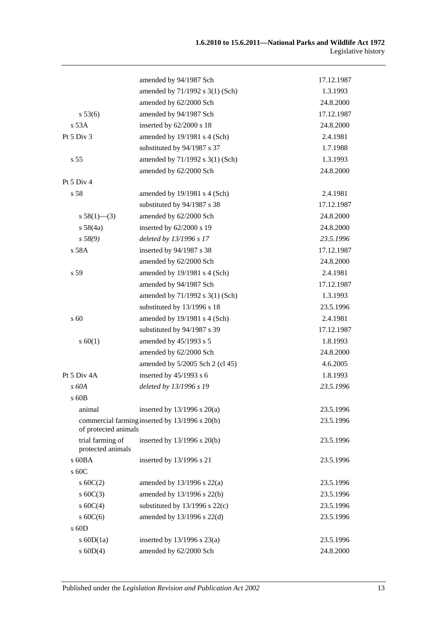|                                       | amended by 94/1987 Sch                         | 17.12.1987 |
|---------------------------------------|------------------------------------------------|------------|
|                                       | amended by 71/1992 s 3(1) (Sch)                | 1.3.1993   |
|                                       | amended by 62/2000 Sch                         | 24.8.2000  |
| s 53(6)                               | amended by 94/1987 Sch                         | 17.12.1987 |
| s 53A                                 | inserted by $62/2000$ s 18                     | 24.8.2000  |
| Pt 5 Div 3                            | amended by 19/1981 s 4 (Sch)                   | 2.4.1981   |
|                                       | substituted by 94/1987 s 37                    | 1.7.1988   |
| s <sub>55</sub>                       | amended by 71/1992 s 3(1) (Sch)                | 1.3.1993   |
|                                       | amended by 62/2000 Sch                         | 24.8.2000  |
| Pt 5 Div 4                            |                                                |            |
| s 58                                  | amended by 19/1981 s 4 (Sch)                   | 2.4.1981   |
|                                       | substituted by 94/1987 s 38                    | 17.12.1987 |
| s $58(1)$ —(3)                        | amended by 62/2000 Sch                         | 24.8.2000  |
| s 58(4a)                              | inserted by 62/2000 s 19                       | 24.8.2000  |
| s 58(9)                               | deleted by 13/1996 s 17                        | 23.5.1996  |
| s 58A                                 | inserted by 94/1987 s 38                       | 17.12.1987 |
|                                       | amended by 62/2000 Sch                         | 24.8.2000  |
| s 59                                  | amended by 19/1981 s 4 (Sch)                   | 2.4.1981   |
|                                       | amended by 94/1987 Sch                         | 17.12.1987 |
|                                       | amended by 71/1992 s 3(1) (Sch)                | 1.3.1993   |
|                                       | substituted by 13/1996 s 18                    | 23.5.1996  |
| s 60                                  | amended by 19/1981 s 4 (Sch)                   | 2.4.1981   |
|                                       | substituted by 94/1987 s 39                    | 17.12.1987 |
| s 60(1)                               | amended by 45/1993 s 5                         | 1.8.1993   |
|                                       | amended by 62/2000 Sch                         | 24.8.2000  |
|                                       | amended by 5/2005 Sch 2 (cl 45)                | 4.6.2005   |
| Pt 5 Div 4A                           | inserted by $45/1993$ s 6                      | 1.8.1993   |
| s 60A                                 | deleted by 13/1996 s 19                        | 23.5.1996  |
| s 60B                                 |                                                |            |
| animal                                | inserted by $13/1996$ s $20(a)$                | 23.5.1996  |
| of protected animals                  | commercial farming inserted by 13/1996 s 20(b) | 23.5.1996  |
| trial farming of<br>protected animals | inserted by $13/1996$ s $20(b)$                | 23.5.1996  |
| s 60BA                                | inserted by 13/1996 s 21                       | 23.5.1996  |
| s 60C                                 |                                                |            |
| s $60C(2)$                            | amended by $13/1996$ s $22(a)$                 | 23.5.1996  |
| $s$ 60C(3)                            | amended by 13/1996 s 22(b)                     | 23.5.1996  |
| s $60C(4)$                            | substituted by $13/1996$ s $22(c)$             | 23.5.1996  |
| s $60C(6)$                            | amended by 13/1996 s 22(d)                     | 23.5.1996  |
| $s$ 60D                               |                                                |            |
| s $60D(1a)$                           | inserted by $13/1996$ s $23(a)$                | 23.5.1996  |
| $s$ 60D(4)                            | amended by 62/2000 Sch                         | 24.8.2000  |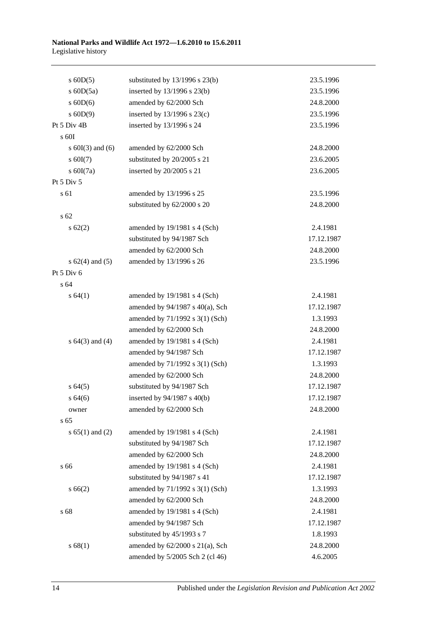| $s$ 60D(5)           | substituted by $13/1996$ s $23(b)$   | 23.5.1996  |
|----------------------|--------------------------------------|------------|
| s $60D(5a)$          | inserted by 13/1996 s 23(b)          | 23.5.1996  |
| $s$ 60D(6)           | amended by 62/2000 Sch               | 24.8.2000  |
| $s$ 60D(9)           | inserted by $13/1996$ s $23(c)$      | 23.5.1996  |
| Pt 5 Div 4B          | inserted by 13/1996 s 24             | 23.5.1996  |
| $\mathrm{s}$ 60I     |                                      |            |
| s $60I(3)$ and $(6)$ | amended by 62/2000 Sch               | 24.8.2000  |
| $s$ 60I(7)           | substituted by 20/2005 s 21          | 23.6.2005  |
| s $60I(7a)$          | inserted by 20/2005 s 21             | 23.6.2005  |
| Pt 5 Div 5           |                                      |            |
| s 61                 | amended by 13/1996 s 25              | 23.5.1996  |
|                      | substituted by 62/2000 s 20          | 24.8.2000  |
| s 62                 |                                      |            |
| $s \, 62(2)$         | amended by 19/1981 s 4 (Sch)         | 2.4.1981   |
|                      | substituted by 94/1987 Sch           | 17.12.1987 |
|                      | amended by 62/2000 Sch               | 24.8.2000  |
| s $62(4)$ and $(5)$  | amended by 13/1996 s 26              | 23.5.1996  |
| Pt $5$ Div $6$       |                                      |            |
| s 64                 |                                      |            |
| s 64(1)              | amended by 19/1981 s 4 (Sch)         | 2.4.1981   |
|                      | amended by $94/1987$ s $40(a)$ , Sch | 17.12.1987 |
|                      | amended by 71/1992 s 3(1) (Sch)      | 1.3.1993   |
|                      | amended by 62/2000 Sch               | 24.8.2000  |
| s $64(3)$ and $(4)$  | amended by 19/1981 s 4 (Sch)         | 2.4.1981   |
|                      | amended by 94/1987 Sch               | 17.12.1987 |
|                      | amended by 71/1992 s 3(1) (Sch)      | 1.3.1993   |
|                      | amended by 62/2000 Sch               | 24.8.2000  |
| s 64(5)              | substituted by 94/1987 Sch           | 17.12.1987 |
| s 64(6)              | inserted by $94/1987$ s $40(b)$      | 17.12.1987 |
| owner                | amended by 62/2000 Sch               | 24.8.2000  |
| s <sub>65</sub>      |                                      |            |
| s $65(1)$ and $(2)$  | amended by 19/1981 s 4 (Sch)         | 2.4.1981   |
|                      | substituted by 94/1987 Sch           | 17.12.1987 |
|                      | amended by 62/2000 Sch               | 24.8.2000  |
| s 66                 | amended by 19/1981 s 4 (Sch)         | 2.4.1981   |
|                      | substituted by 94/1987 s 41          | 17.12.1987 |
| s 66(2)              | amended by 71/1992 s 3(1) (Sch)      | 1.3.1993   |
|                      | amended by 62/2000 Sch               | 24.8.2000  |
| s 68                 | amended by 19/1981 s 4 (Sch)         | 2.4.1981   |
|                      | amended by 94/1987 Sch               | 17.12.1987 |
|                      | substituted by 45/1993 s 7           | 1.8.1993   |
| s 68(1)              | amended by $62/2000$ s $21(a)$ , Sch | 24.8.2000  |
|                      | amended by 5/2005 Sch 2 (cl 46)      | 4.6.2005   |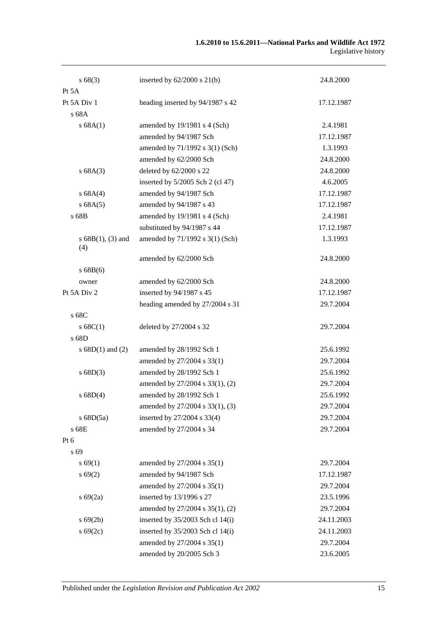| s68(3)                      | inserted by $62/2000$ s $21(b)$    | 24.8.2000  |
|-----------------------------|------------------------------------|------------|
| Pt 5A                       |                                    |            |
| Pt 5A Div 1                 | heading inserted by 94/1987 s 42   | 17.12.1987 |
| s 68A                       |                                    |            |
| s 68A(1)                    | amended by 19/1981 s 4 (Sch)       | 2.4.1981   |
|                             | amended by 94/1987 Sch             | 17.12.1987 |
|                             | amended by 71/1992 s 3(1) (Sch)    | 1.3.1993   |
|                             | amended by 62/2000 Sch             | 24.8.2000  |
| s 68A(3)                    | deleted by 62/2000 s 22            | 24.8.2000  |
|                             | inserted by $5/2005$ Sch 2 (cl 47) | 4.6.2005   |
| s 68A(4)                    | amended by 94/1987 Sch             | 17.12.1987 |
| s 68A(5)                    | amended by 94/1987 s 43            | 17.12.1987 |
| s 68B                       | amended by 19/1981 s 4 (Sch)       | 2.4.1981   |
|                             | substituted by 94/1987 s 44        | 17.12.1987 |
| s $68B(1)$ , (3) and<br>(4) | amended by 71/1992 s 3(1) (Sch)    | 1.3.1993   |
|                             | amended by 62/2000 Sch             | 24.8.2000  |
| s 68B(6)                    |                                    |            |
| owner                       | amended by 62/2000 Sch             | 24.8.2000  |
| Pt 5A Div 2                 | inserted by 94/1987 s 45           | 17.12.1987 |
|                             | heading amended by 27/2004 s 31    | 29.7.2004  |
| s 68C                       |                                    |            |
| s 68C(1)                    | deleted by 27/2004 s 32            | 29.7.2004  |
| s 68D                       |                                    |            |
| s $68D(1)$ and $(2)$        | amended by 28/1992 Sch 1           | 25.6.1992  |
|                             | amended by 27/2004 s 33(1)         | 29.7.2004  |
| s 68D(3)                    | amended by 28/1992 Sch 1           | 25.6.1992  |
|                             | amended by 27/2004 s 33(1), (2)    | 29.7.2004  |
| s 68D(4)                    | amended by 28/1992 Sch 1           | 25.6.1992  |
|                             | amended by 27/2004 s 33(1), (3)    | 29.7.2004  |
| s $68D(5a)$                 | inserted by 27/2004 s 33(4)        | 29.7.2004  |
| s 68E                       | amended by 27/2004 s 34            | 29.7.2004  |
| Pt 6                        |                                    |            |
| s 69                        |                                    |            |
| s 69(1)                     | amended by 27/2004 s 35(1)         | 29.7.2004  |
| s 69(2)                     | amended by 94/1987 Sch             | 17.12.1987 |
|                             | amended by 27/2004 s 35(1)         | 29.7.2004  |
| $s\,69(2a)$                 | inserted by 13/1996 s 27           | 23.5.1996  |
|                             | amended by 27/2004 s 35(1), (2)    | 29.7.2004  |
| $s\,69(2b)$                 | inserted by 35/2003 Sch cl 14(i)   | 24.11.2003 |
| $s\,69(2c)$                 | inserted by 35/2003 Sch cl 14(i)   | 24.11.2003 |
|                             | amended by 27/2004 s 35(1)         | 29.7.2004  |
|                             | amended by 20/2005 Sch 3           | 23.6.2005  |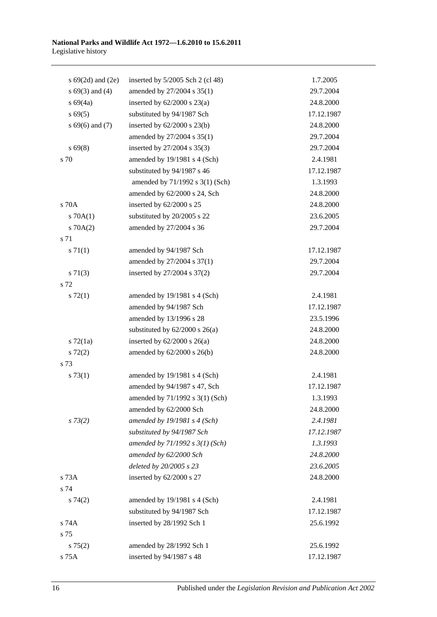| s $69(2d)$ and $(2e)$ | inserted by $5/2005$ Sch 2 (cl 48) | 1.7.2005   |
|-----------------------|------------------------------------|------------|
| $s\ 69(3)$ and (4)    | amended by 27/2004 s 35(1)         | 29.7.2004  |
| $s\,69(4a)$           | inserted by $62/2000$ s $23(a)$    | 24.8.2000  |
| $s\,69(5)$            | substituted by 94/1987 Sch         | 17.12.1987 |
| $s\,69(6)$ and (7)    | inserted by $62/2000$ s $23(b)$    | 24.8.2000  |
|                       | amended by 27/2004 s 35(1)         | 29.7.2004  |
| $s\,69(8)$            | inserted by 27/2004 s 35(3)        | 29.7.2004  |
| s 70                  | amended by 19/1981 s 4 (Sch)       | 2.4.1981   |
|                       | substituted by 94/1987 s 46        | 17.12.1987 |
|                       | amended by 71/1992 s 3(1) (Sch)    | 1.3.1993   |
|                       | amended by 62/2000 s 24, Sch       | 24.8.2000  |
| s 70A                 | inserted by 62/2000 s 25           | 24.8.2000  |
| 570A(1)               | substituted by 20/2005 s 22        | 23.6.2005  |
| 570A(2)               | amended by 27/2004 s 36            | 29.7.2004  |
| s 71                  |                                    |            |
| s 71(1)               | amended by 94/1987 Sch             | 17.12.1987 |
|                       | amended by 27/2004 s 37(1)         | 29.7.2004  |
| $s \, 71(3)$          | inserted by 27/2004 s 37(2)        | 29.7.2004  |
| s 72                  |                                    |            |
| $s \, 72(1)$          | amended by 19/1981 s 4 (Sch)       | 2.4.1981   |
|                       | amended by 94/1987 Sch             | 17.12.1987 |
|                       | amended by 13/1996 s 28            | 23.5.1996  |
|                       | substituted by $62/2000$ s $26(a)$ | 24.8.2000  |
| $s \, 72(1a)$         | inserted by $62/2000$ s $26(a)$    | 24.8.2000  |
| $s\ 72(2)$            | amended by $62/2000$ s $26(b)$     | 24.8.2000  |
| s 73                  |                                    |            |
| s 73(1)               | amended by 19/1981 s 4 (Sch)       | 2.4.1981   |
|                       | amended by 94/1987 s 47, Sch       | 17.12.1987 |
|                       | amended by 71/1992 s 3(1) (Sch)    | 1.3.1993   |
|                       | amended by 62/2000 Sch             | 24.8.2000  |
| $s \, 73(2)$          | amended by $19/1981$ s 4 (Sch)     | 2.4.1981   |
|                       | substituted by 94/1987 Sch         | 17.12.1987 |
|                       | amended by 71/1992 s 3(1) (Sch)    | 1.3.1993   |
|                       | amended by 62/2000 Sch             | 24.8.2000  |
|                       | deleted by 20/2005 s 23            | 23.6.2005  |
| s 73A                 | inserted by 62/2000 s 27           | 24.8.2000  |
| s 74                  |                                    |            |
| $s \, 74(2)$          | amended by 19/1981 s 4 (Sch)       | 2.4.1981   |
|                       | substituted by 94/1987 Sch         | 17.12.1987 |
| s 74A                 | inserted by 28/1992 Sch 1          | 25.6.1992  |
| s 75                  |                                    |            |
| $s \, 75(2)$          | amended by 28/1992 Sch 1           | 25.6.1992  |
| s 75A                 | inserted by 94/1987 s 48           | 17.12.1987 |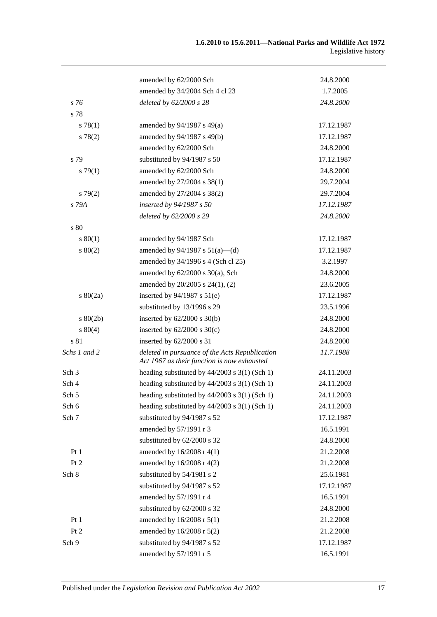|                  | amended by 62/2000 Sch                                                                        | 24.8.2000  |
|------------------|-----------------------------------------------------------------------------------------------|------------|
|                  | amended by 34/2004 Sch 4 cl 23                                                                | 1.7.2005   |
| s 76             | deleted by 62/2000 s 28                                                                       | 24.8.2000  |
| s 78             |                                                                                               |            |
| s 78(1)          | amended by $94/1987$ s $49(a)$                                                                | 17.12.1987 |
| s 78(2)          | amended by 94/1987 s 49(b)                                                                    | 17.12.1987 |
|                  | amended by 62/2000 Sch                                                                        | 24.8.2000  |
| s 79             | substituted by 94/1987 s 50                                                                   | 17.12.1987 |
| s79(1)           | amended by 62/2000 Sch                                                                        | 24.8.2000  |
|                  | amended by 27/2004 s 38(1)                                                                    | 29.7.2004  |
| s79(2)           | amended by 27/2004 s 38(2)                                                                    | 29.7.2004  |
| s 79A            | inserted by 94/1987 s 50                                                                      | 17.12.1987 |
|                  | deleted by 62/2000 s 29                                                                       | 24.8.2000  |
| s 80             |                                                                                               |            |
| s 80(1)          | amended by 94/1987 Sch                                                                        | 17.12.1987 |
| $s\ 80(2)$       | amended by $94/1987$ s $51(a)$ —(d)                                                           | 17.12.1987 |
|                  | amended by 34/1996 s 4 (Sch cl 25)                                                            | 3.2.1997   |
|                  | amended by $62/2000$ s $30(a)$ , Sch                                                          | 24.8.2000  |
|                  | amended by 20/2005 s 24(1), (2)                                                               | 23.6.2005  |
| $s\ 80(2a)$      | inserted by $94/1987$ s $51(e)$                                                               | 17.12.1987 |
|                  | substituted by 13/1996 s 29                                                                   | 23.5.1996  |
| $s\ 80(2b)$      | inserted by $62/2000$ s $30(b)$                                                               | 24.8.2000  |
| $s\ 80(4)$       | inserted by $62/2000$ s $30(c)$                                                               | 24.8.2000  |
| s 81             | inserted by 62/2000 s 31                                                                      | 24.8.2000  |
| Schs 1 and 2     | deleted in pursuance of the Acts Republication<br>Act 1967 as their function is now exhausted | 11.7.1988  |
| Sch <sub>3</sub> | heading substituted by $44/2003$ s $3(1)$ (Sch 1)                                             | 24.11.2003 |
| Sch 4            | heading substituted by $44/2003$ s $3(1)$ (Sch 1)                                             | 24.11.2003 |
| Sch 5            | heading substituted by $44/2003$ s $3(1)$ (Sch 1)                                             | 24.11.2003 |
| Sch 6            | heading substituted by $44/2003$ s 3(1) (Sch 1)                                               | 24.11.2003 |
| Sch 7            | substituted by 94/1987 s 52                                                                   | 17.12.1987 |
|                  | amended by 57/1991 r 3                                                                        | 16.5.1991  |
|                  | substituted by 62/2000 s 32                                                                   | 24.8.2000  |
| Pt1              | amended by 16/2008 r 4(1)                                                                     | 21.2.2008  |
| Pt 2             | amended by 16/2008 r 4(2)                                                                     | 21.2.2008  |
| Sch 8            | substituted by 54/1981 s 2                                                                    | 25.6.1981  |
|                  | substituted by 94/1987 s 52                                                                   | 17.12.1987 |
|                  | amended by 57/1991 r 4                                                                        | 16.5.1991  |
|                  | substituted by 62/2000 s 32                                                                   | 24.8.2000  |
| Pt1              | amended by 16/2008 r 5(1)                                                                     | 21.2.2008  |
| Pt 2             | amended by 16/2008 r 5(2)                                                                     | 21.2.2008  |
| Sch 9            | substituted by 94/1987 s 52                                                                   | 17.12.1987 |
|                  | amended by 57/1991 r 5                                                                        | 16.5.1991  |